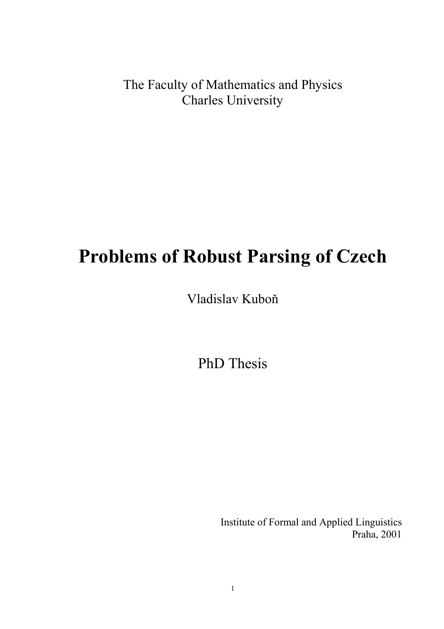The Faculty of Mathematics and Physics Charles University

# **Problems of Robust Parsing of Czech**

Vladislav Kuboň

PhD Thesis

Institute of Formal and Applied Linguistics Praha, 2001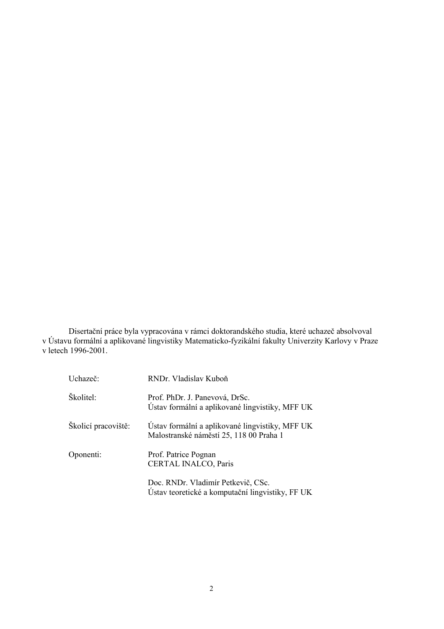Disertační práce byla vypracována v rámci doktorandského studia, které uchazeč absolvoval v Ústavu formální a aplikované lingvistiky Matematicko-fyzikální fakulty Univerzity Karlovy v Praze v letech 1996-2001.

| Uchazeč:            | RNDr. Vladislav Kuboň                                                                      |
|---------------------|--------------------------------------------------------------------------------------------|
| Školitel:           | Prof. PhDr. J. Panevová, DrSc.<br>Ústav formální a aplikované lingvistiky, MFF UK          |
| Školicí pracoviště: | Ustav formální a aplikované lingvistiky, MFF UK<br>Malostranské náměstí 25, 118 00 Praha 1 |
| Oponenti:           | Prof. Patrice Pognan<br><b>CERTAL INALCO, Paris</b>                                        |
|                     | Doc. RNDr. Vladimír Petkevič, CSc.<br>Ústav teoretické a komputační lingvistiky, FF UK     |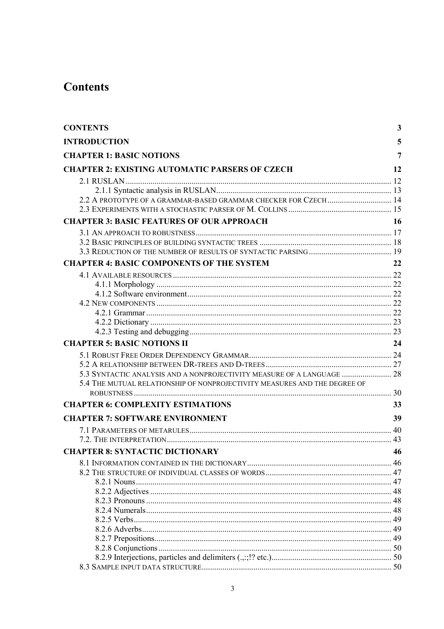## **Contents**

| <b>CONTENTS</b>                                                           |    |
|---------------------------------------------------------------------------|----|
| <b>INTRODUCTION</b>                                                       |    |
| <b>CHAPTER 1: BASIC NOTIONS</b>                                           | 7  |
| <b>CHAPTER 2: EXISTING AUTOMATIC PARSERS OF CZECH</b>                     |    |
|                                                                           |    |
|                                                                           |    |
| 2.2 A PROTOTYPE OF A GRAMMAR-BASED GRAMMAR CHECKER FOR CZECH 14           |    |
|                                                                           |    |
| <b>CHAPTER 3: BASIC FEATURES OF OUR APPROACH</b>                          | 16 |
|                                                                           |    |
|                                                                           |    |
|                                                                           |    |
| <b>CHAPTER 4: BASIC COMPONENTS OF THE SYSTEM</b>                          | 22 |
|                                                                           |    |
|                                                                           |    |
|                                                                           |    |
|                                                                           |    |
|                                                                           |    |
|                                                                           |    |
|                                                                           |    |
| <b>CHAPTER 5: BASIC NOTIONS II</b>                                        | 24 |
|                                                                           |    |
|                                                                           |    |
| 5.3 SYNTACTIC ANALYSIS AND A NONPROJECTIVITY MEASURE OF A LANGUAGE  28    |    |
| 5.4 THE MUTUAL RELATIONSHIP OF NONPROJECTIVITY MEASURES AND THE DEGREE OF |    |
|                                                                           |    |
| <b>CHAPTER 6: COMPLEXITY ESTIMATIONS</b>                                  | 33 |
| <b>CHAPTER 7: SOFTWARE ENVIRONMENT</b>                                    | 39 |
|                                                                           |    |
|                                                                           |    |
| <b>CHAPTER 8: SYNTACTIC DICTIONARY</b>                                    | 46 |
|                                                                           |    |
|                                                                           |    |
|                                                                           |    |
|                                                                           |    |
|                                                                           |    |
|                                                                           |    |
|                                                                           |    |
|                                                                           |    |
|                                                                           |    |
|                                                                           |    |
|                                                                           |    |
|                                                                           |    |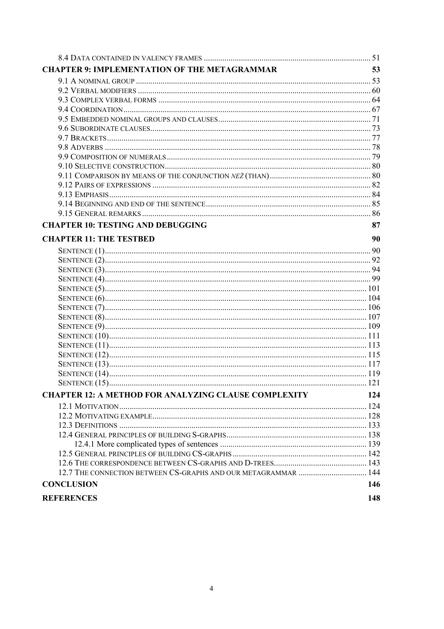| <b>CHAPTER 9: IMPLEMENTATION OF THE METAGRAMMAR</b>         | 53  |
|-------------------------------------------------------------|-----|
|                                                             |     |
|                                                             |     |
|                                                             |     |
|                                                             |     |
|                                                             |     |
|                                                             |     |
|                                                             |     |
|                                                             |     |
|                                                             |     |
|                                                             |     |
|                                                             |     |
|                                                             |     |
|                                                             |     |
|                                                             |     |
|                                                             |     |
| <b>CHAPTER 10: TESTING AND DEBUGGING</b>                    | 87  |
| <b>CHAPTER 11: THE TESTBED</b>                              | 90  |
|                                                             |     |
|                                                             |     |
|                                                             |     |
|                                                             |     |
|                                                             |     |
|                                                             |     |
|                                                             |     |
|                                                             |     |
|                                                             |     |
|                                                             |     |
|                                                             |     |
|                                                             |     |
|                                                             |     |
|                                                             |     |
|                                                             |     |
| <b>CHAPTER 12: A METHOD FOR ANALYZING CLAUSE COMPLEXITY</b> | 124 |
|                                                             |     |
|                                                             |     |
|                                                             |     |
|                                                             |     |
|                                                             |     |
|                                                             |     |
|                                                             |     |
|                                                             |     |
| <b>CONCLUSION</b>                                           |     |
| <b>REFERENCES</b>                                           | 148 |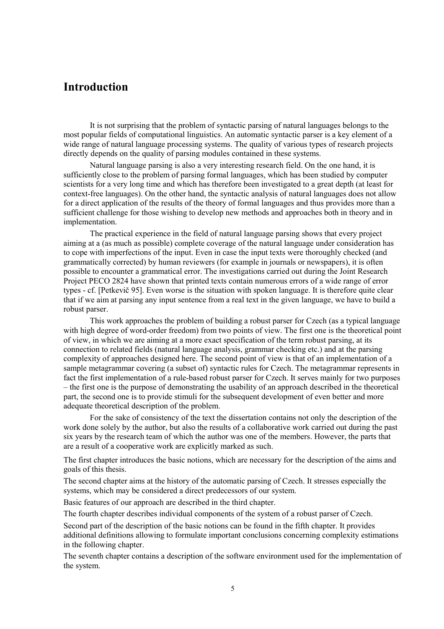## <span id="page-4-0"></span>**Introduction**

It is not surprising that the problem of syntactic parsing of natural languages belongs to the most popular fields of computational linguistics. An automatic syntactic parser is a key element of a wide range of natural language processing systems. The quality of various types of research projects directly depends on the quality of parsing modules contained in these systems.

Natural language parsing is also a very interesting research field. On the one hand, it is sufficiently close to the problem of parsing formal languages, which has been studied by computer scientists for a very long time and which has therefore been investigated to a great depth (at least for context-free languages). On the other hand, the syntactic analysis of natural languages does not allow for a direct application of the results of the theory of formal languages and thus provides more than a sufficient challenge for those wishing to develop new methods and approaches both in theory and in implementation.

The practical experience in the field of natural language parsing shows that every project aiming at a (as much as possible) complete coverage of the natural language under consideration has to cope with imperfections of the input. Even in case the input texts were thoroughly checked (and grammatically corrected) by human reviewers (for example in journals or newspapers), it is often possible to encounter a grammatical error. The investigations carried out during the Joint Research Project PECO 2824 have shown that printed texts contain numerous errors of a wide range of error types - cf. [Petkevič 95]. Even worse is the situation with spoken language. It is therefore quite clear that if we aim at parsing any input sentence from a real text in the given language, we have to build a robust parser.

This work approaches the problem of building a robust parser for Czech (as a typical language with high degree of word-order freedom) from two points of view. The first one is the theoretical point of view, in which we are aiming at a more exact specification of the term robust parsing, at its connection to related fields (natural language analysis, grammar checking etc.) and at the parsing complexity of approaches designed here. The second point of view is that of an implementation of a sample metagrammar covering (a subset of) syntactic rules for Czech. The metagrammar represents in fact the first implementation of a rule-based robust parser for Czech. It serves mainly for two purposes – the first one is the purpose of demonstrating the usability of an approach described in the theoretical part, the second one is to provide stimuli for the subsequent development of even better and more adequate theoretical description of the problem.

For the sake of consistency of the text the dissertation contains not only the description of the work done solely by the author, but also the results of a collaborative work carried out during the past six years by the research team of which the author was one of the members. However, the parts that are a result of a cooperative work are explicitly marked as such.

The first chapter introduces the basic notions, which are necessary for the description of the aims and goals of this thesis.

The second chapter aims at the history of the automatic parsing of Czech. It stresses especially the systems, which may be considered a direct predecessors of our system.

Basic features of our approach are described in the third chapter.

The fourth chapter describes individual components of the system of a robust parser of Czech.

Second part of the description of the basic notions can be found in the fifth chapter. It provides additional definitions allowing to formulate important conclusions concerning complexity estimations in the following chapter.

The seventh chapter contains a description of the software environment used for the implementation of the system.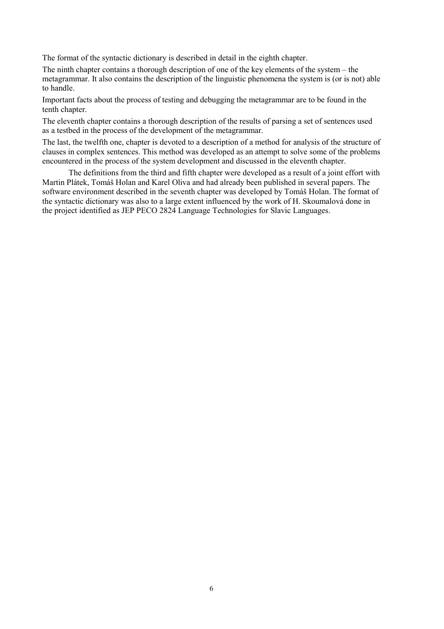The format of the syntactic dictionary is described in detail in the eighth chapter.

The ninth chapter contains a thorough description of one of the key elements of the system  $-$  the metagrammar. It also contains the description of the linguistic phenomena the system is (or is not) able to handle.

Important facts about the process of testing and debugging the metagrammar are to be found in the tenth chapter.

The eleventh chapter contains a thorough description of the results of parsing a set of sentences used as a testbed in the process of the development of the metagrammar.

The last, the twelfth one, chapter is devoted to a description of a method for analysis of the structure of clauses in complex sentences. This method was developed as an attempt to solve some of the problems encountered in the process of the system development and discussed in the eleventh chapter.

The definitions from the third and fifth chapter were developed as a result of a joint effort with Martin Plátek, Tomáš Holan and Karel Oliva and had already been published in several papers. The software environment described in the seventh chapter was developed by Tomáš Holan. The format of the syntactic dictionary was also to a large extent influenced by the work of H. Skoumalová done in the project identified as JEP PECO 2824 Language Technologies for Slavic Languages.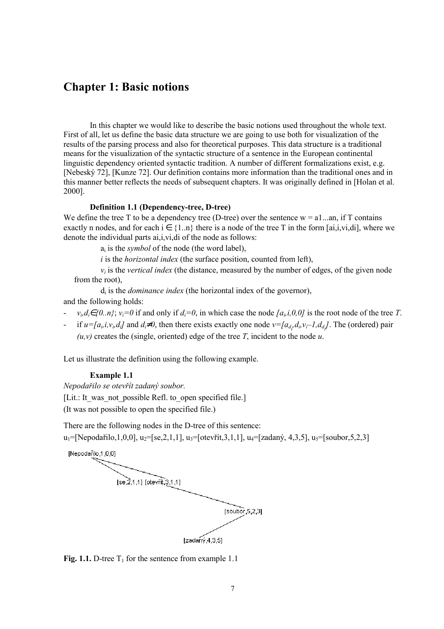## <span id="page-6-0"></span>**Chapter 1: Basic notions**

In this chapter we would like to describe the basic notions used throughout the whole text. First of all, let us define the basic data structure we are going to use both for visualization of the results of the parsing process and also for theoretical purposes. This data structure is a traditional means for the visualization of the syntactic structure of a sentence in the European continental linguistic dependency oriented syntactic tradition. A number of different formalizations exist, e.g. [Nebeský 72], [Kunze 72]. Our definition contains more information than the traditional ones and in this manner better reflects the needs of subsequent chapters. It was originally defined in [Holan et al. 2000].

#### **Definition 1.1 (Dependency-tree, D-tree)**

We define the tree T to be a dependency tree (D-tree) over the sentence  $w = a1...an$ , if T contains exactly n nodes, and for each  $i \in \{1..n\}$  there is a node of the tree T in the form [ai,i,vi,di], where we denote the individual parts ai, i, vi, di of the node as follows:

ai is the *symbol* of the node (the word label),

*i* is the *horizontal index* (the surface position, counted from left),

 $v_i$  is the *vertical index* (the distance, measured by the number of edges, of the given node from the root),

di is the *dominance index* (the horizontal index of the governor),

- and the following holds:
- $v_i, d_i \in \{0..n\}; v_i = 0$  if and only if  $d_i = 0$ , in which case the node  $[a_i, i, 0, 0]$  is the root node of the tree *T*.
- *if*  $u=[a_i, i, v_i, d_j]$  and  $d_i ≠ 0$ , then there exists exactly one node  $v=[a_{d_i}, d_i, v_i-1, d_{d_i}]$ . The (ordered) pair  $(u, v)$  creates the (single, oriented) edge of the tree *T*, incident to the node *u*.

Let us illustrate the definition using the following example.

#### **Example 1.1**

*Nepodařilo se otevřÌt zadan˝ soubor.*

[Lit.: It\_was\_not\_possible Refl. to\_open specified file.]

(It was not possible to open the specified file.)

There are the following nodes in the D-tree of this sentence:

 $u_1$ =[Nepodařilo,1,0,0], u<sub>2</sub>=[se,2,1,1], u<sub>3</sub>=[otevřít,3,1,1], u<sub>4</sub>=[zadaný, 4,3,5], u<sub>5</sub>=[soubor,5,2,3]





**Fig. 1.1.** D-tree  $T_1$  for the sentence from example 1.1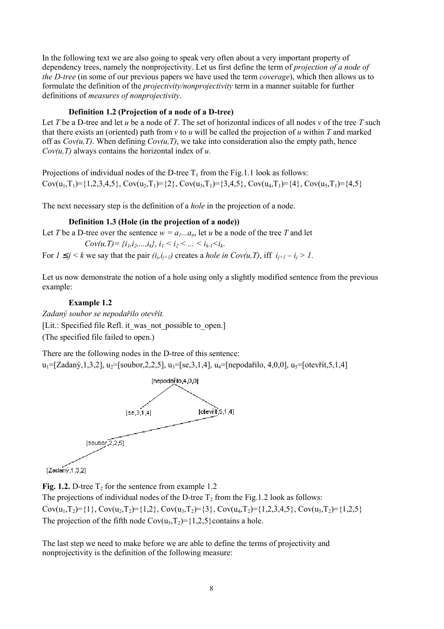In the following text we are also going to speak very often about a very important property of dependency trees, namely the nonprojectivity. Let us first define the term of *projection of a node of the D-tree* (in some of our previous papers we have used the term *coverage*), which then allows us to formulate the definition of the *projectivity/nonprojectivity* term in a manner suitable for further definitions of *measures of nonprojectivity*.

## **Definition 1.2 (Projection of a node of a D-tree)**

Let *T* be a D-tree and let *u* be a node of *T*. The set of horizontal indices of all nodes *v* of the tree *T* such that there exists an (oriented) path from  $\nu$  to  $\mu$  will be called the projection of  $\mu$  within  $T$  and marked off as  $Cov(u, T)$ . When defining  $Cov(u, T)$ , we take into consideration also the empty path, hence *Cov(u,T)* always contains the horizontal index of *u*.

Projections of individual nodes of the D-tree  $T_1$  from the Fig.1.1 look as follows:  $Cov(u_1, T_1) = \{1, 2, 3, 4, 5\}, Cov(u_2, T_1) = \{2\}, Cov(u_3, T_1) = \{3, 4, 5\}, Cov(u_4, T_1) = \{4\}, Cov(u_5, T_1) = \{4, 5\}$ 

The next necessary step is the definition of a *hole* in the projection of a node.

## **Definition 1.3 (Hole (in the projection of a node))**

Let *T* be a D-tree over the sentence  $w = a_1...a_n$ , let *u* be a node of the tree *T* and let  $Cov(u, T) = \{i_1, i_2, \ldots, i_k\}, i_1 \le i_2 \le \ldots \le i_{k-1} \le i_k.$ For  $1 \leq j \leq k$  we say that the pair  $(i_j, i_{j+1})$  creates a *hole in Cov(u,T)*, iff  $i_{j+1} - i_j > 1$ .

Let us now demonstrate the notion of a hole using only a slightly modified sentence from the previous example:

## **Example 1.2**

*Zadan˝ soubor se nepodařilo otevřÌt.*

[Lit.: Specified file Refl. it was not possible to open.]

(The specified file failed to open.)

There are the following nodes in the D-tree of this sentence:

 $u_1$ =[Zadaný, 1,3,2], u<sub>2</sub>=[soubor, 2, 2,5], u<sub>3</sub>=[se, 3, 1,4], u<sub>4</sub>=[nepodařilo, 4,0,0], u<sub>5</sub>=[otevřít, 5, 1,4]



[Zadaný,1,3,2]

**Fig. 1.2.** D-tree  $T_2$  for the sentence from example 1.2

The projections of individual nodes of the D-tree  $T_2$  from the Fig.1.2 look as follows:  $Cov(u_1, T_2) = \{1\}$ ,  $Cov(u_2, T_2) = \{1, 2\}$ ,  $Cov(u_3, T_2) = \{3\}$ ,  $Cov(u_4, T_2) = \{1, 2, 3, 4, 5\}$ ,  $Cov(u_5, T_2) = \{1, 2, 5\}$ The projection of the fifth node  $Cov(u_5, T_2) = \{1, 2, 5\}$ contains a hole.

The last step we need to make before we are able to define the terms of projectivity and nonprojectivity is the definition of the following measure: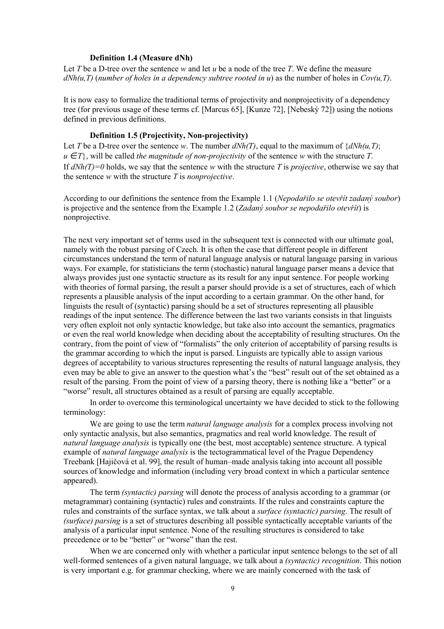#### **Definition 1.4 (Measure dNh)**

Let *T* be a D-tree over the sentence *w* and let *u* be a node of the tree *T*. We define the measure *dNh(u,T)* (*number of holes in a dependency subtree rooted in u*) as the number of holes in *Cov(u,T)*.

It is now easy to formalize the traditional terms of projectivity and nonprojectivity of a dependency tree (for previous usage of these terms cf. [Marcus 65], [Kunze 72], [Nebeský 72]) using the notions defined in previous definitions.

## **Definition 1.5 (Projectivity, Non-projectivity)**

Let *T* be a D-tree over the sentence *w*. The number  $dNh(T)$ , equal to the maximum of  $\{dNh(u,T);$  $u \in T$ }, will be called *the magnitude of non-projectivity* of the sentence *w* with the structure *T*. If *dNh(T)=0* holds, we say that the sentence *w* with the structure *T* is *projective*, otherwise we say that the sentence *w* with the structure *T* is *nonprojective*.

According to our definitions the sentence from the Example 1.1 (*Nepodařilo se otevřít zadaný soubor*) is projective and the sentence from the Example 1.2 (Zadaný soubor se nepodařilo otevřít) is nonprojective.

The next very important set of terms used in the subsequent text is connected with our ultimate goal, namely with the robust parsing of Czech. It is often the case that different people in different circumstances understand the term of natural language analysis or natural language parsing in various ways. For example, for statisticians the term (stochastic) natural language parser means a device that always provides just one syntactic structure as its result for any input sentence. For people working with theories of formal parsing, the result a parser should provide is a set of structures, each of which represents a plausible analysis of the input according to a certain grammar. On the other hand, for linguists the result of (syntactic) parsing should be a set of structures representing all plausible readings of the input sentence. The difference between the last two variants consists in that linguists very often exploit not only syntactic knowledge, but take also into account the semantics, pragmatics or even the real world knowledge when deciding about the acceptability of resulting structures. On the contrary, from the point of view of "formalists" the only criterion of acceptability of parsing results is the grammar according to which the input is parsed. Linguists are typically able to assign various degrees of acceptability to various structures representing the results of natural language analysis, they even may be able to give an answer to the question what's the "best" result out of the set obtained as a result of the parsing. From the point of view of a parsing theory, there is nothing like a "better" or a ìworseî result, all structures obtained as a result of parsing are equally acceptable.

In order to overcome this terminological uncertainty we have decided to stick to the following terminology:

We are going to use the term *natural language analysis* for a complex process involving not only syntactic analysis, but also semantics, pragmatics and real world knowledge. The result of *natural language analysis* is typically one (the best, most acceptable) sentence structure. A typical example of *natural language analysis* is the tectogrammatical level of the Prague Dependency Treebank [Hajičová et al. 99], the result of human–made analysis taking into account all possible sources of knowledge and information (including very broad context in which a particular sentence appeared).

The term *(syntactic) parsing* will denote the process of analysis according to a grammar (or metagrammar) containing (syntactic) rules and constraints. If the rules and constraints capture the rules and constraints of the surface syntax, we talk about a *surface (syntactic) parsing*. The result of *(surface) parsing* is a set of structures describing all possible syntactically acceptable variants of the analysis of a particular input sentence. None of the resulting structures is considered to take precedence or to be "better" or "worse" than the rest.

When we are concerned only with whether a particular input sentence belongs to the set of all well-formed sentences of a given natural language, we talk about a *(syntactic) recognition*. This notion is very important e.g. for grammar checking, where we are mainly concerned with the task of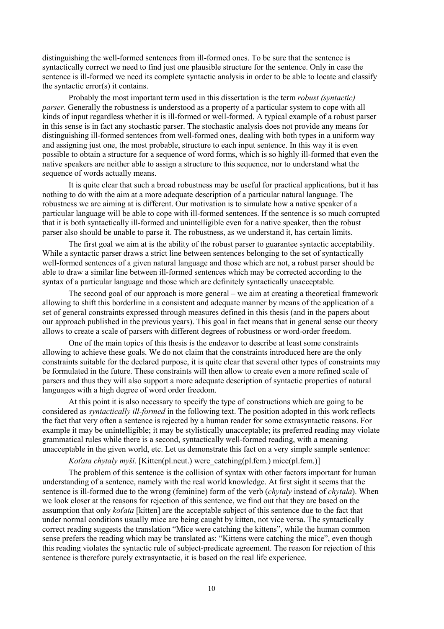distinguishing the well-formed sentences from ill-formed ones. To be sure that the sentence is syntactically correct we need to find just one plausible structure for the sentence. Only in case the sentence is ill-formed we need its complete syntactic analysis in order to be able to locate and classify the syntactic error(s) it contains.

Probably the most important term used in this dissertation is the term *robust (syntactic) parser.* Generally the robustness is understood as a property of a particular system to cope with all kinds of input regardless whether it is ill-formed or well-formed. A typical example of a robust parser in this sense is in fact any stochastic parser. The stochastic analysis does not provide any means for distinguishing ill-formed sentences from well-formed ones, dealing with both types in a uniform way and assigning just one, the most probable, structure to each input sentence. In this way it is even possible to obtain a structure for a sequence of word forms, which is so highly ill-formed that even the native speakers are neither able to assign a structure to this sequence, nor to understand what the sequence of words actually means.

It is quite clear that such a broad robustness may be useful for practical applications, but it has nothing to do with the aim at a more adequate description of a particular natural language. The robustness we are aiming at is different. Our motivation is to simulate how a native speaker of a particular language will be able to cope with ill-formed sentences. If the sentence is so much corrupted that it is both syntactically ill-formed and unintelligible even for a native speaker, then the robust parser also should be unable to parse it. The robustness, as we understand it, has certain limits.

The first goal we aim at is the ability of the robust parser to guarantee syntactic acceptability. While a syntactic parser draws a strict line between sentences belonging to the set of syntactically well-formed sentences of a given natural language and those which are not, a robust parser should be able to draw a similar line between ill-formed sentences which may be corrected according to the syntax of a particular language and those which are definitely syntactically unacceptable.

The second goal of our approach is more general  $-$  we aim at creating a theoretical framework allowing to shift this borderline in a consistent and adequate manner by means of the application of a set of general constraints expressed through measures defined in this thesis (and in the papers about our approach published in the previous years). This goal in fact means that in general sense our theory allows to create a scale of parsers with different degrees of robustness or word-order freedom.

One of the main topics of this thesis is the endeavor to describe at least some constraints allowing to achieve these goals. We do not claim that the constraints introduced here are the only constraints suitable for the declared purpose, it is quite clear that several other types of constraints may be formulated in the future. These constraints will then allow to create even a more refined scale of parsers and thus they will also support a more adequate description of syntactic properties of natural languages with a high degree of word order freedom.

At this point it is also necessary to specify the type of constructions which are going to be considered as *syntactically ill-formed* in the following text. The position adopted in this work reflects the fact that very often a sentence is rejected by a human reader for some extrasyntactic reasons. For example it may be unintelligible; it may be stylistically unacceptable; its preferred reading may violate grammatical rules while there is a second, syntactically well-formed reading, with a meaning unacceptable in the given world, etc. Let us demonstrate this fact on a very simple sample sentence:

*Koťata chytaly myöi.* [Kitten(pl.neut.) were\_catching(pl.fem.) mice(pl.fem.)]

The problem of this sentence is the collision of syntax with other factors important for human understanding of a sentence, namely with the real world knowledge. At first sight it seems that the sentence is ill-formed due to the wrong (feminine) form of the verb (*chytaly* instead of *chytala*). When we look closer at the reasons for rejection of this sentence, we find out that they are based on the assumption that only *koťata* [kitten] are the acceptable subject of this sentence due to the fact that under normal conditions usually mice are being caught by kitten, not vice versa. The syntactically correct reading suggests the translation "Mice were catching the kittens", while the human common sense prefers the reading which may be translated as: "Kittens were catching the mice", even though this reading violates the syntactic rule of subject-predicate agreement. The reason for rejection of this sentence is therefore purely extrasyntactic, it is based on the real life experience.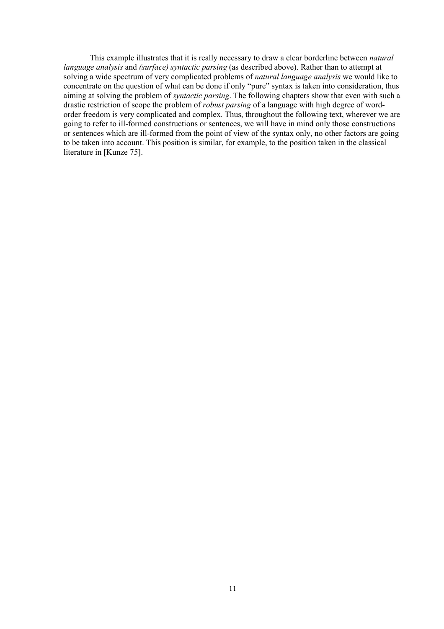This example illustrates that it is really necessary to draw a clear borderline between *natural language analysis* and *(surface) syntactic parsing* (as described above). Rather than to attempt at solving a wide spectrum of very complicated problems of *natural language analysis* we would like to concentrate on the question of what can be done if only "pure" syntax is taken into consideration, thus aiming at solving the problem of *syntactic parsing*. The following chapters show that even with such a drastic restriction of scope the problem of *robust parsing* of a language with high degree of wordorder freedom is very complicated and complex. Thus, throughout the following text, wherever we are going to refer to ill-formed constructions or sentences, we will have in mind only those constructions or sentences which are ill-formed from the point of view of the syntax only, no other factors are going to be taken into account. This position is similar, for example, to the position taken in the classical literature in [Kunze 75].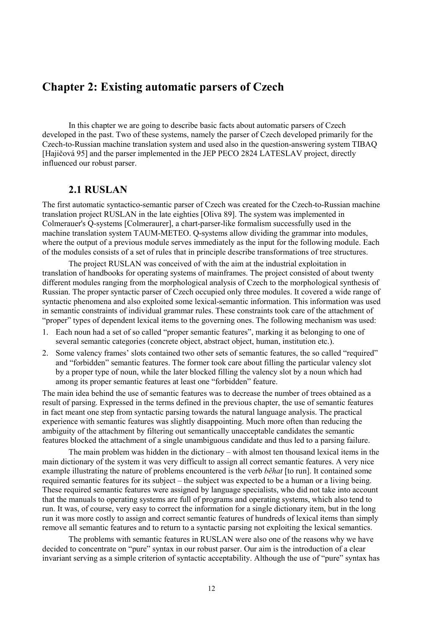## <span id="page-11-0"></span>**Chapter 2: Existing automatic parsers of Czech**

In this chapter we are going to describe basic facts about automatic parsers of Czech developed in the past. Two of these systems, namely the parser of Czech developed primarily for the Czech-to-Russian machine translation system and used also in the question-answering system TIBAQ [Hajičová 95] and the parser implemented in the JEP PECO 2824 LATESLAV project, directly influenced our robust parser.

## **2.1 RUSLAN**

The first automatic syntactico-semantic parser of Czech was created for the Czech-to-Russian machine translation project RUSLAN in the late eighties [Oliva 89]. The system was implemented in Colmerauer's Q-systems [Colmeraurer], a chart-parser-like formalism successfully used in the machine translation system TAUM-METEO. Q-systems allow dividing the grammar into modules, where the output of a previous module serves immediately as the input for the following module. Each of the modules consists of a set of rules that in principle describe transformations of tree structures.

The project RUSLAN was conceived of with the aim at the industrial exploitation in translation of handbooks for operating systems of mainframes. The project consisted of about twenty different modules ranging from the morphological analysis of Czech to the morphological synthesis of Russian. The proper syntactic parser of Czech occupied only three modules. It covered a wide range of syntactic phenomena and also exploited some lexical-semantic information. This information was used in semantic constraints of individual grammar rules. These constraints took care of the attachment of ìproperî types of dependent lexical items to the governing ones. The following mechanism was used:

- 1. Each noun had a set of so called "proper semantic features", marking it as belonging to one of several semantic categories (concrete object, abstract object, human, institution etc.).
- 2. Some valency frames' slots contained two other sets of semantic features, the so called "required" and "forbidden" semantic features. The former took care about filling the particular valency slot by a proper type of noun, while the later blocked filling the valency slot by a noun which had among its proper semantic features at least one "forbidden" feature.

The main idea behind the use of semantic features was to decrease the number of trees obtained as a result of parsing. Expressed in the terms defined in the previous chapter, the use of semantic features in fact meant one step from syntactic parsing towards the natural language analysis. The practical experience with semantic features was slightly disappointing. Much more often than reducing the ambiguity of the attachment by filtering out semantically unacceptable candidates the semantic features blocked the attachment of a single unambiguous candidate and thus led to a parsing failure.

The main problem was hidden in the dictionary  $-$  with almost ten thousand lexical items in the main dictionary of the system it was very difficult to assign all correct semantic features. A very nice example illustrating the nature of problems encountered is the verb *běhat* [to run]. It contained some required semantic features for its subject – the subject was expected to be a human or a living being. These required semantic features were assigned by language specialists, who did not take into account that the manuals to operating systems are full of programs and operating systems, which also tend to run. It was, of course, very easy to correct the information for a single dictionary item, but in the long run it was more costly to assign and correct semantic features of hundreds of lexical items than simply remove all semantic features and to return to a syntactic parsing not exploiting the lexical semantics.

The problems with semantic features in RUSLAN were also one of the reasons why we have decided to concentrate on "pure" syntax in our robust parser. Our aim is the introduction of a clear invariant serving as a simple criterion of syntactic acceptability. Although the use of "pure" syntax has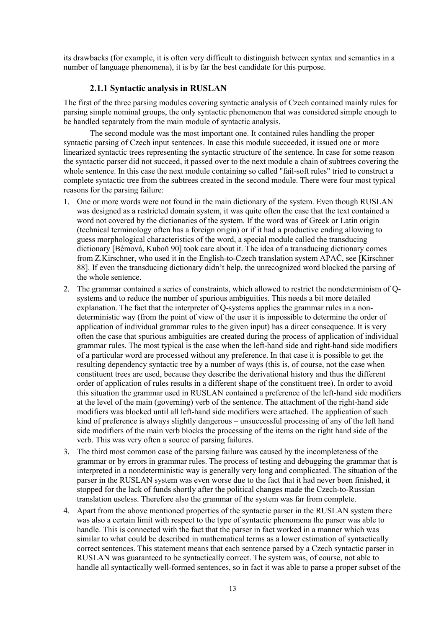<span id="page-12-0"></span>its drawbacks (for example, it is often very difficult to distinguish between syntax and semantics in a number of language phenomena), it is by far the best candidate for this purpose.

## **2.1.1 Syntactic analysis in RUSLAN**

The first of the three parsing modules covering syntactic analysis of Czech contained mainly rules for parsing simple nominal groups, the only syntactic phenomenon that was considered simple enough to be handled separately from the main module of syntactic analysis.

The second module was the most important one. It contained rules handling the proper syntactic parsing of Czech input sentences. In case this module succeeded, it issued one or more linearized syntactic trees representing the syntactic structure of the sentence. In case for some reason the syntactic parser did not succeed, it passed over to the next module a chain of subtrees covering the whole sentence. In this case the next module containing so called "fail-soft rules" tried to construct a complete syntactic tree from the subtrees created in the second module. There were four most typical reasons for the parsing failure:

- 1. One or more words were not found in the main dictionary of the system. Even though RUSLAN was designed as a restricted domain system, it was quite often the case that the text contained a word not covered by the dictionaries of the system. If the word was of Greek or Latin origin (technical terminology often has a foreign origin) or if it had a productive ending allowing to guess morphological characteristics of the word, a special module called the transducing dictionary [Bémová, Kuboň 90] took care about it. The idea of a transducing dictionary comes from Z.Kirschner, who used it in the English-to-Czech translation system APAČ, see [Kirschner 88]. If even the transducing dictionary didn't help, the unrecognized word blocked the parsing of the whole sentence.
- 2. The grammar contained a series of constraints, which allowed to restrict the nondeterminism of Qsystems and to reduce the number of spurious ambiguities. This needs a bit more detailed explanation. The fact that the interpreter of Q-systems applies the grammar rules in a nondeterministic way (from the point of view of the user it is impossible to determine the order of application of individual grammar rules to the given input) has a direct consequence. It is very often the case that spurious ambiguities are created during the process of application of individual grammar rules. The most typical is the case when the left-hand side and right-hand side modifiers of a particular word are processed without any preference. In that case it is possible to get the resulting dependency syntactic tree by a number of ways (this is, of course, not the case when constituent trees are used, because they describe the derivational history and thus the different order of application of rules results in a different shape of the constituent tree). In order to avoid this situation the grammar used in RUSLAN contained a preference of the left-hand side modifiers at the level of the main (governing) verb of the sentence. The attachment of the right-hand side modifiers was blocked until all left-hand side modifiers were attached. The application of such kind of preference is always slightly dangerous  $-$  unsuccessful processing of any of the left hand side modifiers of the main verb blocks the processing of the items on the right hand side of the verb. This was very often a source of parsing failures.
- 3. The third most common case of the parsing failure was caused by the incompleteness of the grammar or by errors in grammar rules. The process of testing and debugging the grammar that is interpreted in a nondeterministic way is generally very long and complicated. The situation of the parser in the RUSLAN system was even worse due to the fact that it had never been finished, it stopped for the lack of funds shortly after the political changes made the Czech-to-Russian translation useless. Therefore also the grammar of the system was far from complete.
- 4. Apart from the above mentioned properties of the syntactic parser in the RUSLAN system there was also a certain limit with respect to the type of syntactic phenomena the parser was able to handle. This is connected with the fact that the parser in fact worked in a manner which was similar to what could be described in mathematical terms as a lower estimation of syntactically correct sentences. This statement means that each sentence parsed by a Czech syntactic parser in RUSLAN was guaranteed to be syntactically correct. The system was, of course, not able to handle all syntactically well-formed sentences, so in fact it was able to parse a proper subset of the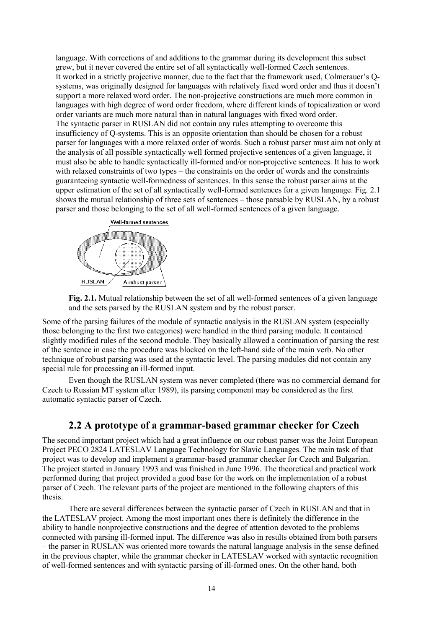<span id="page-13-0"></span>language. With corrections of and additions to the grammar during its development this subset grew, but it never covered the entire set of all syntactically well-formed Czech sentences. It worked in a strictly projective manner, due to the fact that the framework used, Colmerauer's Qsystems, was originally designed for languages with relatively fixed word order and thus it doesn't support a more relaxed word order. The non-projective constructions are much more common in languages with high degree of word order freedom, where different kinds of topicalization or word order variants are much more natural than in natural languages with fixed word order. The syntactic parser in RUSLAN did not contain any rules attempting to overcome this insufficiency of Q-systems. This is an opposite orientation than should be chosen for a robust parser for languages with a more relaxed order of words. Such a robust parser must aim not only at the analysis of all possible syntactically well formed projective sentences of a given language, it must also be able to handle syntactically ill-formed and/or non-projective sentences. It has to work with relaxed constraints of two types – the constraints on the order of words and the constraints guaranteeing syntactic well-formedness of sentences. In this sense the robust parser aims at the upper estimation of the set of all syntactically well-formed sentences for a given language. Fig. 2.1 shows the mutual relationship of three sets of sentences – those parsable by RUSLAN, by a robust parser and those belonging to the set of all well-formed sentences of a given language.



**Fig. 2.1.** Mutual relationship between the set of all well-formed sentences of a given language and the sets parsed by the RUSLAN system and by the robust parser.

Some of the parsing failures of the module of syntactic analysis in the RUSLAN system (especially those belonging to the first two categories) were handled in the third parsing module. It contained slightly modified rules of the second module. They basically allowed a continuation of parsing the rest of the sentence in case the procedure was blocked on the left-hand side of the main verb. No other technique of robust parsing was used at the syntactic level. The parsing modules did not contain any special rule for processing an ill-formed input.

Even though the RUSLAN system was never completed (there was no commercial demand for Czech to Russian MT system after 1989), its parsing component may be considered as the first automatic syntactic parser of Czech.

## **2.2 A prototype of a grammar-based grammar checker for Czech**

The second important project which had a great influence on our robust parser was the Joint European Project PECO 2824 LATESLAV Language Technology for Slavic Languages. The main task of that project was to develop and implement a grammar-based grammar checker for Czech and Bulgarian. The project started in January 1993 and was finished in June 1996. The theoretical and practical work performed during that project provided a good base for the work on the implementation of a robust parser of Czech. The relevant parts of the project are mentioned in the following chapters of this thesis.

There are several differences between the syntactic parser of Czech in RUSLAN and that in the LATESLAV project. Among the most important ones there is definitely the difference in the ability to handle nonprojective constructions and the degree of attention devoted to the problems connected with parsing ill-formed input. The difference was also in results obtained from both parsers – the parser in RUSLAN was oriented more towards the natural language analysis in the sense defined in the previous chapter, while the grammar checker in LATESLAV worked with syntactic recognition of well-formed sentences and with syntactic parsing of ill-formed ones. On the other hand, both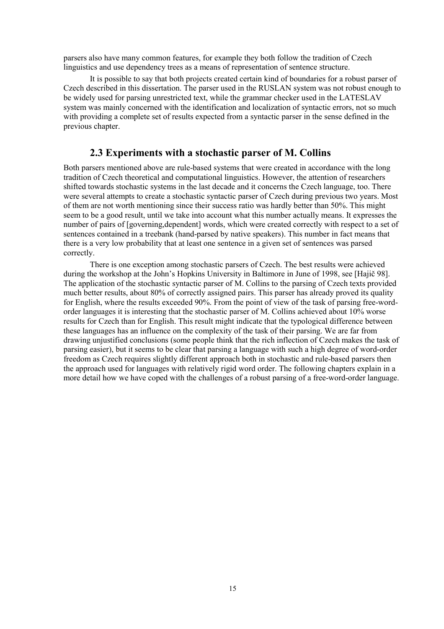<span id="page-14-0"></span>parsers also have many common features, for example they both follow the tradition of Czech linguistics and use dependency trees as a means of representation of sentence structure.

It is possible to say that both projects created certain kind of boundaries for a robust parser of Czech described in this dissertation. The parser used in the RUSLAN system was not robust enough to be widely used for parsing unrestricted text, while the grammar checker used in the LATESLAV system was mainly concerned with the identification and localization of syntactic errors, not so much with providing a complete set of results expected from a syntactic parser in the sense defined in the previous chapter.

## **2.3 Experiments with a stochastic parser of M. Collins**

Both parsers mentioned above are rule-based systems that were created in accordance with the long tradition of Czech theoretical and computational linguistics. However, the attention of researchers shifted towards stochastic systems in the last decade and it concerns the Czech language, too. There were several attempts to create a stochastic syntactic parser of Czech during previous two years. Most of them are not worth mentioning since their success ratio was hardly better than 50%. This might seem to be a good result, until we take into account what this number actually means. It expresses the number of pairs of [governing,dependent] words, which were created correctly with respect to a set of sentences contained in a treebank (hand-parsed by native speakers). This number in fact means that there is a very low probability that at least one sentence in a given set of sentences was parsed correctly.

There is one exception among stochastic parsers of Czech. The best results were achieved during the workshop at the John's Hopkins University in Baltimore in June of 1998, see [Hajič 98]. The application of the stochastic syntactic parser of M. Collins to the parsing of Czech texts provided much better results, about 80% of correctly assigned pairs. This parser has already proved its quality for English, where the results exceeded 90%. From the point of view of the task of parsing free-wordorder languages it is interesting that the stochastic parser of M. Collins achieved about 10% worse results for Czech than for English. This result might indicate that the typological difference between these languages has an influence on the complexity of the task of their parsing. We are far from drawing unjustified conclusions (some people think that the rich inflection of Czech makes the task of parsing easier), but it seems to be clear that parsing a language with such a high degree of word-order freedom as Czech requires slightly different approach both in stochastic and rule-based parsers then the approach used for languages with relatively rigid word order. The following chapters explain in a more detail how we have coped with the challenges of a robust parsing of a free-word-order language.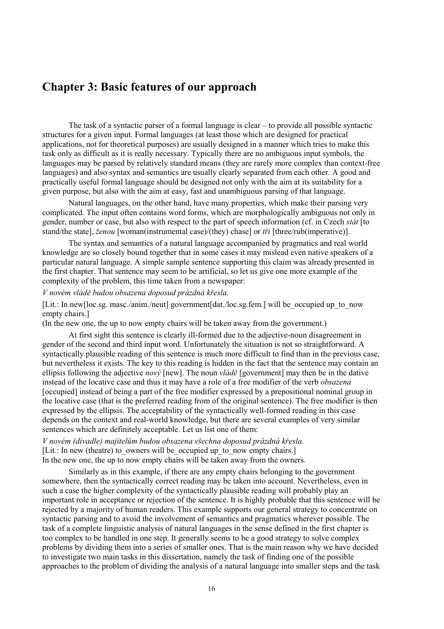## <span id="page-15-0"></span>**Chapter 3: Basic features of our approach**

The task of a syntactic parser of a formal language is clear  $-$  to provide all possible syntactic structures for a given input. Formal languages (at least those which are designed for practical applications, not for theoretical purposes) are usually designed in a manner which tries to make this task only as difficult as it is really necessary. Typically there are no ambiguous input symbols, the languages may be parsed by relatively standard means (they are rarely more complex than context-free languages) and also syntax and semantics are usually clearly separated from each other. A good and practically useful formal language should be designed not only with the aim at its suitability for a given purpose, but also with the aim at easy, fast and unambiguous parsing of that language.

Natural languages, on the other hand, have many properties, which make their parsing very complicated. The input often contains word forms, which are morphologically ambiguous not only in gender, number or case, but also with respect to the part of speech information (cf. in Czech *stát* [to stand/the state], *ûenou* [woman(instrumental case)/(they) chase] or *tři* [three/rub(imperative)].

The syntax and semantics of a natural language accompanied by pragmatics and real world knowledge are so closely bound together that in some cases it may mislead even native speakers of a particular natural language. A simple sample sentence supporting this claim was already presented in the first chapter. That sentence may seem to be artificial, so let us give one more example of the complexity of the problem, this time taken from a newspaper:

*V novÈm vl·dě budou obsazena doposud pr·zdn· křesla.*

[Lit.: In new[loc.sg. masc./anim./neut] government[dat./loc.sg.fem.] will be occupied up to now empty chairs.]

(In the new one, the up to now empty chairs will be taken away from the government.)

At first sight this sentence is clearly ill-formed due to the adjective-noun disagreement in gender of the second and third input word. Unfortunately the situation is not so straightforward. A syntactically plausible reading of this sentence is much more difficult to find than in the previous case, but nevertheless it exists. The key to this reading is hidden in the fact that the sentence may contain an ellipsis following the adjective *novi* [new]. The noun *vlade* [government] may then be in the dative instead of the locative case and thus it may have a role of a free modifier of the verb *obsazena* [occupied] instead of being a part of the free modifier expressed by a prepositional nominal group in the locative case (that is the preferred reading from of the original sentence). The free modifier is then expressed by the ellipsis. The acceptability of the syntactically well-formed reading in this case depends on the context and real-world knowledge, but there are several examples of very similar sentences which are definitely acceptable. Let us list one of them:

*V novÈm (divadle) majitelům budou obsazena vöechna doposud pr·zdn· křesla.* [Lit.: In new (theatre) to owners will be occupied up to now empty chairs.] In the new one, the up to now empty chairs will be taken away from the owners*.*

Similarly as in this example, if there are any empty chairs belonging to the government somewhere, then the syntactically correct reading may be taken into account. Nevertheless, even in such a case the higher complexity of the syntactically plausible reading will probably play an important role in acceptance or rejection of the sentence. It is highly probable that this sentence will be rejected by a majority of human readers. This example supports our general strategy to concentrate on syntactic parsing and to avoid the involvement of semantics and pragmatics wherever possible. The task of a complete linguistic analysis of natural languages in the sense defined in the first chapter is too complex to be handled in one step. It generally seems to be a good strategy to solve complex problems by dividing them into a series of smaller ones. That is the main reason why we have decided to investigate two main tasks in this dissertation, namely the task of finding one of the possible approaches to the problem of dividing the analysis of a natural language into smaller steps and the task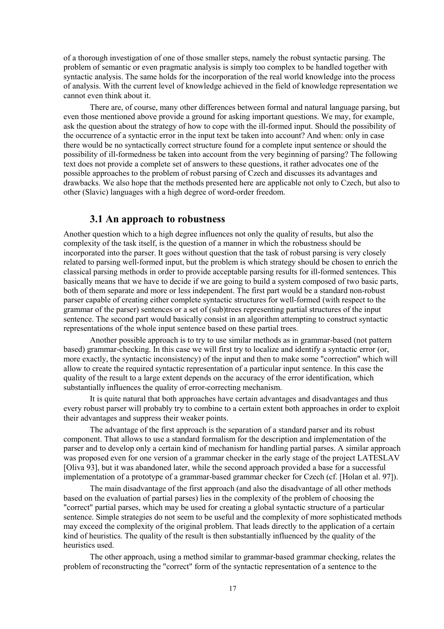<span id="page-16-0"></span>of a thorough investigation of one of those smaller steps, namely the robust syntactic parsing. The problem of semantic or even pragmatic analysis is simply too complex to be handled together with syntactic analysis. The same holds for the incorporation of the real world knowledge into the process of analysis. With the current level of knowledge achieved in the field of knowledge representation we cannot even think about it.

There are, of course, many other differences between formal and natural language parsing, but even those mentioned above provide a ground for asking important questions. We may, for example, ask the question about the strategy of how to cope with the ill-formed input. Should the possibility of the occurrence of a syntactic error in the input text be taken into account? And when: only in case there would be no syntactically correct structure found for a complete input sentence or should the possibility of ill-formedness be taken into account from the very beginning of parsing? The following text does not provide a complete set of answers to these questions, it rather advocates one of the possible approaches to the problem of robust parsing of Czech and discusses its advantages and drawbacks. We also hope that the methods presented here are applicable not only to Czech, but also to other (Slavic) languages with a high degree of word-order freedom.

## **3.1 An approach to robustness**

Another question which to a high degree influences not only the quality of results, but also the complexity of the task itself, is the question of a manner in which the robustness should be incorporated into the parser. It goes without question that the task of robust parsing is very closely related to parsing well-formed input, but the problem is which strategy should be chosen to enrich the classical parsing methods in order to provide acceptable parsing results for ill-formed sentences. This basically means that we have to decide if we are going to build a system composed of two basic parts, both of them separate and more or less independent. The first part would be a standard non-robust parser capable of creating either complete syntactic structures for well-formed (with respect to the grammar of the parser) sentences or a set of (sub)trees representing partial structures of the input sentence. The second part would basically consist in an algorithm attempting to construct syntactic representations of the whole input sentence based on these partial trees.

Another possible approach is to try to use similar methods as in grammar-based (not pattern based) grammar-checking. In this case we will first try to localize and identify a syntactic error (or, more exactly, the syntactic inconsistency) of the input and then to make some "correction" which will allow to create the required syntactic representation of a particular input sentence. In this case the quality of the result to a large extent depends on the accuracy of the error identification, which substantially influences the quality of error-correcting mechanism.

It is quite natural that both approaches have certain advantages and disadvantages and thus every robust parser will probably try to combine to a certain extent both approaches in order to exploit their advantages and suppress their weaker points.

The advantage of the first approach is the separation of a standard parser and its robust component. That allows to use a standard formalism for the description and implementation of the parser and to develop only a certain kind of mechanism for handling partial parses. A similar approach was proposed even for one version of a grammar checker in the early stage of the project LATESLAV [Oliva 93], but it was abandoned later, while the second approach provided a base for a successful implementation of a prototype of a grammar-based grammar checker for Czech (cf. [Holan et al. 97]).

The main disadvantage of the first approach (and also the disadvantage of all other methods based on the evaluation of partial parses) lies in the complexity of the problem of choosing the "correct" partial parses, which may be used for creating a global syntactic structure of a particular sentence. Simple strategies do not seem to be useful and the complexity of more sophisticated methods may exceed the complexity of the original problem. That leads directly to the application of a certain kind of heuristics. The quality of the result is then substantially influenced by the quality of the heuristics used.

The other approach, using a method similar to grammar-based grammar checking, relates the problem of reconstructing the "correct" form of the syntactic representation of a sentence to the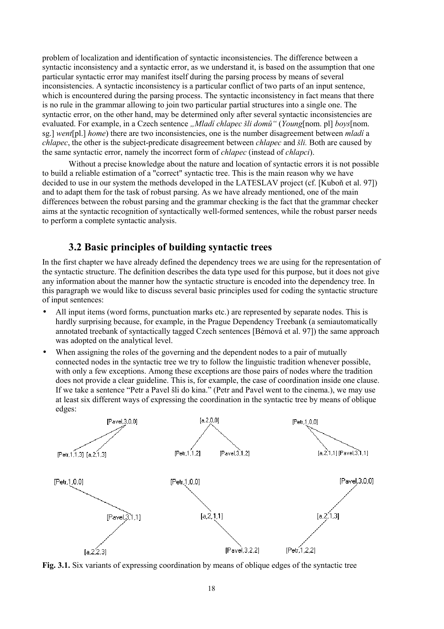<span id="page-17-0"></span>problem of localization and identification of syntactic inconsistencies. The difference between a syntactic inconsistency and a syntactic error, as we understand it, is based on the assumption that one particular syntactic error may manifest itself during the parsing process by means of several inconsistencies. A syntactic inconsistency is a particular conflict of two parts of an input sentence, which is encountered during the parsing process. The syntactic inconsistency in fact means that there is no rule in the grammar allowing to join two particular partial structures into a single one. The syntactic error, on the other hand, may be determined only after several syntactic inconsistencies are evaluated. For example, in a Czech sentence *Mladí chlapec šli domů*<sup>*'*</sup> (*Young*[nom. pl] *boys*[nom. sg.] *went*[pl.] *home*) there are two inconsistencies, one is the number disagreement between *mladÌ* a *chlapec*, the other is the subject-predicate disagreement between *chlapec* and *öli.* Both are caused by the same syntactic error, namely the incorrect form of *chlapec* (instead of *chlapci*).

Without a precise knowledge about the nature and location of syntactic errors it is not possible to build a reliable estimation of a "correct" syntactic tree. This is the main reason why we have decided to use in our system the methods developed in the LATESLAV project (cf. [Kuboň et al. 97]) and to adapt them for the task of robust parsing. As we have already mentioned, one of the main differences between the robust parsing and the grammar checking is the fact that the grammar checker aims at the syntactic recognition of syntactically well-formed sentences, while the robust parser needs to perform a complete syntactic analysis.

## **3.2 Basic principles of building syntactic trees**

In the first chapter we have already defined the dependency trees we are using for the representation of the syntactic structure. The definition describes the data type used for this purpose, but it does not give any information about the manner how the syntactic structure is encoded into the dependency tree. In this paragraph we would like to discuss several basic principles used for coding the syntactic structure of input sentences:

- All input items (word forms, punctuation marks etc.) are represented by separate nodes. This is hardly surprising because, for example, in the Prague Dependency Treebank (a semiautomatically annotated treebank of syntactically tagged Czech sentences [Bémová et al. 97]) the same approach was adopted on the analytical level.
- When assigning the roles of the governing and the dependent nodes to a pair of mutually connected nodes in the syntactic tree we try to follow the linguistic tradition whenever possible, with only a few exceptions. Among these exceptions are those pairs of nodes where the tradition does not provide a clear guideline. This is, for example, the case of coordination inside one clause. If we take a sentence "Petr a Pavel šli do kina." (Petr and Pavel went to the cinema.), we may use at least six different ways of expressing the coordination in the syntactic tree by means of oblique edges:



**Fig. 3.1.** Six variants of expressing coordination by means of oblique edges of the syntactic tree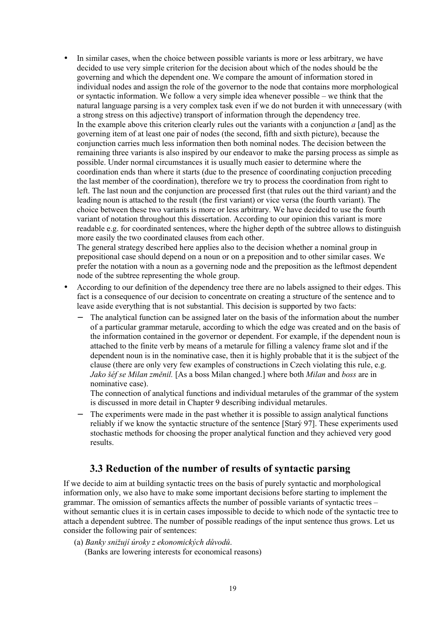<span id="page-18-0"></span>• In similar cases, when the choice between possible variants is more or less arbitrary, we have decided to use very simple criterion for the decision about which of the nodes should be the governing and which the dependent one. We compare the amount of information stored in individual nodes and assign the role of the governor to the node that contains more morphological or syntactic information. We follow a very simple idea whenever possible  $-$  we think that the natural language parsing is a very complex task even if we do not burden it with unnecessary (with a strong stress on this adjective) transport of information through the dependency tree. In the example above this criterion clearly rules out the variants with a conjunction *a* [and] as the governing item of at least one pair of nodes (the second, fifth and sixth picture), because the conjunction carries much less information then both nominal nodes. The decision between the remaining three variants is also inspired by our endeavor to make the parsing process as simple as possible. Under normal circumstances it is usually much easier to determine where the coordination ends than where it starts (due to the presence of coordinating conjuction preceding the last member of the coordination), therefore we try to process the coordination from right to left. The last noun and the conjunction are processed first (that rules out the third variant) and the leading noun is attached to the result (the first variant) or vice versa (the fourth variant). The choice between these two variants is more or less arbitrary. We have decided to use the fourth variant of notation throughout this dissertation. According to our opinion this variant is more readable e.g. for coordinated sentences, where the higher depth of the subtree allows to distinguish more easily the two coordinated clauses from each other.

The general strategy described here applies also to the decision whether a nominal group in prepositional case should depend on a noun or on a preposition and to other similar cases. We prefer the notation with a noun as a governing node and the preposition as the leftmost dependent node of the subtree representing the whole group.

- According to our definition of the dependency tree there are no labels assigned to their edges. This fact is a consequence of our decision to concentrate on creating a structure of the sentence and to leave aside everything that is not substantial. This decision is supported by two facts:
	- The analytical function can be assigned later on the basis of the information about the number of a particular grammar metarule, according to which the edge was created and on the basis of the information contained in the governor or dependent. For example, if the dependent noun is attached to the finite verb by means of a metarule for filling a valency frame slot and if the dependent noun is in the nominative case, then it is highly probable that it is the subject of the clause (there are only very few examples of constructions in Czech violating this rule, e.g. *Jako öÈf se Milan změnil.* [As a boss Milan changed.] where both *Milan* and *boss* are in nominative case).

The connection of analytical functions and individual metarules of the grammar of the system is discussed in more detail in Chapter 9 describing individual metarules.

The experiments were made in the past whether it is possible to assign analytical functions reliably if we know the syntactic structure of the sentence [Starý 97]. These experiments used stochastic methods for choosing the proper analytical function and they achieved very good results.

## **3.3 Reduction of the number of results of syntactic parsing**

If we decide to aim at building syntactic trees on the basis of purely syntactic and morphological information only, we also have to make some important decisions before starting to implement the grammar. The omission of semantics affects the number of possible variants of syntactic trees  $$ without semantic clues it is in certain cases impossible to decide to which node of the syntactic tree to attach a dependent subtree. The number of possible readings of the input sentence thus grows. Let us consider the following pair of sentences:

(a) *Banky sniûujÌ ˙roky z ekonomick˝ch důvodů*. (Banks are lowering interests for economical reasons)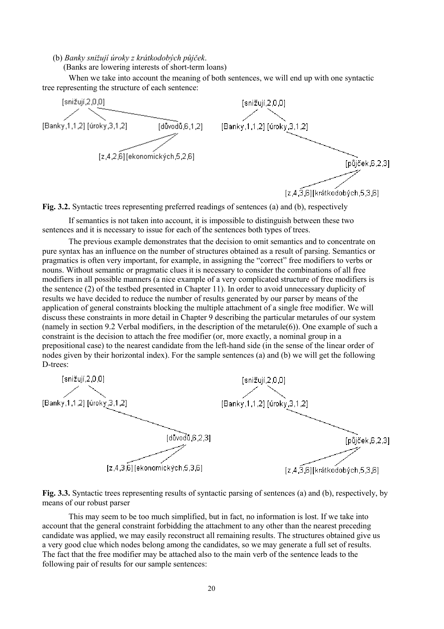#### (b) *Banky sniûujÌ ˙roky z kr·tkodob˝ch půjček*.

(Banks are lowering interests of short-term loans)

When we take into account the meaning of both sentences, we will end up with one syntactic tree representing the structure of each sentence:



**Fig. 3.2.** Syntactic trees representing preferred readings of sentences (a) and (b), respectively

If semantics is not taken into account, it is impossible to distinguish between these two sentences and it is necessary to issue for each of the sentences both types of trees.

The previous example demonstrates that the decision to omit semantics and to concentrate on pure syntax has an influence on the number of structures obtained as a result of parsing. Semantics or pragmatics is often very important, for example, in assigning the "correct" free modifiers to verbs or nouns. Without semantic or pragmatic clues it is necessary to consider the combinations of all free modifiers in all possible manners (a nice example of a very complicated structure of free modifiers is the sentence (2) of the testbed presented in Chapter 11). In order to avoid unnecessary duplicity of results we have decided to reduce the number of results generated by our parser by means of the application of general constraints blocking the multiple attachment of a single free modifier. We will discuss these constraints in more detail in Chapter 9 describing the particular metarules of our system (namely in section 9.2 Verbal modifiers, in the description of the metarule(6)). One example of such a constraint is the decision to attach the free modifier (or, more exactly, a nominal group in a prepositional case) to the nearest candidate from the left-hand side (in the sense of the linear order of nodes given by their horizontal index). For the sample sentences (a) and (b) we will get the following D-trees:



**Fig. 3.3.** Syntactic trees representing results of syntactic parsing of sentences (a) and (b), respectively, by means of our robust parser

This may seem to be too much simplified, but in fact, no information is lost. If we take into account that the general constraint forbidding the attachment to any other than the nearest preceding candidate was applied, we may easily reconstruct all remaining results. The structures obtained give us a very good clue which nodes belong among the candidates, so we may generate a full set of results. The fact that the free modifier may be attached also to the main verb of the sentence leads to the following pair of results for our sample sentences: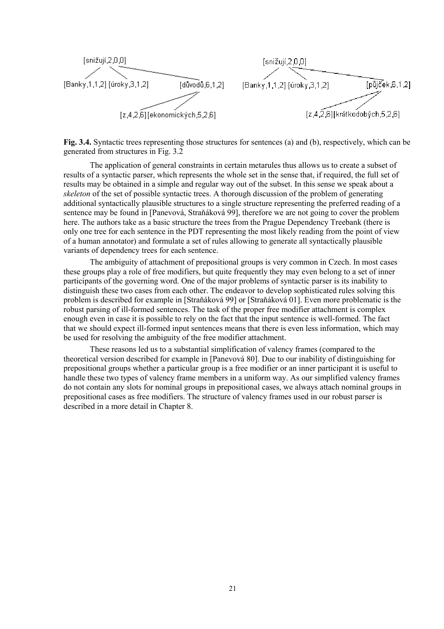

**Fig. 3.4.** Syntactic trees representing those structures for sentences (a) and (b), respectively, which can be generated from structures in Fig. 3.2

The application of general constraints in certain metarules thus allows us to create a subset of results of a syntactic parser, which represents the whole set in the sense that, if required, the full set of results may be obtained in a simple and regular way out of the subset. In this sense we speak about a *skeleton* of the set of possible syntactic trees. A thorough discussion of the problem of generating additional syntactically plausible structures to a single structure representing the preferred reading of a sentence may be found in [Panevová, Straňáková 99], therefore we are not going to cover the problem here. The authors take as a basic structure the trees from the Prague Dependency Treebank (there is only one tree for each sentence in the PDT representing the most likely reading from the point of view of a human annotator) and formulate a set of rules allowing to generate all syntactically plausible variants of dependency trees for each sentence.

The ambiguity of attachment of prepositional groups is very common in Czech. In most cases these groups play a role of free modifiers, but quite frequently they may even belong to a set of inner participants of the governing word. One of the major problems of syntactic parser is its inability to distinguish these two cases from each other. The endeavor to develop sophisticated rules solving this problem is described for example in [Straňáková 99] or [Straňáková 01]. Even more problematic is the robust parsing of ill-formed sentences. The task of the proper free modifier attachment is complex enough even in case it is possible to rely on the fact that the input sentence is well-formed. The fact that we should expect ill-formed input sentences means that there is even less information, which may be used for resolving the ambiguity of the free modifier attachment.

These reasons led us to a substantial simplification of valency frames (compared to the theoretical version described for example in [Panevova 80]. Due to our inability of distinguishing for prepositional groups whether a particular group is a free modifier or an inner participant it is useful to handle these two types of valency frame members in a uniform way. As our simplified valency frames do not contain any slots for nominal groups in prepositional cases, we always attach nominal groups in prepositional cases as free modifiers. The structure of valency frames used in our robust parser is described in a more detail in Chapter 8.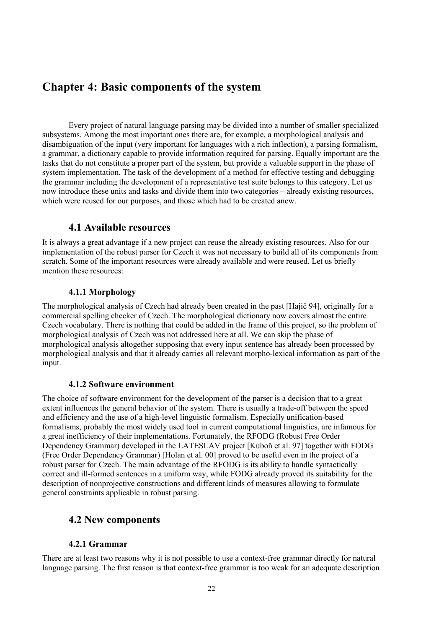## <span id="page-21-0"></span>**Chapter 4: Basic components of the system**

Every project of natural language parsing may be divided into a number of smaller specialized subsystems. Among the most important ones there are, for example, a morphological analysis and disambiguation of the input (very important for languages with a rich inflection), a parsing formalism, a grammar, a dictionary capable to provide information required for parsing. Equally important are the tasks that do not constitute a proper part of the system, but provide a valuable support in the phase of system implementation. The task of the development of a method for effective testing and debugging the grammar including the development of a representative test suite belongs to this category. Let us now introduce these units and tasks and divide them into two categories – already existing resources, which were reused for our purposes, and those which had to be created anew.

## **4.1 Available resources**

It is always a great advantage if a new project can reuse the already existing resources. Also for our implementation of the robust parser for Czech it was not necessary to build all of its components from scratch. Some of the important resources were already available and were reused. Let us briefly mention these resources:

## **4.1.1 Morphology**

The morphological analysis of Czech had already been created in the past [Hajič 94], originally for a commercial spelling checker of Czech. The morphological dictionary now covers almost the entire Czech vocabulary. There is nothing that could be added in the frame of this project, so the problem of morphological analysis of Czech was not addressed here at all. We can skip the phase of morphological analysis altogether supposing that every input sentence has already been processed by morphological analysis and that it already carries all relevant morpho-lexical information as part of the input.

## **4.1.2 Software environment**

The choice of software environment for the development of the parser is a decision that to a great extent influences the general behavior of the system. There is usually a trade-off between the speed and efficiency and the use of a high-level linguistic formalism. Especially unification-based formalisms, probably the most widely used tool in current computational linguistics, are infamous for a great inefficiency of their implementations. Fortunately, the RFODG (Robust Free Order Dependency Grammar) developed in the LATESLAV project [Kuboň et al. 97] together with FODG (Free Order Dependency Grammar) [Holan et al. 00] proved to be useful even in the project of a robust parser for Czech. The main advantage of the RFODG is its ability to handle syntactically correct and ill-formed sentences in a uniform way, while FODG already proved its suitability for the description of nonprojective constructions and different kinds of measures allowing to formulate general constraints applicable in robust parsing.

## **4.2 New components**

## **4.2.1 Grammar**

There are at least two reasons why it is not possible to use a context-free grammar directly for natural language parsing. The first reason is that context-free grammar is too weak for an adequate description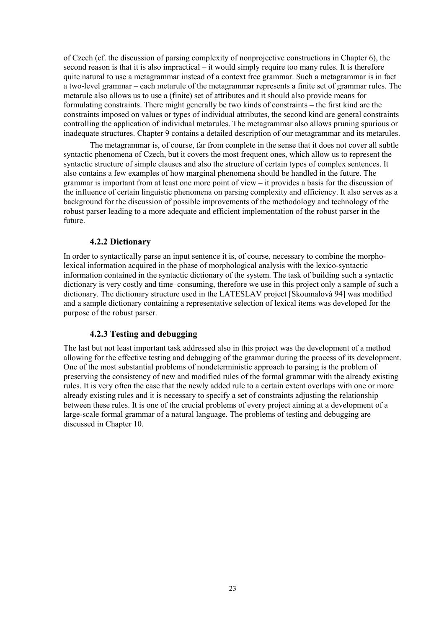<span id="page-22-0"></span>of Czech (cf. the discussion of parsing complexity of nonprojective constructions in Chapter 6), the second reason is that it is also impractical  $-$  it would simply require too many rules. It is therefore quite natural to use a metagrammar instead of a context free grammar. Such a metagrammar is in fact a two-level grammar – each metarule of the metagrammar represents a finite set of grammar rules. The metarule also allows us to use a (finite) set of attributes and it should also provide means for formulating constraints. There might generally be two kinds of constraints – the first kind are the constraints imposed on values or types of individual attributes, the second kind are general constraints controlling the application of individual metarules. The metagrammar also allows pruning spurious or inadequate structures. Chapter 9 contains a detailed description of our metagrammar and its metarules.

The metagrammar is, of course, far from complete in the sense that it does not cover all subtle syntactic phenomena of Czech, but it covers the most frequent ones, which allow us to represent the syntactic structure of simple clauses and also the structure of certain types of complex sentences. It also contains a few examples of how marginal phenomena should be handled in the future. The grammar is important from at least one more point of view  $-$  it provides a basis for the discussion of the influence of certain linguistic phenomena on parsing complexity and efficiency. It also serves as a background for the discussion of possible improvements of the methodology and technology of the robust parser leading to a more adequate and efficient implementation of the robust parser in the future.

## **4.2.2 Dictionary**

In order to syntactically parse an input sentence it is, of course, necessary to combine the morpholexical information acquired in the phase of morphological analysis with the lexico-syntactic information contained in the syntactic dictionary of the system. The task of building such a syntactic dictionary is very costly and time–consuming, therefore we use in this project only a sample of such a dictionary. The dictionary structure used in the LATESLAV project [Skoumalová 94] was modified and a sample dictionary containing a representative selection of lexical items was developed for the purpose of the robust parser.

#### **4.2.3 Testing and debugging**

The last but not least important task addressed also in this project was the development of a method allowing for the effective testing and debugging of the grammar during the process of its development. One of the most substantial problems of nondeterministic approach to parsing is the problem of preserving the consistency of new and modified rules of the formal grammar with the already existing rules. It is very often the case that the newly added rule to a certain extent overlaps with one or more already existing rules and it is necessary to specify a set of constraints adjusting the relationship between these rules. It is one of the crucial problems of every project aiming at a development of a large-scale formal grammar of a natural language. The problems of testing and debugging are discussed in Chapter 10.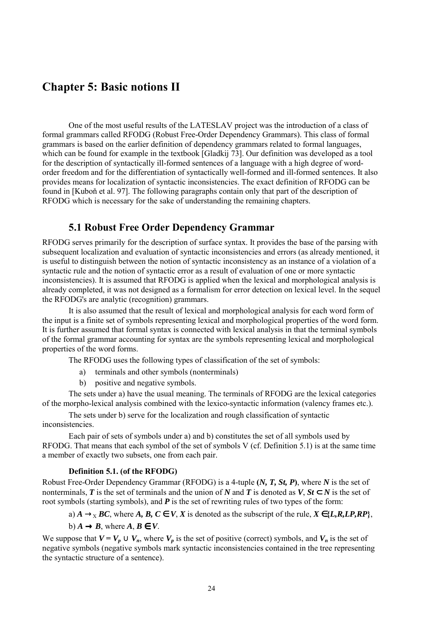## <span id="page-23-0"></span>**Chapter 5: Basic notions II**

One of the most useful results of the LATESLAV project was the introduction of a class of formal grammars called RFODG (Robust Free-Order Dependency Grammars). This class of formal grammars is based on the earlier definition of dependency grammars related to formal languages, which can be found for example in the textbook [Gladkij 73]. Our definition was developed as a tool for the description of syntactically ill-formed sentences of a language with a high degree of wordorder freedom and for the differentiation of syntactically well-formed and ill-formed sentences. It also provides means for localization of syntactic inconsistencies. The exact definition of RFODG can be found in [Kuboň et al. 97]. The following paragraphs contain only that part of the description of RFODG which is necessary for the sake of understanding the remaining chapters.

## **5.1 Robust Free Order Dependency Grammar**

RFODG serves primarily for the description of surface syntax. It provides the base of the parsing with subsequent localization and evaluation of syntactic inconsistencies and errors (as already mentioned, it is useful to distinguish between the notion of syntactic inconsistency as an instance of a violation of a syntactic rule and the notion of syntactic error as a result of evaluation of one or more syntactic inconsistencies). It is assumed that RFODG is applied when the lexical and morphological analysis is already completed, it was not designed as a formalism for error detection on lexical level. In the sequel the RFODG's are analytic (recognition) grammars.

It is also assumed that the result of lexical and morphological analysis for each word form of the input is a finite set of symbols representing lexical and morphological properties of the word form. It is further assumed that formal syntax is connected with lexical analysis in that the terminal symbols of the formal grammar accounting for syntax are the symbols representing lexical and morphological properties of the word forms.

The RFODG uses the following types of classification of the set of symbols:

- a) terminals and other symbols (nonterminals)
- b) positive and negative symbols.

The sets under a) have the usual meaning. The terminals of RFODG are the lexical categories of the morpho-lexical analysis combined with the lexico-syntactic information (valency frames etc.).

The sets under b) serve for the localization and rough classification of syntactic inconsistencies.

Each pair of sets of symbols under a) and b) constitutes the set of all symbols used by RFODG. That means that each symbol of the set of symbols V (cf. Definition 5.1) is at the same time a member of exactly two subsets, one from each pair.

## **Definition 5.1. (of the RFODG)**

Robust Free-Order Dependency Grammar (RFODG) is a 4-tuple **(***N, T, St, P***)**, where *N* is the set of nonterminals, *T* is the set of terminals and the union of *N* and *T* is denoted as *V*, *St* ⊂ *N* is the set of root symbols (starting symbols), and *P* is the set of rewriting rules of two types of the form:

a)  $A \rightarrow_X BC$ , where  $A, B, C \in V, X$  is denoted as the subscript of the rule,  $X \in \{L, R, LP, RP\}$ ,

 $b)$   $A \rightarrow B$ , where  $A, B \in V$ .

We suppose that  $V = V_p \cup V_n$ , where  $V_p$  is the set of positive (correct) symbols, and  $V_n$  is the set of negative symbols (negative symbols mark syntactic inconsistencies contained in the tree representing the syntactic structure of a sentence).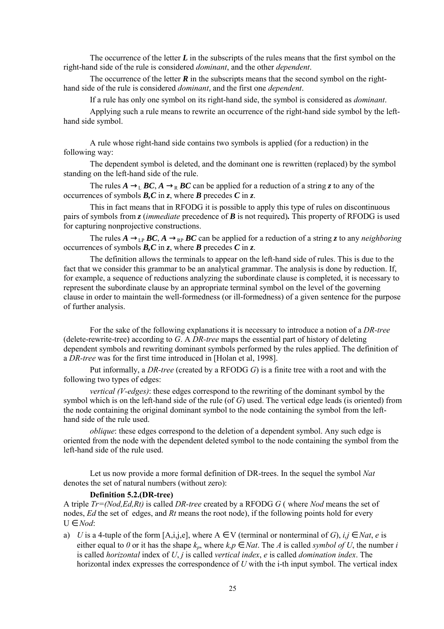The occurrence of the letter  $L$  in the subscripts of the rules means that the first symbol on the right-hand side of the rule is considered *dominant*, and the other *dependent*.

The occurrence of the letter  $\bf{R}$  in the subscripts means that the second symbol on the righthand side of the rule is considered *dominant*, and the first one *dependent*.

If a rule has only one symbol on its right-hand side, the symbol is considered as *dominant*.

Applying such a rule means to rewrite an occurrence of the right-hand side symbol by the lefthand side symbol.

A rule whose right-hand side contains two symbols is applied (for a reduction) in the following way:

The dependent symbol is deleted, and the dominant one is rewritten (replaced) by the symbol standing on the left-hand side of the rule.

The rules  $A \rightarrow_{L} BC$ ,  $A \rightarrow_{R} BC$  can be applied for a reduction of a string *z* to any of the occurrences of symbols *B,C* in *z*, where *B* precedes *C* in *z*.

This in fact means that in RFODG it is possible to apply this type of rules on discontinuous pairs of symbols from *z* (*immediate* precedence of *B* is not required)*.* This property of RFODG is used for capturing nonprojective constructions.

The rules  $A \rightarrow_{LP} BC$ ,  $A \rightarrow_{RP} BC$  can be applied for a reduction of a string *z* to any *neighboring* occurrences of symbols *B,C* in *z*, where *B* precedes *C* in *z*.

The definition allows the terminals to appear on the left-hand side of rules. This is due to the fact that we consider this grammar to be an analytical grammar. The analysis is done by reduction. If, for example, a sequence of reductions analyzing the subordinate clause is completed, it is necessary to represent the subordinate clause by an appropriate terminal symbol on the level of the governing clause in order to maintain the well-formedness (or ill-formedness) of a given sentence for the purpose of further analysis.

For the sake of the following explanations it is necessary to introduce a notion of a *DR-tree* (delete-rewrite-tree) according to *G*. A *DR-tree* maps the essential part of history of deleting dependent symbols and rewriting dominant symbols performed by the rules applied. The definition of a *DR-tree* was for the first time introduced in [Holan et al, 1998].

Put informally, a *DR-tree* (created by a RFODG *G*) is a finite tree with a root and with the following two types of edges:

*vertical (V-edges)*: these edges correspond to the rewriting of the dominant symbol by the symbol which is on the left-hand side of the rule (of *G*) used. The vertical edge leads (is oriented) from the node containing the original dominant symbol to the node containing the symbol from the lefthand side of the rule used.

*oblique*: these edges correspond to the deletion of a dependent symbol. Any such edge is oriented from the node with the dependent deleted symbol to the node containing the symbol from the left-hand side of the rule used.

Let us now provide a more formal definition of DR-trees. In the sequel the symbol *Nat* denotes the set of natural numbers (without zero):

#### **Definition 5.2.(DR-tree)**

A triple *Tr=(Nod,Ed,Rt)* is called *DR-tree* created by a RFODG *G* ( where *Nod* means the set of nodes, *Ed* the set of edges, and *Rt* means the root node), if the following points hold for every U ∈ *Nod*:

a) *U* is a 4-tuple of the form  $[A,i,j,e]$ , where  $A \in V$  (terminal or nonterminal of *G*),  $i, j \in Nat$ , *e* is either equal to *0* or it has the shape  $k_p$ , where  $k_p \in Nat$ . The *A* is called *symbol of U*, the number *i* is called *horizontal* index of *U*, *j* is called *vertical index*, *e* is called *domination index*. The horizontal index expresses the correspondence of *U* with the i-th input symbol. The vertical index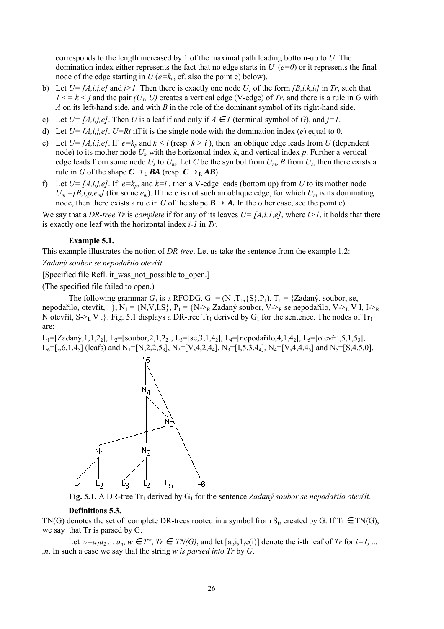corresponds to the length increased by 1 of the maximal path leading bottom-up to *U*. The domination index either represents the fact that no edge starts in  $U(e=0)$  or it represents the final node of the edge starting in  $U(e=k_p, cf.$  also the point e) below).

- b) Let  $U = [A, i, j, e]$  and  $j > 1$ . Then there is exactly one node  $U_i$  of the form  $[B, i, k, i]$  in *Tr*, such that  $1 \le k \le i$  and the pair *(U<sub>1</sub>, U)* creates a vertical edge (V-edge) of *Tr*, and there is a rule in *G* with *A* on its left-hand side, and with *B* in the role of the dominant symbol of its right-hand side.
- c) Let  $U = [A, i, j, e]$ . Then *U* is a leaf if and only if  $A \in T$  (terminal symbol of *G*), and  $j=1$ .
- d) Let  $U = [A,i,j,e]$ .  $U=Rt$  iff it is the single node with the domination index (*e*) equal to 0.
- e) Let  $U = [A, i, j, e]$ . If  $e = k_p$  and  $k \le i$  (resp.  $k > i$ ), then an oblique edge leads from *U* (dependent node) to its mother node  $U_m$  with the horizontal index k, and vertical index p. Further a vertical edge leads from some node  $U_s$  to  $U_m$ . Let C be the symbol from  $U_m$ , B from  $U_s$ , then there exists a rule in *G* of the shape  $C \rightarrow_{L} BA$  (resp.  $C \rightarrow_{R} AB$ ).
- f) Let  $U = [A, i, j, e]$ . If  $e = k_p$ , and  $k = i$ , then a V-edge leads (bottom up) from *U* to its mother node  $U_m = [B_i, i, p, e_m]$  (for some  $e_m$ ). If there is not such an oblique edge, for which  $U_m$  is its dominating node, then there exists a rule in *G* of the shape  $B \rightarrow A$ . In the other case, see the point e).

We say that a *DR-tree Tr* is *complete* if for any of its leaves  $U = [A, i, l, e]$ , where  $i > 1$ , it holds that there is exactly one leaf with the horizontal index *i-1* in *Tr*.

#### **Example 5.1.**

This example illustrates the notion of *DR-tree*. Let us take the sentence from the example 1.2: *Zadan˝ soubor se nepodařilo otevřÌt.*

[Specified file Refl. it\_was\_not\_possible to\_open.]

(The specified file failed to open.)

The following grammar  $G_l$  is a RFODG.  $G_1 = (N_1, T_1, \{S\}, P_1)$ ,  $T_1 = \{Zadan\acute{y}, \text{subor, se},$ nepodařilo, otevřít, . },  $N_1 = \{N, V, I, S\}$ ,  $P_1 = \{N \ge R \text{ Zadaný soubor, } V \ge R \text{ se nepodařilo, } V \ge L \}$  I, I $\ge R$ N otevřit, S- $>_L V$ .}. Fig. 5.1 displays a DR-tree Tr<sub>1</sub> derived by G<sub>1</sub> for the sentence. The nodes of Tr<sub>1</sub> are:

L<sub>1</sub>=[Zadaný,1,1,2<sub>2</sub>], L<sub>2</sub>=[soubor,2,1,2<sub>2</sub>], L<sub>3</sub>=[se,3,1,4<sub>2</sub>], L<sub>4</sub>=[nepodařilo,4,1,4<sub>2</sub>], L<sub>5</sub>=[otevřít,5,1,5<sub>3</sub>],  $L_6=[.6,1,45]$  (leafs) and  $N_1=[N,2,2,53]$ ,  $N_2=[V,4,2,44]$ ,  $N_3=[I,5,3,44]$ ,  $N_4=[V,4,4,45]$  and  $N_5=[S,4,5,0]$ .





#### **Definitions 5.3.**

TN(G) denotes the set of complete DR-trees rooted in a symbol from  $S_t$ , created by G. If Tr  $\in TN(G)$ , we say that Tr is parsed by G.

Let  $w=a_1a_2... a_n$ ,  $w \in T^*$ ,  $Tr \in TN(G)$ , and let  $[a_i, i, 1, e(i)]$  denote the *i*-th leaf of  $Tr$  for  $i=1,...$ *,n*. In such a case we say that the string *w is parsed into Tr* by *G*.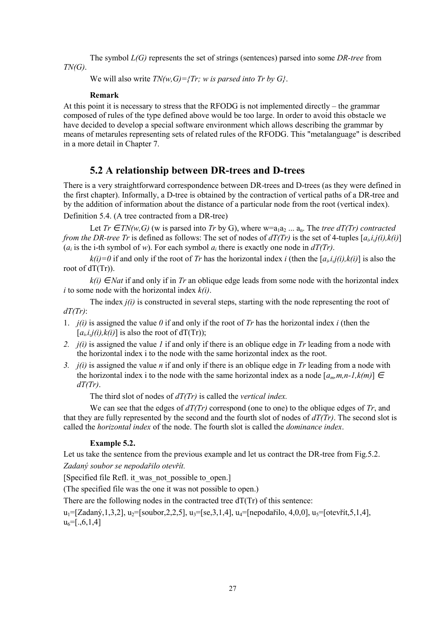<span id="page-26-0"></span>The symbol *L(G)* represents the set of strings (sentences) parsed into some *DR-tree* from *TN(G)*.

We will also write *TN(w,G)={Tr; w is parsed into Tr by G}*.

### **Remark**

At this point it is necessary to stress that the RFODG is not implemented directly  $-$  the grammar composed of rules of the type defined above would be too large. In order to avoid this obstacle we have decided to develop a special software environment which allows describing the grammar by means of metarules representing sets of related rules of the RFODG. This "metalanguage" is described in a more detail in Chapter 7.

## **5.2 A relationship between DR-trees and D-trees**

There is a very straightforward correspondence between DR-trees and D-trees (as they were defined in the first chapter). Informally, a D-tree is obtained by the contraction of vertical paths of a DR-tree and by the addition of information about the distance of a particular node from the root (vertical index).

Definition 5.4. (A tree contracted from a DR-tree)

Let  $Tr \in TN(w, G)$  (w is parsed into  $Tr$  by G), where w=a<sub>1</sub>a<sub>2</sub> ... a<sub>n</sub>. The *tree dT(Tr) contracted from the DR-tree Tr* is defined as follows: The set of nodes of  $dT(Tr)$  is the set of 4-tuples  $[a_i, i, j(i), k(i)]$  $(a_i)$  is the i-th symbol of *w*). For each symbol *a<sub>i</sub>* there is exactly one node in  $dT(Tr)$ .

 $k(i)=0$  if and only if the root of *Tr* has the horizontal index *i* (then the  $[a_i,i_j(i),k(i)]$  is also the root of  $dT(Tr)$ ).

 $k(i) \in Nat$  if and only if in *Tr* an oblique edge leads from some node with the horizontal index *i* to some node with the horizontal index *k(i)*.

The index *j(i)* is constructed in several steps, starting with the node representing the root of *dT(Tr)*:

- 1. *j(i)* is assigned the value *0* if and only if the root of *Tr* has the horizontal index *i* (then the  $[a_i, i, j(i), k(i)]$  is also the root of  $dT(Tr)$ ;
- *2. j(i)* is assigned the value *1* if and only if there is an oblique edge in *Tr* leading from a node with the horizontal index i to the node with the same horizontal index as the root.
- *3. j(i)* is assigned the value *n* if and only if there is an oblique edge in *Tr* leading from a node with the horizontal index i to the node with the same horizontal index as a node  $[a_m, m, n-1, k(m)] \in$ *dT(Tr)*.

The third slot of nodes of *dT(Tr)* is called the *vertical index.*

We can see that the edges of *dT(Tr)* correspond (one to one) to the oblique edges of *Tr*, and that they are fully represented by the second and the fourth slot of nodes of *dT(Tr)*. The second slot is called the *horizontal index* of the node. The fourth slot is called the *dominance index*.

### **Example 5.2.**

Let us take the sentence from the previous example and let us contract the DR-tree from Fig. 5.2. *Zadan˝ soubor se nepodařilo otevřÌt.*

[Specified file Refl. it\_was\_not\_possible to\_open.]

(The specified file was the one it was not possible to open.)

There are the following nodes in the contracted tree  $dT(Tr)$  of this sentence:

 $u_1=[Zadan,1,3,2], u_2=[soubor,2,2,5], u_3=[se,3,1,4], u_4=[nepodar'ilo, 4,0,0], u_5=[otev'fit,5,1,4],$  $u_6 = [.6,1,4]$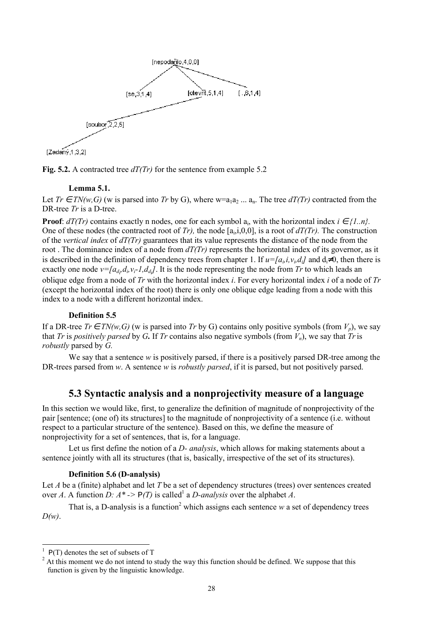<span id="page-27-0"></span>





## **Lemma 5.1.**

Let  $Tr \in TN(w, G)$  (w is parsed into  $Tr$  by G), where  $w=a_1a_2... a_n$ . The tree  $dT(Tr)$  contracted from the DR-tree *Tr* is a D-tree.

**Proof**:  $dT(Tr)$  contains exactly n nodes, one for each symbol  $a_i$ , with the horizontal index  $i \in \{1..n\}$ . One of these nodes (the contracted root of *Tr*), the node  $[a_i, i, 0, 0]$ , is a root of  $dT(Tr)$ . The construction of the *vertical index* of *dT(Tr)* guarantees that its value represents the distance of the node from the root. The dominance index of a node from  $dT(Tr)$  represents the horizontal index of its governor, as it is described in the definition of dependency trees from chapter 1. If  $u=[a_i,i,v_i,d_i]$  and  $d_i\neq 0$ , then there is exactly one node  $v=[a_{d_p}, a_i, v_i-1, d_{d_i}]$ . It is the node representing the node from *Tr* to which leads an oblique edge from a node of *Tr* with the horizontal index *i*. For every horizontal index *i* of a node of *Tr* (except the horizontal index of the root) there is only one oblique edge leading from a node with this index to a node with a different horizontal index.

## **Definition 5.5**

If a DR-tree  $Tr \in TN(w, G)$  (w is parsed into  $Tr$  by G) contains only positive symbols (from  $V_p$ ), we say that *Tr* is *positively parsed* by *G*. If *Tr* contains also negative symbols (from  $V_n$ ), we say that *Tr* is *robustly* parsed by *G.*

We say that a sentence *w* is positively parsed, if there is a positively parsed DR-tree among the DR-trees parsed from *w*. A sentence *w* is *robustly parsed*, if it is parsed, but not positively parsed.

## **5.3 Syntactic analysis and a nonprojectivity measure of a language**

In this section we would like, first, to generalize the definition of magnitude of nonprojectivity of the pair [sentence; (one of) its structures] to the magnitude of nonprojectivity of a sentence (i.e. without respect to a particular structure of the sentence). Based on this, we define the measure of nonprojectivity for a set of sentences, that is, for a language.

Let us first define the notion of a *D- analysis*, which allows for making statements about a sentence jointly with all its structures (that is, basically, irrespective of the set of its structures).

### **Definition 5.6 (D-analysis)**

Let *A* be a (finite) alphabet and let *T* be a set of dependency structures (trees) over sentences created over *A*. A function *D:*  $A^* \rightarrow P(T)$  is called<sup>1</sup> a *D-analysis* over the alphabet *A*.

That is, a D-analysis is a function<sup>2</sup> which assigns each sentence  $w$  a set of dependency trees *D(w)*.

 $\overline{a}$ 

<sup>1</sup>

 $P^2$  At this moment we do not intend to study the way this function should be defined. We suppose that this function is given by the linguistic knowledge.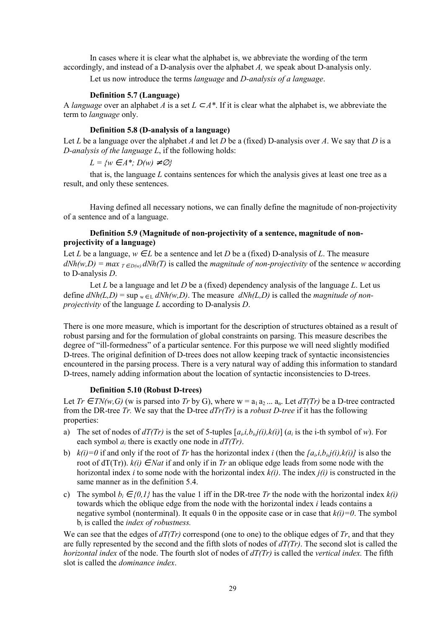In cases where it is clear what the alphabet is, we abbreviate the wording of the term accordingly, and instead of a D-analysis over the alphabet *A,* we speak about D-analysis only.

Let us now introduce the terms *language* and *D-analysis of a language*.

#### **Definition 5.7 (Language)**

A *language* over an alphabet *A* is a set  $L \subset A^*$ . If it is clear what the alphabet is, we abbreviate the term to *language* only.

#### **Definition 5.8 (D-analysis of a language)**

Let *L* be a language over the alphabet *A* and let *D* be a (fixed) D-analysis over *A*. We say that *D* is a *D-analysis of the language L*, if the following holds:

 $L = \{w \in A^* : D(w) \neq \emptyset\}$ 

that is, the language *L* contains sentences for which the analysis gives at least one tree as a result, and only these sentences.

Having defined all necessary notions, we can finally define the magnitude of non-projectivity of a sentence and of a language.

## **Definition 5.9 (Magnitude of non-projectivity of a sentence, magnitude of nonprojectivity of a language)**

Let *L* be a language,  $w \in L$  be a sentence and let *D* be a (fixed) D-analysis of *L*. The measure  $dNh(w,D) = max_{T \in D(w)} dNh(T)$  is called the *magnitude of non-projectivity* of the sentence *w* according to D-analysis *D*.

Let *L* be a language and let *D* be a (fixed) dependency analysis of the language *L*. Let us define  $dNh(L, D) = \sup_{w \in L} dNh(w, D)$ . The measure  $dNh(L, D)$  is called the *magnitude of nonprojectivity* of the language *L* according to D-analysis *D*.

There is one more measure, which is important for the description of structures obtained as a result of robust parsing and for the formulation of global constraints on parsing. This measure describes the degree of "ill-formedness" of a particular sentence. For this purpose we will need slightly modified D-trees. The original definition of D-trees does not allow keeping track of syntactic inconsistencies encountered in the parsing process. There is a very natural way of adding this information to standard D-trees, namely adding information about the location of syntactic inconsistencies to D-trees.

#### **Definition 5.10 (Robust D-trees)**

Let  $Tr \in TN(w, G)$  (w is parsed into  $Tr$  by G), where w =  $a_1 a_2 ... a_n$ . Let  $dT(Tr)$  be a D-tree contracted from the DR-tree *Tr.* We say that the D-tree *dTr(Tr)* is a *robust D-tree* if it has the following properties:

- a) The set of nodes of  $dT(Tr)$  is the set of 5-tuples  $[a_i, i, b_i, j(i), k(i)]$  ( $a_i$  is the i-th symbol of *w*). For each symbol *ai* there is exactly one node in *dT(Tr)*.
- b)  $k(i)=0$  if and only if the root of *Tr* has the horizontal index *i* (then the  $[a_i, i, b_j, j(i), k(i)]$  is also the root of  $dT(Tr)$ .  $k(i) \in Nat$  if and only if in *Tr* an oblique edge leads from some node with the horizontal index *i* to some node with the horizontal index *k(i)*. The index *j(i)* is constructed in the same manner as in the definition 5.4.
- c) The symbol  $b_i \in \{0,1\}$  has the value 1 iff in the DR-tree *Tr* the node with the horizontal index  $k(i)$ towards which the oblique edge from the node with the horizontal index *i* leads contains a negative symbol (nonterminal). It equals 0 in the opposite case or in case that  $k(i)=0$ . The symbol bi is called the *index of robustness.*

We can see that the edges of *dT(Tr)* correspond (one to one) to the oblique edges of *Tr*, and that they are fully represented by the second and the fifth slots of nodes of *dT(Tr)*. The second slot is called the *horizontal index* of the node. The fourth slot of nodes of *dT(Tr)* is called the *vertical index.* The fifth slot is called the *dominance index*.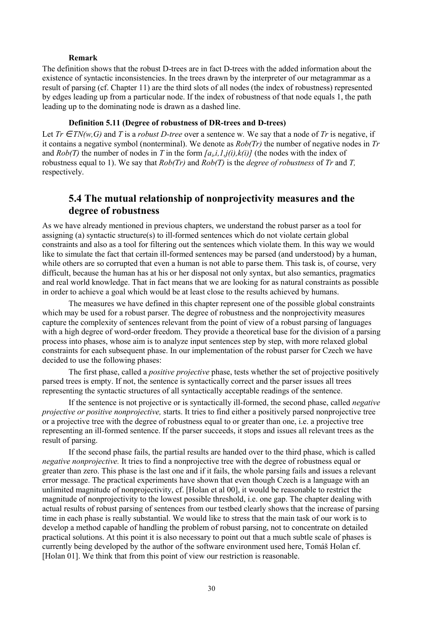### **Remark**

<span id="page-29-0"></span>The definition shows that the robust D-trees are in fact D-trees with the added information about the existence of syntactic inconsistencies. In the trees drawn by the interpreter of our metagrammar as a result of parsing (cf. Chapter 11) are the third slots of all nodes (the index of robustness) represented by edges leading up from a particular node. If the index of robustness of that node equals 1, the path leading up to the dominating node is drawn as a dashed line.

### **Definition 5.11 (Degree of robustness of DR-trees and D-trees)**

Let  $Tr \in TN(w, G)$  and *T* is a *robust D-tree* over a sentence w. We say that a node of *Tr* is negative, if it contains a negative symbol (nonterminal). We denote as *Rob(Tr)* the number of negative nodes in *Tr* and *Rob(T)* the number of nodes in *T* in the form *[ai,i,1,j(i),k(i)]* (the nodes with the index of robustness equal to 1). We say that *Rob(Tr)* and *Rob(T)* is the *degree of robustness* of *Tr* and *T,* respectively.

## **5.4 The mutual relationship of nonprojectivity measures and the degree of robustness**

As we have already mentioned in previous chapters, we understand the robust parser as a tool for assigning (a) syntactic structure(s) to ill-formed sentences which do not violate certain global constraints and also as a tool for filtering out the sentences which violate them. In this way we would like to simulate the fact that certain ill-formed sentences may be parsed (and understood) by a human, while others are so corrupted that even a human is not able to parse them. This task is, of course, very difficult, because the human has at his or her disposal not only syntax, but also semantics, pragmatics and real world knowledge. That in fact means that we are looking for as natural constraints as possible in order to achieve a goal which would be at least close to the results achieved by humans.

The measures we have defined in this chapter represent one of the possible global constraints which may be used for a robust parser. The degree of robustness and the nonprojectivity measures capture the complexity of sentences relevant from the point of view of a robust parsing of languages with a high degree of word-order freedom. They provide a theoretical base for the division of a parsing process into phases, whose aim is to analyze input sentences step by step, with more relaxed global constraints for each subsequent phase. In our implementation of the robust parser for Czech we have decided to use the following phases:

The first phase, called a *positive projective* phase, tests whether the set of projective positively parsed trees is empty. If not, the sentence is syntactically correct and the parser issues all trees representing the syntactic structures of all syntactically acceptable readings of the sentence.

If the sentence is not projective or is syntactically ill-formed, the second phase, called *negative projective or positive nonprojective,* starts. It tries to find either a positively parsed nonprojective tree or a projective tree with the degree of robustness equal to or greater than one, i.e. a projective tree representing an ill-formed sentence. If the parser succeeds, it stops and issues all relevant trees as the result of parsing.

If the second phase fails, the partial results are handed over to the third phase, which is called *negative nonprojective.* It tries to find a nonprojective tree with the degree of robustness equal or greater than zero. This phase is the last one and if it fails, the whole parsing fails and issues a relevant error message. The practical experiments have shown that even though Czech is a language with an unlimited magnitude of nonprojectivity, cf. [Holan et al 00], it would be reasonable to restrict the magnitude of nonprojectivity to the lowest possible threshold, i.e. one gap. The chapter dealing with actual results of robust parsing of sentences from our testbed clearly shows that the increase of parsing time in each phase is really substantial. We would like to stress that the main task of our work is to develop a method capable of handling the problem of robust parsing, not to concentrate on detailed practical solutions. At this point it is also necessary to point out that a much subtle scale of phases is currently being developed by the author of the software environment used here, Tomáš Holan cf. [Holan 01]. We think that from this point of view our restriction is reasonable.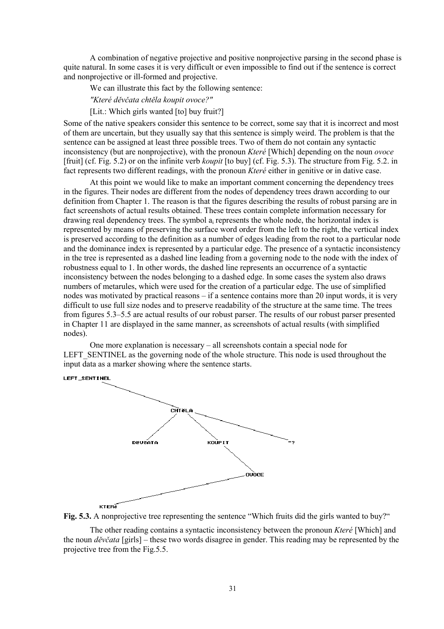A combination of negative projective and positive nonprojective parsing in the second phase is quite natural. In some cases it is very difficult or even impossible to find out if the sentence is correct and nonprojective or ill-formed and projective.

We can illustrate this fact by the following sentence:

*"KterÈ děvčata chtěla koupit ovoce?"*

[Lit.: Which girls wanted [to] buy fruit?]

Some of the native speakers consider this sentence to be correct, some say that it is incorrect and most of them are uncertain, but they usually say that this sentence is simply weird. The problem is that the sentence can be assigned at least three possible trees. Two of them do not contain any syntactic inconsistency (but are nonprojective), with the pronoun *KterÈ* [Which] depending on the noun *ovoce* [fruit] (cf. Fig. 5.2) or on the infinite verb *koupit* [to buy] (cf. Fig. 5.3). The structure from Fig. 5.2. in fact represents two different readings, with the pronoun *Které* either in genitive or in dative case.

At this point we would like to make an important comment concerning the dependency trees in the figures. Their nodes are different from the nodes of dependency trees drawn according to our definition from Chapter 1. The reason is that the figures describing the results of robust parsing are in fact screenshots of actual results obtained. These trees contain complete information necessary for drawing real dependency trees. The symbol ai represents the whole node, the horizontal index is represented by means of preserving the surface word order from the left to the right, the vertical index is preserved according to the definition as a number of edges leading from the root to a particular node and the dominance index is represented by a particular edge. The presence of a syntactic inconsistency in the tree is represented as a dashed line leading from a governing node to the node with the index of robustness equal to 1. In other words, the dashed line represents an occurrence of a syntactic inconsistency between the nodes belonging to a dashed edge. In some cases the system also draws numbers of metarules, which were used for the creation of a particular edge. The use of simplified nodes was motivated by practical reasons  $-$  if a sentence contains more than 20 input words, it is very difficult to use full size nodes and to preserve readability of the structure at the same time. The trees from figures 5.3–5.5 are actual results of our robust parser. The results of our robust parser presented in Chapter 11 are displayed in the same manner, as screenshots of actual results (with simplified nodes).

One more explanation is necessary  $-$  all screenshots contain a special node for LEFT SENTINEL as the governing node of the whole structure. This node is used throughout the input data as a marker showing where the sentence starts.





The other reading contains a syntactic inconsistency between the pronoun *KterÈ* [Which] and the noun *děvčata* [girls] – these two words disagree in gender. This reading may be represented by the projective tree from the Fig.5.5.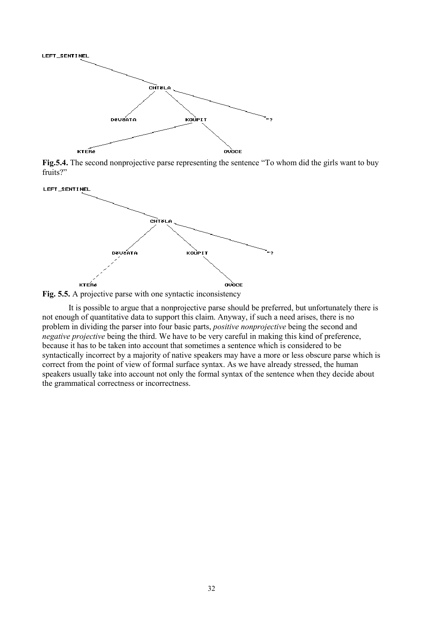

**Fig.5.4.** The second nonprojective parse representing the sentence "To whom did the girls want to buy fruits?"



**Fig. 5.5.** A projective parse with one syntactic inconsistency

It is possible to argue that a nonprojective parse should be preferred, but unfortunately there is not enough of quantitative data to support this claim. Anyway, if such a need arises, there is no problem in dividing the parser into four basic parts, *positive nonprojective* being the second and *negative projective* being the third. We have to be very careful in making this kind of preference, because it has to be taken into account that sometimes a sentence which is considered to be syntactically incorrect by a majority of native speakers may have a more or less obscure parse which is correct from the point of view of formal surface syntax. As we have already stressed, the human speakers usually take into account not only the formal syntax of the sentence when they decide about the grammatical correctness or incorrectness.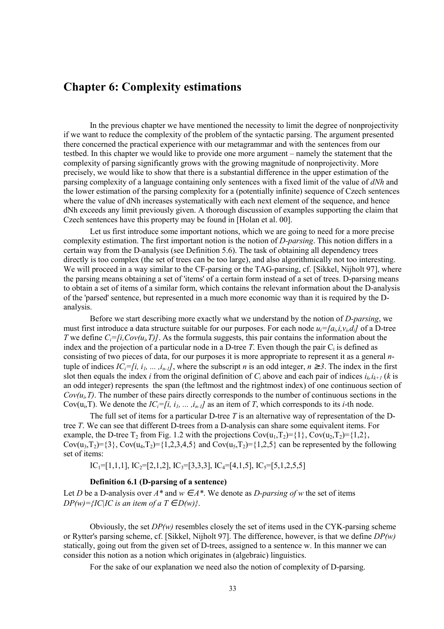## <span id="page-32-0"></span>**Chapter 6: Complexity estimations**

In the previous chapter we have mentioned the necessity to limit the degree of nonprojectivity if we want to reduce the complexity of the problem of the syntactic parsing. The argument presented there concerned the practical experience with our metagrammar and with the sentences from our testbed. In this chapter we would like to provide one more argument – namely the statement that the complexity of parsing significantly grows with the growing magnitude of nonprojectivity. More precisely, we would like to show that there is a substantial difference in the upper estimation of the parsing complexity of a language containing only sentences with a fixed limit of the value of *dNh* and the lower estimation of the parsing complexity for a (potentially infinite) sequence of Czech sentences where the value of dNh increases systematically with each next element of the sequence, and hence dNh exceeds any limit previously given. A thorough discussion of examples supporting the claim that Czech sentences have this property may be found in [Holan et al. 00].

Let us first introduce some important notions, which we are going to need for a more precise complexity estimation. The first important notion is the notion of *D-parsing*. This notion differs in a certain way from the D-analysis (see Definition 5.6). The task of obtaining all dependency trees directly is too complex (the set of trees can be too large), and also algorithmically not too interesting. We will proceed in a way similar to the CF-parsing or the TAG-parsing, cf. [Sikkel, Nijholt 97], where the parsing means obtaining a set of 'items' of a certain form instead of a set of trees. D-parsing means to obtain a set of items of a similar form, which contains the relevant information about the D-analysis of the 'parsed' sentence, but represented in a much more economic way than it is required by the Danalysis.

Before we start describing more exactly what we understand by the notion of *D-parsing*, we must first introduce a data structure suitable for our purposes. For each node  $u_i = [a_i, i, v_i, d_i]$  of a D-tree *T* we define  $C_i = [i, Cov(u_i, T)]$ . As the formula suggests, this pair contains the information about the index and the projection of a particular node in a D-tree  $T$ . Even though the pair  $C_i$  is defined as consisting of two pieces of data, for our purposes it is more appropriate to represent it as a general *n*tuple of indices  $IC_i = [i, i_1, ..., i_n]$ , where the subscript *n* is an odd integer,  $n \geq 3$ . The index in the first slot then equals the index *i* from the original definition of  $C_i$  above and each pair of indices  $i_k$ ,  $i_{k+1}$  ( $k$  is an odd integer) represents the span (the leftmost and the rightmost index) of one continuous section of  $Cov(u_i, T)$ . The number of these pairs directly corresponds to the number of continuous sections in the Cov(u<sub>i</sub>,T). We denote the  $IC_i = [i, i_1, ..., i_{n-1}]$  as an item of *T*, which corresponds to its *i*-th node.

The full set of items for a particular D-tree *T* is an alternative way of representation of the Dtree *T*. We can see that different D-trees from a D-analysis can share some equivalent items. For example, the D-tree  $T_2$  from Fig. 1.2 with the projections  $Cov(u_1, T_2) = \{1\}$ ,  $Cov(u_2, T_2) = \{1, 2\}$ , Cov(u<sub>3</sub>,T<sub>2</sub>)={3}, Cov(u<sub>4</sub>,T<sub>2</sub>)={1,2,3,4,5} and Cov(u<sub>5</sub>,T<sub>2</sub>)={1,2,5} can be represented by the following set of items:

IC<sub>1</sub>=[1,1,1], IC<sub>2</sub>=[2,1,2], IC<sub>3</sub>=[3,3,3], IC<sub>4</sub>=[4,1,5], IC<sub>5</sub>=[5,1,2,5,5]

#### **Definition 6.1 (D-parsing of a sentence)**

Let *D* be a D-analysis over  $A^*$  and  $w \in A^*$ . We denote as *D-parsing of* w the set of items  $DP(w) = \{ IC | IC \text{ is an item of a } T \in D(w) \}.$ 

Obviously, the set *DP(w)* resembles closely the set of items used in the CYK-parsing scheme or Rytter's parsing scheme, cf. [Sikkel, Nijholt 97]. The difference, however, is that we define *DP(w)* statically, going out from the given set of D-trees, assigned to a sentence w. In this manner we can consider this notion as a notion which originates in (algebraic) linguistics.

For the sake of our explanation we need also the notion of complexity of D-parsing.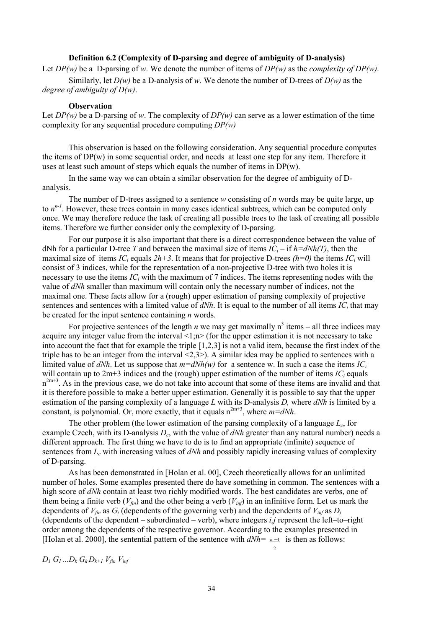## **Definition 6.2 (Complexity of D-parsing and degree of ambiguity of D-analysis)**

Let *DP(w)* be a D-parsing of *w*. We denote the number of items of *DP(w)* as the *complexity of DP(w)*.

Similarly, let *D(w)* be a D-analysis of *w*. We denote the number of D-trees of *D(w)* as the *degree of ambiguity of D(w)*.

#### **Observation**

Let *DP(w)* be a D-parsing of *w*. The complexity of *DP(w)* can serve as a lower estimation of the time complexity for any sequential procedure computing *DP(w)*

This observation is based on the following consideration. Any sequential procedure computes the items of  $DP(w)$  in some sequential order, and needs at least one step for any item. Therefore it uses at least such amount of steps which equals the number of items in DP(w).

In the same way we can obtain a similar observation for the degree of ambiguity of Danalysis.

The number of D-trees assigned to a sentence *w* consisting of *n* words may be quite large, up to  $n^{n-l}$ . However, these trees contain in many cases identical subtrees, which can be computed only once. We may therefore reduce the task of creating all possible trees to the task of creating all possible items. Therefore we further consider only the complexity of D-parsing.

For our purpose it is also important that there is a direct correspondence between the value of dNh for a particular D-tree *T* and between the maximal size of items  $IC_i$  – if  $h=dNh(T)$ , then the maximal size of items *IC<sub>i</sub>* equals  $2h+3$ . It means that for projective D-trees  $(h=0)$  the items *IC<sub>i</sub>* will consist of 3 indices, while for the representation of a non-projective D-tree with two holes it is necessary to use the items *ICi* with the maximum of 7 indices. The items representing nodes with the value of *dNh* smaller than maximum will contain only the necessary number of indices, not the maximal one. These facts allow for a (rough) upper estimation of parsing complexity of projective sentences and sentences with a limited value of  $dNh$ . It is equal to the number of all items  $IC_i$  that may be created for the input sentence containing *n* words.

For projective sentences of the length *n* we may get maximally  $n^3$  items – all three indices may acquire any integer value from the interval  $\leq 1$ ;n $>$  (for the upper estimation it is not necessary to take into account the fact that for example the triple [1,2,3] is not a valid item, because the first index of the triple has to be an integer from the interval <2,3>). A similar idea may be applied to sentences with a limited value of  $dNh$ . Let us suppose that  $m=dNh(w)$  for a sentence w. In such a case the items *IC<sub>i</sub>* will contain up to  $2m+3$  indices and the (rough) upper estimation of the number of items  $IC<sub>i</sub>$  equals  $n^{2m+3}$ . As in the previous case, we do not take into account that some of these items are invalid and that it is therefore possible to make a better upper estimation. Generally it is possible to say that the upper estimation of the parsing complexity of a language *L* with its D-analysis *D,* where *dNh* is limited by a constant, is polynomial. Or, more exactly, that it equals  $n^{2m+3}$ , where  $m=dNh$ .

The other problem (the lower estimation of the parsing complexity of a language *Lc*, for example Czech, with its D-analysis  $D_c$ , with the value of *dNh* greater than any natural number) needs a different approach. The first thing we have to do is to find an appropriate (infinite) sequence of sentences from *L<sub>c</sub>* with increasing values of *dNh* and possibly rapidly increasing values of complexity of D-parsing.

As has been demonstrated in [Holan et al. 00], Czech theoretically allows for an unlimited number of holes. Some examples presented there do have something in common. The sentences with a high score of *dNh* contain at least two richly modified words. The best candidates are verbs, one of them being a finite verb  $(V_{fin})$  and the other being a verb  $(V_{inf})$  in an infinitive form. Let us mark the dependents of  $V_{fin}$  as  $G_i$  (dependents of the governing verb) and the dependents of  $V_{inf}$  as  $D_i$ (dependents of the dependent  $-$  subordinated  $-$  verb), where integers *i,j* represent the left $-$ to $-$ right order among the dependents of the respective governor. According to the examples presented in [Holan et al. 2000], the sentential pattern of the sentence with  $dNh = \frac{a-1}{2}$ | n −  $n=1$  is then as follows:

 $D_1 G_1 ... D_k G_k D_{k+1} V_{fin} V_{inf}$ 

 $\mathfrak{p}$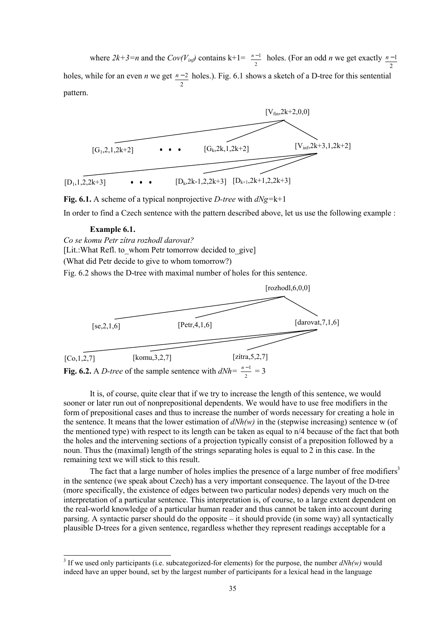where  $2k+3=n$  and the  $Cov(V_{inf})$  contains  $k+1=\left\lfloor \frac{n-1}{2} \right\rfloor$  $\mid n \left[\frac{n-1}{2}\right]$  holes. (For an odd *n* we get exactly 2 *n* −1 holes, while for an even *n* we get 2 *n* − 2 holes.). Fig. 6.1 shows a sketch of a D-tree for this sentential pattern.



**Fig. 6.1.** A scheme of a typical nonprojective *D-tree* with *dNg=*k+1

In order to find a Czech sentence with the pattern described above, let us use the following example :

#### **Example 6.1.**

*Co se komu Petr zÌtra rozhodl darovat?*

[Lit.:What Refl. to whom Petr tomorrow decided to give]

(What did Petr decide to give to whom tomorrow?)

Fig. 6.2 shows the D-tree with maximal number of holes for this sentence.



It is, of course, quite clear that if we try to increase the length of this sentence, we would sooner or later run out of nonprepositional dependents. We would have to use free modifiers in the form of prepositional cases and thus to increase the number of words necessary for creating a hole in the sentence. It means that the lower estimation of *dNh(w)* in the (stepwise increasing) sentence w (of the mentioned type) with respect to its length can be taken as equal to n/4 because of the fact that both the holes and the intervening sections of a projection typically consist of a preposition followed by a noun. Thus the (maximal) length of the strings separating holes is equal to 2 in this case. In the remaining text we will stick to this result.

The fact that a large number of holes implies the presence of a large number of free modifiers<sup>3</sup> in the sentence (we speak about Czech) has a very important consequence. The layout of the D-tree (more specifically, the existence of edges between two particular nodes) depends very much on the interpretation of a particular sentence. This interpretation is, of course, to a large extent dependent on the real-world knowledge of a particular human reader and thus cannot be taken into account during parsing. A syntactic parser should do the opposite  $-$  it should provide (in some way) all syntactically plausible D-trees for a given sentence, regardless whether they represent readings acceptable for a

<sup>&</sup>lt;sup>3</sup> If we used only participants (i.e. subcategorized-for elements) for the purpose, the number  $dNh(w)$  would indeed have an upper bound, set by the largest number of participants for a lexical head in the language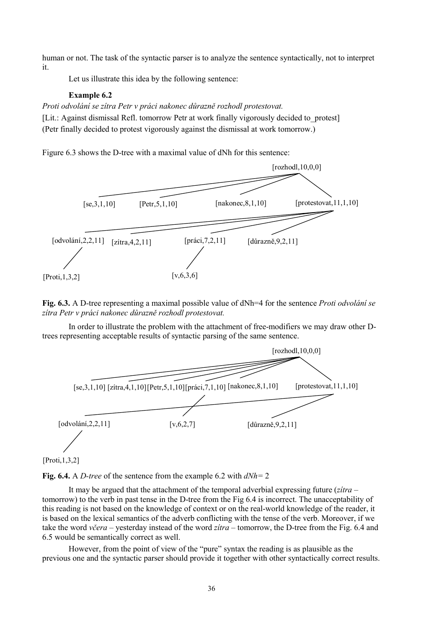human or not. The task of the syntactic parser is to analyze the sentence syntactically, not to interpret it.

Let us illustrate this idea by the following sentence:

## **Example 6.2**

*Proti odvol·nÌ se zÌtra Petr v pr·ci nakonec důrazně rozhodl protestovat.* [Lit.: Against dismissal Refl. tomorrow Petr at work finally vigorously decided to protest] (Petr finally decided to protest vigorously against the dismissal at work tomorrow.)

Figure 6.3 shows the D-tree with a maximal value of dNh for this sentence:



**Fig. 6.3.** A D-tree representing a maximal possible value of dNh=4 for the sentence *Proti odvolání se zÌtra Petr v pr·ci nakonec důrazně rozhodl protestovat.*

In order to illustrate the problem with the attachment of free-modifiers we may draw other Dtrees representing acceptable results of syntactic parsing of the same sentence.



```
[Proti,1,3,2]
```
**Fig. 6.4.** A *D-tree* of the sentence from the example 6.2 with *dNh=* 2

It may be argued that the attachment of the temporal adverbial expressing future  $(zitra$ tomorrow) to the verb in past tense in the D-tree from the Fig 6.4 is incorrect. The unacceptability of this reading is not based on the knowledge of context or on the real-world knowledge of the reader, it is based on the lexical semantics of the adverb conflicting with the tense of the verb. Moreover, if we take the word *včera* – vesterday instead of the word *zitra* – tomorrow, the D-tree from the Fig. 6.4 and 6.5 would be semantically correct as well.

However, from the point of view of the "pure" syntax the reading is as plausible as the previous one and the syntactic parser should provide it together with other syntactically correct results.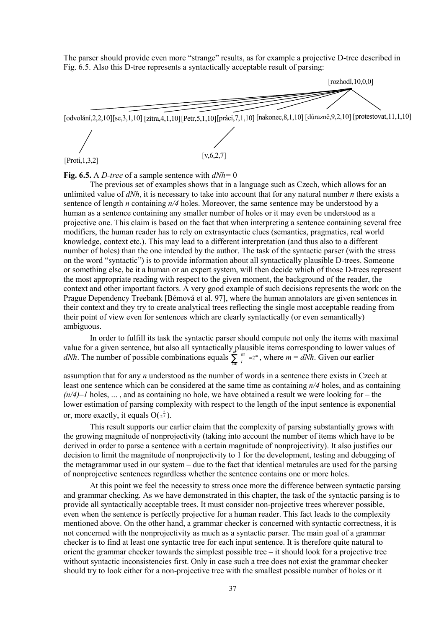The parser should provide even more "strange" results, as for example a projective D-tree described in Fig. 6.5. Also this D-tree represents a syntactically acceptable result of parsing:



**Fig. 6.5.** A *D-tree* of a sample sentence with *dNh=* 0

The previous set of examples shows that in a language such as Czech, which allows for an unlimited value of *dNh*, it is necessary to take into account that for any natural number *n* there exists a sentence of length *n* containing *n/4* holes. Moreover, the same sentence may be understood by a human as a sentence containing any smaller number of holes or it may even be understood as a projective one. This claim is based on the fact that when interpreting a sentence containing several free modifiers, the human reader has to rely on extrasyntactic clues (semantics, pragmatics, real world knowledge, context etc.). This may lead to a different interpretation (and thus also to a different number of holes) than the one intended by the author. The task of the syntactic parser (with the stress on the word "syntactic") is to provide information about all syntactically plausible D-trees. Someone or something else, be it a human or an expert system, will then decide which of those D-trees represent the most appropriate reading with respect to the given moment, the background of the reader, the context and other important factors. A very good example of such decisions represents the work on the Prague Dependency Treebank [Bémová et al. 97], where the human annotators are given sentences in their context and they try to create analytical trees reflecting the single most acceptable reading from their point of view even for sentences which are clearly syntactically (or even semantically) ambiguous.

In order to fulfill its task the syntactic parser should compute not only the items with maximal value for a given sentence, but also all syntactically plausible items corresponding to lower values of *dNh*. The number of possible combinations equals  $\sum_{m=1}^{\infty} {m \choose m} = 2^m$  $\sum_{i=0}^{m}$  $\binom{m}{i}$ = 2  $\binom{m}{i}$  $\int_{i=0}^{m} {m \choose i} = 2^m$ , where  $m = d\tilde{N}h$ . Given our earlier

assumption that for any *n* understood as the number of words in a sentence there exists in Czech at least one sentence which can be considered at the same time as containing *n/4* holes, and as containing  $(n/4)$ <sup>-1</sup> holes, ..., and as containing no hole, we have obtained a result we were looking for – the lower estimation of parsing complexity with respect to the length of the input sentence is exponential or, more exactly, it equals  $O(\frac{n}{2^4})$ .

This result supports our earlier claim that the complexity of parsing substantially grows with the growing magnitude of nonprojectivity (taking into account the number of items which have to be derived in order to parse a sentence with a certain magnitude of nonprojectivity). It also justifies our decision to limit the magnitude of nonprojectivity to 1 for the development, testing and debugging of the metagrammar used in our system – due to the fact that identical metarules are used for the parsing of nonprojective sentences regardless whether the sentence contains one or more holes.

At this point we feel the necessity to stress once more the difference between syntactic parsing and grammar checking. As we have demonstrated in this chapter, the task of the syntactic parsing is to provide all syntactically acceptable trees. It must consider non-projective trees wherever possible, even when the sentence is perfectly projective for a human reader. This fact leads to the complexity mentioned above. On the other hand, a grammar checker is concerned with syntactic correctness, it is not concerned with the nonprojectivity as much as a syntactic parser. The main goal of a grammar checker is to find at least one syntactic tree for each input sentence. It is therefore quite natural to orient the grammar checker towards the simplest possible tree  $-$  it should look for a projective tree without syntactic inconsistencies first. Only in case such a tree does not exist the grammar checker should try to look either for a non-projective tree with the smallest possible number of holes or it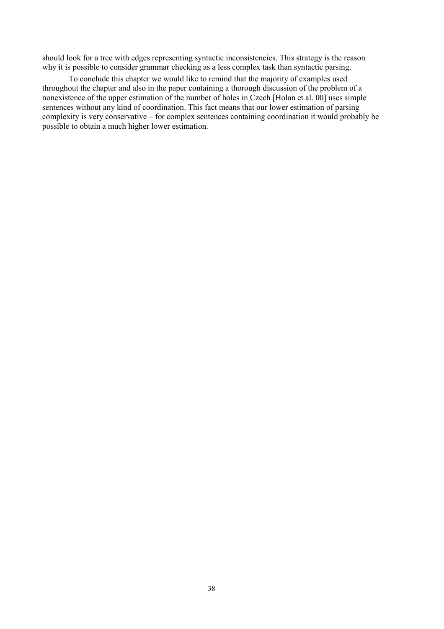should look for a tree with edges representing syntactic inconsistencies. This strategy is the reason why it is possible to consider grammar checking as a less complex task than syntactic parsing.

To conclude this chapter we would like to remind that the majority of examples used throughout the chapter and also in the paper containing a thorough discussion of the problem of a nonexistence of the upper estimation of the number of holes in Czech [Holan et al. 00] uses simple sentences without any kind of coordination. This fact means that our lower estimation of parsing complexity is very conservative – for complex sentences containing coordination it would probably be possible to obtain a much higher lower estimation.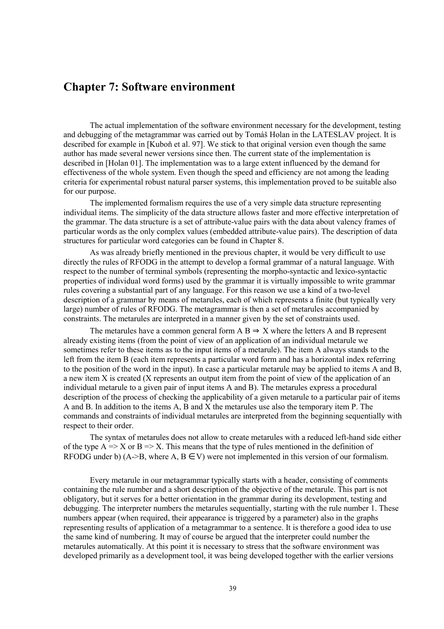# **Chapter 7: Software environment**

The actual implementation of the software environment necessary for the development, testing and debugging of the metagrammar was carried out by Tomáš Holan in the LATESLAV project. It is described for example in [Kuboň et al. 97]. We stick to that original version even though the same author has made several newer versions since then. The current state of the implementation is described in [Holan 01]. The implementation was to a large extent influenced by the demand for effectiveness of the whole system. Even though the speed and efficiency are not among the leading criteria for experimental robust natural parser systems, this implementation proved to be suitable also for our purpose.

The implemented formalism requires the use of a very simple data structure representing individual items. The simplicity of the data structure allows faster and more effective interpretation of the grammar. The data structure is a set of attribute-value pairs with the data about valency frames of particular words as the only complex values (embedded attribute-value pairs). The description of data structures for particular word categories can be found in Chapter 8.

As was already briefly mentioned in the previous chapter, it would be very difficult to use directly the rules of RFODG in the attempt to develop a formal grammar of a natural language. With respect to the number of terminal symbols (representing the morpho-syntactic and lexico-syntactic properties of individual word forms) used by the grammar it is virtually impossible to write grammar rules covering a substantial part of any language. For this reason we use a kind of a two-level description of a grammar by means of metarules, each of which represents a finite (but typically very large) number of rules of RFODG. The metagrammar is then a set of metarules accompanied by constraints. The metarules are interpreted in a manner given by the set of constraints used.

The metarules have a common general form  $A B \Rightarrow X$  where the letters A and B represent already existing items (from the point of view of an application of an individual metarule we sometimes refer to these items as to the input items of a metarule). The item A always stands to the left from the item B (each item represents a particular word form and has a horizontal index referring to the position of the word in the input). In case a particular metarule may be applied to items A and B, a new item X is created (X represents an output item from the point of view of the application of an individual metarule to a given pair of input items A and B). The metarules express a procedural description of the process of checking the applicability of a given metarule to a particular pair of items A and B. In addition to the items A, B and X the metarules use also the temporary item P. The commands and constraints of individual metarules are interpreted from the beginning sequentially with respect to their order.

The syntax of metarules does not allow to create metarules with a reduced left-hand side either of the type  $A \Rightarrow X$  or  $B \Rightarrow X$ . This means that the type of rules mentioned in the definition of RFODG under b) (A->B, where A, B  $\in$  V) were not implemented in this version of our formalism.

Every metarule in our metagrammar typically starts with a header, consisting of comments containing the rule number and a short description of the objective of the metarule. This part is not obligatory, but it serves for a better orientation in the grammar during its development, testing and debugging. The interpreter numbers the metarules sequentially, starting with the rule number 1. These numbers appear (when required, their appearance is triggered by a parameter) also in the graphs representing results of application of a metagrammar to a sentence. It is therefore a good idea to use the same kind of numbering. It may of course be argued that the interpreter could number the metarules automatically. At this point it is necessary to stress that the software environment was developed primarily as a development tool, it was being developed together with the earlier versions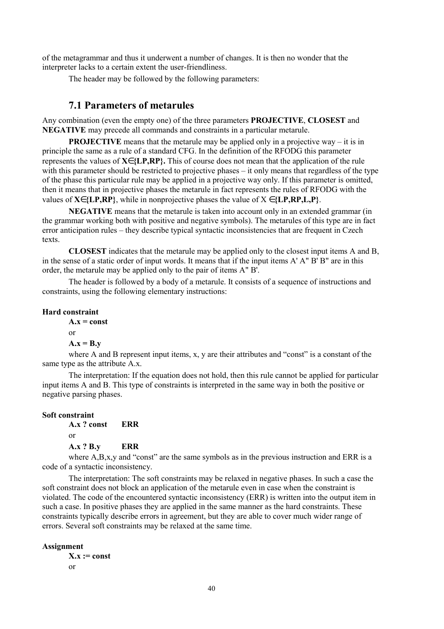of the metagrammar and thus it underwent a number of changes. It is then no wonder that the interpreter lacks to a certain extent the user-friendliness.

The header may be followed by the following parameters:

# **7.1 Parameters of metarules**

Any combination (even the empty one) of the three parameters **PROJECTIVE**, **CLOSEST** and **NEGATIVE** may precede all commands and constraints in a particular metarule.

**PROJECTIVE** means that the metarule may be applied only in a projective way  $-$  it is in principle the same as a rule of a standard CFG. In the definition of the RFODG this parameter represents the values of **X**∈**{LP,RP}.** This of course does not mean that the application of the rule with this parameter should be restricted to projective phases  $-$  it only means that regardless of the type of the phase this particular rule may be applied in a projective way only. If this parameter is omitted, then it means that in projective phases the metarule in fact represents the rules of RFODG with the values of **X**∈**{LP,RP}**, while in nonprojective phases the value of X ∈**{LP,RP,L,P}**.

**NEGATIVE** means that the metarule is taken into account only in an extended grammar (in the grammar working both with positive and negative symbols). The metarules of this type are in fact error anticipation rules – they describe typical syntactic inconsistencies that are frequent in Czech texts.

**CLOSEST** indicates that the metarule may be applied only to the closest input items A and B, in the sense of a static order of input words. It means that if the input items A' A" B' B" are in this order, the metarule may be applied only to the pair of items A" B'.

The header is followed by a body of a metarule. It consists of a sequence of instructions and constraints, using the following elementary instructions:

### **Hard constraint**

 $A_x = const$ or  $A.x = B.y$ 

where A and B represent input items,  $x$ ,  $y$  are their attributes and "const" is a constant of the same type as the attribute A.x.

The interpretation: If the equation does not hold, then this rule cannot be applied for particular input items A and B. This type of constraints is interpreted in the same way in both the positive or negative parsing phases.

## **Soft constraint**

**A.x ? const ERR** or **A.x ? B.y ERR**

where  $A, B, x, y$  and "const" are the same symbols as in the previous instruction and ERR is a code of a syntactic inconsistency.

The interpretation: The soft constraints may be relaxed in negative phases. In such a case the soft constraint does not block an application of the metarule even in case when the constraint is violated. The code of the encountered syntactic inconsistency (ERR) is written into the output item in such a case. In positive phases they are applied in the same manner as the hard constraints. These constraints typically describe errors in agreement, but they are able to cover much wider range of errors. Several soft constraints may be relaxed at the same time.

### **Assignment**

```
X.x := const
or
```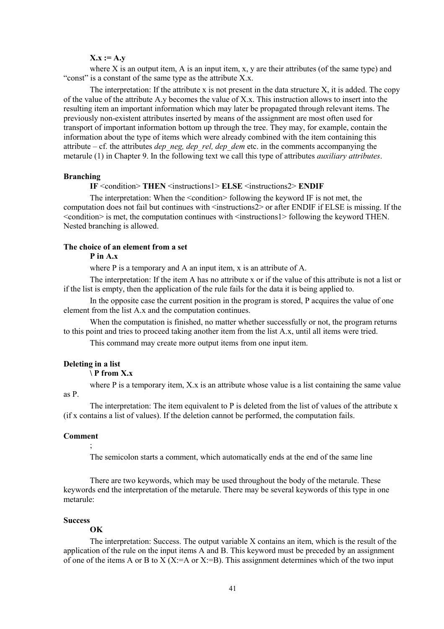### **X.x := A.y**

where X is an output item, A is an input item,  $x$ ,  $y$  are their attributes (of the same type) and "const" is a constant of the same type as the attribute  $X_{,x}$ .

The interpretation: If the attribute x is not present in the data structure X, it is added. The copy of the value of the attribute A.y becomes the value of X.x. This instruction allows to insert into the resulting item an important information which may later be propagated through relevant items. The previously non-existent attributes inserted by means of the assignment are most often used for transport of important information bottom up through the tree. They may, for example, contain the information about the type of items which were already combined with the item containing this attribute  $-$  cf. the attributes *dep\_neg, dep\_rel, dep\_dem* etc. in the comments accompanying the metarule (1) in Chapter 9. In the following text we call this type of attributes *auxiliary attributes*.

### **Branching**

**IF** <condition> **THEN** <instructions1> **ELSE** <instructions2> **ENDIF**

The interpretation: When the <condition> following the keyword IF is not met, the computation does not fail but continues with  $\leq$  instructions2> or after ENDIF if ELSE is missing. If the <condition> is met, the computation continues with <instructions1> following the keyword THEN. Nested branching is allowed.

#### **The choice of an element from a set**

### **P in A.x**

where P is a temporary and A an input item, x is an attribute of A.

The interpretation: If the item A has no attribute x or if the value of this attribute is not a list or if the list is empty, then the application of the rule fails for the data it is being applied to.

In the opposite case the current position in the program is stored, P acquires the value of one element from the list A.x and the computation continues.

When the computation is finished, no matter whether successfully or not, the program returns to this point and tries to proceed taking another item from the list A.x, until all items were tried.

This command may create more output items from one input item.

### **Deleting in a list**

## **\ P from X.x**

where P is a temporary item, X.x is an attribute whose value is a list containing the same value as P.

The interpretation: The item equivalent to P is deleted from the list of values of the attribute x (if x contains a list of values). If the deletion cannot be performed, the computation fails.

### **Comment**

#### ;

The semicolon starts a comment, which automatically ends at the end of the same line

There are two keywords, which may be used throughout the body of the metarule. These keywords end the interpretation of the metarule. There may be several keywords of this type in one metarule:

## **Success**

## **OK**

The interpretation: Success. The output variable X contains an item, which is the result of the application of the rule on the input items A and B. This keyword must be preceded by an assignment of one of the items A or B to X (X:=A or X:=B). This assignment determines which of the two input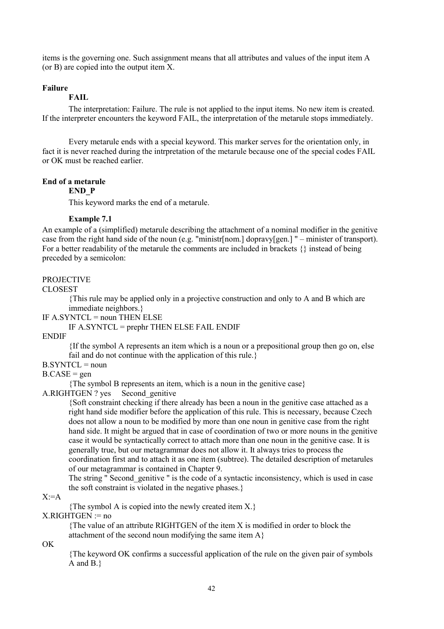items is the governing one. Such assignment means that all attributes and values of the input item A (or B) are copied into the output item X.

## **Failure**

# **FAIL**

The interpretation: Failure. The rule is not applied to the input items. No new item is created. If the interpreter encounters the keyword FAIL, the interpretation of the metarule stops immediately.

Every metarule ends with a special keyword. This marker serves for the orientation only, in fact it is never reached during the intrpretation of the metarule because one of the special codes FAIL or OK must be reached earlier.

### **End of a metarule**

### **END\_P**

This keyword marks the end of a metarule.

### **Example 7.1**

An example of a (simplified) metarule describing the attachment of a nominal modifier in the genitive case from the right hand side of the noun (e.g. "ministr[nom.] dopravy[gen.] " – minister of transport). For a better readability of the metarule the comments are included in brackets {} instead of being preceded by a semicolon:

## **PROJECTIVE**

### CLOSEST

{This rule may be applied only in a projective construction and only to A and B which are immediate neighbors.}

IF A.SYNTCL = noun THEN ELSE

## IF A.SYNTCL = prephr THEN ELSE FAIL ENDIF

**ENDIF** 

{If the symbol A represents an item which is a noun or a prepositional group then go on, else fail and do not continue with the application of this rule.}

 $B. SYNTCL = noun$ 

## $B.CASE = gen$

{The symbol B represents an item, which is a noun in the genitive case}

A.RIGHTGEN ? yes Second\_genitive

{Soft constraint checking if there already has been a noun in the genitive case attached as a right hand side modifier before the application of this rule. This is necessary, because Czech does not allow a noun to be modified by more than one noun in genitive case from the right hand side. It might be argued that in case of coordination of two or more nouns in the genitive case it would be syntactically correct to attach more than one noun in the genitive case. It is generally true, but our metagrammar does not allow it. It always tries to process the coordination first and to attach it as one item (subtree). The detailed description of metarules of our metagrammar is contained in Chapter 9.

The string " Second\_genitive " is the code of a syntactic inconsistency, which is used in case the soft constraint is violated in the negative phases.}

### $X = A$

{The symbol A is copied into the newly created item X.}

## $X.RIGHTGEN := no$

{The value of an attribute RIGHTGEN of the item X is modified in order to block the attachment of the second noun modifying the same item  $A$ }

OK

{The keyword OK confirms a successful application of the rule on the given pair of symbols A and B.}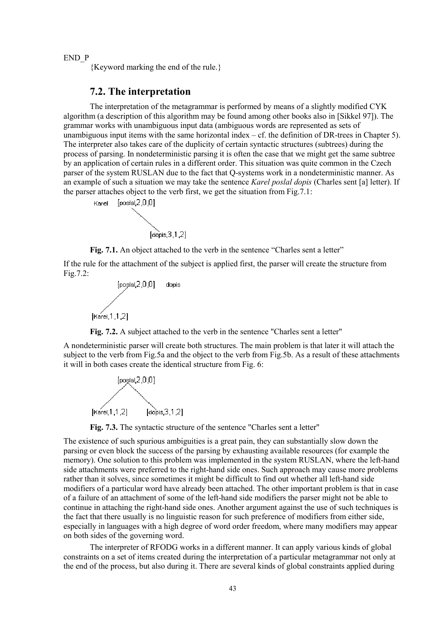END\_P

{Keyword marking the end of the rule.}

## **7.2. The interpretation**

The interpretation of the metagrammar is performed by means of a slightly modified CYK algorithm (a description of this algorithm may be found among other books also in [Sikkel 97]). The grammar works with unambiguous input data (ambiguous words are represented as sets of unambiguous input items with the same horizontal index  $-$  cf. the definition of DR-trees in Chapter 5). The interpreter also takes care of the duplicity of certain syntactic structures (subtrees) during the process of parsing. In nondeterministic parsing it is often the case that we might get the same subtree by an application of certain rules in a different order. This situation was quite common in the Czech parser of the system RUSLAN due to the fact that Q-systems work in a nondeterministic manner. As an example of such a situation we may take the sentence *Karel poslal dopis* (Charles sent [a] letter). If the parser attaches object to the verb first, we get the situation from Fig.7.1:



**Fig. 7.1.** An object attached to the verb in the sentence "Charles sent a letter"

If the rule for the attachment of the subject is applied first, the parser will create the structure from Fig.7.2:





A nondeterministic parser will create both structures. The main problem is that later it will attach the subject to the verb from Fig.5a and the object to the verb from Fig.5b. As a result of these attachments it will in both cases create the identical structure from Fig. 6:





The existence of such spurious ambiguities is a great pain, they can substantially slow down the parsing or even block the success of the parsing by exhausting available resources (for example the memory). One solution to this problem was implemented in the system RUSLAN, where the left-hand side attachments were preferred to the right-hand side ones. Such approach may cause more problems rather than it solves, since sometimes it might be difficult to find out whether all left-hand side modifiers of a particular word have already been attached. The other important problem is that in case of a failure of an attachment of some of the left-hand side modifiers the parser might not be able to continue in attaching the right-hand side ones. Another argument against the use of such techniques is the fact that there usually is no linguistic reason for such preference of modifiers from either side, especially in languages with a high degree of word order freedom, where many modifiers may appear on both sides of the governing word.

The interpreter of RFODG works in a different manner. It can apply various kinds of global constraints on a set of items created during the interpretation of a particular metagrammar not only at the end of the process, but also during it. There are several kinds of global constraints applied during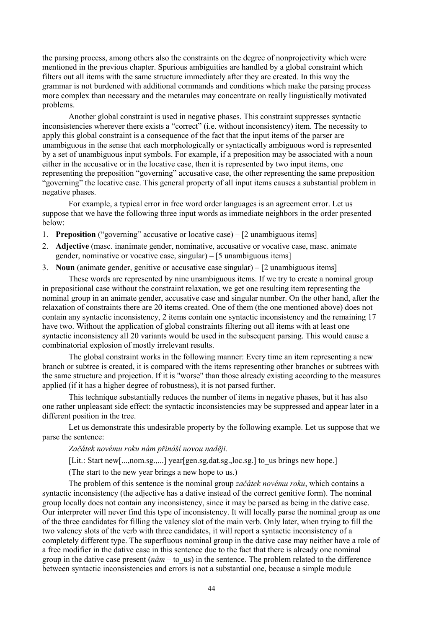the parsing process, among others also the constraints on the degree of nonprojectivity which were mentioned in the previous chapter. Spurious ambiguities are handled by a global constraint which filters out all items with the same structure immediately after they are created. In this way the grammar is not burdened with additional commands and conditions which make the parsing process more complex than necessary and the metarules may concentrate on really linguistically motivated problems.

Another global constraint is used in negative phases. This constraint suppresses syntactic inconsistencies wherever there exists a "correct" (i.e. without inconsistency) item. The necessity to apply this global constraint is a consequence of the fact that the input items of the parser are unambiguous in the sense that each morphologically or syntactically ambiguous word is represented by a set of unambiguous input symbols. For example, if a preposition may be associated with a noun either in the accusative or in the locative case, then it is represented by two input items, one representing the preposition "governing" accusative case, the other representing the same preposition ìgoverningî the locative case. This general property of all input items causes a substantial problem in negative phases.

For example, a typical error in free word order languages is an agreement error. Let us suppose that we have the following three input words as immediate neighbors in the order presented below:

- 1. **Preposition** ("governing" accusative or locative case)  $-$  [2 unambiguous items]
- 2. **Adjective** (masc. inanimate gender, nominative, accusative or vocative case, masc. animate gender, nominative or vocative case, singular)  $-15$  unambiguous items
- 3. **Noun** (animate gender, genitive or accusative case singular)  $-$  [2 unambiguous items]

These words are represented by nine unambiguous items. If we try to create a nominal group in prepositional case without the constraint relaxation, we get one resulting item representing the nominal group in an animate gender, accusative case and singular number. On the other hand, after the relaxation of constraints there are 20 items created. One of them (the one mentioned above) does not contain any syntactic inconsistency, 2 items contain one syntactic inconsistency and the remaining 17 have two. Without the application of global constraints filtering out all items with at least one syntactic inconsistency all 20 variants would be used in the subsequent parsing. This would cause a combinatorial explosion of mostly irrelevant results.

The global constraint works in the following manner: Every time an item representing a new branch or subtree is created, it is compared with the items representing other branches or subtrees with the same structure and projection. If it is "worse" than those already existing according to the measures applied (if it has a higher degree of robustness), it is not parsed further.

This technique substantially reduces the number of items in negative phases, but it has also one rather unpleasant side effect: the syntactic inconsistencies may be suppressed and appear later in a different position in the tree.

Let us demonstrate this undesirable property by the following example. Let us suppose that we parse the sentence:

*Zač·tek novÈmu roku n·m přin·öÌ novou naději.*

[Lit.: Start new[...,nom.sg.,...] year[gen.sg,dat.sg.,loc.sg.] to\_us brings new hope.]

(The start to the new year brings a new hope to us.)

The problem of this sentence is the nominal group *začátek novému roku*, which contains a syntactic inconsistency (the adjective has a dative instead of the correct genitive form). The nominal group locally does not contain any inconsistency, since it may be parsed as being in the dative case. Our interpreter will never find this type of inconsistency. It will locally parse the nominal group as one of the three candidates for filling the valency slot of the main verb. Only later, when trying to fill the two valency slots of the verb with three candidates, it will report a syntactic inconsistency of a completely different type. The superfluous nominal group in the dative case may neither have a role of a free modifier in the dative case in this sentence due to the fact that there is already one nominal group in the dative case present  $(n\dot{a}m - t_0)$  us) in the sentence. The problem related to the difference between syntactic inconsistencies and errors is not a substantial one, because a simple module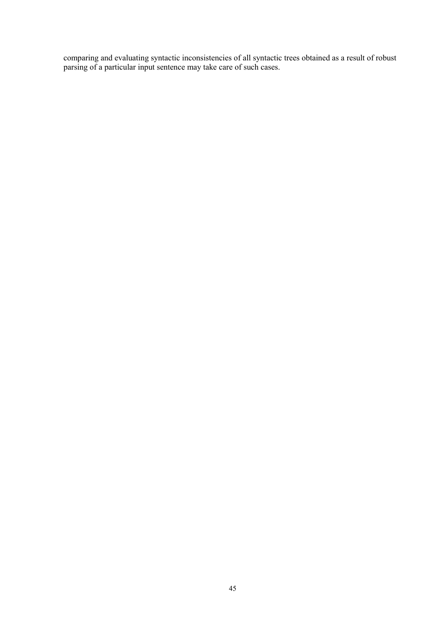comparing and evaluating syntactic inconsistencies of all syntactic trees obtained as a result of robust parsing of a particular input sentence may take care of such cases.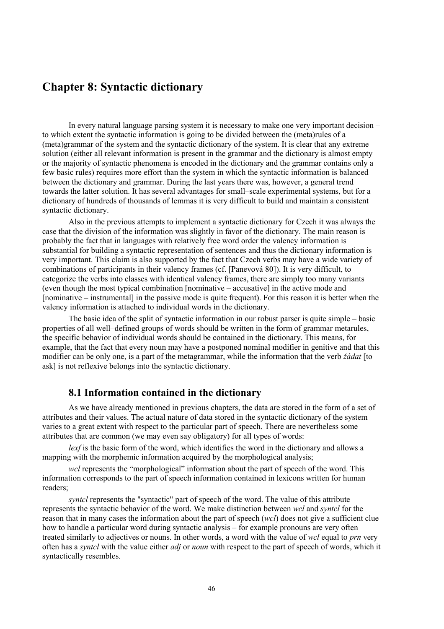# **Chapter 8: Syntactic dictionary**

In every natural language parsing system it is necessary to make one very important decision  $\overline{\phantom{a}}$ to which extent the syntactic information is going to be divided between the (meta)rules of a (meta)grammar of the system and the syntactic dictionary of the system. It is clear that any extreme solution (either all relevant information is present in the grammar and the dictionary is almost empty or the majority of syntactic phenomena is encoded in the dictionary and the grammar contains only a few basic rules) requires more effort than the system in which the syntactic information is balanced between the dictionary and grammar. During the last years there was, however, a general trend towards the latter solution. It has several advantages for small–scale experimental systems, but for a dictionary of hundreds of thousands of lemmas it is very difficult to build and maintain a consistent syntactic dictionary.

Also in the previous attempts to implement a syntactic dictionary for Czech it was always the case that the division of the information was slightly in favor of the dictionary. The main reason is probably the fact that in languages with relatively free word order the valency information is substantial for building a syntactic representation of sentences and thus the dictionary information is very important. This claim is also supported by the fact that Czech verbs may have a wide variety of combinations of participants in their valency frames (cf. [Panevová 80]). It is very difficult, to categorize the verbs into classes with identical valency frames, there are simply too many variants (even though the most typical combination [nominative  $-$  accusative] in the active mode and [nominative – instrumental] in the passive mode is quite frequent). For this reason it is better when the valency information is attached to individual words in the dictionary.

The basic idea of the split of syntactic information in our robust parser is quite simple  $-$  basic properties of all well–defined groups of words should be written in the form of grammar metarules, the specific behavior of individual words should be contained in the dictionary. This means, for example, that the fact that every noun may have a postponed nominal modifier in genitive and that this modifier can be only one, is a part of the metagrammar, while the information that the verb *žádat* [to ask] is not reflexive belongs into the syntactic dictionary.

# **8.1 Information contained in the dictionary**

As we have already mentioned in previous chapters, the data are stored in the form of a set of attributes and their values. The actual nature of data stored in the syntactic dictionary of the system varies to a great extent with respect to the particular part of speech. There are nevertheless some attributes that are common (we may even say obligatory) for all types of words:

*lexf* is the basic form of the word, which identifies the word in the dictionary and allows a mapping with the morphemic information acquired by the morphological analysis;

*wcl* represents the "morphological" information about the part of speech of the word. This information corresponds to the part of speech information contained in lexicons written for human readers;

*syntcl* represents the "syntactic" part of speech of the word. The value of this attribute represents the syntactic behavior of the word. We make distinction between *wcl* and *syntcl* for the reason that in many cases the information about the part of speech (*wcl*) does not give a sufficient clue how to handle a particular word during syntactic analysis  $-$  for example pronouns are very often treated similarly to adjectives or nouns. In other words, a word with the value of *wcl* equal to *prn* very often has a *syntcl* with the value either *adj* or *noun* with respect to the part of speech of words, which it syntactically resembles.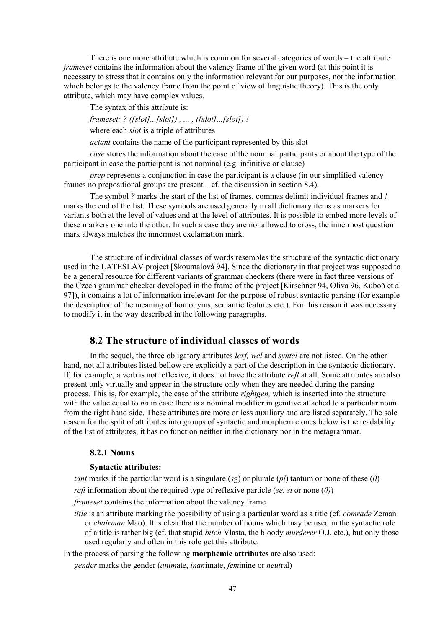There is one more attribute which is common for several categories of words  $-$  the attribute *frameset* contains the information about the valency frame of the given word (at this point it is necessary to stress that it contains only the information relevant for our purposes, not the information which belongs to the valency frame from the point of view of linguistic theory). This is the only attribute, which may have complex values.

The syntax of this attribute is:

*frameset: ? ([slot]...[slot]) , ... , ([slot]...[slot]) !*

where each *slot* is a triple of attributes

*actant* contains the name of the participant represented by this slot

*case* stores the information about the case of the nominal participants or about the type of the participant in case the participant is not nominal (e.g. infinitive or clause)

*prep* represents a conjunction in case the participant is a clause (in our simplified valency frames no prepositional groups are present  $- cf.$  the discussion in section 8.4).

The symbol *?* marks the start of the list of frames, commas delimit individual frames and *!* marks the end of the list. These symbols are used generally in all dictionary items as markers for variants both at the level of values and at the level of attributes. It is possible to embed more levels of these markers one into the other. In such a case they are not allowed to cross, the innermost question mark always matches the innermost exclamation mark.

The structure of individual classes of words resembles the structure of the syntactic dictionary used in the LATESLAV project [Skoumalová 94]. Since the dictionary in that project was supposed to be a general resource for different variants of grammar checkers (there were in fact three versions of the Czech grammar checker developed in the frame of the project [Kirschner 94, Oliva 96, Kuboň et al 97]), it contains a lot of information irrelevant for the purpose of robust syntactic parsing (for example the description of the meaning of homonyms, semantic features etc.). For this reason it was necessary to modify it in the way described in the following paragraphs.

# **8.2 The structure of individual classes of words**

In the sequel, the three obligatory attributes *lexf, wcl* and *syntcl* are not listed. On the other hand, not all attributes listed bellow are explicitly a part of the description in the syntactic dictionary. If, for example, a verb is not reflexive, it does not have the attribute *refl* at all. Some attributes are also present only virtually and appear in the structure only when they are needed during the parsing process. This is, for example, the case of the attribute *rightgen,* which is inserted into the structure with the value equal to *no* in case there is a nominal modifier in genitive attached to a particular noun from the right hand side. These attributes are more or less auxiliary and are listed separately. The sole reason for the split of attributes into groups of syntactic and morphemic ones below is the readability of the list of attributes, it has no function neither in the dictionary nor in the metagrammar.

### **8.2.1 Nouns**

### **Syntactic attributes:**

*tant* marks if the particular word is a singulare (*sg*) or plurale (*pl*) tantum or none of these (*0*)

*refl* information about the required type of reflexive particle (*se*, *si* or none (*0)*)

*frameset* contains the information about the valency frame

*title* is an attribute marking the possibility of using a particular word as a title (cf. *comrade* Zeman or *chairman* Mao). It is clear that the number of nouns which may be used in the syntactic role of a title is rather big (cf. that stupid *bitch* Vlasta, the bloody *murderer* O.J. etc.), but only those used regularly and often in this role get this attribute.

In the process of parsing the following **morphemic attributes** are also used:

*gender* marks the gender (*anim*ate, *inan*imate, *fem*inine or *neut*ral)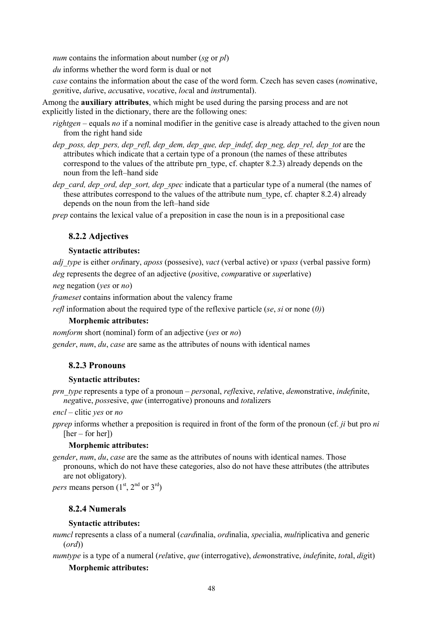*num* contains the information about number (*sg* or *pl*)

*du* informs whether the word form is dual or not

*case* contains the information about the case of the word form. Czech has seven cases (*nom*inative, *gen*itive, *dat*ive, *acc*usative, *voca*tive, *loc*al and *ins*trumental).

Among the **auxiliary attributes**, which might be used during the parsing process and are not explicitly listed in the dictionary, there are the following ones:

- *rightgen* equals *no* if a nominal modifier in the genitive case is already attached to the given noun from the right hand side
- *dep\_poss, dep\_pers, dep\_refl, dep\_dem, dep\_que, dep\_indef, dep\_neg, dep\_rel, dep\_tot* are the attributes which indicate that a certain type of a pronoun (the names of these attributes correspond to the values of the attribute prn type, cf. chapter 8.2.3) already depends on the noun from the left-hand side
- *dep\_card, dep\_ord, dep\_sort, dep\_spec* indicate that a particular type of a numeral (the names of these attributes correspond to the values of the attribute num\_type, cf. chapter 8.2.4) already depends on the noun from the left-hand side

*prep* contains the lexical value of a preposition in case the noun is in a prepositional case

## **8.2.2 Adjectives**

### **Syntactic attributes:**

*adj\_type* is either *ord*inary, *aposs* (possesive), *vact* (verbal active) or *vpass* (verbal passive form) *deg* represents the degree of an adjective (*pos*itive, *comp*arative or *sup*erlative)

*neg* negation (*yes* or *no*)

*frameset* contains information about the valency frame

*refl* information about the required type of the reflexive particle (*se*, *si* or none (*0)*)

### **Morphemic attributes:**

*nomform* short (nominal) form of an adjective (*yes* or *no*)

*gender*, *num*, *du*, *case* are same as the attributes of nouns with identical names

### **8.2.3 Pronouns**

### **Syntactic attributes:**

*prn\_type* represents a type of a pronoun – *personal, reflexive, relative, demonstrative, indefinite, neg*ative, *poss*esive, *que* (interrogative) pronouns and *tot*alizers

*encl* – clitic *yes* or *no* 

*pprep* informs whether a preposition is required in front of the form of the pronoun (cf. *ji* but pro *ni*  $[her - for her]$ 

### **Morphemic attributes:**

*gender*, *num*, *du*, *case* are the same as the attributes of nouns with identical names. Those pronouns, which do not have these categories, also do not have these attributes (the attributes are not obligatory).

*pers* means person  $(1<sup>st</sup>, 2<sup>nd</sup>$  or  $3<sup>rd</sup>)$ 

### **8.2.4 Numerals**

### **Syntactic attributes:**

*numcl* represents a class of a numeral (*card*inalia, *ord*inalia, *spec*ialia, *mult*iplicativa and generic (*ord*))

*numtype* is a type of a numeral (*rel*ative, *que* (interrogative), *dem*onstrative, *indef*inite, *tot*al, *dig*it)

### **Morphemic attributes:**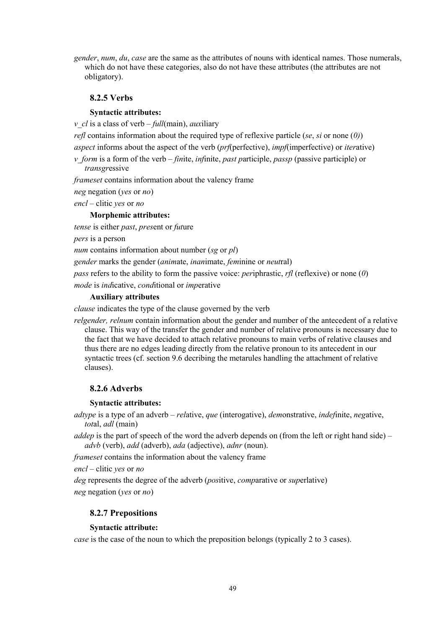*gender*, *num*, *du*, *case* are the same as the attributes of nouns with identical names. Those numerals, which do not have these categories, also do not have these attributes (the attributes are not obligatory).

## **8.2.5 Verbs**

### **Syntactic attributes:**

*v cl* is a class of verb  $-\frac{full(\text{main})}{}$ , *auxiliary* 

*refl* contains information about the required type of reflexive particle (*se*, *si* or none (*0)*)

*aspect* informs about the aspect of the verb (*prf*(perfective), *impf*(imperfective) or *iter*ative)

*v* form is a form of the verb – *finite*, *infinite*, *past participle*, *passp* (passive participle) or *transgr*essive

*frameset* contains information about the valency frame

*neg* negation (*yes* or *no*)

*encl* – clitic *yes* or *no* 

### **Morphemic attributes:**

*tense* is either *past*, *pres*ent or *fut*ure

*pers* is a person

*num* contains information about number (*sg* or *pl*)

*gender* marks the gender (*anim*ate, *inan*imate, *fem*inine or *neut*ral)

*pass* refers to the ability to form the passive voice: *per*iphrastic, *rfl* (reflexive) or none (*0*)

*mode* is *ind*icative, *cond*itional or *imp*erative

### **Auxiliary attributes**

*clause* indicates the type of the clause governed by the verb

*relgender, relnum* contain information about the gender and number of the antecedent of a relative clause. This way of the transfer the gender and number of relative pronouns is necessary due to the fact that we have decided to attach relative pronouns to main verbs of relative clauses and thus there are no edges leading directly from the relative pronoun to its antecedent in our syntactic trees (cf. section 9.6 decribing the metarules handling the attachment of relative clauses).

## **8.2.6 Adverbs**

### **Syntactic attributes:**

*adtype* is a type of an adverb – *relative, que* (interogative), *demonstrative, indefinite, negative, tot*al, *adl* (main)

*addep* is the part of speech of the word the adverb depends on (from the left or right hand side) – *advb* (verb), *add* (adverb), *ada* (adjective), *adnr* (noun).

*frameset* contains the information about the valency frame

*encl* – clitic *yes* or *no* 

*deg* represents the degree of the adverb (*pos*itive, *comp*arative or *sup*erlative)

*neg* negation (*yes* or *no*)

### **8.2.7 Prepositions**

### **Syntactic attribute:**

*case* is the case of the noun to which the preposition belongs (typically 2 to 3 cases).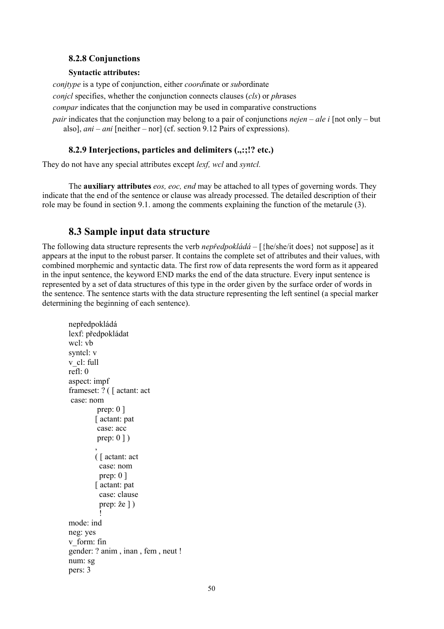## **8.2.8 Conjunctions**

### **Syntactic attributes:**

*conjtype* is a type of conjunction, either *coord*inate or *sub*ordinate

*conjcl* specifies, whether the conjunction connects clauses (*cls*) or *phr*ases

*compar* indicates that the conjunction may be used in comparative constructions

*pair* indicates that the conjunction may belong to a pair of conjunctions *nejen – ale i* [not only – but also], *ani – ani* [neither – nor] (cf. section 9.12 Pairs of expressions).

## **8.2.9 Interjections, particles and delimiters (.,:;!? etc.)**

They do not have any special attributes except *lexf, wcl* and *syntcl.*

The **auxiliary attributes** *eos, eoc, end* may be attached to all types of governing words. They indicate that the end of the sentence or clause was already processed. The detailed description of their role may be found in section 9.1. among the comments explaining the function of the metarule (3).

# **8.3 Sample input data structure**

The following data structure represents the verb *nepředpokládá* –  $\{$ he/she/it does} not suppose] as it appears at the input to the robust parser. It contains the complete set of attributes and their values, with combined morphemic and syntactic data. The first row of data represents the word form as it appeared in the input sentence, the keyword END marks the end of the data structure. Every input sentence is represented by a set of data structures of this type in the order given by the surface order of words in the sentence. The sentence starts with the data structure representing the left sentinel (a special marker determining the beginning of each sentence).

```
nepředpokládá
lexf: předpokládat
wcl: vb
syntcl: v
v_cl: full
refl: 0
aspect: impf
frameset: ? ( [ actant: act
 case: nom
          prep: 0 ]
        [ actant: pat
          case: acc
         prep: 0 1),
        ( [ actant: act
           case: nom
           prep: 0 ]
        [ actant: pat
           case: clause
          prep: \check{z}e ] )
          !
mode: ind
neg: yes
v_form: fin
gender: ? anim , inan , fem , neut !
num: sg
pers: 3
```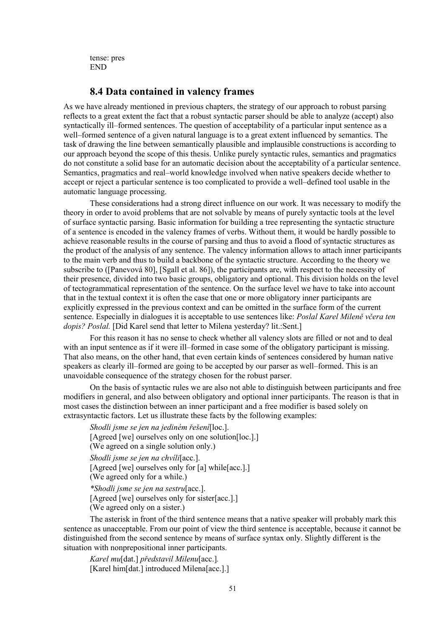tense: pres END

## **8.4 Data contained in valency frames**

As we have already mentioned in previous chapters, the strategy of our approach to robust parsing reflects to a great extent the fact that a robust syntactic parser should be able to analyze (accept) also syntactically ill–formed sentences. The question of acceptability of a particular input sentence as a well–formed sentence of a given natural language is to a great extent influenced by semantics. The task of drawing the line between semantically plausible and implausible constructions is according to our approach beyond the scope of this thesis. Unlike purely syntactic rules, semantics and pragmatics do not constitute a solid base for an automatic decision about the acceptability of a particular sentence. Semantics, pragmatics and real–world knowledge involved when native speakers decide whether to accept or reject a particular sentence is too complicated to provide a well-defined tool usable in the automatic language processing.

These considerations had a strong direct influence on our work. It was necessary to modify the theory in order to avoid problems that are not solvable by means of purely syntactic tools at the level of surface syntactic parsing. Basic information for building a tree representing the syntactic structure of a sentence is encoded in the valency frames of verbs. Without them, it would be hardly possible to achieve reasonable results in the course of parsing and thus to avoid a flood of syntactic structures as the product of the analysis of any sentence. The valency information allows to attach inner participants to the main verb and thus to build a backbone of the syntactic structure. According to the theory we subscribe to ([Panevová 80], [Sgall et al. 86]), the participants are, with respect to the necessity of their presence, divided into two basic groups, obligatory and optional. This division holds on the level of tectogrammatical representation of the sentence. On the surface level we have to take into account that in the textual context it is often the case that one or more obligatory inner participants are explicitly expressed in the previous context and can be omitted in the surface form of the current sentence. Especially in dialogues it is acceptable to use sentences like: *Poslal Karel Mileně včera ten dopis? Poslal.* [Did Karel send that letter to Milena yesterday? lit.:Sent.]

For this reason it has no sense to check whether all valency slots are filled or not and to deal with an input sentence as if it were ill–formed in case some of the obligatory participant is missing. That also means, on the other hand, that even certain kinds of sentences considered by human native speakers as clearly ill–formed are going to be accepted by our parser as well–formed. This is an unavoidable consequence of the strategy chosen for the robust parser.

On the basis of syntactic rules we are also not able to distinguish between participants and free modifiers in general, and also between obligatory and optional inner participants. The reason is that in most cases the distinction between an inner participant and a free modifier is based solely on extrasyntactic factors. Let us illustrate these facts by the following examples:

*Shodli jsme se jen na jedinÈm řeöenÌ*[loc.]. [Agreed [we] ourselves only on one solution [loc.].] (We agreed on a single solution only.) *Shodli jsme se jen na chvÌli*[acc.]. [Agreed [we] ourselves only for [a] while[acc.].] (We agreed only for a while.) *\*Shodli jsme se jen na sestru*[acc.].

[Agreed [we] ourselves only for sister[acc.].]

(We agreed only on a sister.)

The asterisk in front of the third sentence means that a native speaker will probably mark this sentence as unacceptable. From our point of view the third sentence is acceptable, because it cannot be distinguished from the second sentence by means of surface syntax only. Slightly different is the situation with nonprepositional inner participants.

*Karel mu*[dat.] *představil Milenu*[acc.]*.* [Karel him[dat.] introduced Milena[acc.].]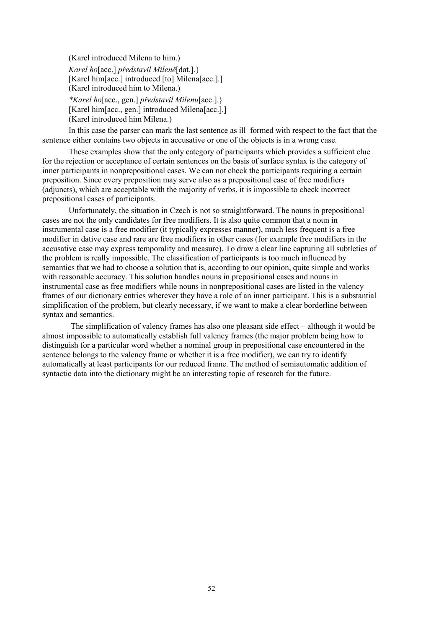(Karel introduced Milena to him.) *Karel ho*[acc.] *představil Mileně*[dat.].} [Karel him[acc.] introduced [to] Milena[acc.].] (Karel introduced him to Milena.) *\*Karel ho*[acc., gen.] *představil Milenu*[acc.].} [Karel him[acc., gen.] introduced Milena[acc.].] (Karel introduced him Milena.)

In this case the parser can mark the last sentence as ill–formed with respect to the fact that the sentence either contains two objects in accusative or one of the objects is in a wrong case.

These examples show that the only category of participants which provides a sufficient clue for the rejection or acceptance of certain sentences on the basis of surface syntax is the category of inner participants in nonprepositional cases. We can not check the participants requiring a certain preposition. Since every preposition may serve also as a prepositional case of free modifiers (adjuncts), which are acceptable with the majority of verbs, it is impossible to check incorrect prepositional cases of participants.

Unfortunately, the situation in Czech is not so straightforward. The nouns in prepositional cases are not the only candidates for free modifiers. It is also quite common that a noun in instrumental case is a free modifier (it typically expresses manner), much less frequent is a free modifier in dative case and rare are free modifiers in other cases (for example free modifiers in the accusative case may express temporality and measure). To draw a clear line capturing all subtleties of the problem is really impossible. The classification of participants is too much influenced by semantics that we had to choose a solution that is, according to our opinion, quite simple and works with reasonable accuracy. This solution handles nouns in prepositional cases and nouns in instrumental case as free modifiers while nouns in nonprepositional cases are listed in the valency frames of our dictionary entries wherever they have a role of an inner participant. This is a substantial simplification of the problem, but clearly necessary, if we want to make a clear borderline between syntax and semantics.

The simplification of valency frames has also one pleasant side effect  $-$  although it would be almost impossible to automatically establish full valency frames (the major problem being how to distinguish for a particular word whether a nominal group in prepositional case encountered in the sentence belongs to the valency frame or whether it is a free modifier), we can try to identify automatically at least participants for our reduced frame. The method of semiautomatic addition of syntactic data into the dictionary might be an interesting topic of research for the future.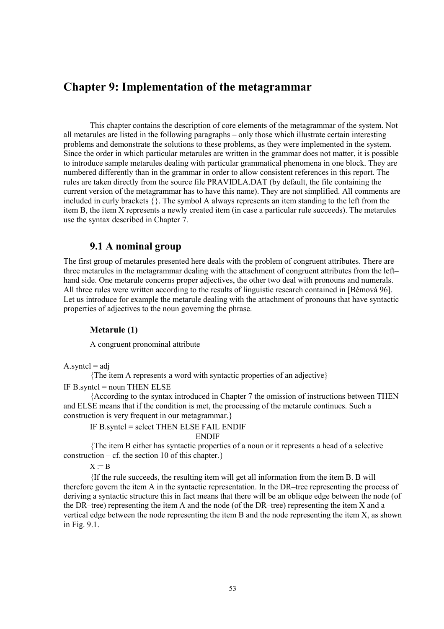# **Chapter 9: Implementation of the metagrammar**

This chapter contains the description of core elements of the metagrammar of the system. Not all metarules are listed in the following paragraphs – only those which illustrate certain interesting problems and demonstrate the solutions to these problems, as they were implemented in the system. Since the order in which particular metarules are written in the grammar does not matter, it is possible to introduce sample metarules dealing with particular grammatical phenomena in one block. They are numbered differently than in the grammar in order to allow consistent references in this report. The rules are taken directly from the source file PRAVIDLA.DAT (by default, the file containing the current version of the metagrammar has to have this name). They are not simplified. All comments are included in curly brackets  $\{\}$ . The symbol A always represents an item standing to the left from the item B, the item X represents a newly created item (in case a particular rule succeeds). The metarules use the syntax described in Chapter 7.

## **9.1 A nominal group**

The first group of metarules presented here deals with the problem of congruent attributes. There are three metarules in the metagrammar dealing with the attachment of congruent attributes from the left hand side. One metarule concerns proper adjectives, the other two deal with pronouns and numerals. All three rules were written according to the results of linguistic research contained in [Bémová 96]. Let us introduce for example the metarule dealing with the attachment of pronouns that have syntactic properties of adjectives to the noun governing the phrase.

### **Metarule (1)**

A congruent pronominal attribute

 $A$ .syntcl = adj

{The item A represents a word with syntactic properties of an adjective}

IF  $B$  syntcl = noun THEN ELSE

{According to the syntax introduced in Chapter 7 the omission of instructions between THEN and ELSE means that if the condition is met, the processing of the metarule continues. Such a construction is very frequent in our metagrammar.}

IF B.syntcl = select THEN ELSE FAIL ENDIF ENDIF

{The item B either has syntactic properties of a noun or it represents a head of a selective construction  $- cf.$  the section 10 of this chapter.}

 $X := B$ 

{If the rule succeeds, the resulting item will get all information from the item B. B will therefore govern the item A in the syntactic representation. In the DR–tree representing the process of deriving a syntactic structure this in fact means that there will be an oblique edge between the node (of the DR–tree) representing the item A and the node (of the DR–tree) representing the item X and a vertical edge between the node representing the item B and the node representing the item X, as shown in Fig. 9.1.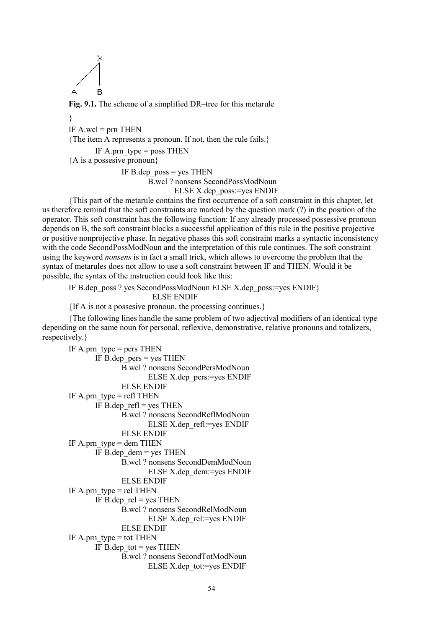

Fig. 9.1. The scheme of a simplified DR-tree for this metarule }

IF A.wcl  $=$  prn THEN

{The item A represents a pronoun. If not, then the rule fails.}

IF A.prn  $type = poss$  THEN

{A is a possesive pronoun}

IF B.dep  $poss = yes$  THEN

B.wcl ? nonsens SecondPossModNoun

ELSE X.dep\_poss:=yes ENDIF

{This part of the metarule contains the first occurrence of a soft constraint in this chapter, let us therefore remind that the soft constraints are marked by the question mark (?) in the position of the operator. This soft constraint has the following function: If any already processed possessive pronoun depends on B, the soft constraint blocks a successful application of this rule in the positive projective or positive nonprojective phase. In negative phases this soft constraint marks a syntactic inconsistency with the code SecondPossModNoun and the interpretation of this rule continues. The soft constraint using the keyword *nonsens* is in fact a small trick, which allows to overcome the problem that the syntax of metarules does not allow to use a soft constraint between IF and THEN. Would it be possible, the syntax of the instruction could look like this:

IF B.dep\_poss ? yes SecondPossModNoun ELSE X.dep\_poss:=yes ENDIF} ELSE ENDIF

{If A is not a possesive pronoun, the processing continues.}

{The following lines handle the same problem of two adjectival modifiers of an identical type depending on the same noun for personal, reflexive, demonstrative, relative pronouns and totalizers, respectively.}

```
IF A.prn type = pers THEN
      IF B.dep pers = ves THEN
             B.wcl ? nonsens SecondPersModNoun
                    ELSE X.dep_pers:=yes ENDIF
             ELSE ENDIF
IF A.prn type = refI THEN
      IF B.dep refl = yes THEN
             B.wcl ? nonsens SecondReflModNoun
                    ELSE X.dep_refl:=yes ENDIF
             ELSE ENDIF
IF A.prn type = dem THEN
      IF B.dep dem = yes THEN
             B.wcl ? nonsens SecondDemModNoun
                    ELSE X.dep_dem:=yes ENDIF
             ELSE ENDIF
IF A.prn_type = rel THEN
      IF B.dep rel = yes THEN
             B.wcl ? nonsens SecondRelModNoun
                    ELSE X.dep_rel:=yes ENDIF
             ELSE ENDIF
IF A.prn type = tot THEN
      IF B.dep tot = yes THEN
             B.wcl ? nonsens SecondTotModNoun
                    ELSE X.dep_tot:=yes ENDIF
```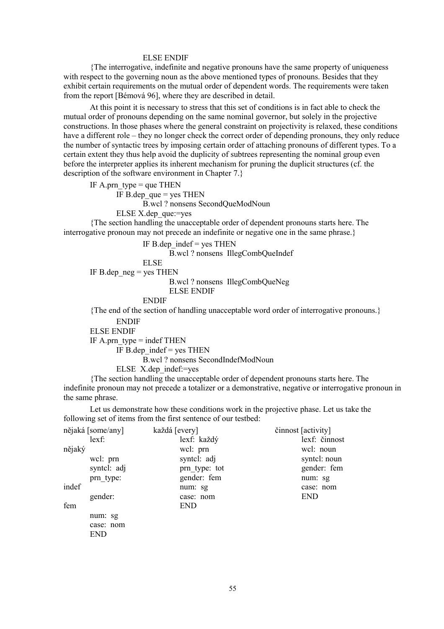### ELSE ENDIF

{The interrogative, indefinite and negative pronouns have the same property of uniqueness with respect to the governing noun as the above mentioned types of pronouns. Besides that they exhibit certain requirements on the mutual order of dependent words. The requirements were taken from the report  $[\hat{B}$ émová 96], where they are described in detail.

At this point it is necessary to stress that this set of conditions is in fact able to check the mutual order of pronouns depending on the same nominal governor, but solely in the projective constructions. In those phases where the general constraint on projectivity is relaxed, these conditions have a different role – they no longer check the correct order of depending pronouns, they only reduce the number of syntactic trees by imposing certain order of attaching pronouns of different types. To a certain extent they thus help avoid the duplicity of subtrees representing the nominal group even before the interpreter applies its inherent mechanism for pruning the duplicit structures (cf. the description of the software environment in Chapter 7.}

IF A.prn  $type = que THEN$ 

IF B.dep  $que = yes$  THEN

B.wcl ? nonsens SecondQueModNoun

ELSE X.dep que:=yes

{The section handling the unacceptable order of dependent pronouns starts here. The interrogative pronoun may not precede an indefinite or negative one in the same phrase.}

IF B.dep indef = yes THEN

B.wcl ? nonsens IllegCombQueIndef

ELSE

IF B.dep  $neg = yes$  THEN

B.wcl ? nonsens IllegCombQueNeg

ELSE ENDIF

ENDIF

{The end of the section of handling unacceptable word order of interrogative pronouns.}

ENDIF

ELSE ENDIF

IF A.prn  $type = indef$  THEN

IF B.dep indef  $=$  yes THEN

B.wcl ? nonsens SecondIndefModNoun

ELSE X.dep indef:=yes

{The section handling the unacceptable order of dependent pronouns starts here. The indefinite pronoun may not precede a totalizer or a demonstrative, negative or interrogative pronoun in the same phrase.

Let us demonstrate how these conditions work in the projective phase. Let us take the following set of items from the first sentence of our testbed:

| nějaká [some/any] | každá [every] | činnost [activity] |
|-------------------|---------------|--------------------|
| $lexf$ :          | lexf: každý   | lexf: činnost      |
| nějaký            | wel: prn      | wel: noun          |
| wel: prn          | syntel: adj   | syntel: noun       |
| syntel: adj       | prn type: tot | gender: fem        |
| prn type:         | gender: fem   | num: sg            |
| indef             | num: sg       | case: nom          |
| gender:           | case: nom     | <b>END</b>         |
| fem               | <b>END</b>    |                    |
| num: sg           |               |                    |
| case: nom         |               |                    |
| END               |               |                    |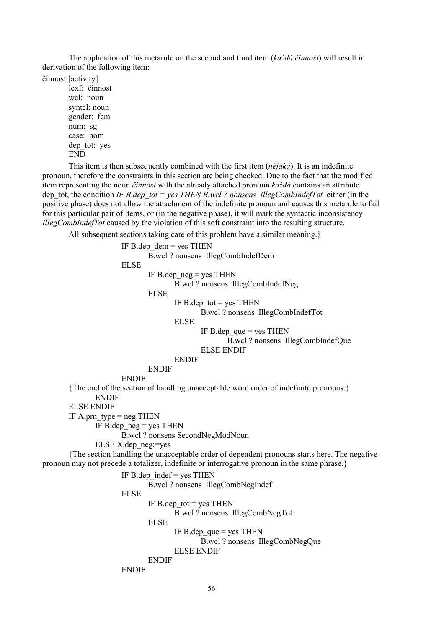The application of this metarule on the second and third item (*každá činnost*) will result in derivation of the following item:

činnost [activity]

lexf: činnost wcl: noun syntcl: noun gender: fem num: sg case: nom dep tot: yes END

This item is then subsequently combined with the first item ( $n\check{e}jak\check{a}$ ). It is an indefinite pronoun, therefore the constraints in this section are being checked. Due to the fact that the modified item representing the noun *činnost* with the already attached pronoun *každá* contains an attribute dep\_tot, the condition *IF B.dep\_tot = yes THEN B.wcl ? nonsens IllegCombIndefTot* either (in the positive phase) does not allow the attachment of the indefinite pronoun and causes this metarule to fail for this particular pair of items, or (in the negative phase), it will mark the syntactic inconsistency *IllegCombIndefTot* caused by the violation of this soft constraint into the resulting structure.

All subsequent sections taking care of this problem have a similar meaning.}

IF B.dep  $dem = yes$  THEN

B.wcl ? nonsens IllegCombIndefDem

ELSE

IF B.dep  $neg = yes$  THEN B.wcl ? nonsens IllegCombIndefNeg **ELSE** IF B.dep  $\text{tot} = \text{yes}$  THEN B.wcl ? nonsens IllegCombIndefTot ELSE IF B.dep  $que = yes$  THEN B.wcl ? nonsens IllegCombIndefQue ELSE ENDIF ENDIF ENDIF

ENDIF

{The end of the section of handling unacceptable word order of indefinite pronouns.} ENDIF

ELSE ENDIF

IF A.prn  $type = neg$  THEN

IF B.dep  $neg = yes$  THEN

B.wcl ? nonsens SecondNegModNoun

ELSE X.dep neg:=yes

{The section handling the unacceptable order of dependent pronouns starts here. The negative pronoun may not precede a totalizer, indefinite or interrogative pronoun in the same phrase.}

> IF B.dep indef  $=$  yes THEN B.wcl ? nonsens IllegCombNegIndef ELSE IF B.dep tot  $=$  yes THEN B.wcl ? nonsens IllegCombNegTot ELSE IF B.dep  $que = yes$  THEN B.wcl ? nonsens IllegCombNegQue ELSE ENDIF ENDIF ENDIF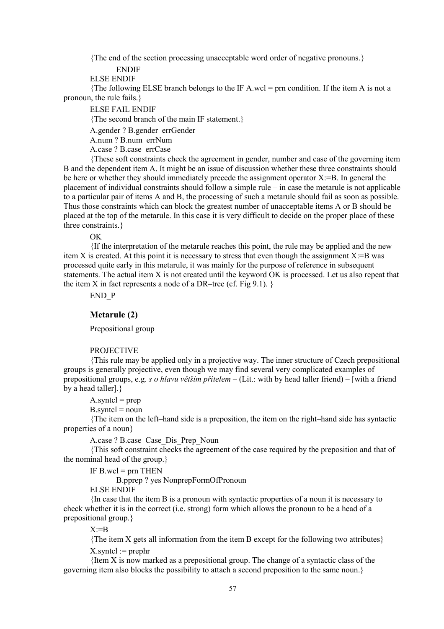{The end of the section processing unacceptable word order of negative pronouns.}

ENDIF

ELSE ENDIF

{The following ELSE branch belongs to the IF A.wcl = prn condition. If the item A is not a pronoun, the rule fails.}

ELSE FAIL ENDIF {The second branch of the main IF statement.} A.gender ? B.gender errGender A.num ? B.num errNum A.case ? B.case errCase

{These soft constraints check the agreement in gender, number and case of the governing item B and the dependent item A. It might be an issue of discussion whether these three constraints should be here or whether they should immediately precede the assignment operator  $X:=B$ . In general the placement of individual constraints should follow a simple rule  $-$  in case the metarule is not applicable to a particular pair of items A and B, the processing of such a metarule should fail as soon as possible. Thus those constraints which can block the greatest number of unacceptable items A or B should be placed at the top of the metarule. In this case it is very difficult to decide on the proper place of these three constraints.}

OK

{If the interpretation of the metarule reaches this point, the rule may be applied and the new item X is created. At this point it is necessary to stress that even though the assignment  $X:=B$  was processed quite early in this metarule, it was mainly for the purpose of reference in subsequent statements. The actual item X is not created until the keyword OK is processed. Let us also repeat that the item X in fact represents a node of a DR-tree (cf. Fig 9.1).  $\}$ 

END\_P

## **Metarule (2)**

Prepositional group

### **PROJECTIVE**

{This rule may be applied only in a projective way. The inner structure of Czech prepositional groups is generally projective, even though we may find several very complicated examples of prepositional groups, e.g. *s o hlavu větším přítelem* – (Lit.: with by head taller friend) – [with a friend by a head taller].}

 $A$ .syntcl = prep

 $B$ .syntcl = noun

{The item on the left-hand side is a preposition, the item on the right-hand side has syntactic properties of a noun}

A.case ? B.case Case\_Dis\_Prep\_Noun

{This soft constraint checks the agreement of the case required by the preposition and that of the nominal head of the group.}

IF B.wcl  $=$  prn THEN

B.pprep ? yes NonprepFormOfPronoun

ELSE ENDIF

{In case that the item B is a pronoun with syntactic properties of a noun it is necessary to check whether it is in the correct (i.e. strong) form which allows the pronoun to be a head of a prepositional group.}

 $X = B$ 

{The item X gets all information from the item B except for the following two attributes}  $X$ . syntcl  $:=$  prephr

{Item X is now marked as a prepositional group. The change of a syntactic class of the governing item also blocks the possibility to attach a second preposition to the same noun.}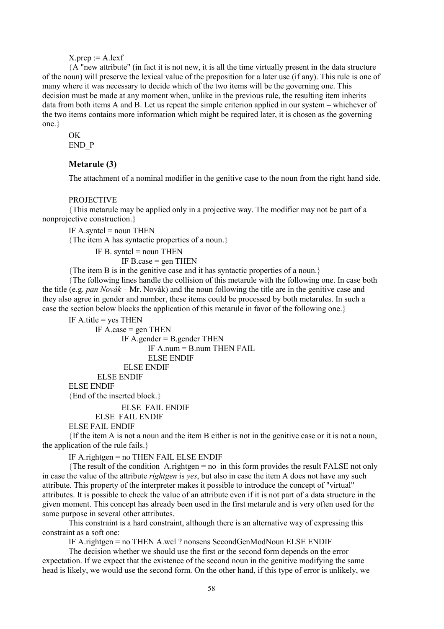### $X.$ prep :=  $A.$ lex $f$

{A "new attribute" (in fact it is not new, it is all the time virtually present in the data structure of the noun) will preserve the lexical value of the preposition for a later use (if any). This rule is one of many where it was necessary to decide which of the two items will be the governing one. This decision must be made at any moment when, unlike in the previous rule, the resulting item inherits data from both items A and B. Let us repeat the simple criterion applied in our system  $-$  whichever of the two items contains more information which might be required later, it is chosen as the governing one.}

#### OK

END\_P

### **Metarule (3)**

The attachment of a nominal modifier in the genitive case to the noun from the right hand side.

### PROJECTIVE

{This metarule may be applied only in a projective way. The modifier may not be part of a nonprojective construction.}

IF  $A$ , syntcl = noun THEN

{The item A has syntactic properties of a noun.}

IF B. syntel  $=$  noun THEN

IF B.case  $=$  gen THEN

{The item B is in the genitive case and it has syntactic properties of a noun.}

{The following lines handle the collision of this metarule with the following one. In case both the title (e.g. *pan Novák* – Mr. Novák) and the noun following the title are in the genitive case and they also agree in gender and number, these items could be processed by both metarules. In such a case the section below blocks the application of this metarule in favor of the following one.}

```
IF A.title = yes THEN
```
IF A.case  $=$  gen THEN IF  $A$  gender  $= B$  gender THEN IF  $A$ .num =  $B$ .num THEN FAIL ELSE ENDIF ELSE ENDIF ELSE ENDIF ELSE ENDIF

{End of the inserted block.}

ELSE FAIL ENDIF

ELSE FAIL ENDIF

### ELSE FAIL ENDIF

{If the item A is not a noun and the item B either is not in the genitive case or it is not a noun, the application of the rule fails.}

IF A.rightgen = no THEN FAIL ELSE ENDIF

{The result of the condition A.rightgen = no in this form provides the result FALSE not only in case the value of the attribute *rightgen* is *yes*, but also in case the item A does not have any such attribute. This property of the interpreter makes it possible to introduce the concept of "virtual" attributes. It is possible to check the value of an attribute even if it is not part of a data structure in the given moment. This concept has already been used in the first metarule and is very often used for the same purpose in several other attributes.

This constraint is a hard constraint, although there is an alternative way of expressing this constraint as a soft one:

IF A.rightgen = no THEN A.wcl ? nonsens SecondGenModNoun ELSE ENDIF

The decision whether we should use the first or the second form depends on the error expectation. If we expect that the existence of the second noun in the genitive modifying the same head is likely, we would use the second form. On the other hand, if this type of error is unlikely, we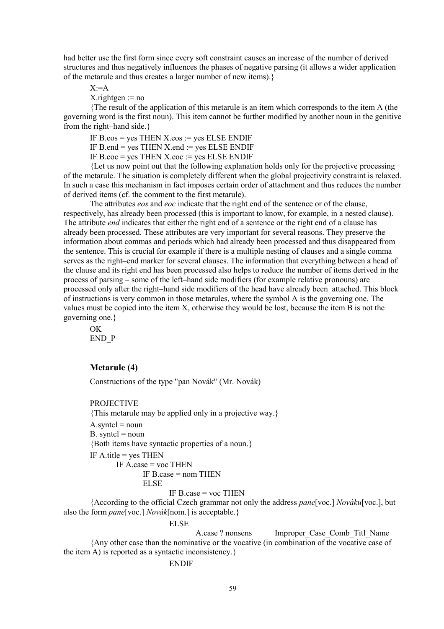had better use the first form since every soft constraint causes an increase of the number of derived structures and thus negatively influences the phases of negative parsing (it allows a wider application of the metarule and thus creates a larger number of new items).}

### $X = A$

 $X$ .rightgen  $:=$  no

{The result of the application of this metarule is an item which corresponds to the item A (the governing word is the first noun). This item cannot be further modified by another noun in the genitive from the right-hand side. $\}$ 

IF  $B.eos = yes$  THEN  $X.eos := ves$  ELSE ENDIF

IF B.end = yes THEN  $X$ .end := yes ELSE ENDIF

IF B.eoc  $=$  yes THEN X.eoc  $:=$  yes ELSE ENDIF

{Let us now point out that the following explanation holds only for the projective processing of the metarule. The situation is completely different when the global projectivity constraint is relaxed. In such a case this mechanism in fact imposes certain order of attachment and thus reduces the number of derived items (cf. the comment to the first metarule).

The attributes *eos* and *eoc* indicate that the right end of the sentence or of the clause, respectively, has already been processed (this is important to know, for example, in a nested clause). The attribute *end* indicates that either the right end of a sentence or the right end of a clause has already been processed. These attributes are very important for several reasons. They preserve the information about commas and periods which had already been processed and thus disappeared from the sentence. This is crucial for example if there is a multiple nesting of clauses and a single comma serves as the right-end marker for several clauses. The information that everything between a head of the clause and its right end has been processed also helps to reduce the number of items derived in the process of parsing – some of the left-hand side modifiers (for example relative pronouns) are processed only after the right-hand side modifiers of the head have already been attached. This block of instructions is very common in those metarules, where the symbol A is the governing one. The values must be copied into the item X, otherwise they would be lost, because the item B is not the governing one.}

OK END\_P

### **Metarule (4)**

Constructions of the type "pan Novák" (Mr. Novák)

#### **PROJECTIVE**

{This metarule may be applied only in a projective way.}  $A$ .syntcl = noun  $B.$  syntcl = noun {Both items have syntactic properties of a noun.} IF A.title  $=$  yes THEN IF  $\overline{A}$  case = voc THEN IF B.case  $=$  nom THEN ELSE

IF  $B \cdot \text{case} = \text{voc}$  THEN

{According to the official Czech grammar not only the address *pane*[voc.] *Nováku*[voc.], but also the form *pane*[voc.] *Novák*[nom.] is acceptable.}

### ELSE

A.case ? nonsens Improper Case Comb Titl Name {Any other case than the nominative or the vocative (in combination of the vocative case of the item A) is reported as a syntactic inconsistency.}

ENDIF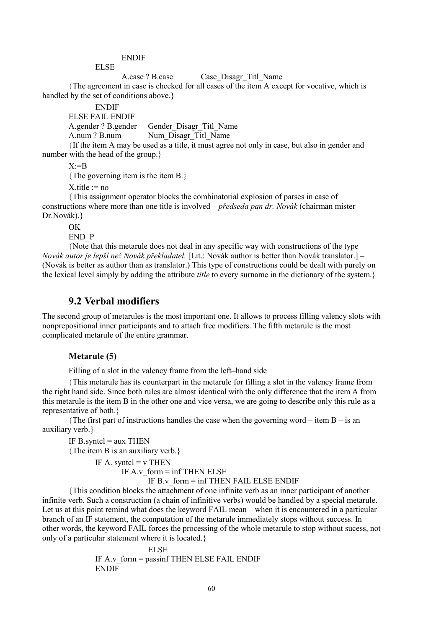### ENDIF

ELSE

A.case ? B.case Case Disagr Titl Name

{The agreement in case is checked for all cases of the item A except for vocative, which is handled by the set of conditions above.}

ENDIF

ELSE FAIL ENDIF A.gender ? B.gender Gender\_Disagr\_Titl\_Name A.num ? B.num Num Disagr\_Titl\_Name

{If the item A may be used as a title, it must agree not only in case, but also in gender and number with the head of the group.}

 $X = B$ 

{The governing item is the item B.}

 $X$  title  $=$  no

{This assignment operator blocks the combinatorial explosion of parses in case of constructions where more than one title is involved – *předseda pan dr. Novák* (chairman mister Dr.Novák).}

OK

END\_P

{Note that this metarule does not deal in any specific way with constructions of the type *Novák autor je lepší než Novák překladatel.* [Lit.: Novák author is better than Novák translator.] – (Novák is better as author than as translator.) This type of constructions could be dealt with purely on the lexical level simply by adding the attribute *title* to every surname in the dictionary of the system.}

# **9.2 Verbal modifiers**

The second group of metarules is the most important one. It allows to process filling valency slots with nonprepositional inner participants and to attach free modifiers. The fifth metarule is the most complicated metarule of the entire grammar.

## **Metarule (5)**

Filling of a slot in the valency frame from the left-hand side

{This metarule has its counterpart in the metarule for filling a slot in the valency frame from the right hand side. Since both rules are almost identical with the only difference that the item A from this metarule is the item B in the other one and vice versa, we are going to describe only this rule as a representative of both.}

{The first part of instructions handles the case when the governing word – item B – is an auxiliary verb.}

IF  $B$ .syntcl = aux THEN {The item B is an auxiliary verb.}

IF A. syntcl =  $v$  THEN

IF A.y  $form = inf$  THEN ELSE

IF B.v  $form = inf$  THEN FAIL ELSE ENDIF

{This condition blocks the attachment of one infinite verb as an inner participant of another infinite verb. Such a construction (a chain of infinitive verbs) would be handled by a special metarule. Let us at this point remind what does the keyword FAIL mean – when it is encountered in a particular branch of an IF statement, the computation of the metarule immediately stops without success. In other words, the keyword FAIL forces the processing of the whole metarule to stop without sucess, not only of a particular statement where it is located.}

> **ELSE** IF A.v form = passinf THEN ELSE FAIL ENDIF ENDIF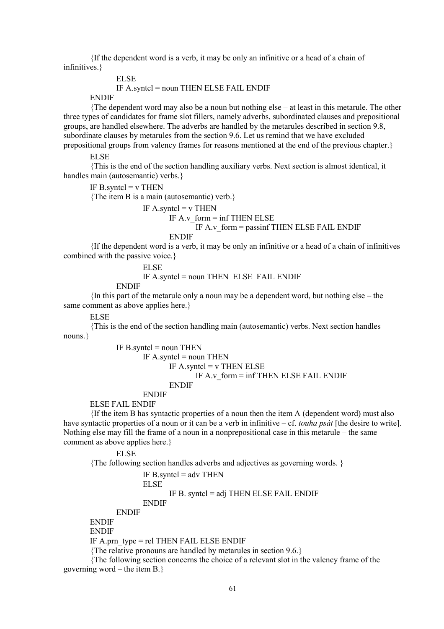{If the dependent word is a verb, it may be only an infinitive or a head of a chain of infinitives.}

ELSE

IF A.syntcl = noun THEN ELSE FAIL ENDIF

**ENDIF** 

 ${$ The dependent word may also be a noun but nothing else – at least in this metarule. The other three types of candidates for frame slot fillers, namely adverbs, subordinated clauses and prepositional groups, are handled elsewhere. The adverbs are handled by the metarules described in section 9.8, subordinate clauses by metarules from the section 9.6. Let us remind that we have excluded prepositional groups from valency frames for reasons mentioned at the end of the previous chapter.}

**ELSE** 

{This is the end of the section handling auxiliary verbs. Next section is almost identical, it handles main (autosemantic) verbs.}

IF B.syntcl  $=$  v THEN

{The item B is a main (autosemantic) verb.}

IF A.syntcl  $=$  v THEN

IF A.v  $form = inf$  THEN ELSE

IF A.v  $form = passing$  THEN ELSE FAIL ENDIF

ENDIF

{If the dependent word is a verb, it may be only an infinitive or a head of a chain of infinitives combined with the passive voice.}

ELSE

IF A.syntcl = noun THEN ELSE FAIL ENDIF

ENDIF

 ${In this part of the metarule only a noun may be a dependent word, but nothing else – the$ same comment as above applies here.}

ELSE

{This is the end of the section handling main (autosemantic) verbs. Next section handles nouns.}

> IF B.syntcl  $=$  noun THEN IF  $A$ , syntcl = noun THEN IF A.syntcl  $=$  v THEN ELSE IF A.v\_form = inf THEN ELSE FAIL ENDIF ENDIF ENDIF

ELSE FAIL ENDIF

{If the item B has syntactic properties of a noun then the item A (dependent word) must also have syntactic properties of a noun or it can be a verb in infinitive  $-$  cf. *touha psat* [the desire to write]. Nothing else may fill the frame of a noun in a nonprepositional case in this metarule  $-$  the same comment as above applies here.}

ELSE

{The following section handles adverbs and adjectives as governing words. }

IF B.syntcl  $=$  adv THEN

ELSE

IF B. syntcl = adj THEN ELSE FAIL ENDIF

ENDIF

ENDIF

ENDIF ENDIF

IF A.prn  $type = rel$  THEN FAIL ELSE ENDIF

{The relative pronouns are handled by metarules in section 9.6.}

{The following section concerns the choice of a relevant slot in the valency frame of the governing word – the item  $B.$ }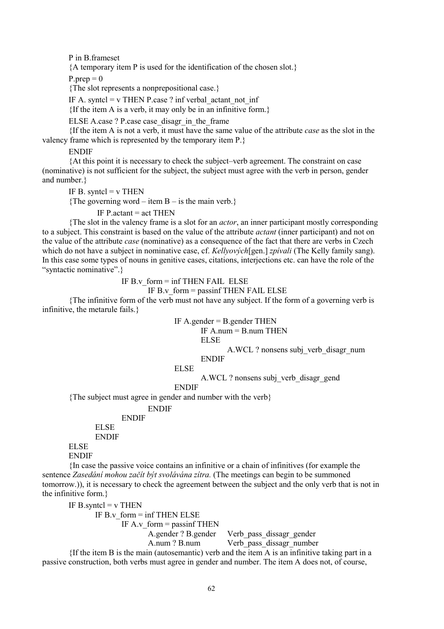P in B.frameset

{A temporary item P is used for the identification of the chosen slot.}

 $P_{.}$ prep = 0

{The slot represents a nonprepositional case.}

IF A. syntcl =  $\bar{v}$  THEN P.case ? inf verbal actant not inf

{If the item A is a verb, it may only be in an infinitive form.}

ELSE A.case ? P.case case\_disagr\_in\_the\_frame

{If the item A is not a verb, it must have the same value of the attribute *case* as the slot in the valency frame which is represented by the temporary item P.}

ENDIF

 ${A}$ t this point it is necessary to check the subject-verb agreement. The constraint on case (nominative) is not sufficient for the subject, the subject must agree with the verb in person, gender and number.}

IF B. syntcl  $=$  v THEN

{The governing word – item  $B -$  is the main verb.}

IF  $P$  actant = act THEN

{The slot in the valency frame is a slot for an *actor*, an inner participant mostly corresponding to a subject. This constraint is based on the value of the attribute *actant* (inner participant) and not on the value of the attribute *case* (nominative) as a consequence of the fact that there are verbs in Czech which do not have a subject in nominative case, cf. *Kellyových*[gen.] *zpívali* (The Kelly family sang). In this case some types of nouns in genitive cases, citations, interjections etc. can have the role of the "syntactic nominative".

IF B.v form  $=$  inf THEN FAIL ELSE

IF B.v form  $=$  passinf THEN FAIL ELSE

{The infinitive form of the verb must not have any subject. If the form of a governing verb is infinitive, the metarule fails.}

IF  $A$  gender = B gender THEN

IF  $A.num = B.num$  THEN

ELSE

A.WCL ? nonsens subj\_verb\_disagr\_num

ENDIF

ELSE

A.WCL ? nonsens subj\_verb\_disagr\_gend

```
ENDIF
```
{The subject must agree in gender and number with the verb}

## ENDIF

**ENDIF** 

ELSE

ENDIF

ELSE ENDIF

{In case the passive voice contains an infinitive or a chain of infinitives (for example the sentence *Zasedání mohou začít být svolávána zítra*. (The meetings can begin to be summoned tomorrow.)), it is necessary to check the agreement between the subject and the only verb that is not in the infinitive form.}

IF B.syntcl  $=$  v THEN IF B.v form  $=$  inf THEN ELSE

IF A.v form  $=$  passinf THEN

A.gender ? B.gender Verb pass dissagr\_gender

A.num ? B.num Verb pass dissagr\_number

{If the item B is the main (autosemantic) verb and the item A is an infinitive taking part in a passive construction, both verbs must agree in gender and number. The item A does not, of course,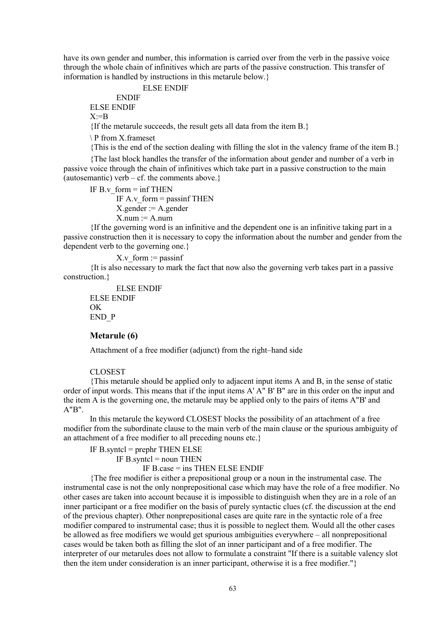have its own gender and number, this information is carried over from the verb in the passive voice through the whole chain of infinitives which are parts of the passive construction. This transfer of information is handled by instructions in this metarule below.}

ELSE ENDIF ENDIF ELSE ENDIF  $X:=B$ {If the metarule succeeds, the result gets all data from the item B.} \ P from X.frameset

{This is the end of the section dealing with filling the slot in the valency frame of the item B.}

{The last block handles the transfer of the information about gender and number of a verb in passive voice through the chain of infinitives which take part in a passive construction to the main (autosemantic) verb  $- cf.$  the comments above.}

IF B.v form  $=$  inf THEN IF A.v form  $=$  passinf THEN  $X$ .gender := A.gender  $X.num := A.num$ 

{If the governing word is an infinitive and the dependent one is an infinitive taking part in a passive construction then it is necessary to copy the information about the number and gender from the dependent verb to the governing one.}

```
X.y form := passinf
```
{It is also necessary to mark the fact that now also the governing verb takes part in a passive construction.}

```
ELSE ENDIF
ELSE ENDIF
OK
END_P
```
## **Metarule (6)**

Attachment of a free modifier (adjunct) from the right-hand side

CLOSEST

{This metarule should be applied only to adjacent input items A and B, in the sense of static order of input words. This means that if the input items A' A" B' B" are in this order on the input and the item A is the governing one, the metarule may be applied only to the pairs of items A"B' and A"B".

In this metarule the keyword CLOSEST blocks the possibility of an attachment of a free modifier from the subordinate clause to the main verb of the main clause or the spurious ambiguity of an attachment of a free modifier to all preceding nouns etc.}

IF B.syntcl  $=$  prephr THEN ELSE IF B.syntcl  $=$  noun THEN IF B.case = ins THEN ELSE ENDIF

{The free modifier is either a prepositional group or a noun in the instrumental case. The instrumental case is not the only nonprepositional case which may have the role of a free modifier. No other cases are taken into account because it is impossible to distinguish when they are in a role of an inner participant or a free modifier on the basis of purely syntactic clues (cf. the discussion at the end of the previous chapter). Other nonprepositional cases are quite rare in the syntactic role of a free modifier compared to instrumental case; thus it is possible to neglect them. Would all the other cases be allowed as free modifiers we would get spurious ambiguities everywhere – all nonprepositional cases would be taken both as filling the slot of an inner participant and of a free modifier. The interpreter of our metarules does not allow to formulate a constraint "If there is a suitable valency slot then the item under consideration is an inner participant, otherwise it is a free modifier."}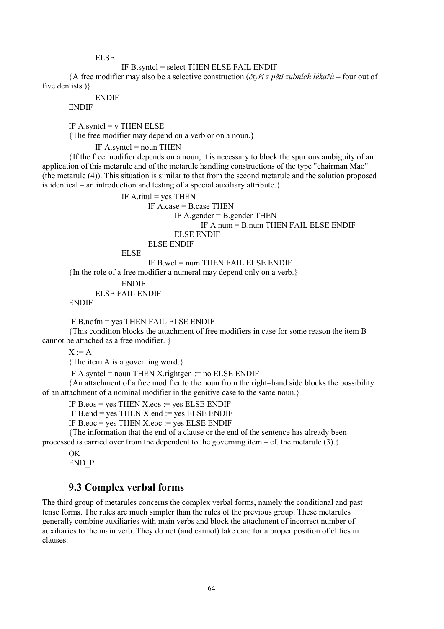ELSE

IF B.syntcl = select THEN ELSE FAIL ENDIF

{A free modifier may also be a selective construction (*čtyři z pěti zubních lékařů* – four out of five dentists.) }

ENDIF

ENDIF

IF A.syntcl  $=$  v THEN ELSE

{The free modifier may depend on a verb or on a noun.}

IF  $A$  syntcl = noun THEN

{If the free modifier depends on a noun, it is necessary to block the spurious ambiguity of an application of this metarule and of the metarule handling constructions of the type "chairman Mao" (the metarule (4)). This situation is similar to that from the second metarule and the solution proposed is identical  $-$  an introduction and testing of a special auxiliary attribute.}

```
IF A.titul = yes THEN
                     IF A \cdot case = B \cdot case THEN
                             IF A.gender = B.gender THEN
                                    IF A.num = B.num THEN FAIL ELSE ENDIF
                             ELSE ENDIF
                     ELSE ENDIF
              ELSE
                     IF B.wcl = num THEN FAIL ELSE ENDIF
{In the role of a free modifier a numeral may depend only on a verb.}
```
ENDIF

ELSE FAIL ENDIF

ENDIF

IF B.nofm = yes THEN FAIL ELSE ENDIF

{This condition blocks the attachment of free modifiers in case for some reason the item B cannot be attached as a free modifier. }

 $X := A$ 

{The item A is a governing word.}

IF A.syntcl = noun THEN X.rightgen  $:=$  no ELSE ENDIF

 ${An attachment of a free modifier to the noun from the right–hand side blocks the possibility\n$ of an attachment of a nominal modifier in the genitive case to the same noun.}

IF B.eos  $=$  yes THEN X.eos  $:=$  yes ELSE ENDIF

IF B.end  $=$  yes THEN X.end  $:=$  yes ELSE ENDIF

IF B.eoc = yes THEN X.eoc := yes ELSE ENDIF

{The information that the end of a clause or the end of the sentence has already been processed is carried over from the dependent to the governing item – cf. the metarule (3).}

OK END\_P

# **9.3 Complex verbal forms**

The third group of metarules concerns the complex verbal forms, namely the conditional and past tense forms. The rules are much simpler than the rules of the previous group. These metarules generally combine auxiliaries with main verbs and block the attachment of incorrect number of auxiliaries to the main verb. They do not (and cannot) take care for a proper position of clitics in clauses.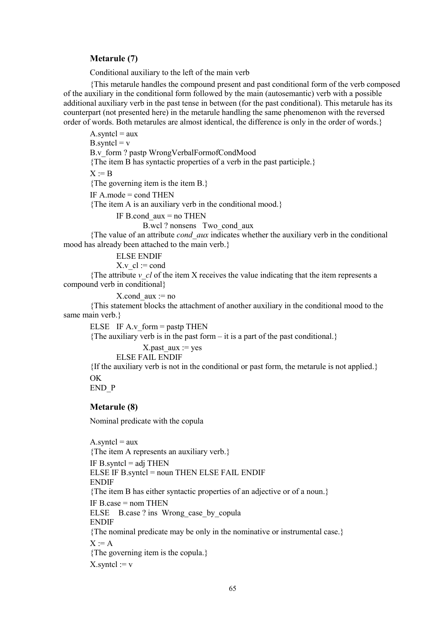## **Metarule (7)**

Conditional auxiliary to the left of the main verb

{This metarule handles the compound present and past conditional form of the verb composed of the auxiliary in the conditional form followed by the main (autosemantic) verb with a possible additional auxiliary verb in the past tense in between (for the past conditional). This metarule has its counterpart (not presented here) in the metarule handling the same phenomenon with the reversed order of words. Both metarules are almost identical, the difference is only in the order of words.}

```
A.syntcl = aux
       B.syntcl = v
       B.v_form ? pastp WrongVerbalFormofCondMood
       {The item B has syntactic properties of a verb in the past participle.}
       X := B{The governing item is the item B.}
       IF A mode = cond THEN
       {The item A is an auxiliary verb in the conditional mood.}
               IF B.cond aux = no THEN
                      B.wcl ? nonsens Two_cond_aux
       {The value of an attribute cond_aux indicates whether the auxiliary verb in the conditional
mood has already been attached to the main verb.}
```
ELSE ENDIF

 $X.y$  cl := cond

{The attribute  $\nu$  *cl* of the item X receives the value indicating that the item represents a compound verb in conditional}

 $X_{\text{cond}}$  aux := no

{This statement blocks the attachment of another auxiliary in the conditional mood to the same main verb.}

ELSE IF A.y form  $=$  pastp THEN

{The auxiliary verb is in the past form  $-\text{ it is a part of the past conditional.}$ }

 $X.$ past  $aux := ves$ 

ELSE FAIL ENDIF

{If the auxiliary verb is not in the conditional or past form, the metarule is not applied.} OK

```
END_P
```
## **Metarule (8)**

Nominal predicate with the copula

```
A.syntcl = aux
{The item A represents an auxiliary verb.}
IF B. syntcl = adj THEN
ELSE IF B.syntcl = noun THEN ELSE FAIL ENDIF
ENDIF
{The item B has either syntactic properties of an adjective or of a noun.}
IF B.case = nom THEN
ELSE B.case ? ins Wrong case by copula
ENDIF
{The nominal predicate may be only in the nominative or instrumental case.}
X := A{The governing item is the copula.}
X.syntcl := v
```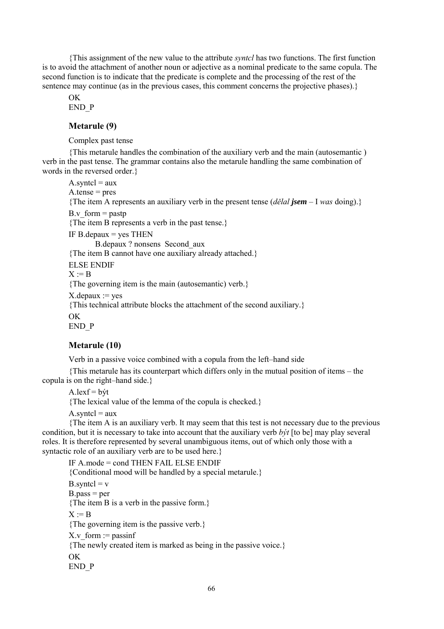{This assignment of the new value to the attribute *syntcl* has two functions. The first function is to avoid the attachment of another noun or adjective as a nominal predicate to the same copula. The second function is to indicate that the predicate is complete and the processing of the rest of the sentence may continue (as in the previous cases, this comment concerns the projective phases).}

**OK** END\_P

## **Metarule (9)**

Complex past tense

{This metarule handles the combination of the auxiliary verb and the main (autosemantic ) verb in the past tense. The grammar contains also the metarule handling the same combination of words in the reversed order.}

 $A$ .syntcl = aux  $A_t$  tense = pres {The item A represents an auxiliary verb in the present tense  $(d\check{e}lal$  **jsem** – I was doing).} B.v form  $=$  pastp {The item B represents a verb in the past tense.} IF B.depaux  $=$  yes THEN B.depaux ? nonsens Second\_aux {The item B cannot have one auxiliary already attached.} ELSE ENDIF  $X := B$ {The governing item is the main (autosemantic) verb.}  $X.depaux = yes$ {This technical attribute blocks the attachment of the second auxiliary.} OK END\_P

# **Metarule (10)**

Verb in a passive voice combined with a copula from the left-hand side

 ${$ [This metarule has its counterpart which differs only in the mutual position of items – the copula is on the right-hand side. $\}$ 

 $A$ .lex $f = b \times t$ 

{The lexical value of the lemma of the copula is checked.}

 $A$ .syntcl = aux

{The item A is an auxiliary verb. It may seem that this test is not necessary due to the previous condition, but it is necessary to take into account that the auxiliary verb *b*/t [to be] may play several roles. It is therefore represented by several unambiguous items, out of which only those with a syntactic role of an auxiliary verb are to be used here.}

IF A.mode = cond THEN FAIL ELSE ENDIF {Conditional mood will be handled by a special metarule.}  $B$ .syntcl =  $v$  $B.\text{pass} = \text{per}$ {The item B is a verb in the passive form.}  $X = B$ {The governing item is the passive verb.}  $X.y$  form  $:=$  passinf {The newly created item is marked as being in the passive voice.}  $\overline{OK}$ END\_P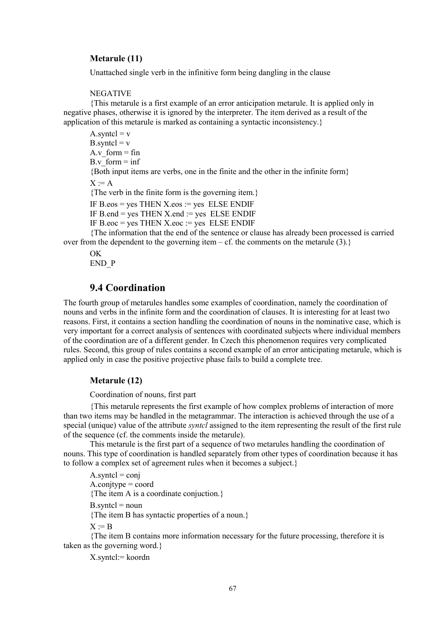## **Metarule (11)**

Unattached single verb in the infinitive form being dangling in the clause

### NEGATIVE

{This metarule is a first example of an error anticipation metarule. It is applied only in negative phases, otherwise it is ignored by the interpreter. The item derived as a result of the application of this metarule is marked as containing a syntactic inconsistency.}

A.syntcl =  $v$  $B$ .syntcl = v A.v form  $=$  fin B.v form  $=$  inf {Both input items are verbs, one in the finite and the other in the infinite form}  $X = A$ {The verb in the finite form is the governing item.} IF  $B.eos = yes$  THEN  $X.eos := yes$  ELSE ENDIF

IF B.end = yes THEN  $X$ .end := yes ELSE ENDIF

IF B.eoc = yes THEN  $X$ .eoc := yes ELSE ENDIF

{The information that the end of the sentence or clause has already been processed is carried over from the dependent to the governing item – cf. the comments on the metarule  $(3)$ .}

OK END\_P

# **9.4 Coordination**

The fourth group of metarules handles some examples of coordination, namely the coordination of nouns and verbs in the infinite form and the coordination of clauses. It is interesting for at least two reasons. First, it contains a section handling the coordination of nouns in the nominative case, which is very important for a correct analysis of sentences with coordinated subjects where individual members of the coordination are of a different gender. In Czech this phenomenon requires very complicated rules. Second, this group of rules contains a second example of an error anticipating metarule, which is applied only in case the positive projective phase fails to build a complete tree.

### **Metarule (12)**

Coordination of nouns, first part

{This metarule represents the first example of how complex problems of interaction of more than two items may be handled in the metagrammar. The interaction is achieved through the use of a special (unique) value of the attribute *syntcl* assigned to the item representing the result of the first rule of the sequence (cf. the comments inside the metarule).

This metarule is the first part of a sequence of two metarules handling the coordination of nouns. This type of coordination is handled separately from other types of coordination because it has to follow a complex set of agreement rules when it becomes a subject.}

 $A$ .syntcl = conj  $A$ .conjtype = coord {The item A is a coordinate conjuction.}  $B$  syntcl = noun {The item B has syntactic properties of a noun.}  $X := B$ 

{The item B contains more information necessary for the future processing, therefore it is taken as the governing word.}

X.syntcl:= koordn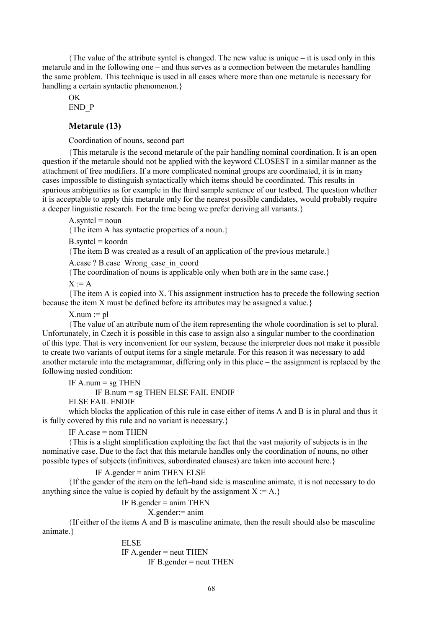{The value of the attribute syntcl is changed. The new value is unique  $-$  it is used only in this metarule and in the following one  $-$  and thus serves as a connection between the metarules handling the same problem. This technique is used in all cases where more than one metarule is necessary for handling a certain syntactic phenomenon.

OK END\_P

## **Metarule (13)**

Coordination of nouns, second part

{This metarule is the second metarule of the pair handling nominal coordination. It is an open question if the metarule should not be applied with the keyword CLOSEST in a similar manner as the attachment of free modifiers. If a more complicated nominal groups are coordinated, it is in many cases impossible to distinguish syntactically which items should be coordinated. This results in spurious ambiguities as for example in the third sample sentence of our testbed. The question whether it is acceptable to apply this metarule only for the nearest possible candidates, would probably require a deeper linguistic research. For the time being we prefer deriving all variants.}

 $A$ .syntcl = noun

{The item A has syntactic properties of a noun.}

 $B$ .syntcl = koordn

{The item B was created as a result of an application of the previous metarule.}

A.case ? B.case Wrong\_case\_in\_coord

{The coordination of nouns is applicable only when both are in the same case.}

 $X := A$ 

{The item A is copied into X. This assignment instruction has to precede the following section because the item X must be defined before its attributes may be assigned a value.}

 $X.num := pl$ 

{The value of an attribute num of the item representing the whole coordination is set to plural. Unfortunately, in Czech it is possible in this case to assign also a singular number to the coordination of this type. That is very inconvenient for our system, because the interpreter does not make it possible to create two variants of output items for a single metarule. For this reason it was necessary to add another metarule into the metagrammar, differing only in this place  $-$  the assignment is replaced by the following nested condition:

IF A.num  $=$  sg THEN

IF B.num = sg THEN ELSE FAIL ENDIF

ELSE FAIL ENDIF

which blocks the application of this rule in case either of items A and B is in plural and thus it is fully covered by this rule and no variant is necessary.}

IF  $A$  case = nom THEN

{This is a slight simplification exploiting the fact that the vast majority of subjects is in the nominative case. Due to the fact that this metarule handles only the coordination of nouns, no other possible types of subjects (infinitives, subordinated clauses) are taken into account here.}

IF A.gender  $=$  anim THEN ELSE

 ${If the gender of the item on the left–hand side is masculine animate, it is not necessary to do$ anything since the value is copied by default by the assignment  $X = A$ .

IF B.gender  $=$  anim THEN

X.gender:= anim

{If either of the items A and B is masculine animate, then the result should also be masculine animate.}

ELSE

IF A.gender = neut THEN IF B.gender = neut THEN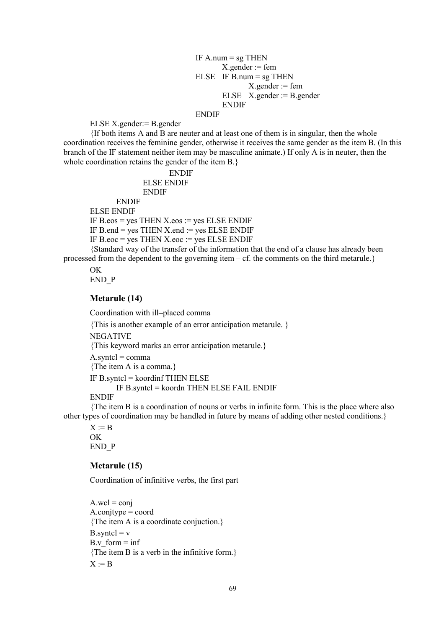IF  $A.num = sg$  THEN  $X$  gender  $:=$  fem ELSE IF B.num  $=$  sg THEN  $X$ .gender := fem ELSE X.gender := B.gender **ENDIF** ENDIF

ELSE X.gender:= B.gender

{If both items A and B are neuter and at least one of them is in singular, then the whole coordination receives the feminine gender, otherwise it receives the same gender as the item B. (In this branch of the IF statement neither item may be masculine animate.) If only A is in neuter, then the whole coordination retains the gender of the item B.}

#### ENDIF ELSE ENDIF

ENDIF ENDIF ELSE ENDIF IF  $B.eos = yes$  THEN  $X.eos := yes$  ELSE ENDIF IF B.end = yes THEN X.end := yes ELSE ENDIF IF B.eoc  $=$  yes THEN X.eoc  $:=$  yes ELSE ENDIF

{Standard way of the transfer of the information that the end of a clause has already been processed from the dependent to the governing item  $-$  cf. the comments on the third metarule.}

# OK

END\_P

## **Metarule (14)**

Coordination with ill-placed comma

{This is another example of an error anticipation metarule. }

NEGATIVE

{This keyword marks an error anticipation metarule.}

 $A$ .syntcl = comma

{The item A is a comma.}

IF B.syntcl  $=$  koordinf THEN ELSE

IF B.syntcl = koordn THEN ELSE FAIL ENDIF

ENDIF

{The item B is a coordination of nouns or verbs in infinite form. This is the place where also other types of coordination may be handled in future by means of adding other nested conditions.}

 $X := B$ OK END\_P

## **Metarule (15)**

Coordination of infinitive verbs, the first part

```
A.wcl = conj
A.conjtype = coord
{The item A is a coordinate conjuction.}
B.syntcl = v
B.v form = inf
{The item B is a verb in the infinitive form.}
X = B
```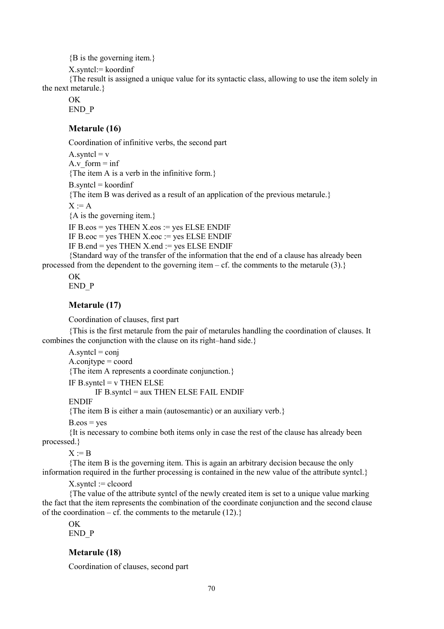{B is the governing item.}

X.syntcl:= koordinf

{The result is assigned a unique value for its syntactic class, allowing to use the item solely in the next metarule.}

OK

END\_P

## **Metarule (16)**

Coordination of infinitive verbs, the second part

A.syntcl =  $v$ A.v form  $=$  inf {The item A is a verb in the infinitive form.}  $B$ .syntcl = koordinf {The item B was derived as a result of an application of the previous metarule.}  $X := A$ {A is the governing item.} IF  $B.eos = yes$  THEN  $X.eos = yes$  ELSE ENDIF IF B.eoc = yes THEN  $X$ .eoc := yes ELSE ENDIF IF B.end  $=$  yes THEN X.end  $:=$  yes ELSE ENDIF {Standard way of the transfer of the information that the end of a clause has already been

processed from the dependent to the governing item  $-$  cf. the comments to the metarule (3).}

OK END\_P

## **Metarule (17)**

Coordination of clauses, first part

{This is the first metarule from the pair of metarules handling the coordination of clauses. It combines the conjunction with the clause on its right-hand side.}

 $A.s$ vntcl = conj  $A$ .conjtype = coord {The item A represents a coordinate conjunction.} IF B.syntcl  $=$  v THEN ELSE IF B.syntcl = aux THEN ELSE FAIL ENDIF

ENDIF

{The item B is either a main (autosemantic) or an auxiliary verb.}

 $B.eos = yes$ 

{It is necessary to combine both items only in case the rest of the clause has already been processed.}

 $X = B$ 

{The item B is the governing item. This is again an arbitrary decision because the only information required in the further processing is contained in the new value of the attribute syntcl.}

 $X$ .syntcl := clcoord

{The value of the attribute syntcl of the newly created item is set to a unique value marking the fact that the item represents the combination of the coordinate conjunction and the second clause of the coordination – cf. the comments to the metarule (12).}

OK END\_P

# **Metarule (18)**

Coordination of clauses, second part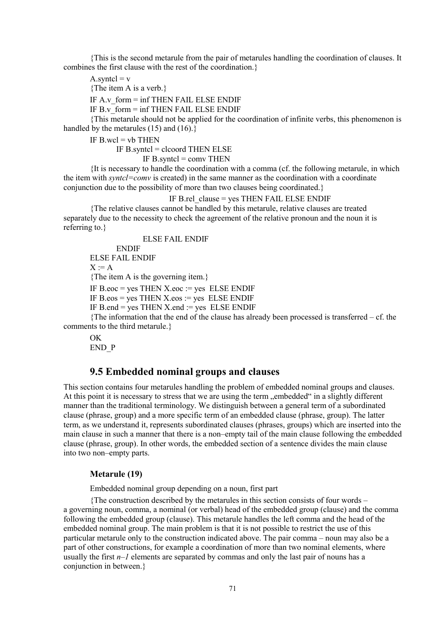{This is the second metarule from the pair of metarules handling the coordination of clauses. It combines the first clause with the rest of the coordination.}

A.syntcl =  $v$ 

{The item A is a verb.}

IF A.v  $form = inf$  THEN FAIL ELSE ENDIF

IF B.v form  $=$  inf THEN FAIL ELSE ENDIF

{This metarule should not be applied for the coordination of infinite verbs, this phenomenon is handled by the metarules (15) and (16).

IF  $B$ .wcl = vb THEN

IF B.syntcl = clcoord THEN ELSE

IF B.syntel  $=$  comv THEN

{It is necessary to handle the coordination with a comma (cf. the following metarule, in which the item with *syntcl=comv* is created) in the same manner as the coordination with a coordinate conjunction due to the possibility of more than two clauses being coordinated.}

IF B.rel clause  $=$  yes THEN FAIL ELSE ENDIF

{The relative clauses cannot be handled by this metarule, relative clauses are treated separately due to the necessity to check the agreement of the relative pronoun and the noun it is referring to.}

ELSE FAIL ENDIF

ENDIF ELSE FAIL ENDIF

 $X = A$ 

{The item A is the governing item.}

IF B.eoc = yes THEN  $X.eoc$  := yes ELSE ENDIF

IF B.eos  $=$  yes THEN X.eos  $:=$  yes ELSE ENDIF

IF B.end = yes THEN  $X$ .end := yes ELSE ENDIF

{The information that the end of the clause has already been processed is transferred  $-$  cf. the comments to the third metarule.}

OK

END\_P

# **9.5 Embedded nominal groups and clauses**

This section contains four metarules handling the problem of embedded nominal groups and clauses. At this point it is necessary to stress that we are using the term "embedded" in a slightly different manner than the traditional terminology. We distinguish between a general term of a subordinated clause (phrase, group) and a more specific term of an embedded clause (phrase, group). The latter term, as we understand it, represents subordinated clauses (phrases, groups) which are inserted into the main clause in such a manner that there is a non-empty tail of the main clause following the embedded clause (phrase, group). In other words, the embedded section of a sentence divides the main clause into two non-empty parts.

### **Metarule (19)**

Embedded nominal group depending on a noun, first part

 ${The construction described by the metarules in this section consists of four words –\n$ a governing noun, comma, a nominal (or verbal) head of the embedded group (clause) and the comma following the embedded group (clause). This metarule handles the left comma and the head of the embedded nominal group. The main problem is that it is not possible to restrict the use of this particular metarule only to the construction indicated above. The pair comma – noun may also be a part of other constructions, for example a coordination of more than two nominal elements, where usually the first  $n-1$  elements are separated by commas and only the last pair of nouns has a conjunction in between.}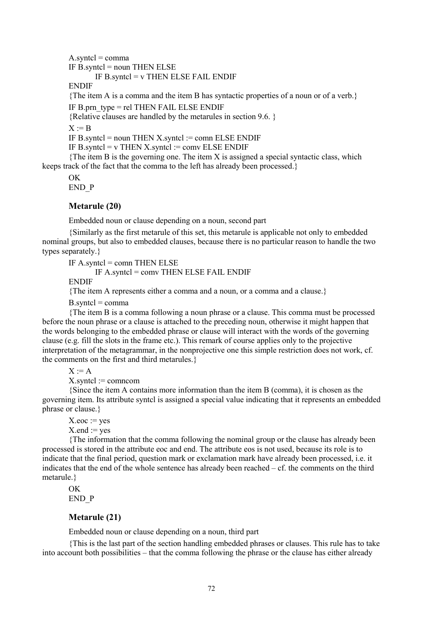$A.s$ yntcl = comma IF  $B$  syntcl = noun THEN ELSE IF B.syntcl = v THEN ELSE FAIL ENDIF ENDIF {The item A is a comma and the item B has syntactic properties of a noun or of a verb.} IF B.prn  $type = rel$  THEN FAIL ELSE ENDIF {Relative clauses are handled by the metarules in section 9.6. }  $X = B$ IF B.syntcl = noun THEN  $X$ .syntcl := comn ELSE ENDIF IF B.syntcl  $=$  v THEN X.syntcl  $:=$  comv ELSE ENDIF {The item B is the governing one. The item X is assigned a special syntactic class, which keeps track of the fact that the comma to the left has already been processed.}

 $\overline{OK}$ END\_P

## **Metarule (20)**

Embedded noun or clause depending on a noun, second part

{Similarly as the first metarule of this set, this metarule is applicable not only to embedded nominal groups, but also to embedded clauses, because there is no particular reason to handle the two types separately.}

IF  $A$ , syntcl = comn THEN ELSE

IF A.syntcl = comv THEN ELSE FAIL ENDIF

ENDIF

{The item A represents either a comma and a noun, or a comma and a clause.}

 $B$ .syntcl = comma

{The item B is a comma following a noun phrase or a clause. This comma must be processed before the noun phrase or a clause is attached to the preceding noun, otherwise it might happen that the words belonging to the embedded phrase or clause will interact with the words of the governing clause (e.g. fill the slots in the frame etc.). This remark of course applies only to the projective interpretation of the metagrammar, in the nonprojective one this simple restriction does not work, cf. the comments on the first and third metarules.}

 $X := A$ 

 $X$ .syntcl := comncom

{Since the item A contains more information than the item B (comma), it is chosen as the governing item. Its attribute syntcl is assigned a special value indicating that it represents an embedded phrase or clause.}

 $X.eoc := yes$ 

 $X$  end  $:=$  yes

{The information that the comma following the nominal group or the clause has already been processed is stored in the attribute eoc and end. The attribute eos is not used, because its role is to indicate that the final period, question mark or exclamation mark have already been processed, i.e. it indicates that the end of the whole sentence has already been reached  $- cf.$  the comments on the third metarule.}

OK END\_P

## **Metarule (21)**

Embedded noun or clause depending on a noun, third part

{This is the last part of the section handling embedded phrases or clauses. This rule has to take into account both possibilities – that the comma following the phrase or the clause has either already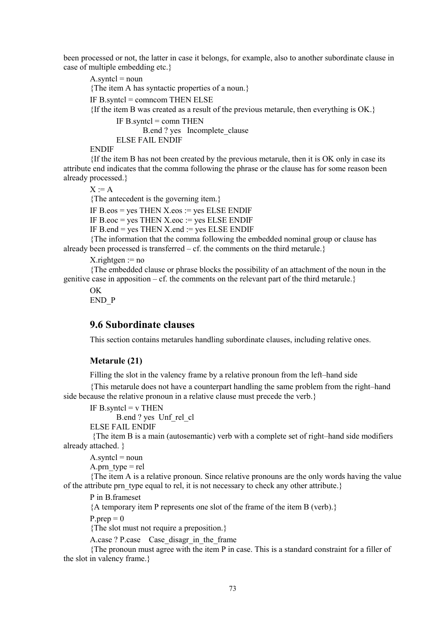been processed or not, the latter in case it belongs, for example, also to another subordinate clause in case of multiple embedding etc.}

 $A$ .syntcl = noun {The item A has syntactic properties of a noun.} IF B.syntcl = comncom THEN ELSE {If the item B was created as a result of the previous metarule, then everything is OK.} IF  $B$ , syntcl = comn THEN B.end ? yes Incomplete clause ELSE FAIL ENDIF

**ENDIF** 

{If the item B has not been created by the previous metarule, then it is OK only in case its attribute end indicates that the comma following the phrase or the clause has for some reason been already processed.}

 $X = A$ 

{The antecedent is the governing item.}

IF B.eos  $=$  yes THEN X.eos  $:=$  yes ELSE ENDIF

IF B.eoc  $=$  yes THEN X.eoc  $:=$  yes ELSE ENDIF

IF B.end = yes THEN  $X$ .end := yes ELSE ENDIF

{The information that the comma following the embedded nominal group or clause has already been processed is transferred  $- cf.$  the comments on the third metarule.}

 $X$ .rightgen := no

{The embedded clause or phrase blocks the possibility of an attachment of the noun in the genitive case in apposition  $- c f$ , the comments on the relevant part of the third metarule.}

OK END\_P

# **9.6 Subordinate clauses**

This section contains metarules handling subordinate clauses, including relative ones.

#### **Metarule (21)**

Filling the slot in the valency frame by a relative pronoun from the left-hand side

{This metarule does not have a counterpart handling the same problem from the right-hand side because the relative pronoun in a relative clause must precede the verb.}

```
IF B.syntcl = v THEN
```
B.end ? yes Unf\_rel\_cl

ELSE FAIL ENDIF

 ${The item B is a main (autosemantic) verb with a complete set of right–hand side modifiers }\n$ already attached. }

 $A$ .syntcl = noun

A.prn  $true = rel$ 

{The item A is a relative pronoun. Since relative pronouns are the only words having the value of the attribute prn\_type equal to rel, it is not necessary to check any other attribute.}

P in B.frameset

{A temporary item P represents one slot of the frame of the item B (verb).}

 $P_{.}$ prep = 0

{The slot must not require a preposition.}

A.case ? P.case Case disagr in the frame

{The pronoun must agree with the item P in case. This is a standard constraint for a filler of the slot in valency frame.}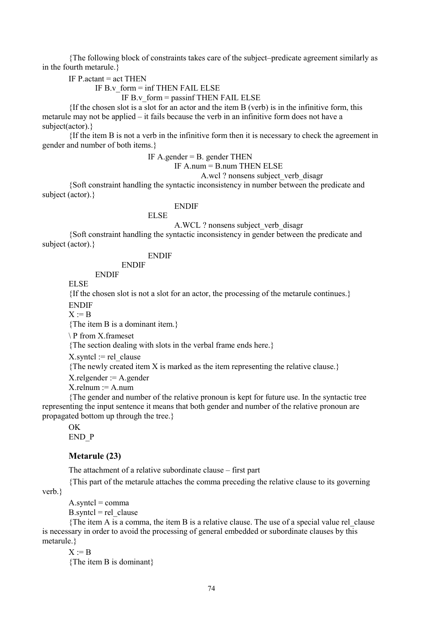{The following block of constraints takes care of the subject-predicate agreement similarly as in the fourth metarule.}

IF  $P$  actant = act THEN

```
IF B.v form = inf THEN FAIL ELSE
```
IF B.y form  $=$  passinf THEN FAIL ELSE

{If the chosen slot is a slot for an actor and the item B (verb) is in the infinitive form, this metarule may not be applied  $-$  it fails because the verb in an infinitive form does not have a subject(actor).}

{If the item B is not a verb in the infinitive form then it is necessary to check the agreement in gender and number of both items.}

IF A.gender  $=$  B. gender THEN

IF A.num = B.num THEN ELSE

A.wcl ? nonsens subject\_verb\_disagr

{Soft constraint handling the syntactic inconsistency in number between the predicate and subject (actor).}

#### ENDIF

ELSE

A.WCL ? nonsens subject\_verb\_disagr

{Soft constraint handling the syntactic inconsistency in gender between the predicate and subject (actor).}

#### ENDIF

ENDIF

ENDIF

ELSE

{If the chosen slot is not a slot for an actor, the processing of the metarule continues.} ENDIF

 $X := B$ 

{The item B is a dominant item.}

\ P from X.frameset

{The section dealing with slots in the verbal frame ends here.}

 $X$ .syntcl := rel\_clause

{The newly created item X is marked as the item representing the relative clause.}

 $X$ .relgender  $:= A$ .gender

 $X$ .relnum := A.num

{The gender and number of the relative pronoun is kept for future use. In the syntactic tree representing the input sentence it means that both gender and number of the relative pronoun are propagated bottom up through the tree.}

OK END\_P

#### **Metarule (23)**

The attachment of a relative subordinate clause  $-$  first part

{This part of the metarule attaches the comma preceding the relative clause to its governing

verb.}

 $A$ .syntcl = comma

 $B$ .syntcl = rel\_clause

 ${$ The item A is a comma, the item B is a relative clause. The use of a special value rel clause is necessary in order to avoid the processing of general embedded or subordinate clauses by this metarule.}

 $X = B$ 

{The item B is dominant}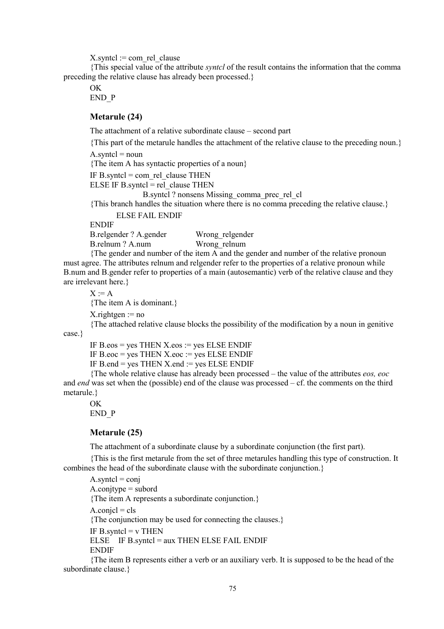$X$ . syntcl  $:=$  com rel clause

{This special value of the attribute *syntcl* of the result contains the information that the comma preceding the relative clause has already been processed.}

**OK** 

END\_P

#### **Metarule (24)**

The attachment of a relative subordinate clause  $-$  second part

{This part of the metarule handles the attachment of the relative clause to the preceding noun.}  $A$ .syntcl = noun

{The item A has syntactic properties of a noun}

IF B.syntcl = com\_rel\_clause THEN

ELSE IF B.syntcl = rel\_clause THEN

B.syntcl ? nonsens Missing\_comma\_prec\_rel\_cl

{This branch handles the situation where there is no comma preceding the relative clause.}

ELSE FAIL ENDIF

ENDIF B.relgender ? A.gender Wrong relgender B.relnum ? A.num Wrong\_relnum

{The gender and number of the item A and the gender and number of the relative pronoun must agree. The attributes relnum and relgender refer to the properties of a relative pronoun while B.num and B.gender refer to properties of a main (autosemantic) verb of the relative clause and they are irrelevant here.}

### $X := A$

{The item A is dominant.}

 $X$ .rightgen := no

{The attached relative clause blocks the possibility of the modification by a noun in genitive case.}

IF  $B.eos = yes$  THEN  $X.eos := yes$  ELSE ENDIF

IF B.eoc  $=$  yes THEN X.eoc  $:=$  yes ELSE ENDIF

IF B.end = yes THEN X.end := yes ELSE ENDIF

{The whole relative clause has already been processed – the value of the attributes *eos, eoc* and *end* was set when the (possible) end of the clause was processed – cf. the comments on the third metarule.}

#### OK

END\_P

#### **Metarule (25)**

The attachment of a subordinate clause by a subordinate conjunction (the first part).

{This is the first metarule from the set of three metarules handling this type of construction. It combines the head of the subordinate clause with the subordinate conjunction.}

 $A$ .syntcl = conj  $A$ .conjtype = subord {The item A represents a subordinate conjunction.}  $A_{\text{conjcl}} = cls$ {The conjunction may be used for connecting the clauses.} IF B.syntcl  $=$  v THEN ELSE IF B.syntcl = aux THEN ELSE FAIL ENDIF ENDIF

{The item B represents either a verb or an auxiliary verb. It is supposed to be the head of the subordinate clause.}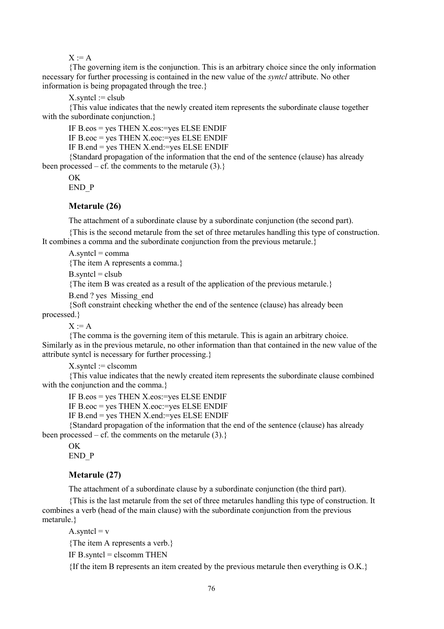$X = A$ 

{The governing item is the conjunction. This is an arbitrary choice since the only information necessary for further processing is contained in the new value of the *syntcl* attribute. No other information is being propagated through the tree.}

 $X$ .syntcl := clsub

{This value indicates that the newly created item represents the subordinate clause together with the subordinate conjunction.

IF B.eos = yes THEN X.eos:=yes ELSE ENDIF

IF B.eoc = yes THEN X.eoc:=yes ELSE ENDIF

IF B.end = yes THEN X.end:=yes ELSE ENDIF

{Standard propagation of the information that the end of the sentence (clause) has already been processed – cf. the comments to the metarule  $(3)$ .}

OK

END\_P

### **Metarule (26)**

The attachment of a subordinate clause by a subordinate conjunction (the second part).

{This is the second metarule from the set of three metarules handling this type of construction. It combines a comma and the subordinate conjunction from the previous metarule.}

 $A$ .syntcl = comma

{The item A represents a comma.}

 $B$ .syntcl = clsub

{The item B was created as a result of the application of the previous metarule.}

B.end ? yes Missing\_end

{Soft constraint checking whether the end of the sentence (clause) has already been processed.}

 $X := A$ 

{The comma is the governing item of this metarule. This is again an arbitrary choice. Similarly as in the previous metarule, no other information than that contained in the new value of the attribute syntcl is necessary for further processing.}

 $X$ .syntcl := clscomm

{This value indicates that the newly created item represents the subordinate clause combined with the conjunction and the comma.}

IF B.eos = yes THEN X.eos:=yes ELSE ENDIF

IF B.eoc  $=$  yes THEN X.eoc: $=$ yes ELSE ENDIF

IF B.end = yes THEN X.end:=yes ELSE ENDIF

{Standard propagation of the information that the end of the sentence (clause) has already been processed  $- cf.$  the comments on the metarule (3).}

OK

END\_P

#### **Metarule (27)**

The attachment of a subordinate clause by a subordinate conjunction (the third part).

{This is the last metarule from the set of three metarules handling this type of construction. It combines a verb (head of the main clause) with the subordinate conjunction from the previous metarule.}

A.syntcl =  $v$ 

{The item A represents a verb.}

IF  $B$ , syntcl = clscomm THEN

{If the item B represents an item created by the previous metarule then everything is O.K.}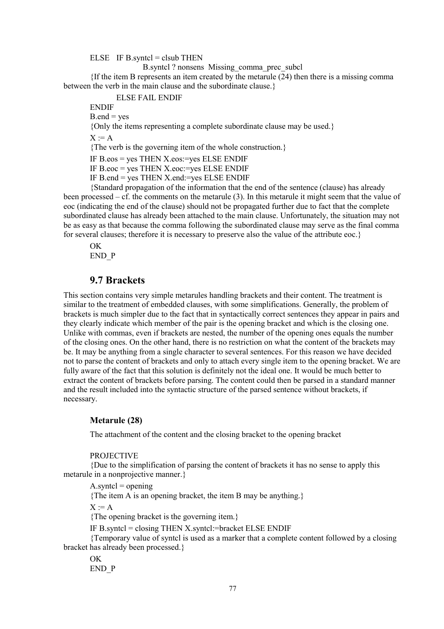$ELSE$  IF B.syntcl = clsub THEN

B.syntcl ? nonsens Missing\_comma\_prec\_subcl

{If the item B represents an item created by the metarule (24) then there is a missing comma between the verb in the main clause and the subordinate clause.}

ELSE FAIL ENDIF

ENDIF

 $B$ .end = yes

{Only the items representing a complete subordinate clause may be used.}

 $X = A$ 

{The verb is the governing item of the whole construction.}

IF B.eos = yes THEN X.eos:=yes ELSE ENDIF

IF B.eoc = yes THEN X.eoc:=yes ELSE ENDIF

IF B.end = yes THEN X.end:=yes ELSE ENDIF

{Standard propagation of the information that the end of the sentence (clause) has already been processed  $-$  cf. the comments on the metarule (3). In this metarule it might seem that the value of eoc (indicating the end of the clause) should not be propagated further due to fact that the complete subordinated clause has already been attached to the main clause. Unfortunately, the situation may not be as easy as that because the comma following the subordinated clause may serve as the final comma for several clauses; therefore it is necessary to preserve also the value of the attribute eoc.}

 $\overline{OK}$ 

END\_P

## **9.7 Brackets**

This section contains very simple metarules handling brackets and their content. The treatment is similar to the treatment of embedded clauses, with some simplifications. Generally, the problem of brackets is much simpler due to the fact that in syntactically correct sentences they appear in pairs and they clearly indicate which member of the pair is the opening bracket and which is the closing one. Unlike with commas, even if brackets are nested, the number of the opening ones equals the number of the closing ones. On the other hand, there is no restriction on what the content of the brackets may be. It may be anything from a single character to several sentences. For this reason we have decided not to parse the content of brackets and only to attach every single item to the opening bracket. We are fully aware of the fact that this solution is definitely not the ideal one. It would be much better to extract the content of brackets before parsing. The content could then be parsed in a standard manner and the result included into the syntactic structure of the parsed sentence without brackets, if necessary.

#### **Metarule (28)**

The attachment of the content and the closing bracket to the opening bracket

**PROJECTIVE** 

{Due to the simplification of parsing the content of brackets it has no sense to apply this metarule in a nonprojective manner.}

 $A$ .syntcl = opening

{The item A is an opening bracket, the item B may be anything.}

 $X = A$ 

{The opening bracket is the governing item.}

IF B.syntcl = closing THEN X.syntcl:=bracket ELSE ENDIF

{Temporary value of syntcl is used as a marker that a complete content followed by a closing bracket has already been processed.}

OK END\_P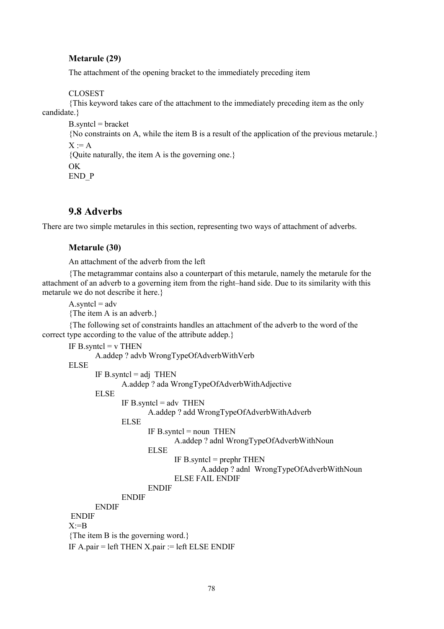### **Metarule (29)**

The attachment of the opening bracket to the immediately preceding item

#### CLOSEST

{This keyword takes care of the attachment to the immediately preceding item as the only candidate.}

 $B$ .syntcl = bracket {No constraints on A, while the item B is a result of the application of the previous metarule.}  $X = A$ {Quite naturally, the item A is the governing one.} OK END\_P

# **9.8 Adverbs**

There are two simple metarules in this section, representing two ways of attachment of adverbs.

#### **Metarule (30)**

An attachment of the adverb from the left

{The metagrammar contains also a counterpart of this metarule, namely the metarule for the attachment of an adverb to a governing item from the right-hand side. Due to its similarity with this metarule we do not describe it here.}

 $A$ .syntcl = adv

{The item A is an adverb.}

{The following set of constraints handles an attachment of the adverb to the word of the correct type according to the value of the attribute addep.}

IF B.syntcl  $=$  v THEN

```
A.addep ? advb WrongTypeOfAdverbWithVerb
```
ELSE

|              | IF B.syntcl $=$ adj THEN                           |  |  |
|--------------|----------------------------------------------------|--|--|
|              | A.addep? ada WrongTypeOfAdverbWithAdjective        |  |  |
| ELSE         |                                                    |  |  |
|              | IF B.syntcl $=$ adv THEN                           |  |  |
|              | A.addep ? add WrongTypeOfAdverbWithAdverb          |  |  |
|              | <b>ELSE</b>                                        |  |  |
|              | IF B.syntcl $=$ noun THEN                          |  |  |
|              | A.addep? adnl WrongTypeOfAdverbWithNoun            |  |  |
|              | <b>ELSE</b>                                        |  |  |
|              | IF B.syntcl = prephr THEN                          |  |  |
|              | A.addep?adnl WrongTypeOfAdverbWithNoun             |  |  |
|              | ELSE FAIL ENDIF                                    |  |  |
|              | <b>ENDIF</b>                                       |  |  |
|              | <b>ENDIF</b>                                       |  |  |
| <b>ENDIF</b> |                                                    |  |  |
| <b>ENDIF</b> |                                                    |  |  |
| $X = B$      |                                                    |  |  |
|              | {The item B is the governing word.}                |  |  |
|              | IF A.pair = left THEN $X$ .pair := left ELSE ENDIF |  |  |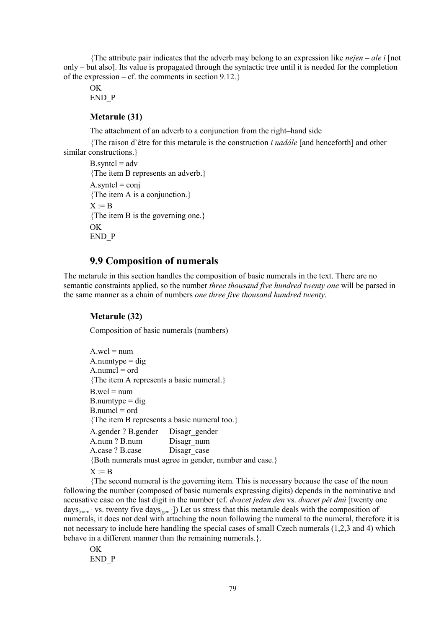{The attribute pair indicates that the adverb may belong to an expression like *nejen* – *ale i* [not  $\text{only}$  – but also]. Its value is propagated through the syntactic tree until it is needed for the completion of the expression  $-$  cf. the comments in section 9.12.}

**OK** END\_P

#### **Metarule (31)**

The attachment of an adverb to a conjunction from the right-hand side

{The raison d`être for this metarule is the construction *i nadale* [and henceforth] and other similar constructions.}

```
B.syntcl = adv
{The item B represents an adverb.}
A.syntcl = conj
{The item A is a conjunction.}
X := B{The item B is the governing one.}
OK
END_P
```
## **9.9 Composition of numerals**

The metarule in this section handles the composition of basic numerals in the text. There are no semantic constraints applied, so the number *three thousand five hundred twenty one* will be parsed in the same manner as a chain of numbers *one three five thousand hundred twenty*.

#### **Metarule (32)**

Composition of basic numerals (numbers)

 $A$ .wcl = num  $A$ .numtype = dig  $A$ .numcl = ord {The item A represents a basic numeral.}  $B$ .wcl = num  $B$ .numtype = dig  $B$ .numcl = ord {The item B represents a basic numeral too.} A.gender ? B.gender Disagr\_gender A.num ? B.num Disagr\_num A.case ? B.case Disagr\_case {Both numerals must agree in gender, number and case.}  $X = B$ 

{The second numeral is the governing item. This is necessary because the case of the noun following the number (composed of basic numerals expressing digits) depends in the nominative and accusative case on the last digit in the number (cf. *dvacet jeden den* vs. *dvacet pět dnů* [twenty one days $_{\text{Inom.}}$  vs. twenty five days $_{\text{[gen.]}}$ ) Let us stress that this metarule deals with the composition of numerals, it does not deal with attaching the noun following the numeral to the numeral, therefore it is not necessary to include here handling the special cases of small Czech numerals (1,2,3 and 4) which behave in a different manner than the remaining numerals.}.

OK END\_P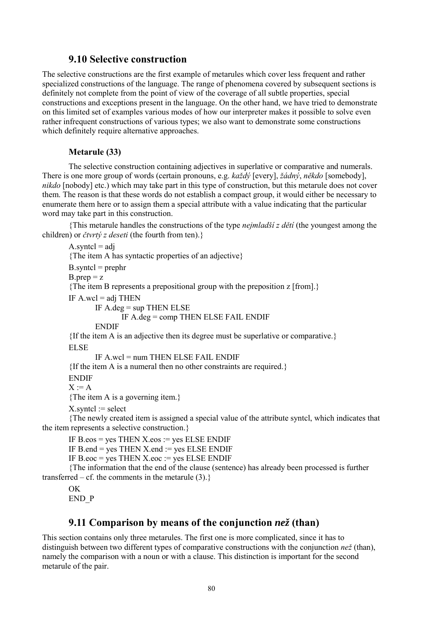### **9.10 Selective construction**

The selective constructions are the first example of metarules which cover less frequent and rather specialized constructions of the language. The range of phenomena covered by subsequent sections is definitely not complete from the point of view of the coverage of all subtle properties, special constructions and exceptions present in the language. On the other hand, we have tried to demonstrate on this limited set of examples various modes of how our interpreter makes it possible to solve even rather infrequent constructions of various types; we also want to demonstrate some constructions which definitely require alternative approaches.

#### **Metarule (33)**

The selective construction containing adjectives in superlative or comparative and numerals. There is one more group of words (certain pronouns, e.g. *každý* [every], *žádný, někdo* [somebody], *nikdo* [nobody] etc.) which may take part in this type of construction, but this metarule does not cover them. The reason is that these words do not establish a compact group, it would either be necessary to enumerate them here or to assign them a special attribute with a value indicating that the particular word may take part in this construction.

{This metarule handles the constructions of the type *nejmladöÌ z dětÌ* (the youngest among the children) or *čtvrtý z deseti* (the fourth from ten).}

 $A$ .syntcl = adj {The item A has syntactic properties of an adjective}  $B$ .syntcl = prephr  $B.$ prep = z {The item B represents a prepositional group with the preposition z [from].} IF A.wcl  $=$  adj THEN IF  $A$ .deg = sup THEN ELSE IF A.deg = comp THEN ELSE FAIL ENDIF **ENDIF** {If the item A is an adjective then its degree must be superlative or comparative.} ELSE IF A wcl  $=$  num THEN ELSE FAIL ENDIF {If the item A is a numeral then no other constraints are required.} ENDIF  $X := A$ {The item A is a governing item.}  $X$ . syntcl  $:=$  select {The newly created item is assigned a special value of the attribute syntcl, which indicates that the item represents a selective construction.} IF  $B_{\text{e}}$  = yes THEN X.eos := yes ELSE ENDIF IF B.end = yes THEN X.end := yes ELSE ENDIF IF B.eoc  $=$  yes THEN X.eoc  $=$  yes ELSE ENDIF {The information that the end of the clause (sentence) has already been processed is further transferred  $-$  cf. the comments in the metarule (3).}

OK END\_P

### **9.11 Comparison by means of the conjunction** *než* **(than)**

This section contains only three metarules. The first one is more complicated, since it has to distinguish between two different types of comparative constructions with the conjunction *než* (than), namely the comparison with a noun or with a clause. This distinction is important for the second metarule of the pair.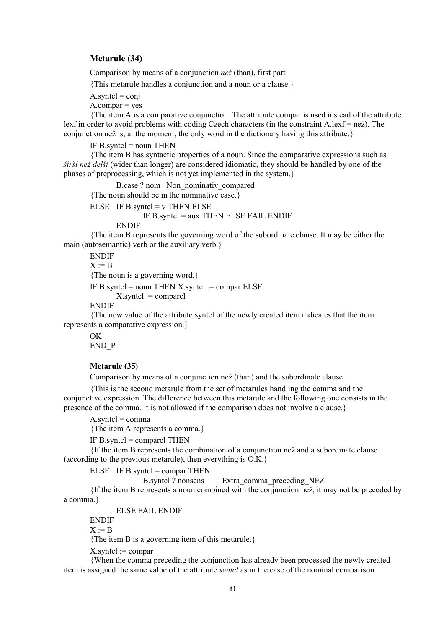### **Metarule (34)**

Comparison by means of a conjunction *než* (than), first part

{This metarule handles a conjunction and a noun or a clause.}

 $A$ .syntcl = conj

 $A_{\text{.compar}} = \text{ves}$ 

{The item A is a comparative conjunction. The attribute compar is used instead of the attribute lexf in order to avoid problems with coding Czech characters (in the constraint  $A$ .lexf = než). The conjunction než is, at the moment, the only word in the dictionary having this attribute. $\}$ 

IF B.syntcl  $=$  noun THEN

{The item B has syntactic properties of a noun. Since the comparative expressions such as *öiröÌ neû delöÌ* (wider than longer) are considered idiomatic, they should be handled by one of the phases of preprocessing, which is not yet implemented in the system.}

B.case ? nom Non\_nominativ\_compared

- {The noun should be in the nominative case.}
- ELSE IF B.syntcl  $=$  v THEN ELSE

IF B.syntcl = aux THEN ELSE FAIL ENDIF

**ENDIF** 

{The item B represents the governing word of the subordinate clause. It may be either the main (autosemantic) verb or the auxiliary verb.}

ENDIF

 $X := B$ 

{The noun is a governing word.}

IF B.syntcl = noun THEN  $X$ .syntcl := compar ELSE

 $X$ .syntcl := comparcl

**ENDIF** 

{The new value of the attribute syntcl of the newly created item indicates that the item represents a comparative expression.}

OK END\_P

#### **Metarule (35)**

Comparison by means of a conjunction než (than) and the subordinate clause

{This is the second metarule from the set of metarules handling the comma and the conjunctive expression. The difference between this metarule and the following one consists in the presence of the comma. It is not allowed if the comparison does not involve a clause.}

 $A$ .syntcl = comma

{The item A represents a comma.}

IF B.syntcl  $=$  comparcl THEN

{If the item B represents the combination of a conjunction neû and a subordinate clause (according to the previous metarule), then everything is O.K.}

ELSE IF B.syntcl = compar THEN

B.syntcl ? nonsens Extra\_comma\_preceding\_NEZ

{If the item B represents a noun combined with the conjunction neû, it may not be preceded by a comma.}

ELSE FAIL ENDIF

ENDIF

 $X := B$ 

{The item B is a governing item of this metarule.}

 $X$ .syntcl := compar

{When the comma preceding the conjunction has already been processed the newly created item is assigned the same value of the attribute *syntcl* as in the case of the nominal comparison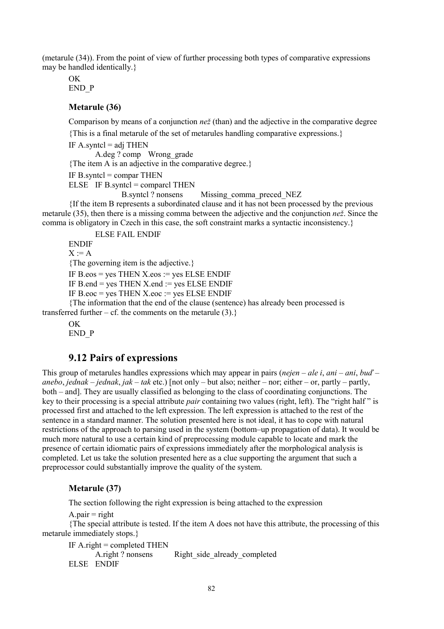(metarule (34)). From the point of view of further processing both types of comparative expressions may be handled identically.}

OK END\_P

### **Metarule (36)**

Comparison by means of a conjunction *než* (than) and the adjective in the comparative degree

{This is a final metarule of the set of metarules handling comparative expressions.}

IF A.syntcl  $=$  adj THEN

A.deg ? comp Wrong\_grade

{The item A is an adjective in the comparative degree.}

IF B.syntcl  $=$  compar THEN

 $E LSE$  IF B.syntcl = comparcl THEN

B.syntcl ? nonsens Missing comma preced NEZ

{If the item B represents a subordinated clause and it has not been processed by the previous metarule (35), then there is a missing comma between the adjective and the conjunction *než*. Since the comma is obligatory in Czech in this case, the soft constraint marks a syntactic inconsistency.}

ELSE FAIL ENDIF

ENDIF

 $X := A$ 

{The governing item is the adjective.}

IF  $B_{\text{e}}$  eos = yes THEN X eos := yes ELSE ENDIF

IF B.end = yes THEN  $X$ .end := yes ELSE ENDIF

IF B.eoc = yes THEN X.eoc := yes ELSE ENDIF

{The information that the end of the clause (sentence) has already been processed is transferred further  $- cf.$  the comments on the metarule (3).}

OK END\_P

# **9.12 Pairs of expressions**

This group of metarules handles expressions which may appear in pairs (*nejen* – *ale i*, *ani* – *ani*, *bud'* – *anebo*, *jednak* – *jednak*, *jak* – *tak* etc.) [not only – but also; neither – nor; either – or, partly – partly, both – and]. They are usually classified as belonging to the class of coordinating conjunctions. The key to their processing is a special attribute *pair* containing two values (right, left). The "right half" is processed first and attached to the left expression. The left expression is attached to the rest of the sentence in a standard manner. The solution presented here is not ideal, it has to cope with natural restrictions of the approach to parsing used in the system (bottom-up propagation of data). It would be much more natural to use a certain kind of preprocessing module capable to locate and mark the presence of certain idiomatic pairs of expressions immediately after the morphological analysis is completed. Let us take the solution presented here as a clue supporting the argument that such a preprocessor could substantially improve the quality of the system.

### **Metarule (37)**

The section following the right expression is being attached to the expression

A pair  $=$  right

{The special attribute is tested. If the item A does not have this attribute, the processing of this metarule immediately stops.}

```
IF A.right = completed THEN
      A.right ? nonsens Right_side_already_completed
ELSE ENDIF
```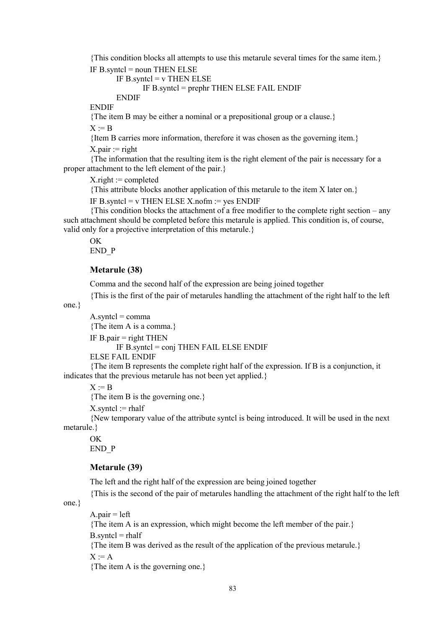{This condition blocks all attempts to use this metarule several times for the same item.} IF B.syntcl = noun THEN ELSE

```
IF B.syntcl = v THEN ELSE
       IF B.syntcl = prephr THEN ELSE FAIL ENDIF
```
ENDIF

**ENDIF** 

{The item B may be either a nominal or a prepositional group or a clause.}

 $X = B$ 

{Item B carries more information, therefore it was chosen as the governing item.}

 $X$ .pair := right

{The information that the resulting item is the right element of the pair is necessary for a proper attachment to the left element of the pair.}

 $X$ .right := completed

{This attribute blocks another application of this metarule to the item X later on.}

IF B.syntcl =  $v$  THEN ELSE X.nofm := yes ENDIF

{This condition blocks the attachment of a free modifier to the complete right section  $-$  any such attachment should be completed before this metarule is applied. This condition is, of course, valid only for a projective interpretation of this metarule.}

**OK** END\_P

#### **Metarule (38)**

Comma and the second half of the expression are being joined together

{This is the first of the pair of metarules handling the attachment of the right half to the left

one.}

 $A$ .syntcl = comma {The item A is a comma.} IF  $B$  pair  $=$  right THEN IF B.syntcl = conj THEN FAIL ELSE ENDIF ELSE FAIL ENDIF

{The item B represents the complete right half of the expression. If B is a conjunction, it indicates that the previous metarule has not been yet applied.}

#### $X := B$

{The item B is the governing one.}

 $X$ . syntcl  $:=$  rhalf

{New temporary value of the attribute syntcl is being introduced. It will be used in the next metarule.}

OK

END\_P

#### **Metarule (39)**

The left and the right half of the expression are being joined together

{This is the second of the pair of metarules handling the attachment of the right half to the left

one.}

 $A$ .pair = left

{The item A is an expression, which might become the left member of the pair.}  $B$ .syntcl = rhalf

{The item B was derived as the result of the application of the previous metarule.}

 $X := A$ 

{The item A is the governing one.}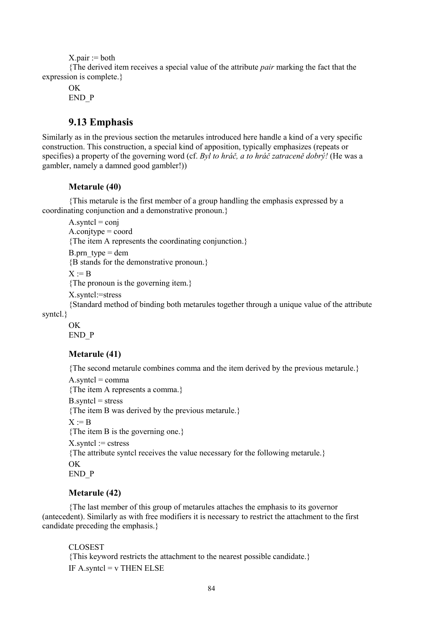$X$ .pair := both

{The derived item receives a special value of the attribute *pair* marking the fact that the expression is complete.}

**OK** END\_P

# **9.13 Emphasis**

Similarly as in the previous section the metarules introduced here handle a kind of a very specific construction. This construction, a special kind of apposition, typically emphasizes (repeats or specifies) a property of the governing word (cf. *Byl to hráč*, *a to hráč* zatraceně dobrý! (He was a gambler, namely a damned good gambler!))

### **Metarule (40)**

{This metarule is the first member of a group handling the emphasis expressed by a coordinating conjunction and a demonstrative pronoun.}

 $A.s$ vntcl = conj  $A$ .conjtype = coord {The item A represents the coordinating conjunction.} B.prn  $type =$  dem

{B stands for the demonstrative pronoun.}

 $X := B$ 

{The pronoun is the governing item.}

X.syntcl:=stress

{Standard method of binding both metarules together through a unique value of the attribute

syntcl.}

OK END\_P

### **Metarule (41)**

{The second metarule combines comma and the item derived by the previous metarule.}

```
A.syntcl = comma
{The item A represents a comma.}
B.syntcl = stress
{The item B was derived by the previous metarule.}
X = B{The item B is the governing one.}
X. syntcl := cstress
{The attribute syntcl receives the value necessary for the following metarule.}
OK
END_P
```
### **Metarule (42)**

{The last member of this group of metarules attaches the emphasis to its governor (antecedent). Similarly as with free modifiers it is necessary to restrict the attachment to the first candidate preceding the emphasis.}

#### CLOSEST

{This keyword restricts the attachment to the nearest possible candidate.} IF A.syntcl  $=$  v THEN ELSE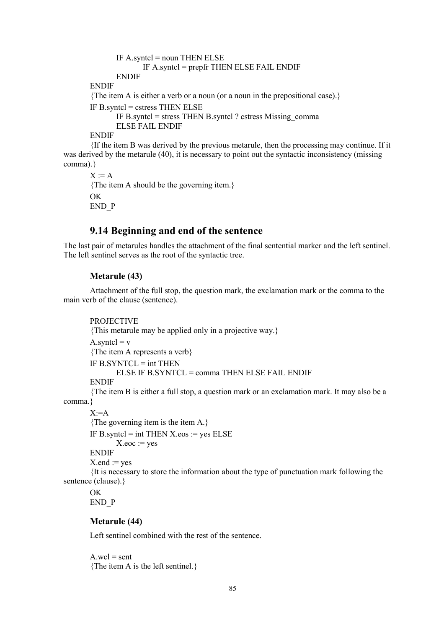```
IF A.syntcl = noun THEN ELSEIF A.syntcl = prepfr THEN ELSE FAIL ENDIF
               ENDIF
       ENDIF
       {The item A is either a verb or a noun (or a noun in the prepositional case).}
       IF B.syntcl = cstress THEN ELSE
               IF B.syntcl = stress THEN B.syntcl ? cstress Missing_comma
               ELSE FAIL ENDIF
       ENDIF
       {If the item B was derived by the previous metarule, then the processing may continue. If it
was derived by the metarule (40), it is necessary to point out the syntactic inconsistency (missing
```
comma).}  $X = A$ {The item A should be the governing item.} OK

### **9.14 Beginning and end of the sentence**

The last pair of metarules handles the attachment of the final sentential marker and the left sentinel. The left sentinel serves as the root of the syntactic tree.

#### **Metarule (43)**

END\_P

Attachment of the full stop, the question mark, the exclamation mark or the comma to the main verb of the clause (sentence).

```
PROJECTIVE
{This metarule may be applied only in a projective way.}
A.syntcl = v{The item A represents a verb}
IF B. SYNTCL = int THEN
       ELSE IF B.SYNTCL = comma THEN ELSE FAIL ENDIF
ENDIF
```
{The item B is either a full stop, a question mark or an exclamation mark. It may also be a comma.}

 $X:=A$ 

{The governing item is the item A.}

IF B.syntcl = int THEN  $X.eos := yes$  ELSE

 $X.eoc := yes$ 

ENDIF

 $X$ .end := yes

{It is necessary to store the information about the type of punctuation mark following the sentence (clause).}

OK END\_P

#### **Metarule (44)**

Left sentinel combined with the rest of the sentence.

 $A$ .wcl = sent {The item A is the left sentinel.}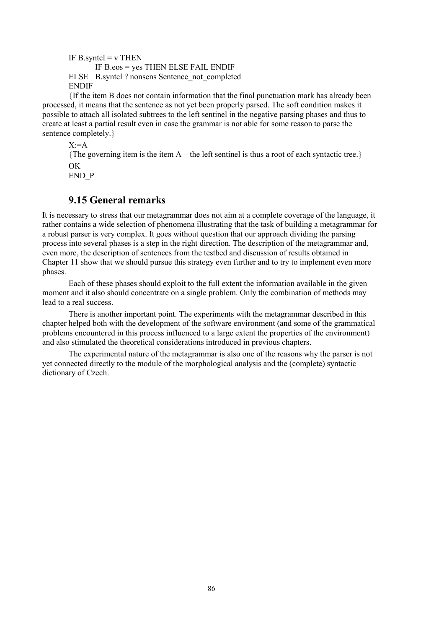```
IF B.syntcl = v THEN
      IF B.eos = yes THEN ELSE FAIL ENDIF
ELSE B.syntcl ? nonsens Sentence_not_completed
ENDIF
```
{If the item B does not contain information that the final punctuation mark has already been processed, it means that the sentence as not yet been properly parsed. The soft condition makes it possible to attach all isolated subtrees to the left sentinel in the negative parsing phases and thus to create at least a partial result even in case the grammar is not able for some reason to parse the sentence completely.}

 $X = A$ 

{The governing item is the item  $A$  – the left sentinel is thus a root of each syntactic tree.} OK

END\_P

## **9.15 General remarks**

It is necessary to stress that our metagrammar does not aim at a complete coverage of the language, it rather contains a wide selection of phenomena illustrating that the task of building a metagrammar for a robust parser is very complex. It goes without question that our approach dividing the parsing process into several phases is a step in the right direction. The description of the metagrammar and, even more, the description of sentences from the testbed and discussion of results obtained in Chapter 11 show that we should pursue this strategy even further and to try to implement even more phases.

Each of these phases should exploit to the full extent the information available in the given moment and it also should concentrate on a single problem. Only the combination of methods may lead to a real success.

There is another important point. The experiments with the metagrammar described in this chapter helped both with the development of the software environment (and some of the grammatical problems encountered in this process influenced to a large extent the properties of the environment) and also stimulated the theoretical considerations introduced in previous chapters.

The experimental nature of the metagrammar is also one of the reasons why the parser is not yet connected directly to the module of the morphological analysis and the (complete) syntactic dictionary of Czech.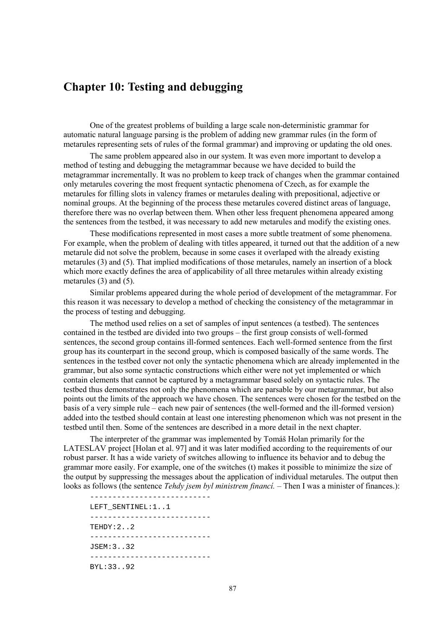# **Chapter 10: Testing and debugging**

One of the greatest problems of building a large scale non-deterministic grammar for automatic natural language parsing is the problem of adding new grammar rules (in the form of metarules representing sets of rules of the formal grammar) and improving or updating the old ones.

The same problem appeared also in our system. It was even more important to develop a method of testing and debugging the metagrammar because we have decided to build the metagrammar incrementally. It was no problem to keep track of changes when the grammar contained only metarules covering the most frequent syntactic phenomena of Czech, as for example the metarules for filling slots in valency frames or metarules dealing with prepositional, adjective or nominal groups. At the beginning of the process these metarules covered distinct areas of language, therefore there was no overlap between them. When other less frequent phenomena appeared among the sentences from the testbed, it was necessary to add new metarules and modify the existing ones.

These modifications represented in most cases a more subtle treatment of some phenomena. For example, when the problem of dealing with titles appeared, it turned out that the addition of a new metarule did not solve the problem, because in some cases it overlaped with the already existing metarules (3) and (5). That implied modifications of those metarules, namely an insertion of a block which more exactly defines the area of applicability of all three metarules within already existing metarules (3) and (5).

Similar problems appeared during the whole period of development of the metagrammar. For this reason it was necessary to develop a method of checking the consistency of the metagrammar in the process of testing and debugging.

The method used relies on a set of samples of input sentences (a testbed). The sentences contained in the testbed are divided into two groups – the first group consists of well-formed sentences, the second group contains ill-formed sentences. Each well-formed sentence from the first group has its counterpart in the second group, which is composed basically of the same words. The sentences in the testbed cover not only the syntactic phenomena which are already implemented in the grammar, but also some syntactic constructions which either were not yet implemented or which contain elements that cannot be captured by a metagrammar based solely on syntactic rules. The testbed thus demonstrates not only the phenomena which are parsable by our metagrammar, but also points out the limits of the approach we have chosen. The sentences were chosen for the testbed on the basis of a very simple rule – each new pair of sentences (the well-formed and the ill-formed version) added into the testbed should contain at least one interesting phenomenon which was not present in the testbed until then. Some of the sentences are described in a more detail in the next chapter.

The interpreter of the grammar was implemented by Tomáš Holan primarily for the LATESLAV project [Holan et al. 97] and it was later modified according to the requirements of our robust parser. It has a wide variety of switches allowing to influence its behavior and to debug the grammar more easily. For example, one of the switches (t) makes it possible to minimize the size of the output by suppressing the messages about the application of individual metarules. The output then looks as follows (the sentence *Tehdy jsem byl ministrem financi.* – Then I was a minister of finances.):

LEFT\_SENTINEL:1..1 --------------------------- TEHDY:2..2 --------------------------- JSEM:3..32 --------------------------- BYL:33..92

---------------------------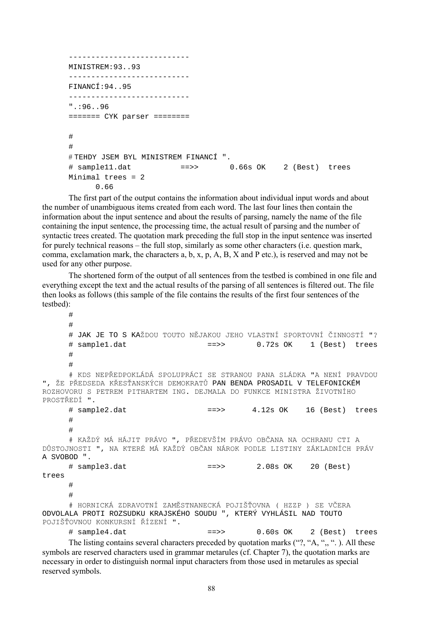```
---------------------------
MINISTREM:93..93
---------------------------
FINANCÍ:94..95
---------------------------
".:96..96
======= CYK parser ========
#
#
# TEHDY JSEM BYL MINISTREM FINANCÍ ".
# sample11.dat ==>> 0.66s OK 2 (Best) trees
Minimal trees = 2
      0.66
```
The first part of the output contains the information about individual input words and about the number of unambiguous items created from each word. The last four lines then contain the information about the input sentence and about the results of parsing, namely the name of the file containing the input sentence, the processing time, the actual result of parsing and the number of syntactic trees created. The quotation mark preceding the full stop in the input sentence was inserted for purely technical reasons  $-$  the full stop, similarly as some other characters (i.e. question mark, comma, exclamation mark, the characters a, b, x, p, A, B, X and P etc.), is reserved and may not be used for any other purpose.

The shortened form of the output of all sentences from the testbed is combined in one file and everything except the text and the actual results of the parsing of all sentences is filtered out. The file then looks as follows (this sample of the file contains the results of the first four sentences of the testbed):

```
#
#
# JAK JE TO S KAŽDOU TOUTO NĚJAKOU JEHO VLASTNÍ SPORTOVNÍ ČINNOSTÍ "?
# sample1.dat ==>> 0.72s OK 1 (Best) trees
#
#
```
# KDS NEPŘEDPOKL£D£ SPOLUPR£CI SE STRANOU PANA SL£DKA "A NENÕ PRAVDOU ", ŽE PŘEDSEDA KŘESŤANSKÝCH DEMOKRATŮ PAN BENDA PROSADIL V TELEFONICKÉM ROZHOVORU S PETREM PITHARTEM ING. DEJMALA DO FUNKCE MINISTRA ŽIVOTNÍHO PROSTŘEDÍ ".

```
# sample2.dat ==>> 4.12s OK 16 (Best) trees
     #
     #
     # KAéD› M£ H£JIT PR£VO ", PŘEDEVäÕM PR£VO OBČANA NA OCHRANU CTI A
DŮSTOJNOSTI ", NA KTERÉ MÁ KAŽDÝ OBČAN NÁROK PODLE LISTINY ZÁKLADNÍCH PRÁV
A SVOBOD ".
     # sample3.dat ==>> 2.08s OK 20 (Best)
trees
     #
```
#

# HORNICK£ ZDRAVOTNÕ ZAMĚSTNANECK£ POJIäŤOVNA ( HZZP ) SE VČERA ODVOLALA PROTI ROZSUDKU KRAJSKÉHO SOUDU ", KTERÝ VYHLÁSIL NAD TOUTO POJIŠŤOVNOU KONKURSNÍ ŘÍZENÍ ".

# sample4.dat ==>> 0.60s OK 2 (Best) trees

The listing contains several characters preceded by quotation marks  $($ ", "A, ", " $)$ . All these symbols are reserved characters used in grammar metarules (cf. Chapter 7), the quotation marks are necessary in order to distinguish normal input characters from those used in metarules as special reserved symbols.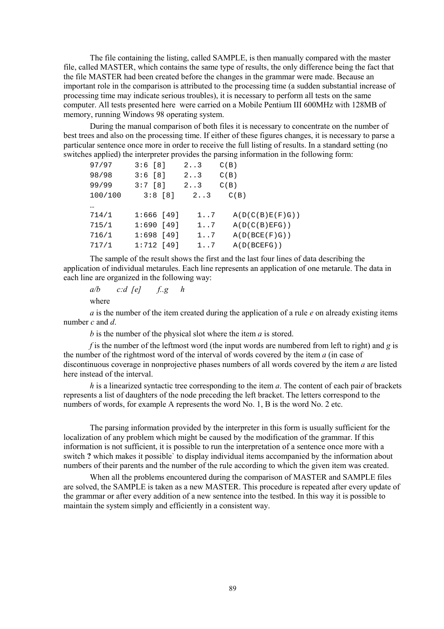The file containing the listing, called SAMPLE, is then manually compared with the master file, called MASTER, which contains the same type of results, the only difference being the fact that the file MASTER had been created before the changes in the grammar were made. Because an important role in the comparison is attributed to the processing time (a sudden substantial increase of processing time may indicate serious troubles), it is necessary to perform all tests on the same computer. All tests presented here were carried on a Mobile Pentium III 600MHz with 128MB of memory, running Windows 98 operating system.

During the manual comparison of both files it is necessary to concentrate on the number of best trees and also on the processing time. If either of these figures changes, it is necessary to parse a particular sentence once more in order to receive the full listing of results. In a standard setting (no switches applied) the interpreter provides the parsing information in the following form:

| 97/97    | 3:6[8]       | $2 \ldots 3$ | C(B)            |
|----------|--------------|--------------|-----------------|
| 98/98    | 3:6[8]       | $2 \ldots 3$ | C(B)            |
| 99/99    | 3:7[8]       | $2 \ldots 3$ | C(B)            |
| 100/100  | 3:8[8]       | 23           | C(B)            |
| $\cdots$ |              |              |                 |
| 714/1    | $1:666$ [49] | 1.7          | A(D(C(B)E(F)G)) |
| 715/1    | $1:690$ [49] | $1 \ldots 7$ | A(D(C(B)EFG))   |
| 716/1    | $1:698$ [49] | 1.7          | A(D( BCE(F)G))  |
| 717/1    | $1:712$ [49] | 1.7          | A(D(BCEFG))     |

The sample of the result shows the first and the last four lines of data describing the application of individual metarules. Each line represents an application of one metarule. The data in each line are organized in the following way:

*a/b c:d [e] f..g h*

where

*a* is the number of the item created during the application of a rule *e* on already existing items number *c* and *d*.

*b* is the number of the physical slot where the item *a* is stored.

*f* is the number of the leftmost word (the input words are numbered from left to right) and *g* is the number of the rightmost word of the interval of words covered by the item *a* (in case of discontinuous coverage in nonprojective phases numbers of all words covered by the item *a* are listed here instead of the interval.

*h* is a linearized syntactic tree corresponding to the item *a*. The content of each pair of brackets represents a list of daughters of the node preceding the left bracket. The letters correspond to the numbers of words, for example A represents the word No. 1, B is the word No. 2 etc.

The parsing information provided by the interpreter in this form is usually sufficient for the localization of any problem which might be caused by the modification of the grammar. If this information is not sufficient, it is possible to run the interpretation of a sentence once more with a switch **?** which makes it possible` to display individual items accompanied by the information about numbers of their parents and the number of the rule according to which the given item was created.

When all the problems encountered during the comparison of MASTER and SAMPLE files are solved, the SAMPLE is taken as a new MASTER. This procedure is repeated after every update of the grammar or after every addition of a new sentence into the testbed. In this way it is possible to maintain the system simply and efficiently in a consistent way.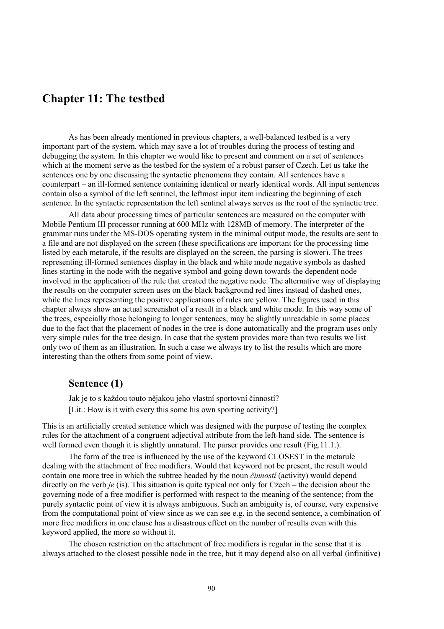# **Chapter 11: The testbed**

As has been already mentioned in previous chapters, a well-balanced testbed is a very important part of the system, which may save a lot of troubles during the process of testing and debugging the system. In this chapter we would like to present and comment on a set of sentences which at the moment serve as the testbed for the system of a robust parser of Czech. Let us take the sentences one by one discussing the syntactic phenomena they contain. All sentences have a counterpart – an ill-formed sentence containing identical or nearly identical words. All input sentences contain also a symbol of the left sentinel, the leftmost input item indicating the beginning of each sentence. In the syntactic representation the left sentinel always serves as the root of the syntactic tree.

All data about processing times of particular sentences are measured on the computer with Mobile Pentium III processor running at 600 MHz with 128MB of memory. The interpreter of the grammar runs under the MS-DOS operating system in the minimal output mode, the results are sent to a file and are not displayed on the screen (these specifications are important for the processing time listed by each metarule, if the results are displayed on the screen, the parsing is slower). The trees representing ill-formed sentences display in the black and white mode negative symbols as dashed lines starting in the node with the negative symbol and going down towards the dependent node involved in the application of the rule that created the negative node. The alternative way of displaying the results on the computer screen uses on the black background red lines instead of dashed ones, while the lines representing the positive applications of rules are yellow. The figures used in this chapter always show an actual screenshot of a result in a black and white mode. In this way some of the trees, especially those belonging to longer sentences, may be slightly unreadable in some places due to the fact that the placement of nodes in the tree is done automatically and the program uses only very simple rules for the tree design. In case that the system provides more than two results we list only two of them as an illustration. In such a case we always try to list the results which are more interesting than the others from some point of view.

## **Sentence (1)**

Jak je to s každou touto nějakou jeho vlastní sportovní činností? [Lit.: How is it with every this some his own sporting activity?]

This is an artificially created sentence which was designed with the purpose of testing the complex rules for the attachment of a congruent adjectival attribute from the left-hand side. The sentence is well formed even though it is slightly unnatural. The parser provides one result (Fig.11.1.).

The form of the tree is influenced by the use of the keyword CLOSEST in the metarule dealing with the attachment of free modifiers. Would that keyword not be present, the result would contain one more tree in which the subtree headed by the noun *činnostÌ* (activity) would depend directly on the verb *je* (is). This situation is quite typical not only for Czech – the decision about the governing node of a free modifier is performed with respect to the meaning of the sentence; from the purely syntactic point of view it is always ambiguous. Such an ambiguity is, of course, very expensive from the computational point of view since as we can see e.g. in the second sentence, a combination of more free modifiers in one clause has a disastrous effect on the number of results even with this keyword applied, the more so without it.

The chosen restriction on the attachment of free modifiers is regular in the sense that it is always attached to the closest possible node in the tree, but it may depend also on all verbal (infinitive)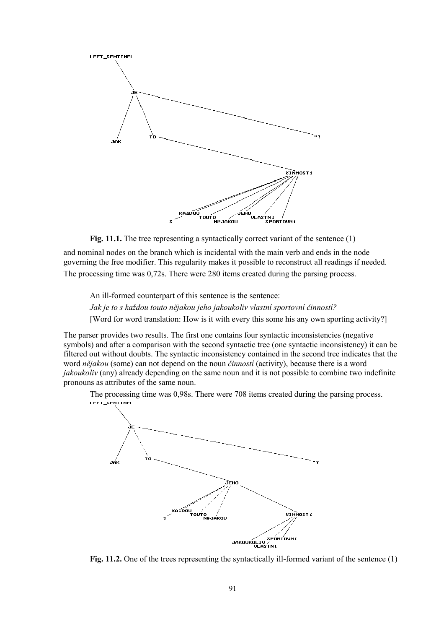

**Fig. 11.1.** The tree representing a syntactically correct variant of the sentence (1)

and nominal nodes on the branch which is incidental with the main verb and ends in the node governing the free modifier. This regularity makes it possible to reconstruct all readings if needed. The processing time was 0,72s. There were 280 items created during the parsing process.

An ill-formed counterpart of this sentence is the sentence:

*Jak je to s kaûdou touto nějakou jeho jakoukoliv vlastnÌ sportovnÌ činnostÌ?* [Word for word translation: How is it with every this some his any own sporting activity?]

The parser provides two results. The first one contains four syntactic inconsistencies (negative symbols) and after a comparison with the second syntactic tree (one syntactic inconsistency) it can be filtered out without doubts. The syntactic inconsistency contained in the second tree indicates that the word *nějakou* (some) can not depend on the noun *činnostÌ* (activity), because there is a word *jakoukoliv* (any) already depending on the same noun and it is not possible to combine two indefinite pronouns as attributes of the same noun.

The processing time was 0,98s. There were 708 items created during the parsing process. LEFT\_SENTINEL



Fig. 11.2. One of the trees representing the syntactically ill-formed variant of the sentence (1)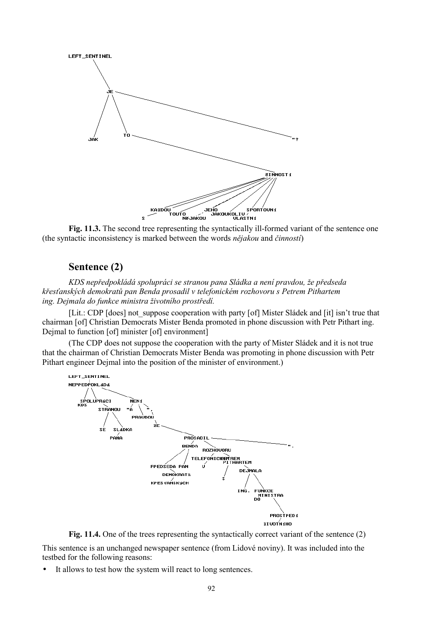

**Fig. 11.3.** The second tree representing the syntactically ill-formed variant of the sentence one (the syntactic inconsistency is marked between the words *nějakou* and *činnostÌ*)

### **Sentence (2)**

*KDS nepředpokl·d· spolupr·ci se stranou pana Sl·dka a nenÌ pravdou, ûe předseda křesťansk˝ch demokratů pan Benda prosadil v telefonickÈm rozhovoru s Petrem Pithartem ing. Dejmala do funkce ministra ûivotnÌho prostředÌ.*

[Lit.: CDP [does] not suppose cooperation with party [of] Mister Sládek and [it] isn't true that chairman [of] Christian Democrats Mister Benda promoted in phone discussion with Petr Pithart ing. Dejmal to function [of] minister [of] environment]

(The CDP does not suppose the cooperation with the party of Mister Sládek and it is not true that the chairman of Christian Democrats Mister Benda was promoting in phone discussion with Petr Pithart engineer Dejmal into the position of the minister of environment.)



**Fig. 11.4.** One of the trees representing the syntactically correct variant of the sentence (2)

This sentence is an unchanged newspaper sentence (from Lidové noviny). It was included into the testbed for the following reasons:

It allows to test how the system will react to long sentences.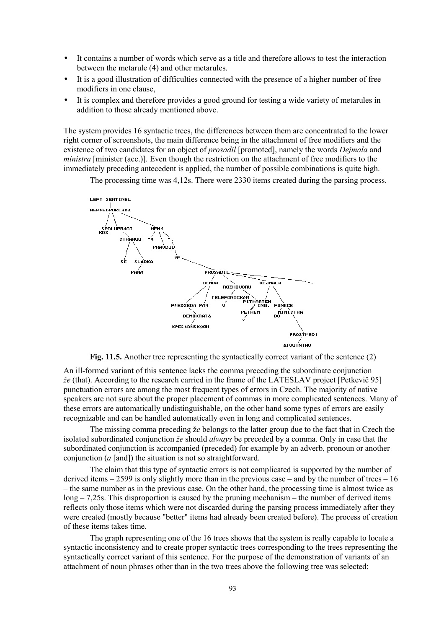- It contains a number of words which serve as a title and therefore allows to test the interaction between the metarule (4) and other metarules.
- It is a good illustration of difficulties connected with the presence of a higher number of free modifiers in one clause,
- It is complex and therefore provides a good ground for testing a wide variety of metarules in addition to those already mentioned above.

The system provides 16 syntactic trees, the differences between them are concentrated to the lower right corner of screenshots, the main difference being in the attachment of free modifiers and the existence of two candidates for an object of *prosadil* [promoted], namely the words *Dejmala* and *ministra* [minister (acc.)]. Even though the restriction on the attachment of free modifiers to the immediately preceding antecedent is applied, the number of possible combinations is quite high.

The processing time was 4,12s. There were 2330 items created during the parsing process.





An ill-formed variant of this sentence lacks the comma preceding the subordinate conjunction *ûe* (that). According to the research carried in the frame of the LATESLAV project [Petkevič 95] punctuation errors are among the most frequent types of errors in Czech. The majority of native speakers are not sure about the proper placement of commas in more complicated sentences. Many of these errors are automatically undistinguishable, on the other hand some types of errors are easily recognizable and can be handled automatically even in long and complicated sentences.

The missing comma preceding *ie* belongs to the latter group due to the fact that in Czech the isolated subordinated conjunction *ûe* should *always* be preceded by a comma. Only in case that the subordinated conjunction is accompanied (preceded) for example by an adverb, pronoun or another conjunction (*a* [and]) the situation is not so straightforward.

The claim that this type of syntactic errors is not complicated is supported by the number of derived items  $-2599$  is only slightly more than in the previous case  $-$  and by the number of trees  $-16$ – the same number as in the previous case. On the other hand, the processing time is almost twice as  $\log - 7.25s$ . This disproportion is caused by the pruning mechanism – the number of derived items reflects only those items which were not discarded during the parsing process immediately after they were created (mostly because "better" items had already been created before). The process of creation of these items takes time.

The graph representing one of the 16 trees shows that the system is really capable to locate a syntactic inconsistency and to create proper syntactic trees corresponding to the trees representing the syntactically correct variant of this sentence. For the purpose of the demonstration of variants of an attachment of noun phrases other than in the two trees above the following tree was selected: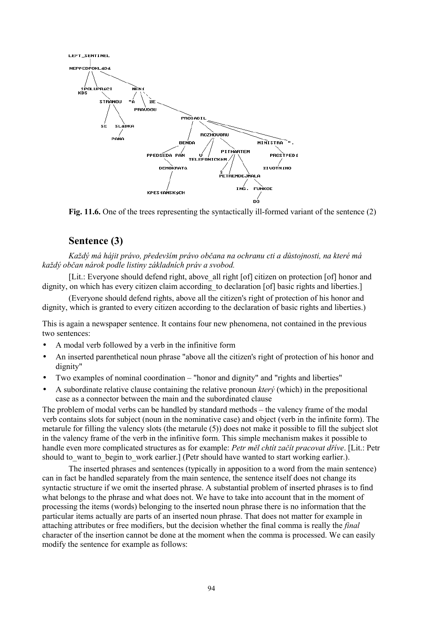

**Fig. 11.6.** One of the trees representing the syntactically ill-formed variant of the sentence (2)

### **Sentence (3)**

*Kaûd˝ m· h·jit pr·vo, předevöÌm pr·vo občana na ochranu cti a důstojnosti, na kterÈ m·* každý občan nárok podle listiny základních práv a svobod.

[Lit.: Everyone should defend right, above\_all right [of] citizen on protection [of] honor and dignity, on which has every citizen claim according to declaration [of] basic rights and liberties.]

(Everyone should defend rights, above all the citizen's right of protection of his honor and dignity, which is granted to every citizen according to the declaration of basic rights and liberties.)

This is again a newspaper sentence. It contains four new phenomena, not contained in the previous two sentences:

- A modal verb followed by a verb in the infinitive form
- An inserted parenthetical noun phrase "above all the citizen's right of protection of his honor and dignity"
- Two examples of nominal coordination  $-$  "honor and dignity" and "rights and liberties"
- A subordinate relative clause containing the relative pronoun *ktery* (which) in the prepositional case as a connector between the main and the subordinated clause

The problem of modal verbs can be handled by standard methods – the valency frame of the modal verb contains slots for subject (noun in the nominative case) and object (verb in the infinite form). The metarule for filling the valency slots (the metarule (5)) does not make it possible to fill the subject slot in the valency frame of the verb in the infinitive form. This simple mechanism makes it possible to handle even more complicated structures as for example: *Petr měl chtÌt začÌt pracovat dřÌve*. [Lit.: Petr should to want to begin to work earlier.] (Petr should have wanted to start working earlier.).

The inserted phrases and sentences (typically in apposition to a word from the main sentence) can in fact be handled separately from the main sentence, the sentence itself does not change its syntactic structure if we omit the inserted phrase. A substantial problem of inserted phrases is to find what belongs to the phrase and what does not. We have to take into account that in the moment of processing the items (words) belonging to the inserted noun phrase there is no information that the particular items actually are parts of an inserted noun phrase. That does not matter for example in attaching attributes or free modifiers, but the decision whether the final comma is really the *final* character of the insertion cannot be done at the moment when the comma is processed. We can easily modify the sentence for example as follows: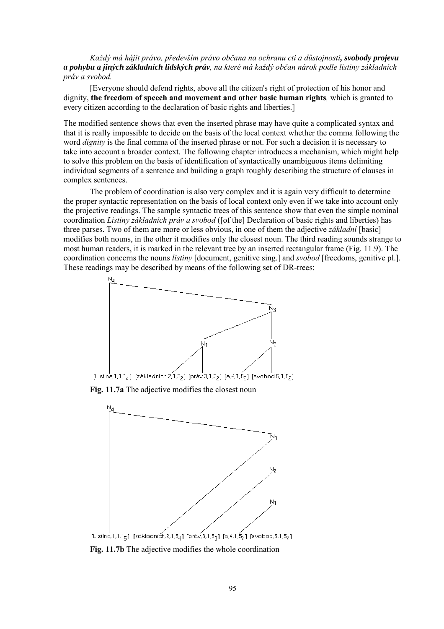*Kaûd˝ m· h·jit pr·vo, předevöÌm pr·vo občana na ochranu cti a důstojnosti, svobody projevu a pohybu a jiných základních lidských práv, na kterÈ m· kaûd˝ občan n·rok podle listiny z·kladnÌch* práv a svobod.

[Everyone should defend rights, above all the citizen's right of protection of his honor and dignity, **the freedom of speech and movement and other basic human rights***,* which is granted to every citizen according to the declaration of basic rights and liberties.]

The modified sentence shows that even the inserted phrase may have quite a complicated syntax and that it is really impossible to decide on the basis of the local context whether the comma following the word *dignity* is the final comma of the inserted phrase or not. For such a decision it is necessary to take into account a broader context. The following chapter introduces a mechanism, which might help to solve this problem on the basis of identification of syntactically unambiguous items delimiting individual segments of a sentence and building a graph roughly describing the structure of clauses in complex sentences.

The problem of coordination is also very complex and it is again very difficult to determine the proper syntactic representation on the basis of local context only even if we take into account only the projective readings. The sample syntactic trees of this sentence show that even the simple nominal coordination *Listiny základních práv a svobod* ([of the] Declaration of basic rights and liberties) has three parses. Two of them are more or less obvious, in one of them the adjective *základní* [basic] modifies both nouns, in the other it modifies only the closest noun. The third reading sounds strange to most human readers, it is marked in the relevant tree by an inserted rectangular frame (Fig. 11.9). The coordination concerns the nouns *listiny* [document, genitive sing.] and *svobod* [freedoms, genitive pl.]. These readings may be described by means of the following set of DR-trees:



[Listina.1.1.1<sub>4</sub>] [základních.2.1.3<sub>2</sub>] [práv.3.1.3<sub>2</sub>] [a.4.1.5<sub>2</sub>] [svobod.5.1.5<sub>2</sub>]

**Fig. 11.7a** The adjective modifies the closest noun



**Fig. 11.7b** The adjective modifies the whole coordination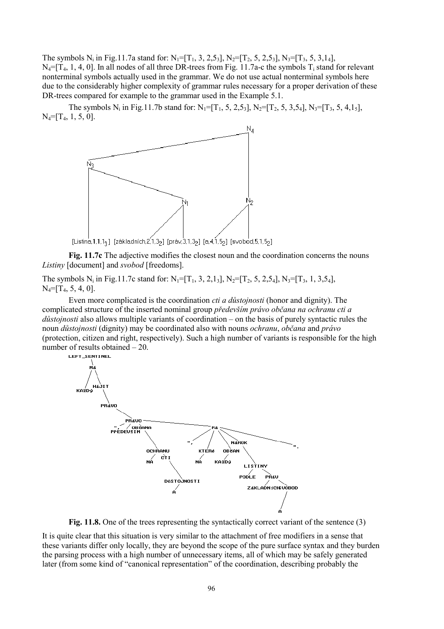The symbols N<sub>i</sub> in Fig.11.7a stand for: N<sub>1</sub>=[T<sub>1</sub>, 3, 2,5<sub>3</sub>], N<sub>2</sub>=[T<sub>2</sub>, 5, 2,5<sub>3</sub>], N<sub>3</sub>=[T<sub>3</sub>, 5, 3,1<sub>4</sub>],  $N_4$ =[T<sub>4</sub>, 1, 4, 0]. In all nodes of all three DR-trees from Fig. 11.7a-c the symbols T<sub>i</sub> stand for relevant nonterminal symbols actually used in the grammar. We do not use actual nonterminal symbols here due to the considerably higher complexity of grammar rules necessary for a proper derivation of these DR-trees compared for example to the grammar used in the Example 5.1.

The symbols N<sub>i</sub> in Fig.11.7b stand for: N<sub>1</sub>=[T<sub>1</sub>, 5, 2,5<sub>3</sub>], N<sub>2</sub>=[T<sub>2</sub>, 5, 3,5<sub>4</sub>], N<sub>3</sub>=[T<sub>3</sub>, 5, 4,1<sub>5</sub>],  $N_4 = [T_4, 1, 5, 0].$ 



[Listina 1.1.13] [základních.2.1.35] [práv.3.1.35] [a.4.1.55] [svobod.5.1.55]

**Fig. 11.7c** The adjective modifies the closest noun and the coordination concerns the nouns *Listiny* [document] and *svobod* [freedoms].

The symbols N<sub>i</sub> in Fig.11.7c stand for:  $N_1=[T_1, 3, 2,1_3]$ ,  $N_2=[T_2, 5, 2,54]$ ,  $N_3=[T_3, 1, 3,54]$ ,  $N_4 = [T_4, 5, 4, 0].$ 

Even more complicated is the coordination *cti a důstojnosti* (honor and dignity). The complicated structure of the inserted nominal group *především právo občana na ochranu cti a also allows multiple variants of coordination – on the basis of purely syntactic rules the* noun *důstojnosti* (dignity) may be coordinated also with nouns *ochranu*, *občana* and *pr·vo* (protection, citizen and right, respectively). Such a high number of variants is responsible for the high number of results obtained  $-20$ .



**Fig. 11.8.** One of the trees representing the syntactically correct variant of the sentence (3)

It is quite clear that this situation is very similar to the attachment of free modifiers in a sense that these variants differ only locally, they are beyond the scope of the pure surface syntax and they burden the parsing process with a high number of unnecessary items, all of which may be safely generated later (from some kind of "canonical representation" of the coordination, describing probably the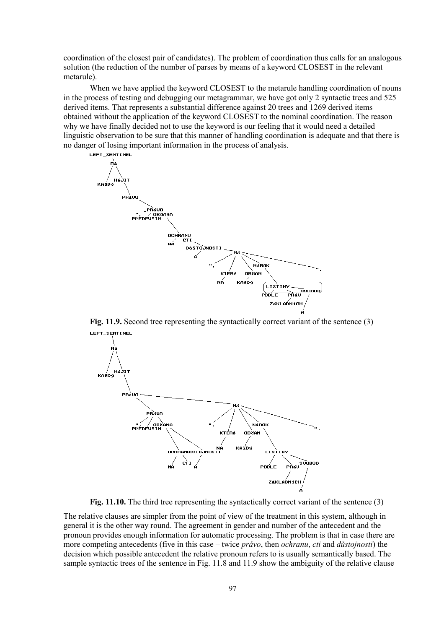coordination of the closest pair of candidates). The problem of coordination thus calls for an analogous solution (the reduction of the number of parses by means of a keyword CLOSEST in the relevant metarule).

When we have applied the keyword CLOSEST to the metarule handling coordination of nouns in the process of testing and debugging our metagrammar, we have got only 2 syntactic trees and 525 derived items. That represents a substantial difference against 20 trees and 1269 derived items obtained without the application of the keyword CLOSEST to the nominal coordination. The reason why we have finally decided not to use the keyword is our feeling that it would need a detailed linguistic observation to be sure that this manner of handling coordination is adequate and that there is no danger of losing important information in the process of analysis.



**Fig. 11.9.** Second tree representing the syntactically correct variant of the sentence (3) LEFT\_SENTINEL



**Fig. 11.10.** The third tree representing the syntactically correct variant of the sentence (3)

The relative clauses are simpler from the point of view of the treatment in this system, although in general it is the other way round. The agreement in gender and number of the antecedent and the pronoun provides enough information for automatic processing. The problem is that in case there are more competing antecedents (five in this case – twice *právo*, then *ochranu*, *cti* and *důstojnosti*) the decision which possible antecedent the relative pronoun refers to is usually semantically based. The sample syntactic trees of the sentence in Fig. 11.8 and 11.9 show the ambiguity of the relative clause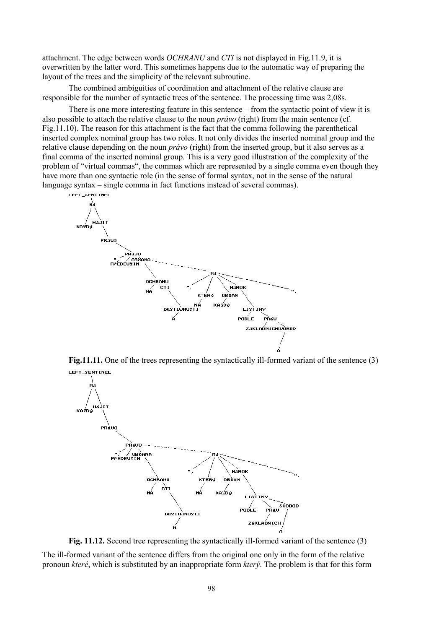attachment. The edge between words *OCHRANU* and *CTI* is not displayed in Fig.11.9, it is overwritten by the latter word. This sometimes happens due to the automatic way of preparing the layout of the trees and the simplicity of the relevant subroutine.

The combined ambiguities of coordination and attachment of the relative clause are responsible for the number of syntactic trees of the sentence. The processing time was 2,08s.

There is one more interesting feature in this sentence – from the syntactic point of view it is also possible to attach the relative clause to the noun *právo* (right) from the main sentence (cf. Fig.11.10). The reason for this attachment is the fact that the comma following the parenthetical inserted complex nominal group has two roles. It not only divides the inserted nominal group and the relative clause depending on the noun *prayo* (right) from the inserted group, but it also serves as a final comma of the inserted nominal group. This is a very good illustration of the complexity of the problem of "virtual commas", the commas which are represented by a single comma even though they have more than one syntactic role (in the sense of formal syntax, not in the sense of the natural language syntax  $-\sin\theta$  comma in fact functions instead of several commas).



**Fig.11.11.** One of the trees representing the syntactically ill-formed variant of the sentence (3) LEFT\_SENTINEL



**Fig. 11.12.** Second tree representing the syntactically ill-formed variant of the sentence (3)

The ill-formed variant of the sentence differs from the original one only in the form of the relative pronoun *kter*<sup> $\acute{e}$ </sup>, which is substituted by an inappropriate form *kteri*. The problem is that for this form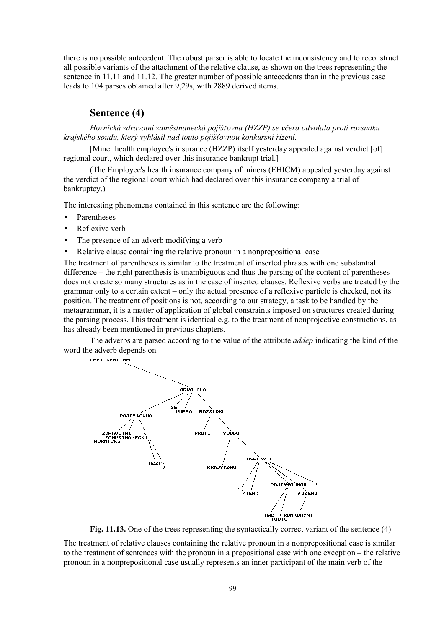there is no possible antecedent. The robust parser is able to locate the inconsistency and to reconstruct all possible variants of the attachment of the relative clause, as shown on the trees representing the sentence in 11.11 and 11.12. The greater number of possible antecedents than in the previous case leads to 104 parses obtained after 9,29s, with 2889 derived items.

### **Sentence (4)**

*Hornick· zdravotnÌ zaměstnaneck· pojiöťovna (HZZP) se včera odvolala proti rozsudku krajskÈho soudu, kter˝ vyhl·sil nad touto pojiöťovnou konkursnÌ řÌzenÌ.*

[Miner health employee's insurance (HZZP) itself yesterday appealed against verdict [of] regional court, which declared over this insurance bankrupt trial.]

(The Employee's health insurance company of miners (EHICM) appealed yesterday against the verdict of the regional court which had declared over this insurance company a trial of bankruptcy.)

The interesting phenomena contained in this sentence are the following:

- Parentheses
- Reflexive verb
- The presence of an adverb modifying a verb
- Relative clause containing the relative pronoun in a nonprepositional case

The treatment of parentheses is similar to the treatment of inserted phrases with one substantial difference  $-$  the right parenthesis is unambiguous and thus the parsing of the content of parentheses does not create so many structures as in the case of inserted clauses. Reflexive verbs are treated by the grammar only to a certain extent – only the actual presence of a reflexive particle is checked, not its position. The treatment of positions is not, according to our strategy, a task to be handled by the metagrammar, it is a matter of application of global constraints imposed on structures created during the parsing process. This treatment is identical e.g. to the treatment of nonprojective constructions, as has already been mentioned in previous chapters.

The adverbs are parsed according to the value of the attribute *addep* indicating the kind of the word the adverb depends on.



**Fig. 11.13.** One of the trees representing the syntactically correct variant of the sentence (4)

The treatment of relative clauses containing the relative pronoun in a nonprepositional case is similar to the treatment of sentences with the pronoun in a prepositional case with one exception  $-$  the relative pronoun in a nonprepositional case usually represents an inner participant of the main verb of the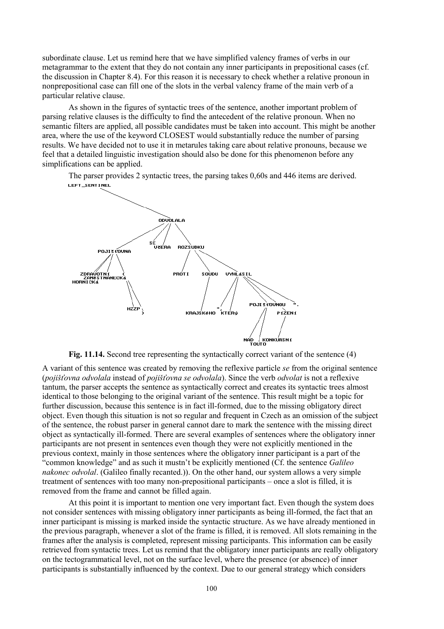subordinate clause. Let us remind here that we have simplified valency frames of verbs in our metagrammar to the extent that they do not contain any inner participants in prepositional cases (cf. the discussion in Chapter 8.4). For this reason it is necessary to check whether a relative pronoun in nonprepositional case can fill one of the slots in the verbal valency frame of the main verb of a particular relative clause.

As shown in the figures of syntactic trees of the sentence, another important problem of parsing relative clauses is the difficulty to find the antecedent of the relative pronoun. When no semantic filters are applied, all possible candidates must be taken into account. This might be another area, where the use of the keyword CLOSEST would substantially reduce the number of parsing results. We have decided not to use it in metarules taking care about relative pronouns, because we feel that a detailed linguistic investigation should also be done for this phenomenon before any simplifications can be applied.

The parser provides 2 syntactic trees, the parsing takes 0,60s and 446 items are derived. LEFT\_SENTINEL



**Fig. 11.14.** Second tree representing the syntactically correct variant of the sentence (4)

A variant of this sentence was created by removing the reflexive particle *se* from the original sentence (*pojiöťovna odvolala* instead of *pojiöťovna se odvolala*). Since the verb *odvolat* is not a reflexive tantum, the parser accepts the sentence as syntactically correct and creates its syntactic trees almost identical to those belonging to the original variant of the sentence. This result might be a topic for further discussion, because this sentence is in fact ill-formed, due to the missing obligatory direct object. Even though this situation is not so regular and frequent in Czech as an omission of the subject of the sentence, the robust parser in general cannot dare to mark the sentence with the missing direct object as syntactically ill-formed. There are several examples of sentences where the obligatory inner participants are not present in sentences even though they were not explicitly mentioned in the previous context, mainly in those sentences where the obligatory inner participant is a part of the <sup>"</sup>common knowledge" and as such it mustn't be explicitly mentioned (Cf. the sentence *Galileo*) *nakonec odvolal*. (Galileo finally recanted.)). On the other hand, our system allows a very simple treatment of sentences with too many non-prepositional participants – once a slot is filled, it is removed from the frame and cannot be filled again.

At this point it is important to mention one very important fact. Even though the system does not consider sentences with missing obligatory inner participants as being ill-formed, the fact that an inner participant is missing is marked inside the syntactic structure. As we have already mentioned in the previous paragraph, whenever a slot of the frame is filled, it is removed. All slots remaining in the frames after the analysis is completed, represent missing participants. This information can be easily retrieved from syntactic trees. Let us remind that the obligatory inner participants are really obligatory on the tectogrammatical level, not on the surface level, where the presence (or absence) of inner participants is substantially influenced by the context. Due to our general strategy which considers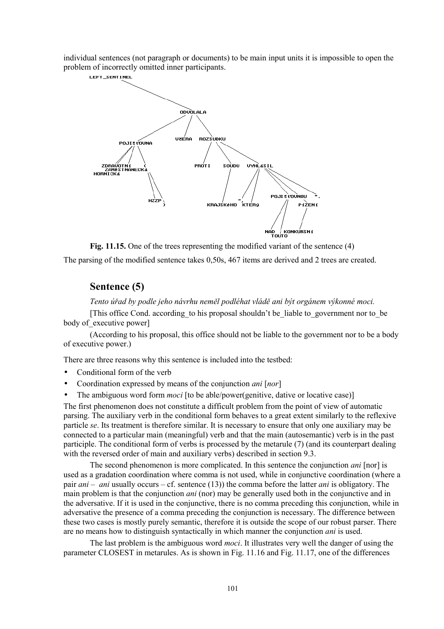individual sentences (not paragraph or documents) to be main input units it is impossible to open the problem of incorrectly omitted inner participants.



**Fig. 11.15.** One of the trees representing the modified variant of the sentence (4) The parsing of the modified sentence takes 0,50s, 467 items are derived and 2 trees are created.

### **Sentence (5)**

*Tento ˙řad by podle jeho n·vrhu neměl podlÈhat vl·dě ani b˝t org·nem v˝konnÈ moci.*

[This office Cond. according\_to his proposal shouldnít be\_liable to\_government nor to\_be body of executive power]

(According to his proposal, this office should not be liable to the government nor to be a body of executive power.)

There are three reasons why this sentence is included into the testbed:

- Conditional form of the verb
- Coordination expressed by means of the conjunction *ani* [*nor*]
- The ambiguous word form *moci* [to be able/power(genitive, dative or locative case)]

The first phenomenon does not constitute a difficult problem from the point of view of automatic parsing. The auxiliary verb in the conditional form behaves to a great extent similarly to the reflexive particle *se*. Its treatment is therefore similar. It is necessary to ensure that only one auxiliary may be connected to a particular main (meaningful) verb and that the main (autosemantic) verb is in the past participle. The conditional form of verbs is processed by the metarule (7) (and its counterpart dealing with the reversed order of main and auxiliary verbs) described in section 9.3.

The second phenomenon is more complicated. In this sentence the conjunction *ani* [nor] is used as a gradation coordination where comma is not used, while in conjunctive coordination (where a pair *ani* – *ani* usually occurs – cf. sentence (13)) the comma before the latter *ani* is obligatory. The main problem is that the conjunction *ani* (nor) may be generally used both in the conjunctive and in the adversative. If it is used in the conjunctive, there is no comma preceding this conjunction, while in adversative the presence of a comma preceding the conjunction is necessary. The difference between these two cases is mostly purely semantic, therefore it is outside the scope of our robust parser. There are no means how to distinguish syntactically in which manner the conjunction *ani* is used.

The last problem is the ambiguous word *moci*. It illustrates very well the danger of using the parameter CLOSEST in metarules. As is shown in Fig. 11.16 and Fig. 11.17, one of the differences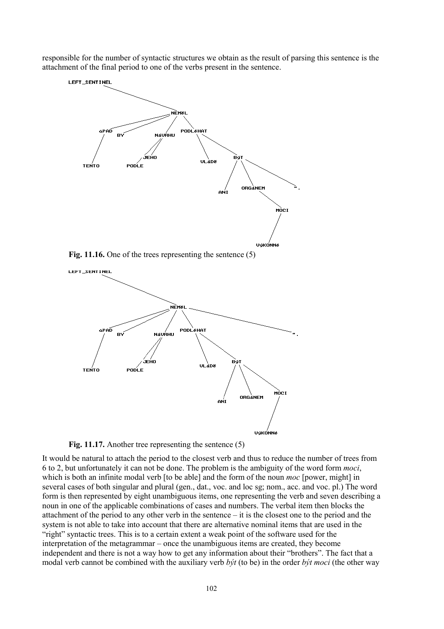responsible for the number of syntactic structures we obtain as the result of parsing this sentence is the attachment of the final period to one of the verbs present in the sentence.



**Fig. 11.16.** One of the trees representing the sentence (5)



**Fig. 11.17.** Another tree representing the sentence (5)

It would be natural to attach the period to the closest verb and thus to reduce the number of trees from 6 to 2, but unfortunately it can not be done. The problem is the ambiguity of the word form *moci*, which is both an infinite modal verb [to be able] and the form of the noun *moc* [power, might] in several cases of both singular and plural (gen., dat., voc. and loc sg; nom., acc. and voc. pl.) The word form is then represented by eight unambiguous items, one representing the verb and seven describing a noun in one of the applicable combinations of cases and numbers. The verbal item then blocks the attachment of the period to any other verb in the sentence  $-$  it is the closest one to the period and the system is not able to take into account that there are alternative nominal items that are used in the ìrightî syntactic trees. This is to a certain extent a weak point of the software used for the interpretation of the metagrammar  $-$  once the unambiguous items are created, they become independent and there is not a way how to get any information about their "brothers". The fact that a modal verb cannot be combined with the auxiliary verb *bit* (to be) in the order *bit moci* (the other way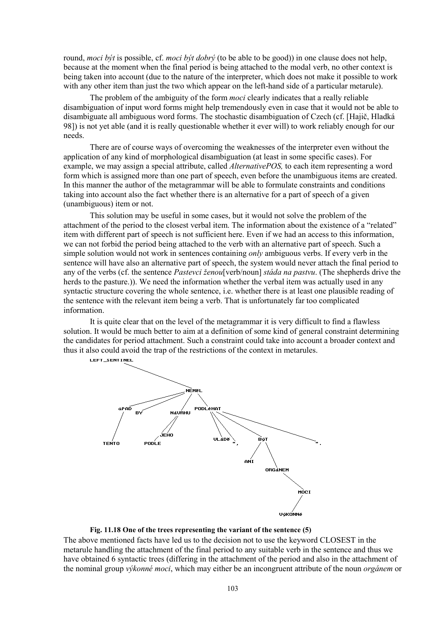round, *moci být* is possible, cf. *moci být dobrý* (to be able to be good)) in one clause does not help, because at the moment when the final period is being attached to the modal verb, no other context is being taken into account (due to the nature of the interpreter, which does not make it possible to work with any other item than just the two which appear on the left-hand side of a particular metarule).

The problem of the ambiguity of the form *moci* clearly indicates that a really reliable disambiguation of input word forms might help tremendously even in case that it would not be able to disambiguate all ambiguous word forms. The stochastic disambiguation of Czech (cf. [Hajič, Hladká] 98]) is not yet able (and it is really questionable whether it ever will) to work reliably enough for our needs.

There are of course ways of overcoming the weaknesses of the interpreter even without the application of any kind of morphological disambiguation (at least in some specific cases). For example, we may assign a special attribute, called *AlternativePOS,* to each item representing a word form which is assigned more than one part of speech, even before the unambiguous items are created. In this manner the author of the metagrammar will be able to formulate constraints and conditions taking into account also the fact whether there is an alternative for a part of speech of a given (unambiguous) item or not.

This solution may be useful in some cases, but it would not solve the problem of the attachment of the period to the closest verbal item. The information about the existence of a "related" item with different part of speech is not sufficient here. Even if we had an access to this information, we can not forbid the period being attached to the verb with an alternative part of speech. Such a simple solution would not work in sentences containing *only* ambiguous verbs. If every verb in the sentence will have also an alternative part of speech, the system would never attach the final period to any of the verbs (cf. the sentence *Pastevci ženou*[verb/noun] *stáda na pastvu*. (The shepherds drive the herds to the pasture.)). We need the information whether the verbal item was actually used in any syntactic structure covering the whole sentence, i.e. whether there is at least one plausible reading of the sentence with the relevant item being a verb. That is unfortunately far too complicated information.

It is quite clear that on the level of the metagrammar it is very difficult to find a flawless solution. It would be much better to aim at a definition of some kind of general constraint determining the candidates for period attachment. Such a constraint could take into account a broader context and thus it also could avoid the trap of the restrictions of the context in metarules.



#### **Fig. 11.18 One of the trees representing the variant of the sentence (5)**

The above mentioned facts have led us to the decision not to use the keyword CLOSEST in the metarule handling the attachment of the final period to any suitable verb in the sentence and thus we have obtained 6 syntactic trees (differing in the attachment of the period and also in the attachment of the nominal group *v⁄ikonné moci*, which may either be an incongruent attribute of the noun *orgánem* or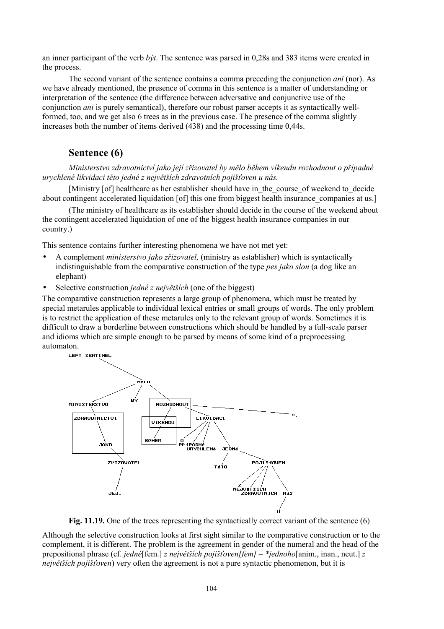an inner participant of the verb *b*/*t*. The sentence was parsed in 0,28s and 383 items were created in the process.

The second variant of the sentence contains a comma preceding the conjunction *ani* (nor). As we have already mentioned, the presence of comma in this sentence is a matter of understanding or interpretation of the sentence (the difference between adversative and conjunctive use of the conjunction *ani* is purely semantical), therefore our robust parser accepts it as syntactically wellformed, too, and we get also 6 trees as in the previous case. The presence of the comma slightly increases both the number of items derived (438) and the processing time 0,44s.

## **Sentence (6)**

*Ministerstvo zdravotnictvÌ jako jejÌ zřizovatel by mělo během vÌkendu rozhodnout o přÌpadnÈ urychlenÈ likvidaci tÈto jednÈ z největöÌch zdravotnÌch pojiöťoven u n·s.*

[Ministry [of] healthcare as her establisher should have in the course of weekend to decide about contingent accelerated liquidation [of] this one from biggest health insurance companies at us.]

(The ministry of healthcare as its establisher should decide in the course of the weekend about the contingent accelerated liquidation of one of the biggest health insurance companies in our country.)

This sentence contains further interesting phenomena we have not met yet:

- A complement *ministerstvo jako zřizovatel,* (ministry as establisher) which is syntactically indistinguishable from the comparative construction of the type *pes jako slon* (a dog like an elephant)
- Selective construction *jedné z největších* (one of the biggest)

The comparative construction represents a large group of phenomena, which must be treated by special metarules applicable to individual lexical entries or small groups of words. The only problem is to restrict the application of these metarules only to the relevant group of words. Sometimes it is difficult to draw a borderline between constructions which should be handled by a full-scale parser and idioms which are simple enough to be parsed by means of some kind of a preprocessing automaton.





Although the selective construction looks at first sight similar to the comparative construction or to the complement, it is different. The problem is the agreement in gender of the numeral and the head of the prepositional phrase (cf. *jedné*[fem.] *z největších pojišťoven[fem] – \*jednoho*[anim., inan., neut.] *z největöÌch pojiöťoven*) very often the agreement is not a pure syntactic phenomenon, but it is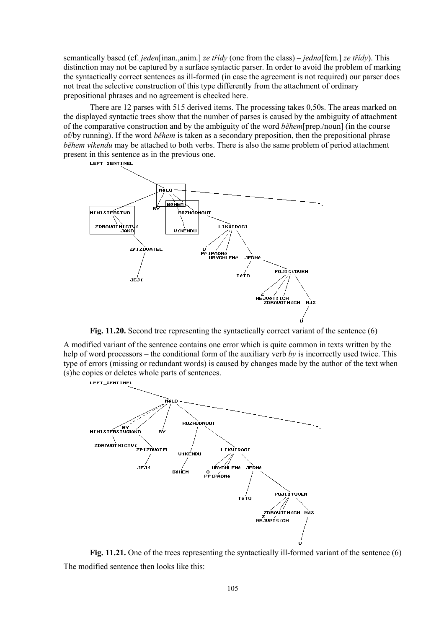semantically based (cf. *jeden*[inan.,anim.] *ze třídy* (one from the class) – *jedna*[fem.] *ze třídy*). This distinction may not be captured by a surface syntactic parser. In order to avoid the problem of marking the syntactically correct sentences as ill-formed (in case the agreement is not required) our parser does not treat the selective construction of this type differently from the attachment of ordinary prepositional phrases and no agreement is checked here.

There are 12 parses with 515 derived items. The processing takes 0,50s. The areas marked on the displayed syntactic trees show that the number of parses is caused by the ambiguity of attachment of the comparative construction and by the ambiguity of the word *během*[prep./noun] (in the course of/by running). If the word *během* is taken as a secondary preposition, then the prepositional phrase *během vÌkendu* may be attached to both verbs. There is also the same problem of period attachment present in this sentence as in the previous one.



Fig. 11.20. Second tree representing the syntactically correct variant of the sentence (6)

A modified variant of the sentence contains one error which is quite common in texts written by the help of word processors – the conditional form of the auxiliary verb  $b\upsilon$  is incorrectly used twice. This type of errors (missing or redundant words) is caused by changes made by the author of the text when (s)he copies or deletes whole parts of sentences.



**Fig. 11.21.** One of the trees representing the syntactically ill-formed variant of the sentence (6) The modified sentence then looks like this: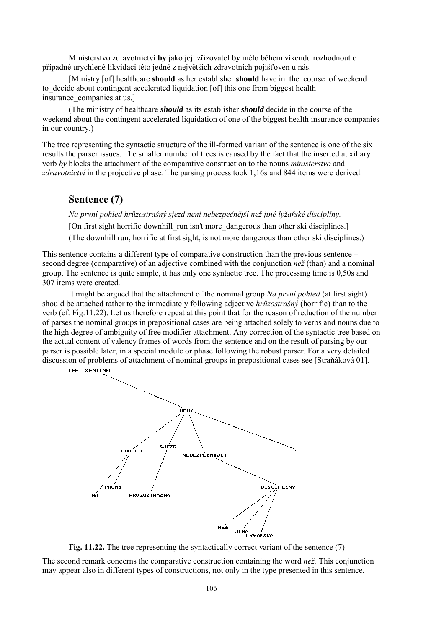Ministerstvo zdravotnictvÌ **by** jako jejÌ zřizovatel **by** mělo během vÌkendu rozhodnout o případné urychlené likvidaci této jedné z největších zdravotních pojišťoven u nás.

[Ministry [of] healthcare **should** as her establisher **should** have in\_the\_course\_of weekend to decide about contingent accelerated liquidation [of] this one from biggest health insurance companies at us.]

(The ministry of healthcare *should* as its establisher *should* decide in the course of the weekend about the contingent accelerated liquidation of one of the biggest health insurance companies in our country.)

The tree representing the syntactic structure of the ill-formed variant of the sentence is one of the six results the parser issues. The smaller number of trees is caused by the fact that the inserted auxiliary verb *by* blocks the attachment of the comparative construction to the nouns *ministerstvo* and *zdravotnictvÌ* in the projective phase*.* The parsing process took 1,16s and 844 items were derived.

### **Sentence (7)**

*Na prvnÌ pohled hrůzostraön˝ sjezd nenÌ nebezpečnějöÌ neû jinÈ lyûařskÈ disciplÌny.* [On first sight horrific downhill\_run isn't more\_dangerous than other ski disciplines.] (The downhill run, horrific at first sight, is not more dangerous than other ski disciplines.)

This sentence contains a different type of comparative construction than the previous sentence  $\overline{\phantom{a}}$ second degree (comparative) of an adjective combined with the conjunction *než* (than) and a nominal group. The sentence is quite simple, it has only one syntactic tree. The processing time is 0,50s and 307 items were created.

It might be argued that the attachment of the nominal group *Na prvnÌ pohled* (at first sight) should be attached rather to the immediately following adjective *hrůzostraön˝* (horrific) than to the verb (cf. Fig.11.22). Let us therefore repeat at this point that for the reason of reduction of the number of parses the nominal groups in prepositional cases are being attached solely to verbs and nouns due to the high degree of ambiguity of free modifier attachment. Any correction of the syntactic tree based on the actual content of valency frames of words from the sentence and on the result of parsing by our parser is possible later, in a special module or phase following the robust parser. For a very detailed discussion of problems of attachment of nominal groups in prepositional cases see [Straňáková 01].



**Fig. 11.22.** The tree representing the syntactically correct variant of the sentence (7)

The second remark concerns the comparative construction containing the word *ne* $\zeta$ . This conjunction may appear also in different types of constructions, not only in the type presented in this sentence.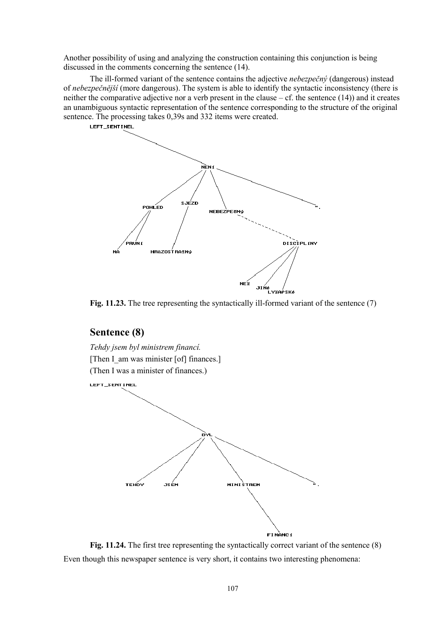Another possibility of using and analyzing the construction containing this conjunction is being discussed in the comments concerning the sentence (14).

The ill-formed variant of the sentence contains the adjective *nebezpečný* (dangerous) instead of *nebezpečnějöÌ* (more dangerous). The system is able to identify the syntactic inconsistency (there is neither the comparative adjective nor a verb present in the clause  $-$  cf. the sentence (14)) and it creates an unambiguous syntactic representation of the sentence corresponding to the structure of the original sentence. The processing takes 0,39s and 332 items were created.



**Fig. 11.23.** The tree representing the syntactically ill-formed variant of the sentence (7)

## **Sentence (8)**



**Fig. 11.24.** The first tree representing the syntactically correct variant of the sentence (8) Even though this newspaper sentence is very short, it contains two interesting phenomena: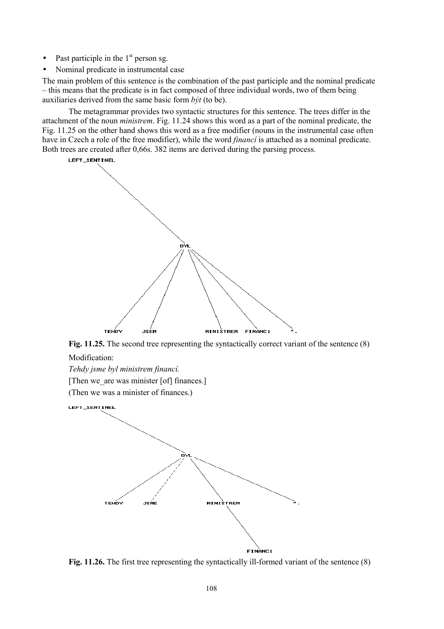- Past participle in the  $1<sup>st</sup>$  person sg.
- Nominal predicate in instrumental case

The main problem of this sentence is the combination of the past participle and the nominal predicate – this means that the predicate is in fact composed of three individual words, two of them being auxiliaries derived from the same basic form *být* (to be).

The metagrammar provides two syntactic structures for this sentence. The trees differ in the attachment of the noun *ministrem*. Fig. 11.24 shows this word as a part of the nominal predicate, the Fig. 11.25 on the other hand shows this word as a free modifier (nouns in the instrumental case often have in Czech a role of the free modifier), while the word *financi* is attached as a nominal predicate. Both trees are created after 0,66s. 382 items are derived during the parsing process.



**Fig. 11.25.** The second tree representing the syntactically correct variant of the sentence (8) Modification:

*Tehdy jsme byl ministrem financÌ.*

[Then we are was minister [of] finances.]

(Then we was a minister of finances.)



**Fig. 11.26.** The first tree representing the syntactically ill-formed variant of the sentence (8)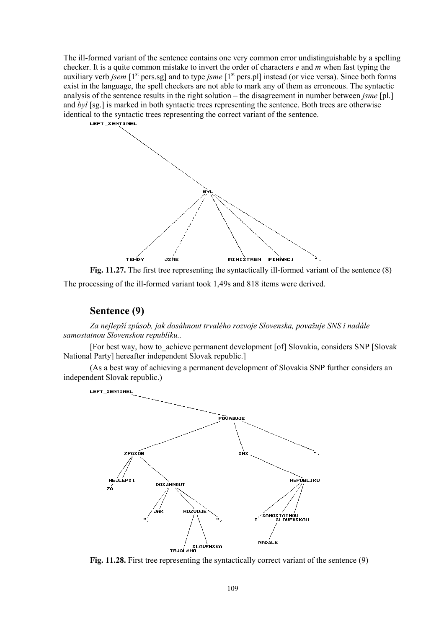The ill-formed variant of the sentence contains one very common error undistinguishable by a spelling checker. It is a quite common mistake to invert the order of characters *e* and *m* when fast typing the auxiliary verb *jsem* [1<sup>st</sup> pers.sg] and to type *jsme* [1<sup>st</sup> pers.pl] instead (or vice versa). Since both forms exist in the language, the spell checkers are not able to mark any of them as erroneous. The syntactic analysis of the sentence results in the right solution – the disagreement in number between *isme* [pl.] and *byl* [sg.] is marked in both syntactic trees representing the sentence. Both trees are otherwise identical to the syntactic trees representing the correct variant of the sentence.<br>LEFT\_SENTINEL





### **Sentence (9)**

Za nejlepší způsob, jak dosáhnout trvalého rozvoje Slovenska, považuje SNS i nadále *samostatnou Slovenskou republiku..*

[For best way, how to\_achieve permanent development [of] Slovakia, considers SNP [Slovak National Party] hereafter independent Slovak republic.]

(As a best way of achieving a permanent development of Slovakia SNP further considers an independent Slovak republic.)



**Fig. 11.28.** First tree representing the syntactically correct variant of the sentence (9)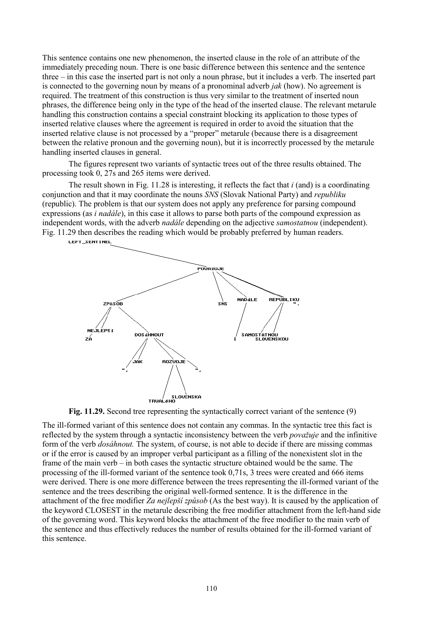This sentence contains one new phenomenon, the inserted clause in the role of an attribute of the immediately preceding noun. There is one basic difference between this sentence and the sentence three – in this case the inserted part is not only a noun phrase, but it includes a verb. The inserted part is connected to the governing noun by means of a pronominal adverb *jak* (how). No agreement is required. The treatment of this construction is thus very similar to the treatment of inserted noun phrases, the difference being only in the type of the head of the inserted clause. The relevant metarule handling this construction contains a special constraint blocking its application to those types of inserted relative clauses where the agreement is required in order to avoid the situation that the inserted relative clause is not processed by a "proper" metarule (because there is a disagreement between the relative pronoun and the governing noun), but it is incorrectly processed by the metarule handling inserted clauses in general.

The figures represent two variants of syntactic trees out of the three results obtained. The processing took 0, 27s and 265 items were derived.

The result shown in Fig. 11.28 is interesting, it reflects the fact that *i* (and) is a coordinating conjunction and that it may coordinate the nouns *SNS* (Slovak National Party) and *republiku* (republic). The problem is that our system does not apply any preference for parsing compound expressions (as *i nadale*), in this case it allows to parse both parts of the compound expression as independent words, with the adverb *nadale* depending on the adjective *samostatnou* (independent). Fig. 11.29 then describes the reading which would be probably preferred by human readers.



**Fig. 11.29.** Second tree representing the syntactically correct variant of the sentence (9)

The ill-formed variant of this sentence does not contain any commas. In the syntactic tree this fact is reflected by the system through a syntactic inconsistency between the verb *považuje* and the infinitive form of the verb *dosáhnout*. The system, of course, is not able to decide if there are missing commas or if the error is caused by an improper verbal participant as a filling of the nonexistent slot in the frame of the main verb  $-\text{ in both cases}$  the syntactic structure obtained would be the same. The processing of the ill-formed variant of the sentence took 0,71s, 3 trees were created and 666 items were derived. There is one more difference between the trees representing the ill-formed variant of the sentence and the trees describing the original well-formed sentence. It is the difference in the attachment of the free modifier *Za nejlepöÌ způsob* (As the best way). It is caused by the application of the keyword CLOSEST in the metarule describing the free modifier attachment from the left-hand side of the governing word. This keyword blocks the attachment of the free modifier to the main verb of the sentence and thus effectively reduces the number of results obtained for the ill-formed variant of this sentence.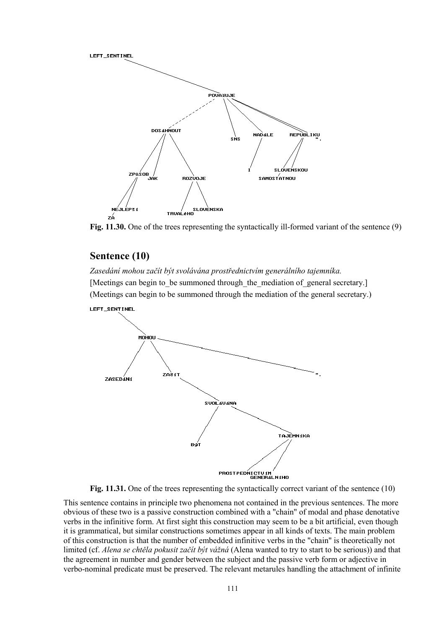

Fig. 11.30. One of the trees representing the syntactically ill-formed variant of the sentence  $(9)$ 

# Sentence (10)

Zasedání mohou začít být svolávána prostřednictvím generálního tajemníka. [Meetings can begin to be summoned through the mediation of general secretary.] (Meetings can begin to be summoned through the mediation of the general secretary.)



Fig. 11.31. One of the trees representing the syntactically correct variant of the sentence  $(10)$ 

This sentence contains in principle two phenomena not contained in the previous sentences. The more obvious of these two is a passive construction combined with a "chain" of modal and phase denotative verbs in the infinitive form. At first sight this construction may seem to be a bit artificial, even though it is grammatical, but similar constructions sometimes appear in all kinds of texts. The main problem of this construction is that the number of embedded infinitive verbs in the "chain" is theoretically not limited (cf. Alena se chtěla pokusit začít být vážná (Alena wanted to try to start to be serious)) and that the agreement in number and gender between the subject and the passive verb form or adjective in verbo-nominal predicate must be preserved. The relevant metarules handling the attachment of infinite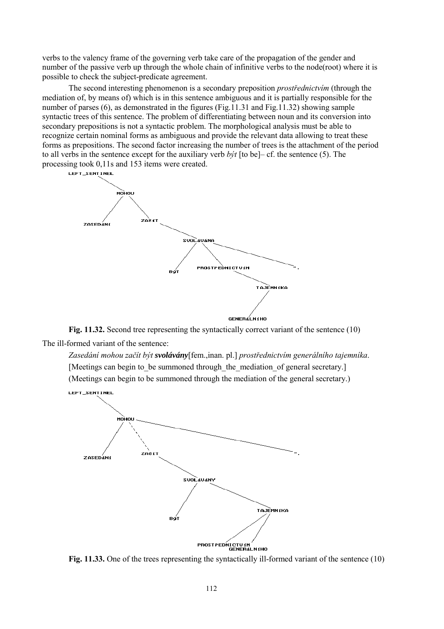verbs to the valency frame of the governing verb take care of the propagation of the gender and number of the passive verb up through the whole chain of infinitive verbs to the node(root) where it is possible to check the subject-predicate agreement.

The second interesting phenomenon is a secondary preposition *prostřednictvím* (through the mediation of, by means of) which is in this sentence ambiguous and it is partially responsible for the number of parses  $(6)$ , as demonstrated in the figures (Fig. 11.31 and Fig. 11.32) showing sample syntactic trees of this sentence. The problem of differentiating between noun and its conversion into secondary prepositions is not a syntactic problem. The morphological analysis must be able to recognize certain nominal forms as ambiguous and provide the relevant data allowing to treat these forms as prepositions. The second factor increasing the number of trees is the attachment of the period to all verbs in the sentence except for the auxiliary verb  $b\dot{v}t$  [to be]- cf. the sentence (5). The processing took 0,11s and 153 items were created.



Fig. 11.32. Second tree representing the syntactically correct variant of the sentence (10) The ill-formed variant of the sentence:

Zasedání mohou začít být svolávány[fem..inan.pl.] prostřednictvím generálního tajemníka. [Meetings can begin to be summoned through the mediation of general secretary.] (Meetings can begin to be summoned through the mediation of the general secretary.)



Fig. 11.33. One of the trees representing the syntactically ill-formed variant of the sentence (10)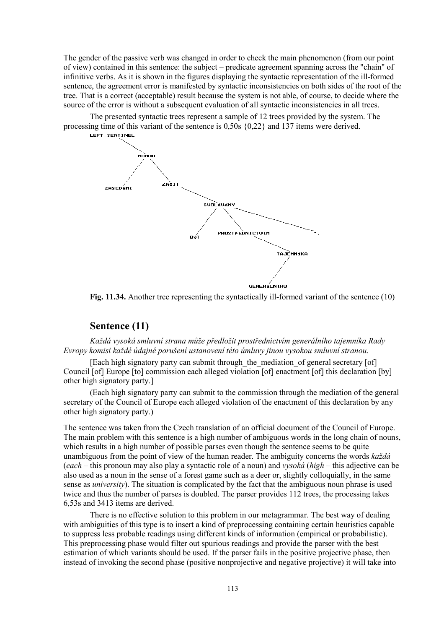The gender of the passive verb was changed in order to check the main phenomenon (from our point of view) contained in this sentence: the subject – predicate agreement spanning across the "chain" of infinitive verbs. As it is shown in the figures displaying the syntactic representation of the ill-formed sentence, the agreement error is manifested by syntactic inconsistencies on both sides of the root of the tree. That is a correct (acceptable) result because the system is not able, of course, to decide where the source of the error is without a subsequent evaluation of all syntactic inconsistencies in all trees.

The presented syntactic trees represent a sample of 12 trees provided by the system. The processing time of this variant of the sentence is 0.50s  $\{0.22\}$  and 137 items were derived.



Fig. 11.34. Another tree representing the syntactically ill-formed variant of the sentence  $(10)$ 

# Sentence (11)

Každá vysoká smluvní strana může předložit prostřednictvím generálního tajemníka Rady Evropy komisi každé údainé porušení ustanovení této úmluvy jinou vysokou smluvní stranou.

[Each high signatory party can submit through the mediation of general secretary [of] Council [of] Europe [to] commission each alleged violation [of] enactment [of] this declaration [by] other high signatory party.

(Each high signatory party can submit to the commission through the mediation of the general secretary of the Council of Europe each alleged violation of the enactment of this declaration by any other high signatory party.)

The sentence was taken from the Czech translation of an official document of the Council of Europe. The main problem with this sentence is a high number of ambiguous words in the long chain of nouns, which results in a high number of possible parses even though the sentence seems to be quite unambiguous from the point of view of the human reader. The ambiguity concerns the words každá (each – this pronoun may also play a syntactic role of a noun) and *vysoká* (high – this adjective can be also used as a noun in the sense of a forest game such as a deer or, slightly colloquially, in the same sense as *university*). The situation is complicated by the fact that the ambiguous noun phrase is used twice and thus the number of parses is doubled. The parser provides 112 trees, the processing takes 6.53s and 3413 items are derived.

There is no effective solution to this problem in our metagrammar. The best way of dealing with ambiguities of this type is to insert a kind of preprocessing containing certain heuristics capable to suppress less probable readings using different kinds of information (empirical or probabilistic). This preprocessing phase would filter out spurious readings and provide the parser with the best estimation of which variants should be used. If the parser fails in the positive projective phase, then instead of invoking the second phase (positive nonprojective and negative projective) it will take into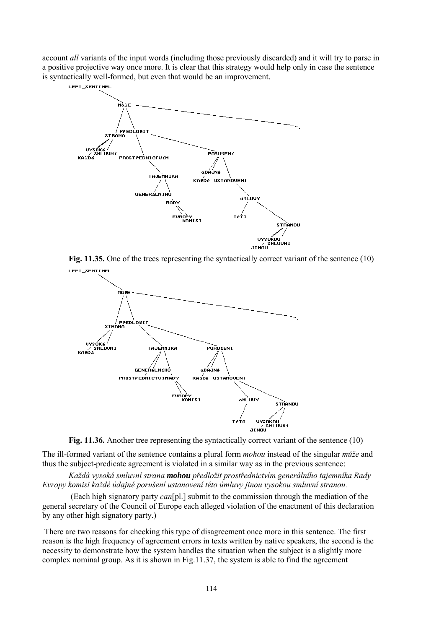account all variants of the input words (including those previously discarded) and it will try to parse in a positive projective way once more. It is clear that this strategy would help only in case the sentence is syntactically well-formed, but even that would be an improvement.



Fig. 11.35. One of the trees representing the syntactically correct variant of the sentence  $(10)$ LEFT\_SENTINEL





The ill-formed variant of the sentence contains a plural form *mohou* instead of the singular  $m\ddot{u}\dot{z}e$  and thus the subject-predicate agreement is violated in a similar way as in the previous sentence:

Každá vysoká smluvní strana mohou předložit prostřednictvím generálního tajemníka Rady Evropy komisi každé údajné porušení ustanovení této úmluvy jinou vysokou smluvní stranou.

(Each high signatory party can [pl.] submit to the commission through the mediation of the general secretary of the Council of Europe each alleged violation of the enactment of this declaration by any other high signatory party.)

There are two reasons for checking this type of disagreement once more in this sentence. The first reason is the high frequency of agreement errors in texts written by native speakers, the second is the necessity to demonstrate how the system handles the situation when the subject is a slightly more complex nominal group. As it is shown in Fig. 11.37, the system is able to find the agreement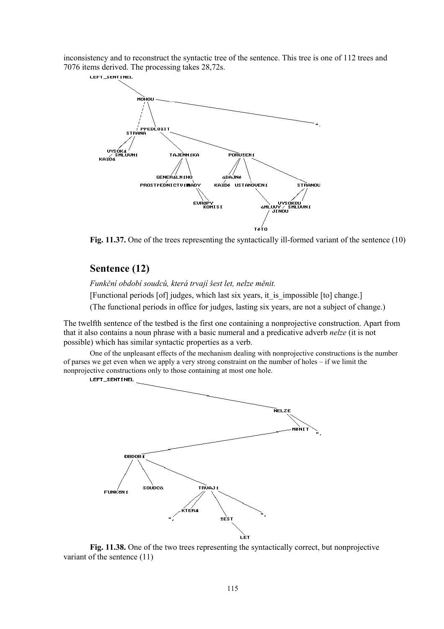inconsistency and to reconstruct the syntactic tree of the sentence. This tree is one of 112 trees and 7076 items derived. The processing takes 28,72s.



**Fig. 11.37.** One of the trees representing the syntactically ill-formed variant of the sentence (10)

## **Sentence (12)**

*FunkčnÌ obdobÌ soudců, kter· trvajÌ öest let, nelze měnit.* [Functional periods [of] judges, which last six years, it is impossible [to] change.] (The functional periods in office for judges, lasting six years, are not a subject of change.)

The twelfth sentence of the testbed is the first one containing a nonprojective construction. Apart from that it also contains a noun phrase with a basic numeral and a predicative adverb *nelze* (it is not possible) which has similar syntactic properties as a verb.

One of the unpleasant effects of the mechanism dealing with nonprojective constructions is the number of parses we get even when we apply a very strong constraint on the number of holes  $-$  if we limit the nonprojective constructions only to those containing at most one hole.



**Fig. 11.38.** One of the two trees representing the syntactically correct, but nonprojective variant of the sentence (11)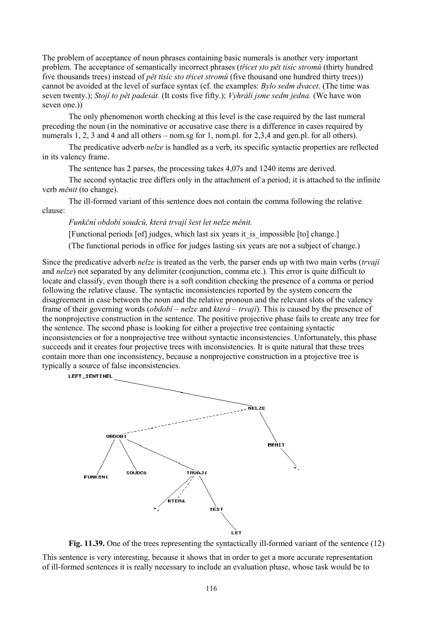The problem of acceptance of noun phrases containing basic numerals is another very important problem. The acceptance of semantically incorrect phrases (*třicet sto pět tisÌc stromů* (thirty hundred five thousands trees) instead of *pět tisÌc sto třicet stromů* (five thousand one hundred thirty trees)) cannot be avoided at the level of surface syntax (cf. the examples: *Bylo sedm dvacet*. (The time was seven twenty.); *Stojí to pět padesát.* (It costs five fifty.); *Vyhráli jsme sedm jedna*. (We have won seven one.)

The only phenomenon worth checking at this level is the case required by the last numeral preceding the noun (in the nominative or accusative case there is a difference in cases required by numerals 1, 2, 3 and 4 and all others – nom.sg for 1, nom.pl. for 2,3,4 and gen.pl. for all others).

The predicative adverb *nelze* is handled as a verb, its specific syntactic properties are reflected in its valency frame.

The sentence has 2 parses, the processing takes 4,07s and 1240 items are derived.

The second syntactic tree differs only in the attachment of a period; it is attached to the infinite verb *měnit* (to change).

The ill-formed variant of this sentence does not contain the comma following the relative clause:

*FunkčnÌ obdobÌ soudců, kter· trvajÌ öest let nelze měnit.*

[Functional periods [of] judges, which last six years it is impossible [to] change.]

(The functional periods in office for judges lasting six years are not a subject of change.)

Since the predicative adverb *nelze* is treated as the verb, the parser ends up with two main verbs (*trvajÌ* and *nelze*) not separated by any delimiter (conjunction, comma etc.). This error is quite difficult to locate and classify, even though there is a soft condition checking the presence of a comma or period following the relative clause. The syntactic inconsistencies reported by the system concern the disagreement in case between the noun and the relative pronoun and the relevant slots of the valency frame of their governing words (*obdobi* – *nelze* and *ktera* – *trvaji*). This is caused by the presence of the nonprojective construction in the sentence. The positive projective phase fails to create any tree for the sentence. The second phase is looking for either a projective tree containing syntactic inconsistencies or for a nonprojective tree without syntactic inconsistencies. Unfortunately, this phase succeeds and it creates four projective trees with inconsistencies. It is quite natural that these trees contain more than one inconsistency, because a nonprojective construction in a projective tree is typically a source of false inconsistencies.



**Fig. 11.39.** One of the trees representing the syntactically ill-formed variant of the sentence (12)

This sentence is very interesting, because it shows that in order to get a more accurate representation of ill-formed sentences it is really necessary to include an evaluation phase, whose task would be to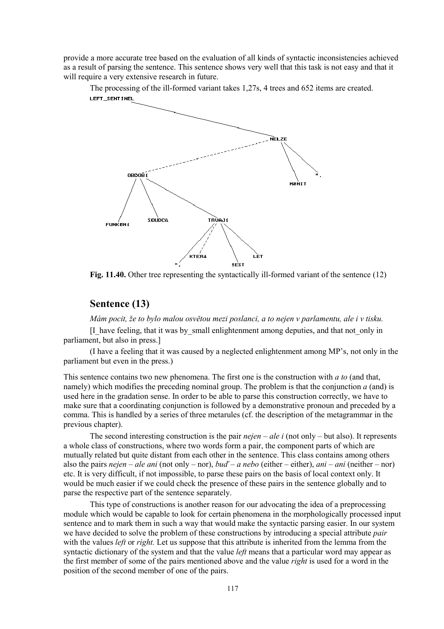provide a more accurate tree based on the evaluation of all kinds of syntactic inconsistencies achieved as a result of parsing the sentence. This sentence shows very well that this task is not easy and that it will require a very extensive research in future.



The processing of the ill-formed variant takes 1,27s, 4 trees and 652 items are created. LEFT\_SENTINEL

**Fig. 11.40.** Other tree representing the syntactically ill-formed variant of the sentence (12)

### **Sentence (13)**

*M·m pocit, ûe to bylo malou osvětou mezi poslanci, a to nejen v parlamentu, ale i v tisku.*

[I\_have feeling, that it was by\_small enlightenment among deputies, and that not\_only in parliament, but also in press.]

(I have a feeling that it was caused by a neglected enlightenment among MP's, not only in the parliament but even in the press.)

This sentence contains two new phenomena. The first one is the construction with *a to* (and that, namely) which modifies the preceding nominal group. The problem is that the conjunction *a* (and) is used here in the gradation sense. In order to be able to parse this construction correctly, we have to make sure that a coordinating conjunction is followed by a demonstrative pronoun and preceded by a comma. This is handled by a series of three metarules (cf. the description of the metagrammar in the previous chapter).

The second interesting construction is the pair  $nejen - ale$  *i* (not only  $-$  but also). It represents a whole class of constructions, where two words form a pair, the component parts of which are mutually related but quite distant from each other in the sentence. This class contains among others also the pairs *nejen* – *ale ani* (not only – nor), *bud'* – *a nebo* (either – either), *ani* – *ani* (neither – nor) etc. It is very difficult, if not impossible, to parse these pairs on the basis of local context only. It would be much easier if we could check the presence of these pairs in the sentence globally and to parse the respective part of the sentence separately.

This type of constructions is another reason for our advocating the idea of a preprocessing module which would be capable to look for certain phenomena in the morphologically processed input sentence and to mark them in such a way that would make the syntactic parsing easier. In our system we have decided to solve the problem of these constructions by introducing a special attribute *pair* with the values *left* or *right.* Let us suppose that this attribute is inherited from the lemma from the syntactic dictionary of the system and that the value *left* means that a particular word may appear as the first member of some of the pairs mentioned above and the value *right* is used for a word in the position of the second member of one of the pairs.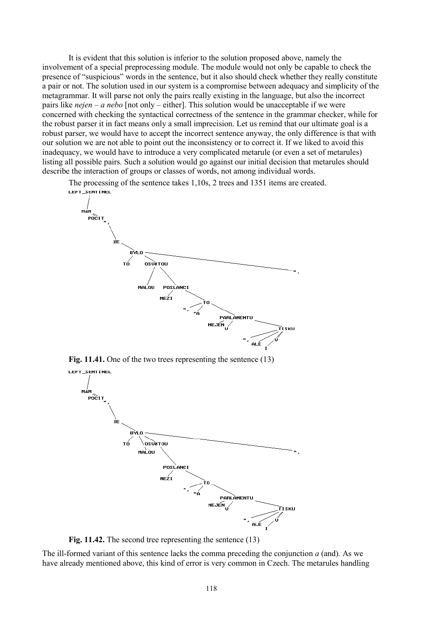It is evident that this solution is inferior to the solution proposed above, namely the involvement of a special preprocessing module. The module would not only be capable to check the presence of "suspicious" words in the sentence, but it also should check whether they really constitute a pair or not. The solution used in our system is a compromise between adequacy and simplicity of the metagrammar. It will parse not only the pairs really existing in the language, but also the incorrect pairs like  $nejen - a$  *nebo* [not only – either]. This solution would be unacceptable if we were concerned with checking the syntactical correctness of the sentence in the grammar checker, while for the robust parser it in fact means only a small imprecision. Let us remind that our ultimate goal is a robust parser, we would have to accept the incorrect sentence anyway, the only difference is that with our solution we are not able to point out the inconsistency or to correct it. If we liked to avoid this inadequacy, we would have to introduce a very complicated metarule (or even a set of metarules) listing all possible pairs. Such a solution would go against our initial decision that metarules should describe the interaction of groups or classes of words, not among individual words.

The processing of the sentence takes 1,10s, 2 trees and 1351 items are created.



**Fig. 11.41.** One of the two trees representing the sentence (13)



**Fig. 11.42.** The second tree representing the sentence (13)

The ill-formed variant of this sentence lacks the comma preceding the conjunction *a* (and). As we have already mentioned above, this kind of error is very common in Czech. The metarules handling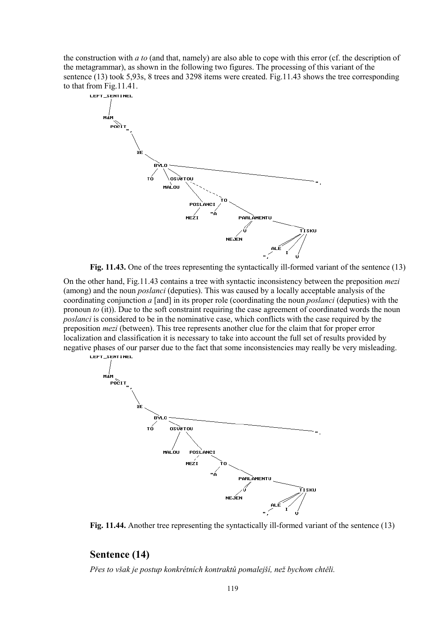the construction with *a to* (and that, namely) are also able to cope with this error (cf. the description of the metagrammar), as shown in the following two figures. The processing of this variant of the sentence (13) took 5,93s, 8 trees and 3298 items were created. Fig.11.43 shows the tree corresponding to that from Fig.11.41.



**Fig. 11.43.** One of the trees representing the syntactically ill-formed variant of the sentence (13)

On the other hand, Fig.11.43 contains a tree with syntactic inconsistency between the preposition *mezi* (among) and the noun *poslanci* (deputies). This was caused by a locally acceptable analysis of the coordinating conjunction *a* [and] in its proper role (coordinating the noun *poslanci* (deputies) with the pronoun *to* (it)). Due to the soft constraint requiring the case agreement of coordinated words the noun *poslanci* is considered to be in the nominative case, which conflicts with the case required by the preposition *mezi* (between). This tree represents another clue for the claim that for proper error localization and classification it is necessary to take into account the full set of results provided by negative phases of our parser due to the fact that some inconsistencies may really be very misleading. LEFT SENTINEL



**Fig. 11.44.** Another tree representing the syntactically ill-formed variant of the sentence (13)

# **Sentence (14)**

*Přes to vöak je postup konkrÈtnÌch kontraktů pomalejöÌ, neû bychom chtěli.*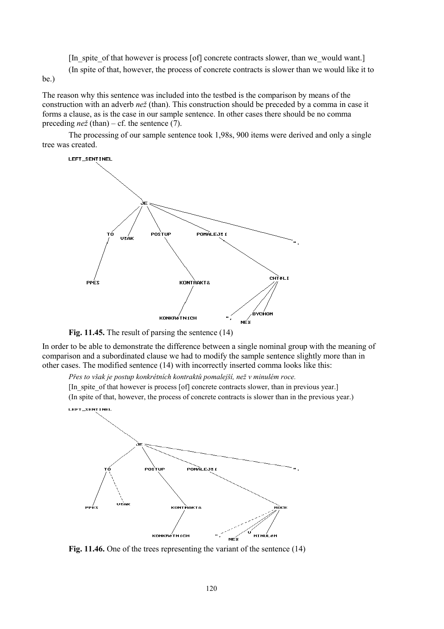[In spite of that however is process [of] concrete contracts slower, than we would want.] (In spite of that, however, the process of concrete contracts is slower than we would like it to be.)

The reason why this sentence was included into the testbed is the comparison by means of the construction with an adverb *neû* (than). This construction should be preceded by a comma in case it forms a clause, as is the case in our sample sentence. In other cases there should be no comma preceding  $ne\zeta$  (than) – cf. the sentence (7).

The processing of our sample sentence took 1,98s, 900 items were derived and only a single tree was created.



**Fig. 11.45.** The result of parsing the sentence (14)

In order to be able to demonstrate the difference between a single nominal group with the meaning of comparison and a subordinated clause we had to modify the sample sentence slightly more than in other cases. The modified sentence (14) with incorrectly inserted comma looks like this:

*Přes to vöak je postup konkrÈtnÌch kontraktů pomalejöÌ, neû v minulÈm roce.*

[In spite of that however is process [of] concrete contracts slower, than in previous year.] (In spite of that, however, the process of concrete contracts is slower than in the previous year.) LEFT\_SENTINEL



**Fig. 11.46.** One of the trees representing the variant of the sentence (14)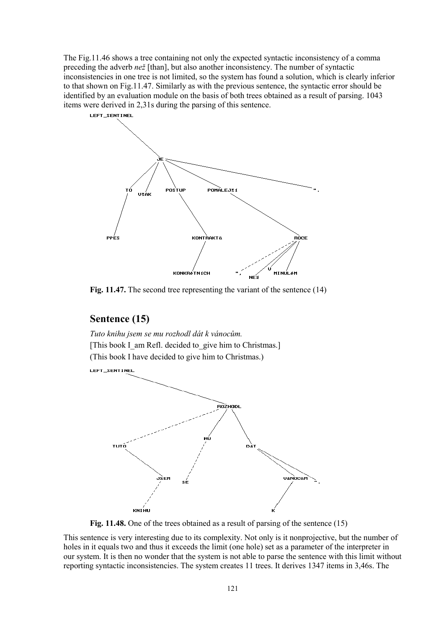The Fig.11.46 shows a tree containing not only the expected syntactic inconsistency of a comma preceding the adverb *než* [than], but also another inconsistency. The number of syntactic inconsistencies in one tree is not limited, so the system has found a solution, which is clearly inferior to that shown on Fig.11.47. Similarly as with the previous sentence, the syntactic error should be identified by an evaluation module on the basis of both trees obtained as a result of parsing. 1043 items were derived in 2,31s during the parsing of this sentence.



**Fig. 11.47.** The second tree representing the variant of the sentence (14)

# **Sentence (15)**

*Tuto knihu jsem se mu rozhodl dát k vánocům.* [This book I am Refl. decided to give him to Christmas.] (This book I have decided to give him to Christmas.)



**Fig. 11.48.** One of the trees obtained as a result of parsing of the sentence (15)

This sentence is very interesting due to its complexity. Not only is it nonprojective, but the number of holes in it equals two and thus it exceeds the limit (one hole) set as a parameter of the interpreter in our system. It is then no wonder that the system is not able to parse the sentence with this limit without reporting syntactic inconsistencies. The system creates 11 trees. It derives 1347 items in 3,46s. The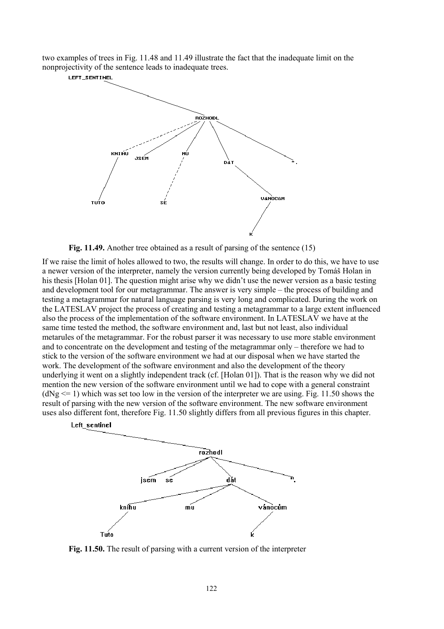two examples of trees in Fig. 11.48 and 11.49 illustrate the fact that the inadequate limit on the nonprojectivity of the sentence leads to inadequate trees.



**Fig. 11.49.** Another tree obtained as a result of parsing of the sentence (15)

If we raise the limit of holes allowed to two, the results will change. In order to do this, we have to use a newer version of the interpreter, namely the version currently being developed by Tomáš Holan in his thesis [Holan 01]. The question might arise why we didn't use the newer version as a basic testing and development tool for our metagrammar. The answer is very simple – the process of building and testing a metagrammar for natural language parsing is very long and complicated. During the work on the LATESLAV project the process of creating and testing a metagrammar to a large extent influenced also the process of the implementation of the software environment. In LATESLAV we have at the same time tested the method, the software environment and, last but not least, also individual metarules of the metagrammar. For the robust parser it was necessary to use more stable environment and to concentrate on the development and testing of the metagrammar only  $-$  therefore we had to stick to the version of the software environment we had at our disposal when we have started the work. The development of the software environment and also the development of the theory underlying it went on a slightly independent track (cf. [Holan 01]). That is the reason why we did not mention the new version of the software environment until we had to cope with a general constraint  $(dNg \leq 1)$  which was set too low in the version of the interpreter we are using. Fig. 11.50 shows the result of parsing with the new version of the software environment. The new software environment uses also different font, therefore Fig. 11.50 slightly differs from all previous figures in this chapter.



**Fig. 11.50.** The result of parsing with a current version of the interpreter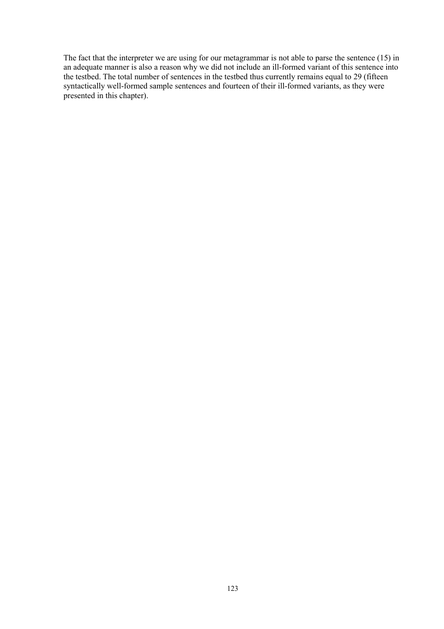The fact that the interpreter we are using for our metagrammar is not able to parse the sentence (15) in an adequate manner is also a reason why we did not include an ill-formed variant of this sentence into the testbed. The total number of sentences in the testbed thus currently remains equal to 29 (fifteen syntactically well-formed sample sentences and fourteen of their ill-formed variants, as they were presented in this chapter).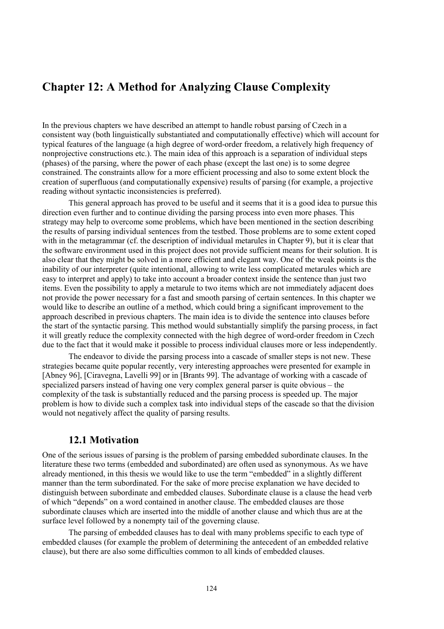# **Chapter 12: A Method for Analyzing Clause Complexity**

In the previous chapters we have described an attempt to handle robust parsing of Czech in a consistent way (both linguistically substantiated and computationally effective) which will account for typical features of the language (a high degree of word-order freedom, a relatively high frequency of nonprojective constructions etc.). The main idea of this approach is a separation of individual steps (phases) of the parsing, where the power of each phase (except the last one) is to some degree constrained. The constraints allow for a more efficient processing and also to some extent block the creation of superfluous (and computationally expensive) results of parsing (for example, a projective reading without syntactic inconsistencies is preferred).

This general approach has proved to be useful and it seems that it is a good idea to pursue this direction even further and to continue dividing the parsing process into even more phases. This strategy may help to overcome some problems, which have been mentioned in the section describing the results of parsing individual sentences from the testbed. Those problems are to some extent coped with in the metagrammar (cf. the description of individual metarules in Chapter 9), but it is clear that the software environment used in this project does not provide sufficient means for their solution. It is also clear that they might be solved in a more efficient and elegant way. One of the weak points is the inability of our interpreter (quite intentional, allowing to write less complicated metarules which are easy to interpret and apply) to take into account a broader context inside the sentence than just two items. Even the possibility to apply a metarule to two items which are not immediately adjacent does not provide the power necessary for a fast and smooth parsing of certain sentences. In this chapter we would like to describe an outline of a method, which could bring a significant improvement to the approach described in previous chapters. The main idea is to divide the sentence into clauses before the start of the syntactic parsing. This method would substantially simplify the parsing process, in fact it will greatly reduce the complexity connected with the high degree of word-order freedom in Czech due to the fact that it would make it possible to process individual clauses more or less independently.

The endeavor to divide the parsing process into a cascade of smaller steps is not new. These strategies became quite popular recently, very interesting approaches were presented for example in [Abney 96], [Ciravegna, Lavelli 99] or in [Brants 99]. The advantage of working with a cascade of specialized parsers instead of having one very complex general parser is quite obvious  $-$  the complexity of the task is substantially reduced and the parsing process is speeded up. The major problem is how to divide such a complex task into individual steps of the cascade so that the division would not negatively affect the quality of parsing results.

# **12.1 Motivation**

One of the serious issues of parsing is the problem of parsing embedded subordinate clauses. In the literature these two terms (embedded and subordinated) are often used as synonymous. As we have already mentioned, in this thesis we would like to use the term "embedded" in a slightly different manner than the term subordinated. For the sake of more precise explanation we have decided to distinguish between subordinate and embedded clauses. Subordinate clause is a clause the head verb of which "depends" on a word contained in another clause. The embedded clauses are those subordinate clauses which are inserted into the middle of another clause and which thus are at the surface level followed by a nonempty tail of the governing clause.

The parsing of embedded clauses has to deal with many problems specific to each type of embedded clauses (for example the problem of determining the antecedent of an embedded relative clause), but there are also some difficulties common to all kinds of embedded clauses.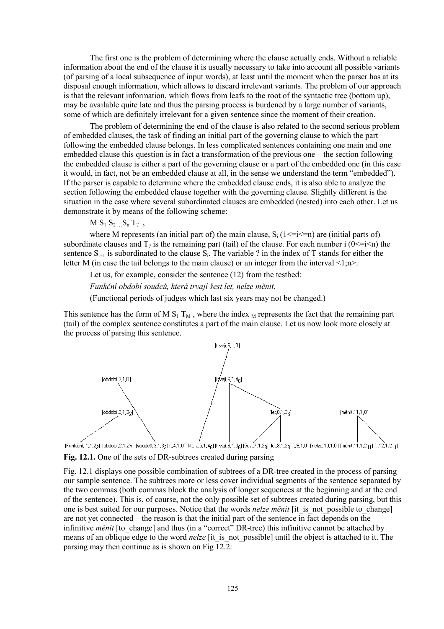The first one is the problem of determining where the clause actually ends. Without a reliable information about the end of the clause it is usually necessary to take into account all possible variants (of parsing of a local subsequence of input words), at least until the moment when the parser has at its disposal enough information, which allows to discard irrelevant variants. The problem of our approach is that the relevant information, which flows from leafs to the root of the syntactic tree (bottom up), may be available quite late and thus the parsing process is burdened by a large number of variants, some of which are definitely irrelevant for a given sentence since the moment of their creation.

The problem of determining the end of the clause is also related to the second serious problem of embedded clauses, the task of finding an initial part of the governing clause to which the part following the embedded clause belongs. In less complicated sentences containing one main and one embedded clause this question is in fact a transformation of the previous one  $-$  the section following the embedded clause is either a part of the governing clause or a part of the embedded one (in this case it would, in fact, not be an embedded clause at all, in the sense we understand the term "embedded"). If the parser is capable to determine where the embedded clause ends, it is also able to analyze the section following the embedded clause together with the governing clause. Slightly different is the situation in the case where several subordinated clauses are embedded (nested) into each other. Let us demonstrate it by means of the following scheme:

### $M S_1 S_2 S_n T_2$ ,

where M represents (an initial part of) the main clause,  $S_i$  ( $1\le i\le n$ ) are (initial parts of) subordinate clauses and  $T_2$  is the remaining part (tail) of the clause. For each number i ( $0 \le i \le n$ ) the sentence  $S_{i+1}$  is subordinated to the clause  $S_i$ . The variable ? in the index of T stands for either the letter M (in case the tail belongs to the main clause) or an integer from the interval  $\leq 1; n$ .

Let us, for example, consider the sentence (12) from the testbed: *FunkčnÌ obdobÌ soudců, kter· trvajÌ öest let, nelze měnit.*

(Functional periods of judges which last six years may not be changed.)

This sentence has the form of M  $S_1$  T<sub>M</sub>, where the index <sub>M</sub> represents the fact that the remaining part (tail) of the complex sentence constitutes a part of the main clause. Let us now look more closely at the process of parsing this sentence.







Fig. 12.1 displays one possible combination of subtrees of a DR-tree created in the process of parsing our sample sentence. The subtrees more or less cover individual segments of the sentence separated by the two commas (both commas block the analysis of longer sequences at the beginning and at the end of the sentence). This is, of course, not the only possible set of subtrees created during parsing, but this one is best suited for our purposes. Notice that the words *nelze měnit* [it\_is\_not\_possible to\_change] are not yet connected – the reason is that the initial part of the sentence in fact depends on the infinitive *měnit* [to\_change] and thus (in a "correct<sup>"</sup> DR-tree) this infinitive cannot be attached by means of an oblique edge to the word *nelze* [it is not possible] until the object is attached to it. The parsing may then continue as is shown on Fig 12.2: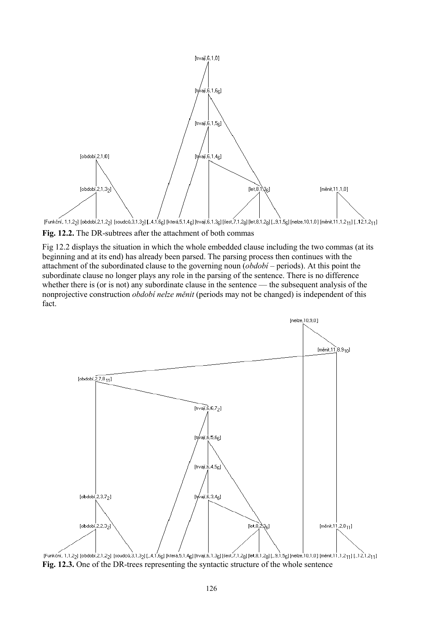

**Fig. 12.2.** The DR-subtrees after the attachment of both commas

Fig 12.2 displays the situation in which the whole embedded clause including the two commas (at its beginning and at its end) has already been parsed. The parsing process then continues with the attachment of the subordinated clause to the governing noun  $(obdobi - periods)$ . At this point the subordinate clause no longer plays any role in the parsing of the sentence. There is no difference whether there is (or is not) any subordinate clause in the sentence — the subsequent analysis of the nonprojective construction *obdobÌ nelze měnit* (periods may not be changed) is independent of this fact.



[Funkční, 1,1,2<sub>2</sub>] [období,2,1,2<sub>2</sub>] [soudcû,3,1,3<sub>2</sub>] [,4,1,6<sub>6</sub>] [která,5,1,4<sub>6</sub>] [tvají,6,1,3<sub>6</sub>] [šest,7,1,2<sub>8</sub>] [let,8,1,2<sub>8</sub>] [,9,1,5<sub>6</sub>] [nelze,10,1,0] [měnit,11,1,2<sub>11</sub>] [,12,1,2<sub>11</sub>] **Fig. 12.3.** One of the DR-trees representing the syntactic structure of the whole sentence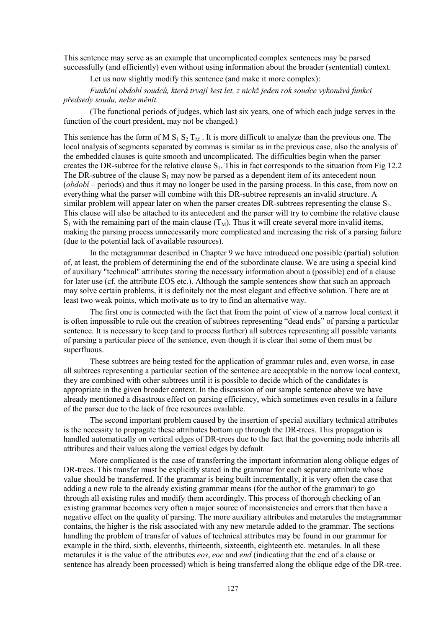This sentence may serve as an example that uncomplicated complex sentences may be parsed successfully (and efficiently) even without using information about the broader (sentential) context.

Let us now slightly modify this sentence (and make it more complex):

*Funkční období soudců, která trvají šest let, z nichž jeden rok soudce vykonává funkci předsedy soudu, nelze měnit.*

(The functional periods of judges, which last six years, one of which each judge serves in the function of the court president, may not be changed.)

This sentence has the form of M  $S_1 S_2 T_M$ . It is more difficult to analyze than the previous one. The local analysis of segments separated by commas is similar as in the previous case, also the analysis of the embedded clauses is quite smooth and uncomplicated. The difficulties begin when the parser creates the DR-subtree for the relative clause  $S_1$ . This in fact corresponds to the situation from Fig 12.2 The DR-subtree of the clause  $S_1$  may now be parsed as a dependent item of its antecedent noun (*obdobi* – periods) and thus it may no longer be used in the parsing process. In this case, from now on everything what the parser will combine with this DR-subtree represents an invalid structure. A similar problem will appear later on when the parser creates DR-subtrees representing the clause  $S_2$ . This clause will also be attached to its antecedent and the parser will try to combine the relative clause  $S_1$  with the remaining part of the main clause  $(T_M)$ . Thus it will create several more invalid items, making the parsing process unnecessarily more complicated and increasing the risk of a parsing failure (due to the potential lack of available resources).

In the metagrammar described in Chapter 9 we have introduced one possible (partial) solution of, at least, the problem of determining the end of the subordinate clause. We are using a special kind of auxiliary "technical" attributes storing the necessary information about a (possible) end of a clause for later use (cf. the attribute EOS etc.). Although the sample sentences show that such an approach may solve certain problems, it is definitely not the most elegant and effective solution. There are at least two weak points, which motivate us to try to find an alternative way.

The first one is connected with the fact that from the point of view of a narrow local context it is often impossible to rule out the creation of subtrees representing "dead ends" of parsing a particular sentence. It is necessary to keep (and to process further) all subtrees representing all possible variants of parsing a particular piece of the sentence, even though it is clear that some of them must be superfluous.

These subtrees are being tested for the application of grammar rules and, even worse, in case all subtrees representing a particular section of the sentence are acceptable in the narrow local context, they are combined with other subtrees until it is possible to decide which of the candidates is appropriate in the given broader context. In the discussion of our sample sentence above we have already mentioned a disastrous effect on parsing efficiency, which sometimes even results in a failure of the parser due to the lack of free resources available.

The second important problem caused by the insertion of special auxiliary technical attributes is the necessity to propagate these attributes bottom up through the DR-trees. This propagation is handled automatically on vertical edges of DR-trees due to the fact that the governing node inherits all attributes and their values along the vertical edges by default.

More complicated is the case of transferring the important information along oblique edges of DR-trees. This transfer must be explicitly stated in the grammar for each separate attribute whose value should be transferred. If the grammar is being built incrementally, it is very often the case that adding a new rule to the already existing grammar means (for the author of the grammar) to go through all existing rules and modify them accordingly. This process of thorough checking of an existing grammar becomes very often a major source of inconsistencies and errors that then have a negative effect on the quality of parsing. The more auxiliary attributes and metarules the metagrammar contains, the higher is the risk associated with any new metarule added to the grammar. The sections handling the problem of transfer of values of technical attributes may be found in our grammar for example in the third, sixth, elevenths, thirteenth, sixteenth, eighteenth etc. metarules. In all these metarules it is the value of the attributes *eos*, *eoc* and *end* (indicating that the end of a clause or sentence has already been processed) which is being transferred along the oblique edge of the DR-tree.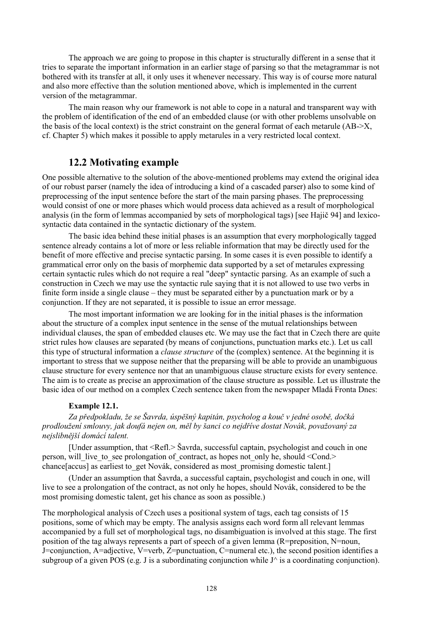The approach we are going to propose in this chapter is structurally different in a sense that it tries to separate the important information in an earlier stage of parsing so that the metagrammar is not bothered with its transfer at all, it only uses it whenever necessary. This way is of course more natural and also more effective than the solution mentioned above, which is implemented in the current version of the metagrammar.

The main reason why our framework is not able to cope in a natural and transparent way with the problem of identification of the end of an embedded clause (or with other problems unsolvable on the basis of the local context) is the strict constraint on the general format of each metarule (AB->X, cf. Chapter 5) which makes it possible to apply metarules in a very restricted local context.

# **12.2 Motivating example**

One possible alternative to the solution of the above-mentioned problems may extend the original idea of our robust parser (namely the idea of introducing a kind of a cascaded parser) also to some kind of preprocessing of the input sentence before the start of the main parsing phases. The preprocessing would consist of one or more phases which would process data achieved as a result of morphological analysis (in the form of lemmas accompanied by sets of morphological tags) [see Hajič 94] and lexicosyntactic data contained in the syntactic dictionary of the system.

The basic idea behind these initial phases is an assumption that every morphologically tagged sentence already contains a lot of more or less reliable information that may be directly used for the benefit of more effective and precise syntactic parsing. In some cases it is even possible to identify a grammatical error only on the basis of morphemic data supported by a set of metarules expressing certain syntactic rules which do not require a real "deep" syntactic parsing. As an example of such a construction in Czech we may use the syntactic rule saying that it is not allowed to use two verbs in finite form inside a single clause  $-$  they must be separated either by a punctuation mark or by a conjunction. If they are not separated, it is possible to issue an error message.

The most important information we are looking for in the initial phases is the information about the structure of a complex input sentence in the sense of the mutual relationships between individual clauses, the span of embedded clauses etc. We may use the fact that in Czech there are quite strict rules how clauses are separated (by means of conjunctions, punctuation marks etc.). Let us call this type of structural information a *clause structure* of the (complex) sentence. At the beginning it is important to stress that we suppose neither that the preparsing will be able to provide an unambiguous clause structure for every sentence nor that an unambiguous clause structure exists for every sentence. The aim is to create as precise an approximation of the clause structure as possible. Let us illustrate the basic idea of our method on a complex Czech sentence taken from the newspaper Mladá Fronta Dnes:

### **Example 12.1.**

*Za předpokladu, ûe se äavrda, ˙spěön˝ kapit·n, psycholog a kouč v jednÈ osobě, dočk· prodlouûenÌ smlouvy, jak douf· nejen on, měl by öanci co nejdřÌve dostat Nov·k, povaûovan˝ za nejslibnějöÌ dom·cÌ talent.*

[Under assumption, that  $\leq$ Refl $\geq$  Šavrda, successful captain, psychologist and couch in one person, will live to see prolongation of contract, as hopes not only he, should  $\leq$ Cond. $>$ chance[accus] as earliest to get Novák, considered as most promising domestic talent.]

(Under an assumption that äavrda, a successful captain, psychologist and couch in one, will live to see a prolongation of the contract, as not only he hopes, should Novák, considered to be the most promising domestic talent, get his chance as soon as possible.)

The morphological analysis of Czech uses a positional system of tags, each tag consists of 15 positions, some of which may be empty. The analysis assigns each word form all relevant lemmas accompanied by a full set of morphological tags, no disambiguation is involved at this stage. The first position of the tag always represents a part of speech of a given lemma (R=preposition, N=noun, J=conjunction, A=adjective, V=verb, Z=punctuation, C=numeral etc.), the second position identifies a subgroup of a given POS (e.g. J is a subordinating conjunction while  $J^{\wedge}$  is a coordinating conjunction).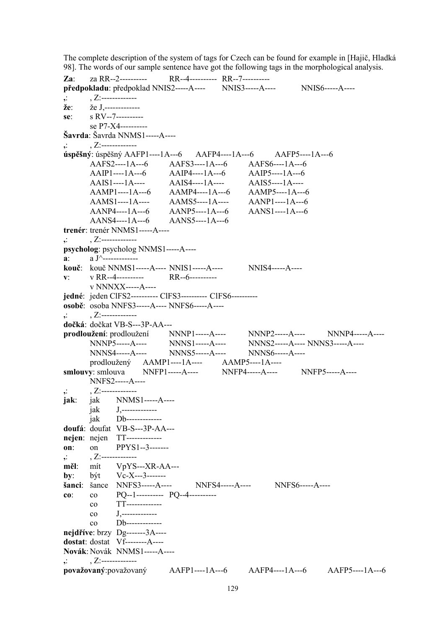The complete description of the system of tags for Czech can be found for example in [Hajič, Hladká 98]. The words of our sample sentence have got the following tags in the morphological analysis.

za RR--2----------RR--4---------- RR--7----------Za: předpokladu: předpoklad NNIS2-----A---- $NNIS6---A-- NNIS3---A---$ . Z:-------------- $\vdots$ že J<sub>-</sub>-------------že: s RV--7---------se: se P7-X4----------Šavrda: Šavrda NNMS1-----A---- $Z$ :-------------úspěšný: úspěšný AAFP1----1A---6 AAFP4----1A---6 AAFP5----1A---6 AAFS2----1A---6  $AAFS3---1A---6$ AAFS6----1A---6  $AAIP1---1A---6$  $AAIP4---1A---6$  $AAIP5---1A---6$ AAIS5----1A---- $AAIS1---1A-- AAIS4---1A---$ AAMP1----1A---6 AAMP4----1A---6 AAMP5----1A---6 AAMS1----1A----AAMS5----1A---- $AANP1---1A---6$ AANP4----1A---6  $AANP5---1A---6$ AANS1----1A---6  $AANS5---1A--6$ AANS4----1A---6 trenér: trenér NNMS1-----A---- $Z$ :-------------- $\vdots$ psycholog: psycholog NNMS1-----A---a J^------------- $a$ : kouč NNMS1-----A---- NNIS1-----A----NNIS4-----A---kouč:  $vRR-4$ ----------RR--6---------- $\mathbf{v}$ v NNNXX-----A---jedné: jeden CIFS2----------- CIFS3----------- CIFS6----------osobě: osoba NNFS3-----A---- NNFS6-----A----. Z:-------------- $\ddot{\cdot}$ dočká: dočkat VB-S---3P-AA--- $NNNP1$ ----- $A$ ---prodloužení: prodloužení  $NNNP2$ ----- $A$ ---- $NNNP4$ ----- $A$ ---- $NNNS1$ ----- $A$ ----NNNS2-----A---- NNNS3-----A----NNNP5-----A----NNNS4-----A----NNNS5------A----NNNS6-----A----AAMP5----1A---prodloužený  $AAMP1---1A---$ NNFP5-----A---smlouvy: smlouva NNFP1-----A----NNFP4------A----NNFS2-----A---- $Z$ :--------------iak: jak NNMS1-----A---- $J$ <sub>-</sub>-------------jak Db------------jak doufá: doufat VB-S---3P-AA-- $nejen: nejen$   $TT$ --------------PPYS1--3------on: on  $Z:---$ \_\_\_\_\_\_\_\_  $\cdot$ VpYS---XR-AA--měl: mít být  $Vc-X--3-- \mathbf{b} \mathbf{v}$ šanci: šance NNFS3-----A----NNFS4-----A----NNFS6-----A----PO--1---------- PO--4--------- $co:$  $\rm{co}$  $TT$ -------------- $\rm{co}$  $J$  ------------- $\rm{co}$ Db-------------- $_{\rm co}$ nejdříve: brzy Dg-------3A---dostat: dostat Vf--------A----Novák: Novák NNMS1-----A---- $Z$ :-------------považovaný: považovaný AAFP1----1A---6  $AAFP4---1A---6$  $AAFP5---1A---6$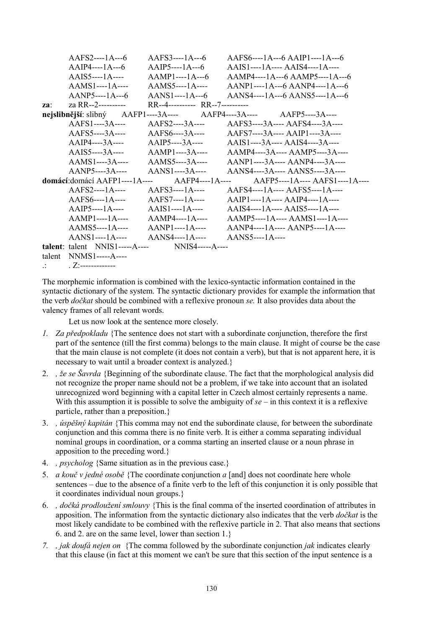|                                                                                       | AAFS2----1A---6                                                      | AAFS3----1A---6                                 | $AAFS6---1A---6 AAIP1---1A---6$                 |  |
|---------------------------------------------------------------------------------------|----------------------------------------------------------------------|-------------------------------------------------|-------------------------------------------------|--|
|                                                                                       | $AAIP4---1A---6$                                                     | $AAIP5---1A---6$                                | $AAIS1$ ----1A---- $AAIS4$ ----1A----           |  |
|                                                                                       | $AAIS5---1A---$                                                      | $AAMP1---1A---6$                                | AAMP4----1A---6 AAMP5----1A---6                 |  |
|                                                                                       | $AAMS1---1A---$                                                      | $AAMS5---1A---$                                 | $AANP1$ ----1A---6 $AANP4$ ----1A---6           |  |
|                                                                                       | $AANP5---1A---6$                                                     | $AANS1---1A---6$                                | AANS4----1A---6 AANS5----1A---6                 |  |
| za:                                                                                   | za RR--2----------                                                   | RR--4---------- RR--7----------                 |                                                 |  |
|                                                                                       | nejslibnější: slibný AAFP1----3A---- AAFP4----3A---- AAFP5----3A---- |                                                 |                                                 |  |
|                                                                                       | $AAFS1---3A---$                                                      |                                                 | AAFS2----3A---- AAFS3----3A---- AAFS4----3A---- |  |
|                                                                                       | AAFS5----3A----                                                      | AAFS6----3A----                                 | AAFS7----3A---- AAIP1----3A----                 |  |
|                                                                                       | $AAIP4---3A---$                                                      |                                                 | $AAIP5---3A--- AAIS1---3A--- AAIS4---3A---$     |  |
|                                                                                       | $AAIS5---3A---$                                                      | $AAMP1---3A---$                                 | $AAMP4---3A---AAMP5---3A---$                    |  |
|                                                                                       | $AAMS1---3A---$                                                      | AAMS5----3A----                                 | $AANP1$ ----3A---- $AANP4$ ----3A----           |  |
|                                                                                       | $AANP5---3A---$                                                      | AANS1----3A----                                 | $AANS4$ ----3A---- $AANS5$ ----3A----           |  |
| <b>domácí:</b> domácí AAFP1----1A---- AAFP4----1A---- AAFP5----1A---- AAFS1----1A---- |                                                                      |                                                 |                                                 |  |
|                                                                                       | $AAFS2---1A---$                                                      | AAFS3----1A----                                 | $AAFS4---1A--- AAFS5---1A---$                   |  |
|                                                                                       | $AAFS6---1A---$                                                      | AAFS7----1A----                                 | $AAPI$ ----1A---- $AAlP4$ ----1A----            |  |
|                                                                                       | $AAIP5---1A---$                                                      | $A A IS 1---1 A---$                             | $AAIS4$ ----1A---- $AAIS5$ ----1A----           |  |
|                                                                                       | $AAMP1---1A---$                                                      | AAMP4----1A----                                 | $AAMP5---1A--- AAMS1---1A---$                   |  |
|                                                                                       | $AAMS5---1A--- AAND1---1A---$                                        |                                                 | $AANP4$ ----1A---- $AANP5$ ----1A----           |  |
|                                                                                       |                                                                      | AANS1----1A---- AANS4----1A---- AANS5----1A---- |                                                 |  |
|                                                                                       | $talent: talent \quad NNIS1$ -----A---- $NNIS4$ -----A----           |                                                 |                                                 |  |
|                                                                                       | talent $NNMS1$ ----- $A$ ----                                        |                                                 |                                                 |  |
|                                                                                       | $\therefore$ $Z$ :--------------                                     |                                                 |                                                 |  |

The morphemic information is combined with the lexico-syntactic information contained in the syntactic dictionary of the system. The syntactic dictionary provides for example the information that the verb *dočkat* should be combined with a reflexive pronoun se. It also provides data about the valency frames of all relevant words.

Let us now look at the sentence more closely.

- 1. Za předpokladu {The sentence does not start with a subordinate conjunction, therefore the first part of the sentence (till the first comma) belongs to the main clause. It might of course be the case that the main clause is not complete (it does not contain a verb), but that is not apparent here, it is necessary to wait until a broader context is analyzed.
- 2. *i že se Šavrda* {Beginning of the subordinate clause. The fact that the morphological analysis did not recognize the proper name should not be a problem, if we take into account that an isolated unrecognized word beginning with a capital letter in Czech almost certainly represents a name. With this assumption it is possible to solve the ambiguity of  $se$  – in this context it is a reflexive particle, rather than a preposition.
- 3. *is uspěšný kapitán* {This comma may not end the subordinate clause, for between the subordinate conjunction and this comma there is no finite verb. It is either a comma separating individual nominal groups in coordination, or a comma starting an inserted clause or a noun phrase in apposition to the preceding word.
- 4. *psycholog* {Same situation as in the previous case.}
- 5. *a kouč v jedné osobě* {The coordinate conjunction *a* [and] does not coordinate here whole sentences – due to the absence of a finite verb to the left of this conjunction it is only possible that it coordinates individual noun groups.
- 6. *dočká prodloužení smlouvy* {This is the final comma of the inserted coordination of attributes in apposition. The information from the syntactic dictionary also indicates that the verb *dočkat* is the most likely candidate to be combined with the reflexive particle in 2. That also means that sections 6. and 2. are on the same level, lower than section 1.
- 7. *jak doufá nejen on* {The comma followed by the subordinate conjunction *jak* indicates clearly that this clause (in fact at this moment we can't be sure that this section of the input sentence is a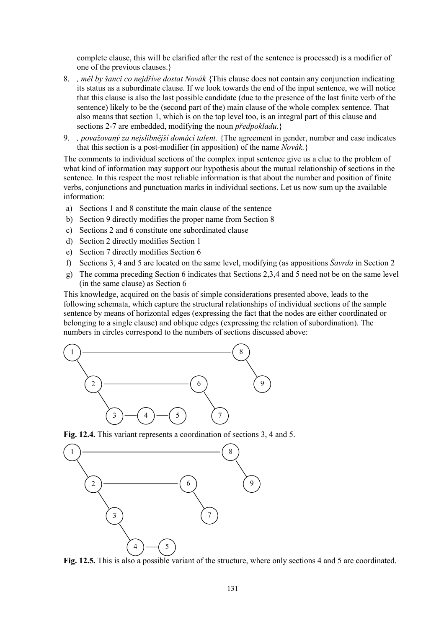complete clause, this will be clarified after the rest of the sentence is processed) is a modifier of one of the previous clauses.}

- 8. *, měl by šanci co nejdříve dostat Novák* {This clause does not contain any conjunction indicating its status as a subordinate clause. If we look towards the end of the input sentence, we will notice that this clause is also the last possible candidate (due to the presence of the last finite verb of the sentence) likely to be the (second part of the) main clause of the whole complex sentence. That also means that section 1, which is on the top level too, is an integral part of this clause and sections 2-7 are embedded, modifying the noun *předpokladu*.}
- 9. *, povaûovan˝ za nejslibnějöÌ dom·cÌ talent.* {The agreement in gender, number and case indicates that this section is a post-modifier (in apposition) of the name  $Novak$ .

The comments to individual sections of the complex input sentence give us a clue to the problem of what kind of information may support our hypothesis about the mutual relationship of sections in the sentence. In this respect the most reliable information is that about the number and position of finite verbs, conjunctions and punctuation marks in individual sections. Let us now sum up the available information:

- a) Sections 1 and 8 constitute the main clause of the sentence
- b) Section 9 directly modifies the proper name from Section 8
- c) Sections 2 and 6 constitute one subordinated clause
- d) Section 2 directly modifies Section 1
- e) Section 7 directly modifies Section 6
- f) Sections 3, 4 and 5 are located on the same level, modifying (as appositions *äavrda* in Section 2
- g) The comma preceding Section 6 indicates that Sections 2,3,4 and 5 need not be on the same level (in the same clause) as Section 6

This knowledge, acquired on the basis of simple considerations presented above, leads to the following schemata, which capture the structural relationships of individual sections of the sample sentence by means of horizontal edges (expressing the fact that the nodes are either coordinated or belonging to a single clause) and oblique edges (expressing the relation of subordination). The numbers in circles correspond to the numbers of sections discussed above:



**Fig. 12.4.** This variant represents a coordination of sections 3, 4 and 5.



**Fig. 12.5.** This is also a possible variant of the structure, where only sections 4 and 5 are coordinated.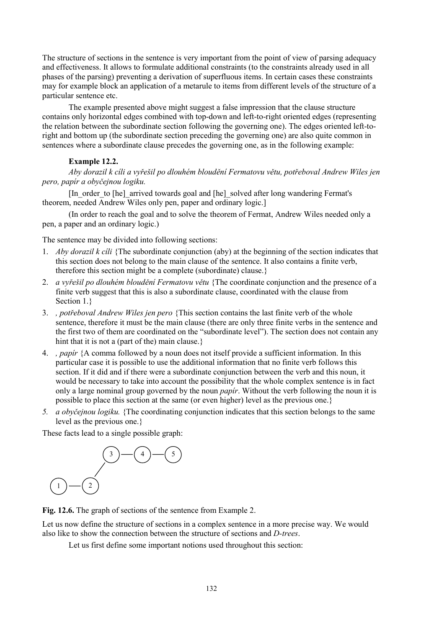The structure of sections in the sentence is very important from the point of view of parsing adequacy and effectiveness. It allows to formulate additional constraints (to the constraints already used in all phases of the parsing) preventing a derivation of superfluous items. In certain cases these constraints may for example block an application of a metarule to items from different levels of the structure of a particular sentence etc.

The example presented above might suggest a false impression that the clause structure contains only horizontal edges combined with top-down and left-to-right oriented edges (representing the relation between the subordinate section following the governing one). The edges oriented left-toright and bottom up (the subordinate section preceding the governing one) are also quite common in sentences where a subordinate clause precedes the governing one, as in the following example:

### **Example 12.2.**

*Aby dorazil k cÌli a vyřeöil po dlouhÈm blouděnÌ Fermatovu větu, potřeboval Andrew Wiles jen pero, papÌr a obyčejnou logiku.*

[In\_order\_to [he]\_arrived towards goal and [he]\_solved after long wandering Fermat's theorem, needed Andrew Wiles only pen, paper and ordinary logic.]

(In order to reach the goal and to solve the theorem of Fermat, Andrew Wiles needed only a pen, a paper and an ordinary logic.)

The sentence may be divided into following sections:

- 1. *Aby dorazil k cÌli* {The subordinate conjunction (aby) at the beginning of the section indicates that this section does not belong to the main clause of the sentence. It also contains a finite verb, therefore this section might be a complete (subordinate) clause.}
- 2. *a vyřeöil po dlouhÈm blouděnÌ Fermatovu větu* {The coordinate conjunction and the presence of a finite verb suggest that this is also a subordinate clause, coordinated with the clause from Section 1.
- 3. *, potřeboval Andrew Wiles jen pero* {This section contains the last finite verb of the whole sentence, therefore it must be the main clause (there are only three finite verbs in the sentence and the first two of them are coordinated on the "subordinate level"). The section does not contain any hint that it is not a (part of the) main clause.}
- 4. *, papÌr* {A comma followed by a noun does not itself provide a sufficient information. In this particular case it is possible to use the additional information that no finite verb follows this section. If it did and if there were a subordinate conjunction between the verb and this noun, it would be necessary to take into account the possibility that the whole complex sentence is in fact only a large nominal group governed by the noun *papÌr*. Without the verb following the noun it is possible to place this section at the same (or even higher) level as the previous one.}
- *5. a obyčejnou logiku.* {The coordinating conjunction indicates that this section belongs to the same level as the previous one.}

These facts lead to a single possible graph:



**Fig. 12.6.** The graph of sections of the sentence from Example 2.

Let us now define the structure of sections in a complex sentence in a more precise way. We would also like to show the connection between the structure of sections and *D-trees*.

Let us first define some important notions used throughout this section: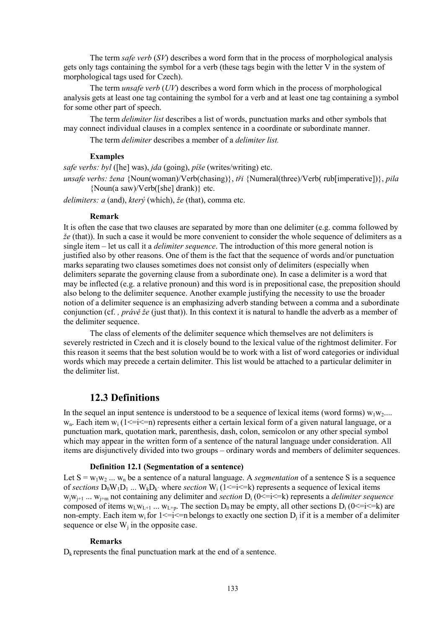The term *safe verb* (*SV*) describes a word form that in the process of morphological analysis gets only tags containing the symbol for a verb (these tags begin with the letter V in the system of morphological tags used for Czech).

The term *unsafe verb* (*UV*) describes a word form which in the process of morphological analysis gets at least one tag containing the symbol for a verb and at least one tag containing a symbol for some other part of speech.

The term *delimiter list* describes a list of words, punctuation marks and other symbols that may connect individual clauses in a complex sentence in a coordinate or subordinate manner.

The term *delimiter* describes a member of a *delimiter list.*

### **Examples**

*safe verbs: byl* ([he] was), *jda* (going), *pÌöe* (writes/writing) etc.

*unsafe verbs: ûena* {Noun(woman)/Verb(chasing)}, *tři* {Numeral(three)/Verb( rub[imperative])}, *pila* {Noun(a saw)/Verb([she] drank)} etc.

*delimiters: a* (and), *který* (which), *že* (that), comma etc.

#### **Remark**

It is often the case that two clauses are separated by more than one delimiter (e.g. comma followed by *ûe* (that)). In such a case it would be more convenient to consider the whole sequence of delimiters as a single item – let us call it a *delimiter sequence*. The introduction of this more general notion is justified also by other reasons. One of them is the fact that the sequence of words and/or punctuation marks separating two clauses sometimes does not consist only of delimiters (especially when delimiters separate the governing clause from a subordinate one). In case a delimiter is a word that may be inflected (e.g. a relative pronoun) and this word is in prepositional case, the preposition should also belong to the delimiter sequence. Another example justifying the necessity to use the broader notion of a delimiter sequence is an emphasizing adverb standing between a comma and a subordinate conjunction (cf., *pravě že* (just that)). In this context it is natural to handle the adverb as a member of the delimiter sequence.

The class of elements of the delimiter sequence which themselves are not delimiters is severely restricted in Czech and it is closely bound to the lexical value of the rightmost delimiter. For this reason it seems that the best solution would be to work with a list of word categories or individual words which may precede a certain delimiter. This list would be attached to a particular delimiter in the delimiter list.

## **12.3 Definitions**

In the sequel an input sentence is understood to be a sequence of lexical items (word forms)  $w_1w_2...$  $w_n$ . Each item  $w_i$  (1<=i<=n) represents either a certain lexical form of a given natural language, or a punctuation mark, quotation mark, parenthesis, dash, colon, semicolon or any other special symbol which may appear in the written form of a sentence of the natural language under consideration. All items are disjunctively divided into two groups – ordinary words and members of delimiter sequences.

#### **Definition 12.1 (Segmentation of a sentence)**

Let  $S = w_1w_2... w_n$  be a sentence of a natural language. A *segmentation* of a sentence S is a sequence of *sections*  $D_0W_1D_1$  ...  $W_kD_k$  where *section*  $W_i$  (1<=i<=k) represents a sequence of lexical items  $w_iw_{i+1}$  ...  $w_{i+m}$  not containing any delimiter and *section*  $D_i$  ( $0 \le i \le k$ ) represents a *delimiter sequence* composed of items  $w_L w_{L+1} ... w_{L+1}$ . The section  $D_0$  may be empty, all other sections  $D_i$  (0<=i<=k) are non-empty. Each item  $w_i$  for  $1 \le i \le n$  belongs to exactly one section  $D_i$  if it is a member of a delimiter sequence or else  $W_i$  in the opposite case.

#### **Remarks**

 $D_k$  represents the final punctuation mark at the end of a sentence.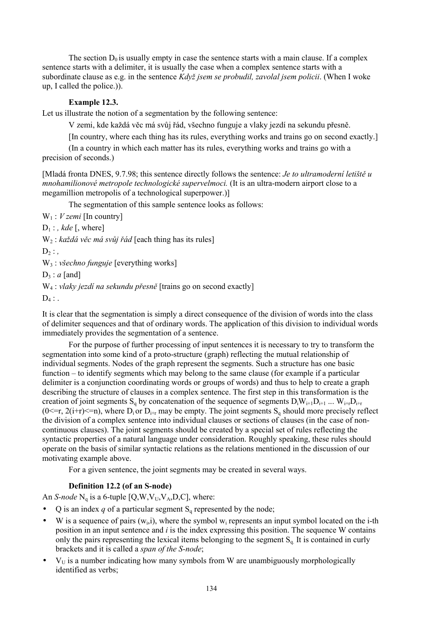The section  $D_0$  is usually empty in case the sentence starts with a main clause. If a complex sentence starts with a delimiter, it is usually the case when a complex sentence starts with a subordinate clause as e.g. in the sentence *Když jsem se probudil, zavolal jsem policii*. (When I woke up, I called the police.)).

### **Example 12.3.**

Let us illustrate the notion of a segmentation by the following sentence:

V zemi, kde každá věc má svůj řád, všechno funguje a vlaky jezdí na sekundu přesně.

[In country, where each thing has its rules, everything works and trains go on second exactly.]

(In a country in which each matter has its rules, everything works and trains go with a precision of seconds.)

[Mladá fronta DNES, 9.7.98; this sentence directly follows the sentence: *Je to ultramoderní letiště u mnohamilionovÈ metropole technologickÈ supervelmoci.* (It is an ultra-modern airport close to a megamillion metropolis of a technological superpower.)]

The segmentation of this sample sentence looks as follows:

W<sub>1</sub> : *V* zemi [In country]

 $D_1$ :, *kde* [, where]

W<sub>2</sub> : *každá věc má svůj řád* [each thing has its rules]

 $D_2$   $\cdot$   $\cdot$ 

W3 : *vöechno funguje* [everything works]

 $D_3$  : *a* [and]

W4 : *vlaky jezdÌ na sekundu přesně* [trains go on second exactly]

 $D_4$  :

It is clear that the segmentation is simply a direct consequence of the division of words into the class of delimiter sequences and that of ordinary words. The application of this division to individual words immediately provides the segmentation of a sentence.

For the purpose of further processing of input sentences it is necessary to try to transform the segmentation into some kind of a proto-structure (graph) reflecting the mutual relationship of individual segments. Nodes of the graph represent the segments. Such a structure has one basic function  $-$  to identify segments which may belong to the same clause (for example if a particular delimiter is a conjunction coordinating words or groups of words) and thus to help to create a graph describing the structure of clauses in a complex sentence. The first step in this transformation is the creation of joint segments  $S_q$  by concatenation of the sequence of segments  $D_iW_{i+1}D_{i+1}$  ...  $W_{i+r}D_{i+r}$  $(0 \le r, 2(i+r) \le n)$ , where  $D_i$  or  $D_{i+r}$  may be empty. The joint segments  $S_q$  should more precisely reflect the division of a complex sentence into individual clauses or sections of clauses (in the case of noncontinuous clauses). The joint segments should be created by a special set of rules reflecting the syntactic properties of a natural language under consideration. Roughly speaking, these rules should operate on the basis of similar syntactic relations as the relations mentioned in the discussion of our motivating example above.

For a given sentence, the joint segments may be created in several ways.

### **Definition 12.2 (of an S-node)**

An *S-node*  $N_q$  is a 6-tuple  $[Q, W, V_U, V_A, D, C]$ , where:

- Q is an index  $q$  of a particular segment  $S_q$  represented by the node;
- W is a sequence of pairs  $(w_i, i)$ , where the symbol  $w_i$  represents an input symbol located on the i-th position in an input sentence and *i* is the index expressing this position. The sequence W contains only the pairs representing the lexical items belonging to the segment  $S<sub>q</sub>$ . It is contained in curly brackets and it is called a *span of the S-node*;
- $V_{U}$  is a number indicating how many symbols from W are unambiguously morphologically identified as verbs;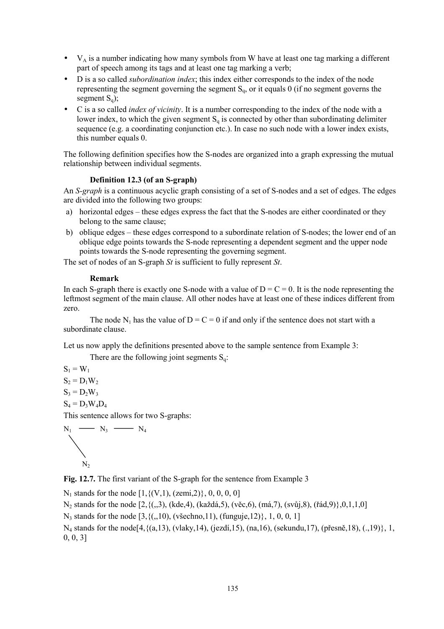- $V_A$  is a number indicating how many symbols from W have at least one tag marking a different part of speech among its tags and at least one tag marking a verb;
- D is a so called *subordination index*; this index either corresponds to the index of the node representing the segment governing the segment  $S<sub>a</sub>$ , or it equals 0 (if no segment governs the segment  $S<sub>a</sub>$ );
- C is a so called *index of vicinity*. It is a number corresponding to the index of the node with a lower index, to which the given segment  $S_q$  is connected by other than subordinating delimiter sequence (e.g. a coordinating conjunction etc.). In case no such node with a lower index exists, this number equals 0.

The following definition specifies how the S-nodes are organized into a graph expressing the mutual relationship between individual segments.

### **Definition 12.3 (of an S-graph)**

An *S-graph* is a continuous acyclic graph consisting of a set of S-nodes and a set of edges. The edges are divided into the following two groups:

- a) horizontal edges these edges express the fact that the S-nodes are either coordinated or they belong to the same clause;
- b) oblique edges these edges correspond to a subordinate relation of S-nodes; the lower end of an oblique edge points towards the S-node representing a dependent segment and the upper node points towards the S-node representing the governing segment.

The set of nodes of an S-graph *St* is sufficient to fully represent *St*.

### **Remark**

In each S-graph there is exactly one S-node with a value of  $D = C = 0$ . It is the node representing the leftmost segment of the main clause. All other nodes have at least one of these indices different from zero.

The node  $N_1$  has the value of  $D = C = 0$  if and only if the sentence does not start with a subordinate clause.

Let us now apply the definitions presented above to the sample sentence from Example 3:

There are the following joint segments  $S_q$ :

 $S_1 = W_1$  $S_2 = D_1W_2$  $S_3 = D_2W_3$  $S_4 = D_3W_4D_4$ 

This sentence allows for two S-graphs:

$$
\begin{matrix} N_1 & \cdots & N_3 & \cdots & N_4 \\ & & & N_2 & \end{matrix}
$$

**Fig. 12.7.** The first variant of the S-graph for the sentence from Example 3

 $N_1$  stands for the node  $[1, \{(V,1), (zemi, 2)\}, 0, 0, 0, 0]$ 

 $N_2$  stands for the node [2, {(,,3), (kde,4), (každá,5), (věc,6), (má,7), (svůj,8), (řád,9)},0,1,1,0]

 $N_3$  stands for the node [3, {(,,10), (všechno,11), (funguje,12)}, 1, 0, 0, 1]

N<sub>4</sub> stands for the node<sup>[4,{(a,13), (vlaky,14), (jezdí,15), (na,16), (sekundu,17), (přesně,18), (.,19)}, 1,</sup> 0, 0, 3]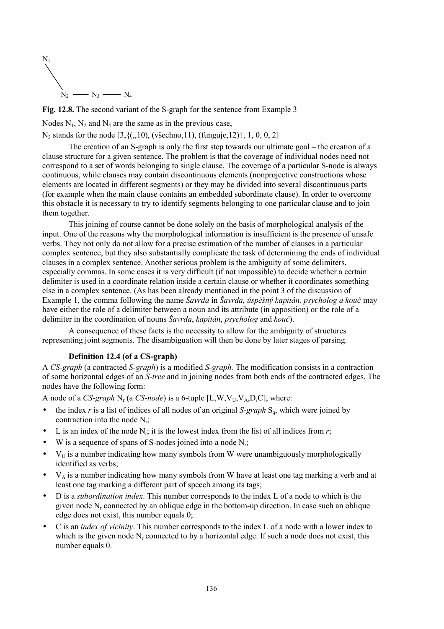

**Fig. 12.8.** The second variant of the S-graph for the sentence from Example 3

Nodes  $N_1$ ,  $N_2$  and  $N_4$  are the same as in the previous case,

 $N_3$  stands for the node [3,  $\{(,10), (v\check{sechno},11), (fungu,12)\}, 1, 0, 0, 2]$ ]

The creation of an S-graph is only the first step towards our ultimate goal  $-$  the creation of a clause structure for a given sentence. The problem is that the coverage of individual nodes need not correspond to a set of words belonging to single clause. The coverage of a particular S-node is always continuous, while clauses may contain discontinuous elements (nonprojective constructions whose elements are located in different segments) or they may be divided into several discontinuous parts (for example when the main clause contains an embedded subordinate clause). In order to overcome this obstacle it is necessary to try to identify segments belonging to one particular clause and to join them together.

This joining of course cannot be done solely on the basis of morphological analysis of the input. One of the reasons why the morphological information is insufficient is the presence of unsafe verbs. They not only do not allow for a precise estimation of the number of clauses in a particular complex sentence, but they also substantially complicate the task of determining the ends of individual clauses in a complex sentence. Another serious problem is the ambiguity of some delimiters, especially commas. In some cases it is very difficult (if not impossible) to decide whether a certain delimiter is used in a coordinate relation inside a certain clause or whether it coordinates something else in a complex sentence. (As has been already mentioned in the point 3 of the discussion of Example 1, the comma following the name *Šavrda* in *Šavrda, úspěšný kapitán, psycholog a kouč* may have either the role of a delimiter between a noun and its attribute (in apposition) or the role of a delimiter in the coordination of nouns *Šavrda, kapitán, psycholog* and *kouč*).

A consequence of these facts is the necessity to allow for the ambiguity of structures representing joint segments. The disambiguation will then be done by later stages of parsing.

### **Definition 12.4 (of a CS-graph)**

A *CS-graph* (a contracted *S-graph*) is a modified *S-graph.* The modification consists in a contraction of some horizontal edges of an *S-tree* and in joining nodes from both ends of the contracted edges. The nodes have the following form:

A node of a *CS-graph*  $N_r$  (a *CS-node*) is a 6-tuple [L,W,V<sub>U</sub>,V<sub>A</sub>,D,C], where:

- the index  $r$  is a list of indices of all nodes of an original *S-graph*  $S_a$ , which were joined by contraction into the node  $N_r$ ;
- L is an index of the node N<sub>r</sub>; it is the lowest index from the list of all indices from  $r$ ;
- W is a sequence of spans of S-nodes joined into a node  $N_r$ ;
- $V_{U}$  is a number indicating how many symbols from W were unambiguously morphologically identified as verbs;
- $V_A$  is a number indicating how many symbols from W have at least one tag marking a verb and at least one tag marking a different part of speech among its tags;
- D is a *subordination index*. This number corresponds to the index L of a node to which is the given node Nr connected by an oblique edge in the bottom-up direction. In case such an oblique edge does not exist, this number equals 0;
- C is an *index of vicinity*. This number corresponds to the index L of a node with a lower index to which is the given node  $N_r$  connected to by a horizontal edge. If such a node does not exist, this number equals 0.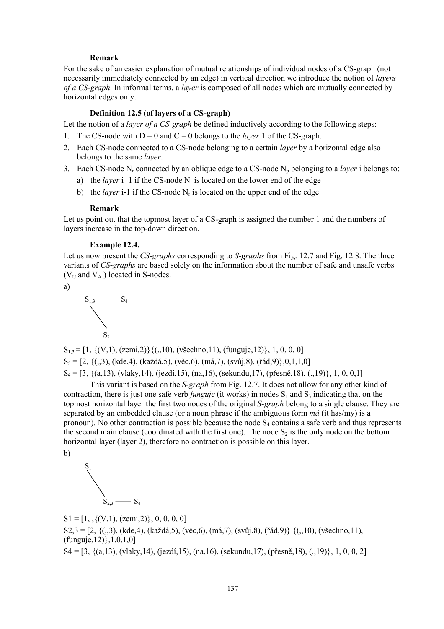#### **Remark**

For the sake of an easier explanation of mutual relationships of individual nodes of a CS-graph (not necessarily immediately connected by an edge) in vertical direction we introduce the notion of *layers of a CS-graph*. In informal terms, a *layer* is composed of all nodes which are mutually connected by horizontal edges only.

### **Definition 12.5 (of layers of a CS-graph)**

Let the notion of a *layer of a CS-graph* be defined inductively according to the following steps:

- 1. The CS-node with  $D = 0$  and  $C = 0$  belongs to the *layer* 1 of the CS-graph.
- 2. Each CS-node connected to a CS-node belonging to a certain *layer* by a horizontal edge also belongs to the same *layer*.
- 3. Each CS-node  $N_r$  connected by an oblique edge to a CS-node  $N_p$  belonging to a *layer* i belongs to:
	- a) the *layer* i+1 if the CS-node  $N_r$  is located on the lower end of the edge
	- b) the *layer* i-1 if the CS-node  $N_r$  is located on the upper end of the edge

### **Remark**

Let us point out that the topmost layer of a CS-graph is assigned the number 1 and the numbers of layers increase in the top-down direction.

#### **Example 12.4.**

Let us now present the *CS-graphs* corresponding to *S-graphs* from Fig. 12.7 and Fig. 12.8. The three variants of *CS-graphs* are based solely on the information about the number of safe and unsafe verbs ( $V_{\text{U}}$  and  $V_{\text{A}}$ ) located in S-nodes.

a)



 $S_{1,3} = [1, \{(V,1), (zemi, 2)\}\{(.,10), (všechno,11), (funguje, 12)\}, 1, 0, 0, 0]$  $S_2 = [2, \{(),3), (kde,4), (ka\check{z}d\check{a},5), (v\check{e}c,6), (m\check{a},7), (sv\check{u}i,8), (\check{r}\check{a}d,9)\}, 0,1,1,0]$  $S_4 = [3, {(a,13), (vlaky,14), (jezdi,15), (na,16), (sekundu,17), (přesně,18), (.,19)}, 1, 0, 0, 1]$ 

This variant is based on the *S-graph* from Fig. 12.7. It does not allow for any other kind of contraction, there is just one safe verb *funguje* (it works) in nodes  $S_1$  and  $S_3$  indicating that on the topmost horizontal layer the first two nodes of the original *S-graph* belong to a single clause. They are separated by an embedded clause (or a noun phrase if the ambiguous form  $m\acute{a}$  (it has/my) is a pronoun). No other contraction is possible because the node  $S_4$  contains a safe verb and thus represents the second main clause (coordinated with the first one). The node  $S<sub>2</sub>$  is the only node on the bottom horizontal layer (layer 2), therefore no contraction is possible on this layer.

b)

$$
\begin{matrix}S_1\\&\\S_{2,3}\hspace{4cm}S_4\end{matrix}
$$

 $S1 = [1, \frac{1}{2}(V,1), (zemi,2), 0, 0, 0, 0]$  $S2,3 = [2, \{(),3), (kde,4), (ka\check{z}d\check{a},5), (v\check{e}c,6), (m\check{a},7), (sv\check{u}j,8), (\check{r}\check{a}d,9)\}$  {(,,10), (všechno,11), (funguje,12)},1,0,1,0]  $S_4 = \{3, \{(a,13), (vlaky,14), (jezdi,15), (na,16), (sekundu,17), (přesně,18), (l,19)\}, 1, 0, 0, 2\}$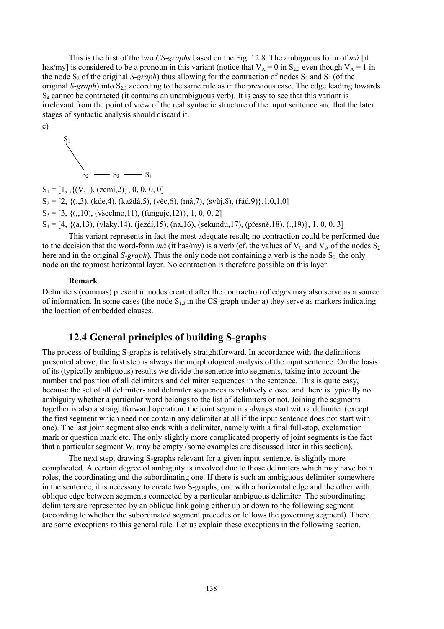This is the first of the two *CS-graphs* based on the Fig. 12.8. The ambiguous form of *má* [it] has/my] is considered to be a pronoun in this variant (notice that  $V_A = 0$  in  $S_{2,3}$  even though  $V_A = 1$  in the node  $S_2$  of the original *S-graph*) thus allowing for the contraction of nodes  $S_2$  and  $S_3$  (of the original *S-graph*) into  $S_{23}$  according to the same rule as in the previous case. The edge leading towards S4 cannot be contracted (it contains an unambiguous verb). It is easy to see that this variant is irrelevant from the point of view of the real syntactic structure of the input sentence and that the later stages of syntactic analysis should discard it.

$$
\begin{matrix} S_1 \\ S_2 & \xrightarrow{\qquad} S_3 & \xrightarrow{\qquad} S_4 \end{matrix}
$$

c)

 $S_1 = [1, \frac{1}{2}(V,1), (zemi,2), 0, 0, 0, 0]$  $S_2 = [2, \{(.3), (\text{kde}, 4), (\text{kazdd}, 5), (\text{v\`ec}, 6), (\text{m\`a}, 7), (\text{sv\`u\`i}, 8), (\text{ř\`ad}, 9)\}, 1, 0, 1, 0]$  $S_3 = [3, \{(.10), (v\check{sechno},11), (funguje,12)\}, 1, 0, 0, 2]$  $S_4 = [4, \{(a,13), (vlaky,14), (jezdi,15), (na,16), (sekundu,17), (přesně,18), (.,19)\}, 1, 0, 0, 3]$ 

This variant represents in fact the most adequate result; no contraction could be performed due to the decision that the word-form  $m\dot{a}$  (it has/my) is a verb (cf. the values of  $V_U$  and  $V_A$  of the nodes  $S_2$ here and in the original *S-graph*). Thus the only node not containing a verb is the node  $S_1$  the only node on the topmost horizontal layer. No contraction is therefore possible on this layer.

### **Remark**

Delimiters (commas) present in nodes created after the contraction of edges may also serve as a source of information. In some cases (the node  $S_{1,3}$  in the CS-graph under a) they serve as markers indicating the location of embedded clauses.

# **12.4 General principles of building S-graphs**

The process of building S-graphs is relatively straightforward. In accordance with the definitions presented above, the first step is always the morphological analysis of the input sentence. On the basis of its (typically ambiguous) results we divide the sentence into segments, taking into account the number and position of all delimiters and delimiter sequences in the sentence. This is quite easy, because the set of all delimiters and delimiter sequences is relatively closed and there is typically no ambiguity whether a particular word belongs to the list of delimiters or not. Joining the segments together is also a straightforward operation: the joint segments always start with a delimiter (except the first segment which need not contain any delimiter at all if the input sentence does not start with one). The last joint segment also ends with a delimiter, namely with a final full-stop, exclamation mark or question mark etc. The only slightly more complicated property of joint segments is the fact that a particular segment Wi may be empty (some examples are discussed later in this section).

The next step, drawing S-graphs relevant for a given input sentence, is slightly more complicated. A certain degree of ambiguity is involved due to those delimiters which may have both roles, the coordinating and the subordinating one. If there is such an ambiguous delimiter somewhere in the sentence, it is necessary to create two S-graphs, one with a horizontal edge and the other with oblique edge between segments connected by a particular ambiguous delimiter. The subordinating delimiters are represented by an oblique link going either up or down to the following segment (according to whether the subordinated segment precedes or follows the governing segment). There are some exceptions to this general rule. Let us explain these exceptions in the following section.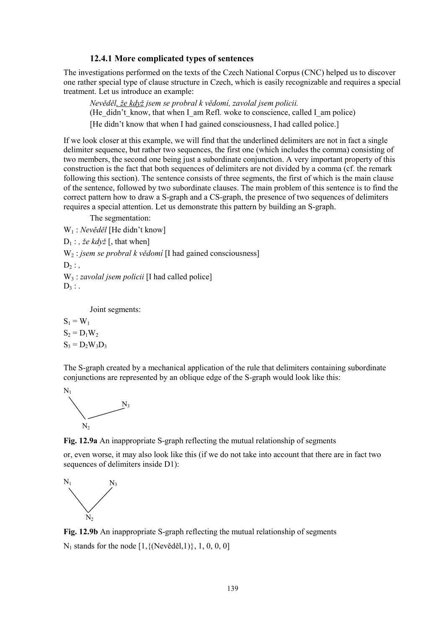### **12.4.1 More complicated types of sentences**

The investigations performed on the texts of the Czech National Corpus (CNC) helped us to discover one rather special type of clause structure in Czech, which is easily recognizable and requires a special treatment. Let us introduce an example:

*Nevěděl, ûe kdyû jsem se probral k vědomÌ, zavolal jsem policii.* (He\_didn't\_know, that when I\_am Refl. woke to conscience, called I\_am police) [He didn't know that when I had gained consciousness, I had called police.]

If we look closer at this example, we will find that the underlined delimiters are not in fact a single delimiter sequence, but rather two sequences, the first one (which includes the comma) consisting of two members, the second one being just a subordinate conjunction. A very important property of this construction is the fact that both sequences of delimiters are not divided by a comma (cf. the remark following this section). The sentence consists of three segments, the first of which is the main clause of the sentence, followed by two subordinate clauses. The main problem of this sentence is to find the correct pattern how to draw a S-graph and a CS-graph, the presence of two sequences of delimiters requires a special attention. Let us demonstrate this pattern by building an S-graph.

The segmentation:

W<sub>1</sub> : *Nevěděl* [He didn't know]

 $D_1$  : *, že kdvž* [, that when]

W<sub>2</sub> : *jsem se probral k vědomí* [I had gained consciousness]

 $D_2$ :,

W3 : *zavolal jsem policii* [I had called police]

 $D_3$ :

Joint segments:

 $S_1 = W_1$  $S_2 = D_1W_2$  $S_3 = D_2W_3D_3$ 

The S-graph created by a mechanical application of the rule that delimiters containing subordinate conjunctions are represented by an oblique edge of the S-graph would look like this:



**Fig. 12.9a** An inappropriate S-graph reflecting the mutual relationship of segments

or, even worse, it may also look like this (if we do not take into account that there are in fact two sequences of delimiters inside D1):



**Fig. 12.9b** An inappropriate S-graph reflecting the mutual relationship of segments  $N_1$  stands for the node  $[1,\{(New\check{e}d\check{e}l,1)\}, 1, 0, 0, 0]$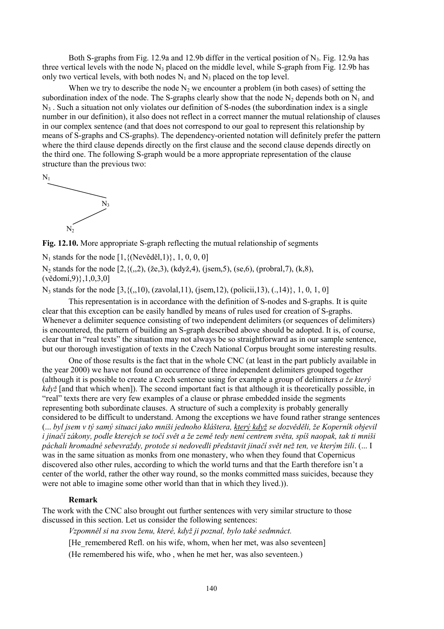Both S-graphs from Fig. 12.9a and 12.9b differ in the vertical position of  $N_3$ . Fig. 12.9a has three vertical levels with the node  $N_3$  placed on the middle level, while S-graph from Fig. 12.9b has only two vertical levels, with both nodes  $N_1$  and  $N_3$  placed on the top level.

When we try to describe the node  $N_2$  we encounter a problem (in both cases) of setting the subordination index of the node. The S-graphs clearly show that the node  $N_2$  depends both on  $N_1$  and  $N<sub>3</sub>$ . Such a situation not only violates our definition of S-nodes (the subordination index is a single number in our definition), it also does not reflect in a correct manner the mutual relationship of clauses in our complex sentence (and that does not correspond to our goal to represent this relationship by means of S-graphs and CS-graphs). The dependency-oriented notation will definitely prefer the pattern where the third clause depends directly on the first clause and the second clause depends directly on the third one. The following S-graph would be a more appropriate representation of the clause structure than the previous two:



**Fig. 12.10.** More appropriate S-graph reflecting the mutual relationship of segments

 $N_1$  stands for the node  $[1,\{(New\check{e}d\check{e}l,1)\}, 1, 0, 0, 0]$ 

 $N_2$  stands for the node  $[2, \{(.2), (ze,3), (kdy\zeta,4), (jsem,5), (se,6), (probral,7), (k,8),$  $(vědomi, 9)$ , 1, 0, 3, 0]

 $N_3$  stands for the node  $[3, {((0,10), (zavolal,11), (jsem,12), (policii,13), (0,14)}, 1, 0, 1, 0]$ 

This representation is in accordance with the definition of S-nodes and S-graphs. It is quite clear that this exception can be easily handled by means of rules used for creation of S-graphs. Whenever a delimiter sequence consisting of two independent delimiters (or sequences of delimiters) is encountered, the pattern of building an S-graph described above should be adopted. It is, of course, clear that in "real texts" the situation may not always be so straightforward as in our sample sentence, but our thorough investigation of texts in the Czech National Corpus brought some interesting results.

One of those results is the fact that in the whole CNC (at least in the part publicly available in the year 2000) we have not found an occurrence of three independent delimiters grouped together (although it is possible to create a Czech sentence using for example a group of delimiters  $a \, \check{z}e$  kter $\check{y}$ *kdy* $\zeta$  [and that which when]). The second important fact is that although it is theoretically possible, in ìrealî texts there are very few examples of a clause or phrase embedded inside the segments representing both subordinate clauses. A structure of such a complexity is probably generally considered to be difficult to understand. Among the exceptions we have found rather strange sentences (... *byl jsem v t˝ sam˝ situaci jako mniöi jednoho kl·ötera, kter˝ kdyû se dozvěděli, ûe KopernÌk objevil i jinačÌ z·kony, podle kterejch se točÌ svět a ûe země tedy nenÌ centrem světa, spÌö naopak, tak ti mniöi p·chali hromadnÈ sebevraûdy, protoûe si nedovedli představit jinačÌ svět neû ten, ve kter˝m ûili*. (... I was in the same situation as monks from one monastery, who when they found that Copernicus discovered also other rules, according to which the world turns and that the Earth therefore isn't a center of the world, rather the other way round, so the monks committed mass suicides, because they were not able to imagine some other world than that in which they lived.)).

#### **Remark**

The work with the CNC also brought out further sentences with very similar structure to those discussed in this section. Let us consider the following sentences:

Vzpomněl si na svou ženu, které, když ji poznal, bylo také sedmnáct.

[He\_remembered Refl. on his wife, whom, when her met, was also seventeen]

(He remembered his wife, who , when he met her, was also seventeen.)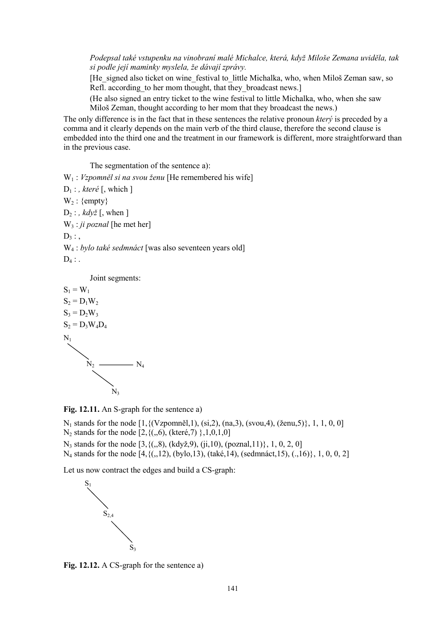Podepsal také vstupenku na vinobraní malé Michalce, která, když Miloše Zemana uviděla, tak si podle její maminky myslela, že dávají zprávy.

[He signed also ticket on wine festival to little Michalka, who, when Miloš Zeman saw, so Refl. according to her mom thought, that they broadcast news.

(He also signed an entry ticket to the wine festival to little Michalka, who, when she saw Miloš Zeman, thought according to her mom that they broadcast the news.)

The only difference is in the fact that in these sentences the relative pronoun  $\frac{ker}{\nu}$  is preceded by a comma and it clearly depends on the main verb of the third clause, therefore the second clause is embedded into the third one and the treatment in our framework is different, more straightforward than in the previous case.

The segmentation of the sentence a):

 $W_1$ : *Vzpomněl si na svou ženu* [He remembered his wife]  $D_1$ :, které [, which ]  $W_2$ : {empty}  $D_2$ :, když [, when ]  $W_3$ : ji poznal [he met her]  $D_3$ :  $W_4$ : *bylo také sedmnáct* [was also seventeen years old]  $D_4$ :

Joint segments:

 $S_1 = W_1$  $S_2 = D_1 W_2$  $S_3 = D_2 W_3$  $S_2 = D_3W_4D_4$  $\rm N_1$  $N_2$  –  $- N_4$  $N<sub>3</sub>$ 

Fig. 12.11. An S-graph for the sentence a)

 $N_1$  stands for the node [1, {(Vzpomněl, 1), (si, 2), (na, 3), (svou, 4), (ženu, 5)}, 1, 1, 0, 0]  $N_2$  stands for the node  $[2, \{(), 6),$  (které, 7)  $\}$ , 1, 0, 1, 0]  $N_3$  stands for the node [3, {(,,8), (když,9), (ji,10), (poznal,11)}, 1, 0, 2, 0]

 $N_4$  stands for the node [4, {(,,12), (bylo,13), (také,14), (sedmnáct,15), (.,16)}, 1, 0, 0, 2]

Let us now contract the edges and build a CS-graph:



Fig. 12.12. A CS-graph for the sentence a)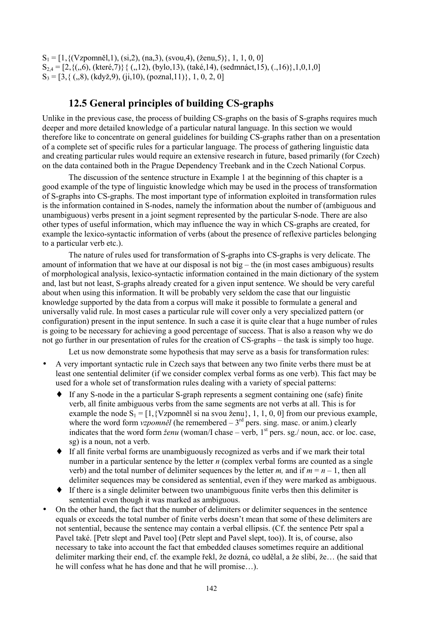$S_1 = [1, {(Vzpomm\check{e}l, 1), (si, 2), (na, 3), (svou, 4), (ženu, 5)}, 1, 1, 0, 0]$  $S_{2,4} = [2,\{(.6), (\text{které},7)\}\{(.12), (\text{bylo},13), (\text{také},14), (\text{sedmnáct},15), (.16)\}, 1, 0, 1, 0]$  $S_3 = [3, \{ (0, 8), (kdy\check{z}, 9), (j\check{z}, 10), (poznal, 11)\}, 1, 0, 2, 0]$ 

# **12.5 General principles of building CS-graphs**

Unlike in the previous case, the process of building CS-graphs on the basis of S-graphs requires much deeper and more detailed knowledge of a particular natural language. In this section we would therefore like to concentrate on general guidelines for building CS-graphs rather than on a presentation of a complete set of specific rules for a particular language. The process of gathering linguistic data and creating particular rules would require an extensive research in future, based primarily (for Czech) on the data contained both in the Prague Dependency Treebank and in the Czech National Corpus.

The discussion of the sentence structure in Example 1 at the beginning of this chapter is a good example of the type of linguistic knowledge which may be used in the process of transformation of S-graphs into CS-graphs. The most important type of information exploited in transformation rules is the information contained in S-nodes, namely the information about the number of (ambiguous and unambiguous) verbs present in a joint segment represented by the particular S-node. There are also other types of useful information, which may influence the way in which CS-graphs are created, for example the lexico-syntactic information of verbs (about the presence of reflexive particles belonging to a particular verb etc.).

The nature of rules used for transformation of S-graphs into CS-graphs is very delicate. The amount of information that we have at our disposal is not big  $-$  the (in most cases ambiguous) results of morphological analysis, lexico-syntactic information contained in the main dictionary of the system and, last but not least, S-graphs already created for a given input sentence. We should be very careful about when using this information. It will be probably very seldom the case that our linguistic knowledge supported by the data from a corpus will make it possible to formulate a general and universally valid rule. In most cases a particular rule will cover only a very specialized pattern (or configuration) present in the input sentence. In such a case it is quite clear that a huge number of rules is going to be necessary for achieving a good percentage of success. That is also a reason why we do not go further in our presentation of rules for the creation of CS-graphs – the task is simply too huge.

Let us now demonstrate some hypothesis that may serve as a basis for transformation rules:

- A very important syntactic rule in Czech says that between any two finite verbs there must be at least one sentential delimiter (if we consider complex verbal forms as one verb). This fact may be used for a whole set of transformation rules dealing with a variety of special patterns:
	- ♦ If any S-node in the a particular S-graph represents a segment containing one (safe) finite verb, all finite ambiguous verbs from the same segments are not verbs at all. This is for example the node  $S_1 = [1, {Vzpomm\ell} \sin nx \sin nx]$ , 1, 1, 0, 0] from our previous example, where the word form  $vzpomm\acute{e}l$  (he remembered  $-3^{rd}$  pers. sing. masc. or anim.) clearly indicates that the word form *ženu* (woman/I chase – verb, 1<sup>st</sup> pers. sg./ noun, acc. or loc. case, sg) is a noun, not a verb.
	- ♦ If all finite verbal forms are unambiguously recognized as verbs and if we mark their total number in a particular sentence by the letter *n* (complex verbal forms are counted as a single verb) and the total number of delimiter sequences by the letter *m*, and if  $m = n - 1$ , then all delimiter sequences may be considered as sentential, even if they were marked as ambiguous.
	- ♦ If there is a single delimiter between two unambiguous finite verbs then this delimiter is sentential even though it was marked as ambiguous.
- On the other hand, the fact that the number of delimiters or delimiter sequences in the sentence equals or exceeds the total number of finite verbs doesn't mean that some of these delimiters are not sentential, because the sentence may contain a verbal ellipsis. (Cf. the sentence Petr spal a Pavel také. [Petr slept and Pavel too] (Petr slept and Pavel slept, too)). It is, of course, also necessary to take into account the fact that embedded clauses sometimes require an additional delimiter marking their end, cf. the example řekl, že dozná, co udělal, a že slíbí, že... (he said that he will confess what he has done and that he will promise $\ldots$ ).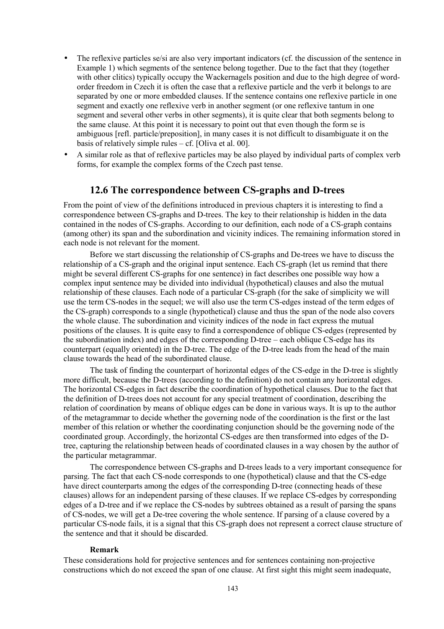- The reflexive particles se/si are also very important indicators (cf. the discussion of the sentence in Example 1) which segments of the sentence belong together. Due to the fact that they (together with other clitics) typically occupy the Wackernagels position and due to the high degree of wordorder freedom in Czech it is often the case that a reflexive particle and the verb it belongs to are separated by one or more embedded clauses. If the sentence contains one reflexive particle in one segment and exactly one reflexive verb in another segment (or one reflexive tantum in one segment and several other verbs in other segments), it is quite clear that both segments belong to the same clause. At this point it is necessary to point out that even though the form se is ambiguous [refl. particle/preposition], in many cases it is not difficult to disambiguate it on the basis of relatively simple rules  $-$  cf. [Oliva et al. 00].
- A similar role as that of reflexive particles may be also played by individual parts of complex verb forms, for example the complex forms of the Czech past tense.

### **12.6 The correspondence between CS-graphs and D-trees**

From the point of view of the definitions introduced in previous chapters it is interesting to find a correspondence between CS-graphs and D-trees. The key to their relationship is hidden in the data contained in the nodes of CS-graphs. According to our definition, each node of a CS-graph contains (among other) its span and the subordination and vicinity indices. The remaining information stored in each node is not relevant for the moment.

Before we start discussing the relationship of CS-graphs and De-trees we have to discuss the relationship of a CS-graph and the original input sentence. Each CS-graph (let us remind that there might be several different CS-graphs for one sentence) in fact describes one possible way how a complex input sentence may be divided into individual (hypothetical) clauses and also the mutual relationship of these clauses. Each node of a particular CS-graph (for the sake of simplicity we will use the term CS-nodes in the sequel; we will also use the term CS-edges instead of the term edges of the CS-graph) corresponds to a single (hypothetical) clause and thus the span of the node also covers the whole clause. The subordination and vicinity indices of the node in fact express the mutual positions of the clauses. It is quite easy to find a correspondence of oblique CS-edges (represented by the subordination index) and edges of the corresponding  $D$ -tree – each oblique CS-edge has its counterpart (equally oriented) in the D-tree. The edge of the D-tree leads from the head of the main clause towards the head of the subordinated clause.

The task of finding the counterpart of horizontal edges of the CS-edge in the D-tree is slightly more difficult, because the D-trees (according to the definition) do not contain any horizontal edges. The horizontal CS-edges in fact describe the coordination of hypothetical clauses. Due to the fact that the definition of D-trees does not account for any special treatment of coordination, describing the relation of coordination by means of oblique edges can be done in various ways. It is up to the author of the metagrammar to decide whether the governing node of the coordination is the first or the last member of this relation or whether the coordinating conjunction should be the governing node of the coordinated group. Accordingly, the horizontal CS-edges are then transformed into edges of the Dtree, capturing the relationship between heads of coordinated clauses in a way chosen by the author of the particular metagrammar.

The correspondence between CS-graphs and D-trees leads to a very important consequence for parsing. The fact that each CS-node corresponds to one (hypothetical) clause and that the CS-edge have direct counterparts among the edges of the corresponding D-tree (connecting heads of these clauses) allows for an independent parsing of these clauses. If we replace CS-edges by corresponding edges of a D-tree and if we replace the CS-nodes by subtrees obtained as a result of parsing the spans of CS-nodes, we will get a De-tree covering the whole sentence. If parsing of a clause covered by a particular CS-node fails, it is a signal that this CS-graph does not represent a correct clause structure of the sentence and that it should be discarded.

#### **Remark**

These considerations hold for projective sentences and for sentences containing non-projective constructions which do not exceed the span of one clause. At first sight this might seem inadequate,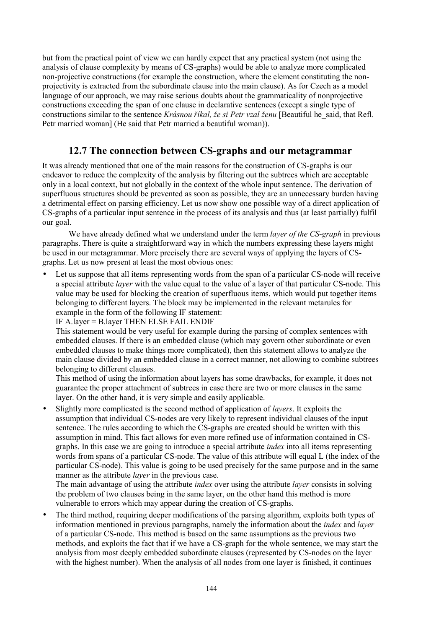but from the practical point of view we can hardly expect that any practical system (not using the analysis of clause complexity by means of CS-graphs) would be able to analyze more complicated non-projective constructions (for example the construction, where the element constituting the nonprojectivity is extracted from the subordinate clause into the main clause). As for Czech as a model language of our approach, we may raise serious doubts about the grammaticality of nonprojective constructions exceeding the span of one clause in declarative sentences (except a single type of constructions similar to the sentence *Krásnou říkal, že si Petr vzal ženu* [Beautiful he\_said, that Refl. Petr married woman] (He said that Petr married a beautiful woman)).

# **12.7 The connection between CS-graphs and our metagrammar**

It was already mentioned that one of the main reasons for the construction of CS-graphs is our endeavor to reduce the complexity of the analysis by filtering out the subtrees which are acceptable only in a local context, but not globally in the context of the whole input sentence. The derivation of superfluous structures should be prevented as soon as possible, they are an unnecessary burden having a detrimental effect on parsing efficiency. Let us now show one possible way of a direct application of CS-graphs of a particular input sentence in the process of its analysis and thus (at least partially) fulfil our goal.

We have already defined what we understand under the term *layer of the CS-graph* in previous paragraphs. There is quite a straightforward way in which the numbers expressing these layers might be used in our metagrammar. More precisely there are several ways of applying the layers of CSgraphs. Let us now present at least the most obvious ones:

Let us suppose that all items representing words from the span of a particular CS-node will receive a special attribute *layer* with the value equal to the value of a layer of that particular CS-node. This value may be used for blocking the creation of superfluous items, which would put together items belonging to different layers. The block may be implemented in the relevant metarules for example in the form of the following IF statement:

IF A.layer = B.layer THEN ELSE FAIL ENDIF

This statement would be very useful for example during the parsing of complex sentences with embedded clauses. If there is an embedded clause (which may govern other subordinate or even embedded clauses to make things more complicated), then this statement allows to analyze the main clause divided by an embedded clause in a correct manner, not allowing to combine subtrees belonging to different clauses.

This method of using the information about layers has some drawbacks, for example, it does not guarantee the proper attachment of subtrees in case there are two or more clauses in the same layer. On the other hand, it is very simple and easily applicable.

• Slightly more complicated is the second method of application of *layers*. It exploits the assumption that individual CS-nodes are very likely to represent individual clauses of the input sentence. The rules according to which the CS-graphs are created should be written with this assumption in mind. This fact allows for even more refined use of information contained in CSgraphs. In this case we are going to introduce a special attribute *index* into all items representing words from spans of a particular CS-node. The value of this attribute will equal L (the index of the particular CS-node). This value is going to be used precisely for the same purpose and in the same manner as the attribute *layer* in the previous case.

The main advantage of using the attribute *index* over using the attribute *layer* consists in solving the problem of two clauses being in the same layer, on the other hand this method is more vulnerable to errors which may appear during the creation of CS-graphs.

• The third method, requiring deeper modifications of the parsing algorithm, exploits both types of information mentioned in previous paragraphs, namely the information about the *index* and *layer* of a particular CS-node. This method is based on the same assumptions as the previous two methods, and exploits the fact that if we have a CS-graph for the whole sentence, we may start the analysis from most deeply embedded subordinate clauses (represented by CS-nodes on the layer with the highest number). When the analysis of all nodes from one layer is finished, it continues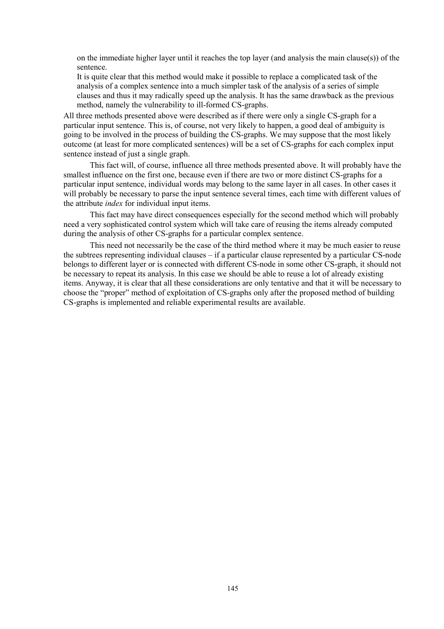on the immediate higher layer until it reaches the top layer (and analysis the main clause(s)) of the sentence.

It is quite clear that this method would make it possible to replace a complicated task of the analysis of a complex sentence into a much simpler task of the analysis of a series of simple clauses and thus it may radically speed up the analysis. It has the same drawback as the previous method, namely the vulnerability to ill-formed CS-graphs.

All three methods presented above were described as if there were only a single CS-graph for a particular input sentence. This is, of course, not very likely to happen, a good deal of ambiguity is going to be involved in the process of building the CS-graphs. We may suppose that the most likely outcome (at least for more complicated sentences) will be a set of CS-graphs for each complex input sentence instead of just a single graph.

This fact will, of course, influence all three methods presented above. It will probably have the smallest influence on the first one, because even if there are two or more distinct CS-graphs for a particular input sentence, individual words may belong to the same layer in all cases. In other cases it will probably be necessary to parse the input sentence several times, each time with different values of the attribute *index* for individual input items.

This fact may have direct consequences especially for the second method which will probably need a very sophisticated control system which will take care of reusing the items already computed during the analysis of other CS-graphs for a particular complex sentence.

This need not necessarily be the case of the third method where it may be much easier to reuse the subtrees representing individual clauses  $-$  if a particular clause represented by a particular CS-node belongs to different layer or is connected with different CS-node in some other CS-graph, it should not be necessary to repeat its analysis. In this case we should be able to reuse a lot of already existing items. Anyway, it is clear that all these considerations are only tentative and that it will be necessary to choose the "proper" method of exploitation of CS-graphs only after the proposed method of building CS-graphs is implemented and reliable experimental results are available.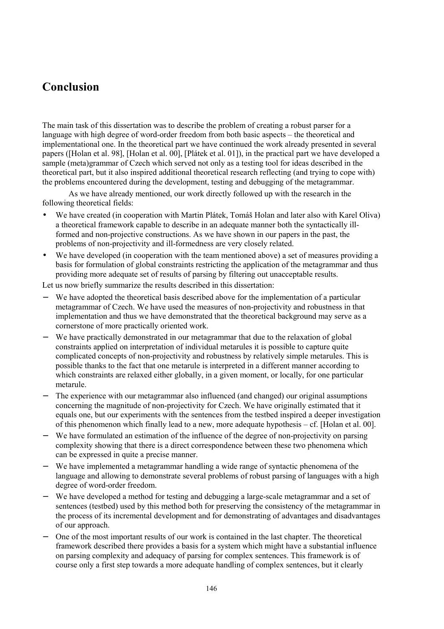## **Conclusion**

The main task of this dissertation was to describe the problem of creating a robust parser for a language with high degree of word-order freedom from both basic aspects – the theoretical and implementational one. In the theoretical part we have continued the work already presented in several papers ([Holan et al. 98], [Holan et al. 00], [Plátek et al. 01]), in the practical part we have developed a sample (meta)grammar of Czech which served not only as a testing tool for ideas described in the theoretical part, but it also inspired additional theoretical research reflecting (and trying to cope with) the problems encountered during the development, testing and debugging of the metagrammar.

As we have already mentioned, our work directly followed up with the research in the following theoretical fields:

- We have created (in cooperation with Martin Plátek, Tomáš Holan and later also with Karel Oliva) a theoretical framework capable to describe in an adequate manner both the syntactically illformed and non-projective constructions. As we have shown in our papers in the past, the problems of non-projectivity and ill-formedness are very closely related.
- We have developed (in cooperation with the team mentioned above) a set of measures providing a basis for formulation of global constraints restricting the application of the metagrammar and thus providing more adequate set of results of parsing by filtering out unacceptable results.

Let us now briefly summarize the results described in this dissertation:

- − We have adopted the theoretical basis described above for the implementation of a particular metagrammar of Czech. We have used the measures of non-projectivity and robustness in that implementation and thus we have demonstrated that the theoretical background may serve as a cornerstone of more practically oriented work.
- − We have practically demonstrated in our metagrammar that due to the relaxation of global constraints applied on interpretation of individual metarules it is possible to capture quite complicated concepts of non-projectivity and robustness by relatively simple metarules. This is possible thanks to the fact that one metarule is interpreted in a different manner according to which constraints are relaxed either globally, in a given moment, or locally, for one particular metarule.
- − The experience with our metagrammar also influenced (and changed) our original assumptions concerning the magnitude of non-projectivity for Czech. We have originally estimated that it equals one, but our experiments with the sentences from the testbed inspired a deeper investigation of this phenomenon which finally lead to a new, more adequate hypothesis  $-$  cf. [Holan et al. 00].
- We have formulated an estimation of the influence of the degree of non-projectivity on parsing complexity showing that there is a direct correspondence between these two phenomena which can be expressed in quite a precise manner.
- − We have implemented a metagrammar handling a wide range of syntactic phenomena of the language and allowing to demonstrate several problems of robust parsing of languages with a high degree of word-order freedom.
- − We have developed a method for testing and debugging a large-scale metagrammar and a set of sentences (testbed) used by this method both for preserving the consistency of the metagrammar in the process of its incremental development and for demonstrating of advantages and disadvantages of our approach.
- One of the most important results of our work is contained in the last chapter. The theoretical framework described there provides a basis for a system which might have a substantial influence on parsing complexity and adequacy of parsing for complex sentences. This framework is of course only a first step towards a more adequate handling of complex sentences, but it clearly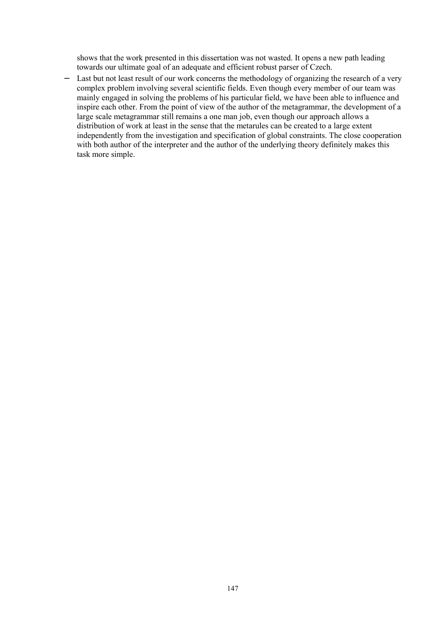shows that the work presented in this dissertation was not wasted. It opens a new path leading towards our ultimate goal of an adequate and efficient robust parser of Czech.

− Last but not least result of our work concerns the methodology of organizing the research of a very complex problem involving several scientific fields. Even though every member of our team was mainly engaged in solving the problems of his particular field, we have been able to influence and inspire each other. From the point of view of the author of the metagrammar, the development of a large scale metagrammar still remains a one man job, even though our approach allows a distribution of work at least in the sense that the metarules can be created to a large extent independently from the investigation and specification of global constraints. The close cooperation with both author of the interpreter and the author of the underlying theory definitely makes this task more simple.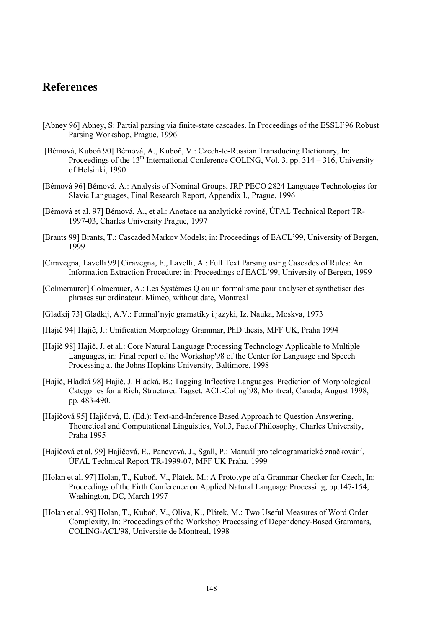## **References**

- [Abney 96] Abney, S: Partial parsing via finite-state cascades. In Proceedings of the ESSLIí96 Robust Parsing Workshop, Prague, 1996.
- [Bémová, Kuboň 90] Bémová, A., Kuboň, V.: Czech-to-Russian Transducing Dictionary, In: Proceedings of the  $13<sup>th</sup>$  International Conference COLING, Vol. 3, pp. 314 – 316, University of Helsinki, 1990
- [Bémová 96] Bémová, A.: Analysis of Nominal Groups, JRP PECO 2824 Language Technologies for Slavic Languages, Final Research Report, Appendix I., Prague, 1996
- [Bémová et al. 97] Bémová, A., et al.: Anotace na analytické rovině, ÚFAL Technical Report TR-1997-03, Charles University Prague, 1997
- [Brants 99] Brants, T.: Cascaded Markov Models; in: Proceedings of EACL'99, University of Bergen, 1999
- [Ciravegna, Lavelli 99] Ciravegna, F., Lavelli, A.: Full Text Parsing using Cascades of Rules: An Information Extraction Procedure; in: Proceedings of EACL'99, University of Bergen, 1999
- [Colmeraurer] Colmerauer, A.: Les Systèmes Q ou un formalisme pour analyser et synthetiser des phrases sur ordinateur. Mimeo, without date, Montreal
- [Gladkij 73] Gladkij, A.V.: Formal'nyje gramatiky i jazyki, Iz. Nauka, Moskva, 1973
- [Hajič 94] Hajič, J.: Unification Morphology Grammar, PhD thesis, MFF UK, Praha 1994
- [Hajič 98] Hajič, J. et al.: Core Natural Language Processing Technology Applicable to Multiple Languages, in: Final report of the Workshop'98 of the Center for Language and Speech Processing at the Johns Hopkins University, Baltimore, 1998
- [Hajič, Hladká 98] Hajič, J. Hladká, B.: Tagging Inflective Languages. Prediction of Morphological Categories for a Rich, Structured Tagset. ACL-Coling<sup>'98</sup>, Montreal, Canada, August 1998, pp. 483-490.
- [Hajičová 95] Hajičová, E. (Ed.): Text-and-Inference Based Approach to Question Answering, Theoretical and Computational Linguistics, Vol.3, Fac.of Philosophy, Charles University, Praha 1995
- [Hajičová et al. 99] Hajičová, E., Panevová, J., Sgall, P.: Manuál pro tektogramatické značkování, ⁄FAL Technical Report TR-1999-07, MFF UK Praha, 1999
- [Holan et al. 97] Holan, T., Kuboň, V., Plátek, M.: A Prototype of a Grammar Checker for Czech, In: Proceedings of the Firth Conference on Applied Natural Language Processing, pp.147-154, Washington, DC, March 1997
- [Holan et al. 98] Holan, T., Kuboň, V., Oliva, K., Plátek, M.: Two Useful Measures of Word Order Complexity, In: Proceedings of the Workshop Processing of Dependency-Based Grammars, COLING-ACL'98, Universite de Montreal, 1998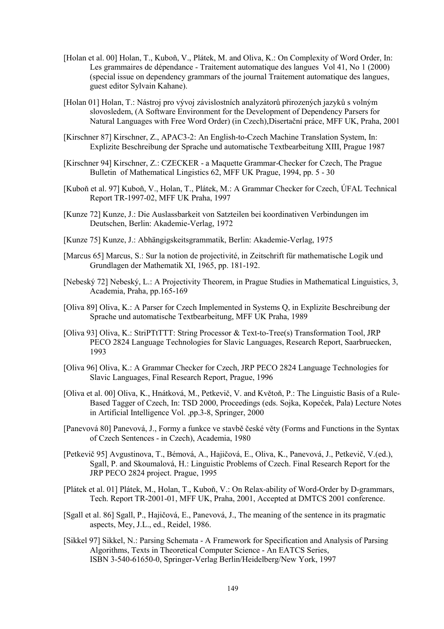- [Holan et al. 00] Holan, T., Kuboň, V., Plátek, M. and Oliva, K.: On Complexity of Word Order, In: Les grammaires de dépendance - Traitement automatique des langues Vol 41, No 1 (2000) (special issue on dependency grammars of the journal Traitement automatique des langues, guest editor Sylvain Kahane).
- [Holan 01] Holan, T.: Nástroj pro vývoj závislostních analyzátorů přirozených jazyků s volným slovosledem, (A Software Environment for the Development of Dependency Parsers for Natural Languages with Free Word Order) (in Czech), Disertační práce, MFF UK, Praha, 2001
- [Kirschner 87] Kirschner, Z., APAC3-2: An English-to-Czech Machine Translation System, In: Explizite Beschreibung der Sprache und automatische Textbearbeitung XIII, Prague 1987
- [Kirschner 94] Kirschner, Z.: CZECKER a Maquette Grammar-Checker for Czech, The Prague Bulletin of Mathematical Lingistics 62, MFF UK Prague, 1994, pp. 5 - 30
- [Kuboň et al. 97] Kuboň, V., Holan, T., Plátek, M.: A Grammar Checker for Czech, ÚFAL Technical Report TR-1997-02, MFF UK Praha, 1997
- [Kunze 72] Kunze, J.: Die Auslassbarkeit von Satzteilen bei koordinativen Verbindungen im Deutschen, Berlin: Akademie-Verlag, 1972
- [Kunze 75] Kunze, J.: Abhängigskeitsgrammatik, Berlin: Akademie-Verlag, 1975
- [Marcus 65] Marcus, S.: Sur la notion de projectivité, in Zeitschrift für mathematische Logik und Grundlagen der Mathematik XI, 1965, pp. 181-192.
- [Nebeský 72] Nebeský, L.: A Projectivity Theorem, in Prague Studies in Mathematical Linguistics, 3, Academia, Praha, pp.165-169
- [Oliva 89] Oliva, K.: A Parser for Czech Implemented in Systems O. in Explizite Beschreibung der Sprache und automatische Textbearbeitung, MFF UK Praha, 1989
- [Oliva 93] Oliva, K.: StriPTtTT: String Processor & Text-to-Tree(s) Transformation Tool, JRP PECO 2824 Language Technologies for Slavic Languages, Research Report, Saarbruecken, 1993
- [Oliva 96] Oliva, K.: A Grammar Checker for Czech, JRP PECO 2824 Language Technologies for Slavic Languages, Final Research Report, Prague, 1996
- [Oliva et al. 00] Oliva, K., Hnátková, M., Petkevič, V. and Květoň, P.: The Linguistic Basis of a Rule-Based Tagger of Czech, In: TSD 2000, Proceedings (eds. Sojka, Kopeček, Pala) Lecture Notes in Artificial Intelligence Vol., pp.3-8, Springer, 2000
- [Panevová 80] Panevová, J., Formy a funkce ve stavbě české věty (Forms and Functions in the Syntax of Czech Sentences - in Czech), Academia, 1980
- [Petkevič 95] Avgustinova, T., Bémová, A., Hajičová, E., Oliva, K., Panevová, J., Petkevič, V.(ed.), Sgall, P. and Skoumalová, H.: Linguistic Problems of Czech. Final Research Report for the JRP PECO 2824 project. Prague, 1995
- [Plátek et al. 01] Plátek, M., Holan, T., Kuboň, V.: On Relax-ability of Word-Order by D-grammars, Tech. Report TR-2001-01, MFF UK, Praha, 2001, Accepted at DMTCS 2001 conference.
- [Sgall et al. 86] Sgall, P., Hajičová, E., Panevová, J., The meaning of the sentence in its pragmatic aspects, Mey, J.L., ed., Reidel, 1986.
- [Sikkel 97] Sikkel, N.: Parsing Schemata A Framework for Specification and Analysis of Parsing Algorithms, Texts in Theoretical Computer Science - An EATCS Series, ISBN 3-540-61650-0, Springer-Verlag Berlin/Heidelberg/New York, 1997